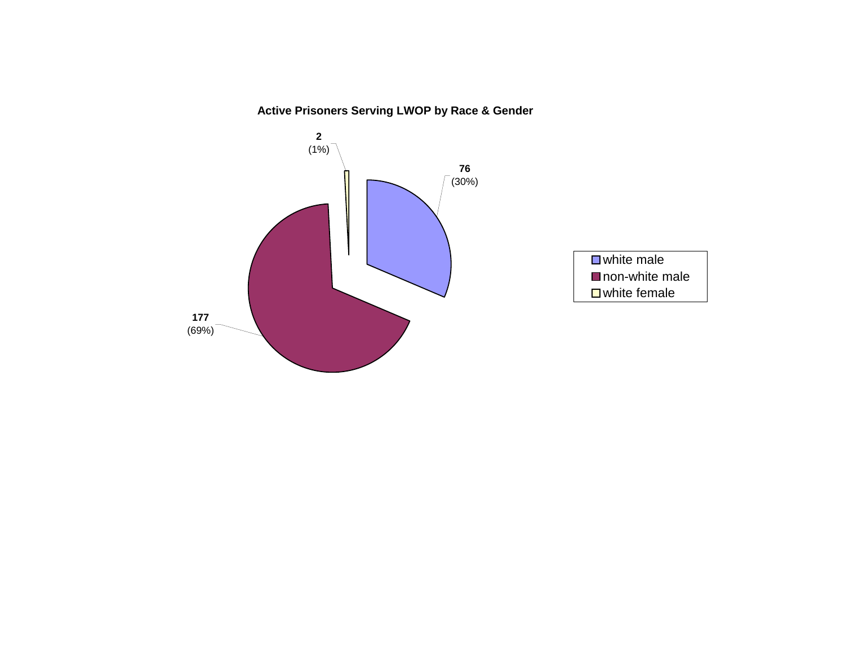**Active Prisoners Serving LWOP by Race & Gender**

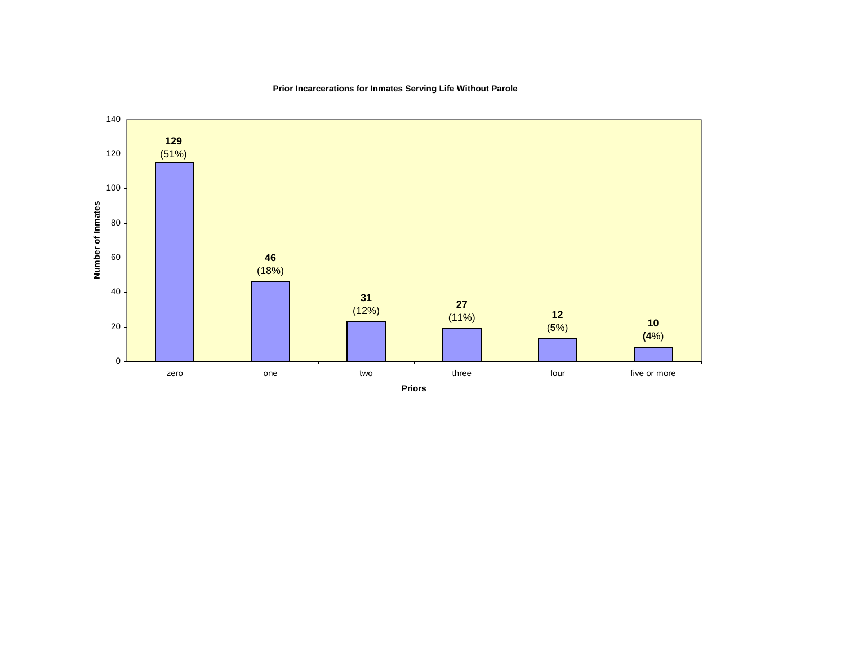

# **Prior Incarcerations for Inmates Serving Life Without Parole**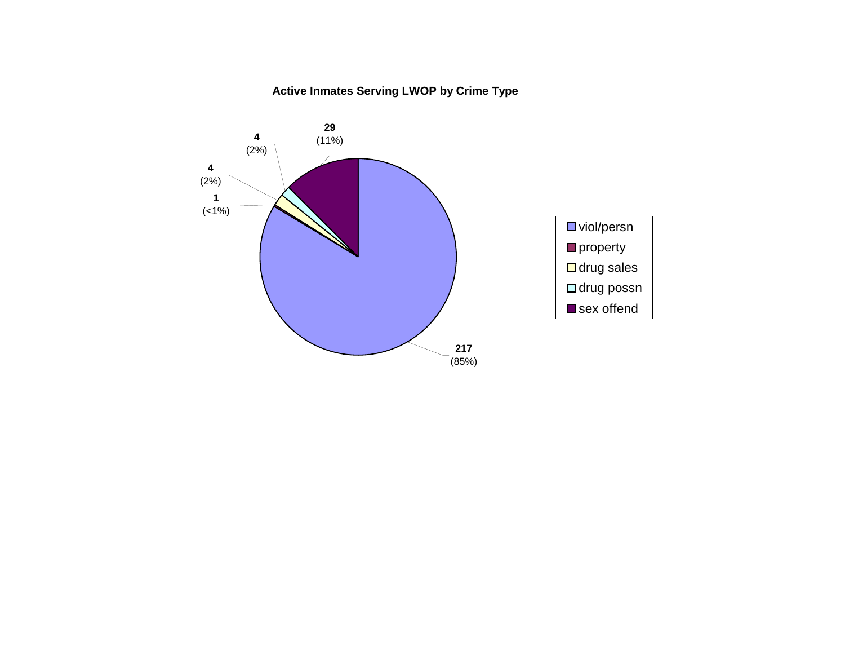# **Active Inmates Serving LWOP by Crime Type**

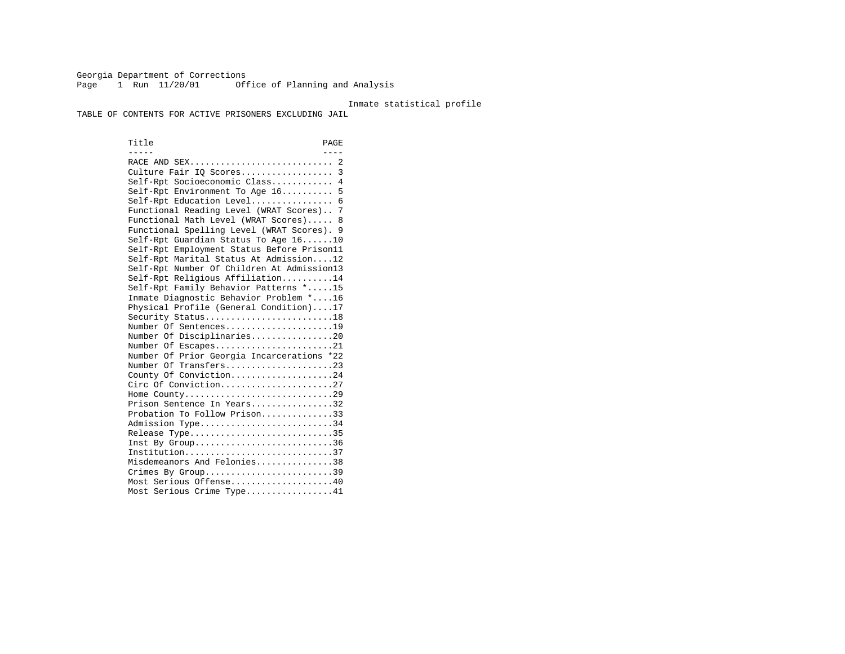Georgia Department of Corrections Page 1 Run 11/20/01 Office of Planning and Analysis

#### Inmate statistical profile

TABLE OF CONTENTS FOR ACTIVE PRISONERS EXCLUDING JAIL

Title PAGE ----- ---- RACE AND SEX............................ 2 Culture Fair IQ Scores.................. 3 Self-Rpt Socioeconomic Class............ 4 Self-Rpt Environment To Age 16.......... 5 Self-Rpt Education Level................ 6 Functional Reading Level (WRAT Scores).. 7 Functional Math Level (WRAT Scores)..... 8 Functional Spelling Level (WRAT Scores). 9 Self-Rpt Guardian Status To Age 16......10 Self-Rpt Employment Status Before Prison11 Self-Rpt Marital Status At Admission....12 Self-Rpt Number Of Children At Admission13 Self-Rpt Religious Affiliation..........14 Self-Rpt Family Behavior Patterns \*.....15 Inmate Diagnostic Behavior Problem \*....16 Physical Profile (General Condition)....17 Security Status...........................18 Number Of Sentences.....................19 Number Of Disciplinaries................20 Number Of Escapes........................21 Number Of Prior Georgia Incarcerations \*22 Number Of Transfers.....................23 County Of Conviction....................24 Circ Of Conviction......................27 Home County.............................29 Prison Sentence In Years.................32 Probation To Follow Prison..............33Admission Type............................34 Release Type..............................35 Inst By Group..............................36 Institution.............................37 Misdemeanors And Felonies...............38 Crimes By Group.............................39 Most Serious Offense....................40 Most Serious Crime Type.................41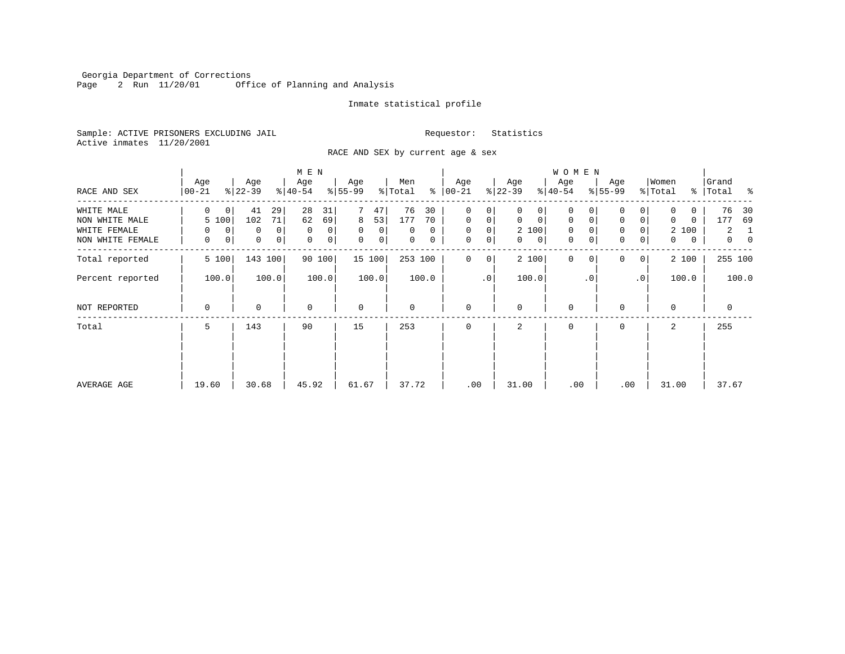Georgia Department of Corrections Page 2 Run 11/20/01 Office of Planning and Analysis

# Inmate statistical profile

Sample: ACTIVE PRISONERS EXCLUDING JAIL **Requestor:** Statistics Active inmates 11/20/2001

RACE AND SEX by current age & sex

|                  |                  |                     | M E N            |                  |                     |                               |                            | <b>WOMEN</b>               |                            |                   |                      |
|------------------|------------------|---------------------|------------------|------------------|---------------------|-------------------------------|----------------------------|----------------------------|----------------------------|-------------------|----------------------|
| RACE AND SEX     | Age<br>$00 - 21$ | Age<br>$ 22-39 $    | Age<br>$ 40-54 $ | Age<br>$8 55-99$ | Men<br>៖<br>% Total | Age<br>$ 00-21 $              | Age<br>$ 22-39 $           | Age<br>$ 40-54 $           | Age<br>$8155 - 99$         | Women<br>% Total  | Grand<br>% Total %   |
| WHITE MALE       | 0<br>0           | 41<br>29            | 28<br>31         | 47               | 76<br>30            | 0<br>0                        | 0<br>0                     | $\mathbf 0$                | $\Omega$                   | 0<br>0            | 76<br>30             |
| NON WHITE MALE   | 5 100            | 71<br>102           | 62<br>69         | 8<br>53          | 177<br>70           | $\mathbf{0}$<br>0             | $\mathbf 0$<br>$\mathbf 0$ | $\mathbf 0$<br>$\mathbf 0$ | 0<br>0                     | $\Omega$<br>0     | 69<br>177            |
| WHITE FEMALE     | 0<br>0           | $\overline{0}$<br>0 | $\mathbf 0$<br>0 | 0<br>0           | 0<br>0              | $\mathbf 0$<br>0              | 2 100                      | $\mathbf 0$<br>0           | 0                          | 2 100             | $\overline{a}$<br>-1 |
| NON WHITE FEMALE | 0<br>0           | 0<br> 0             | 0<br>0           | $\mathbf 0$<br>0 | 0<br>0              | $\mathbf 0$<br>$\overline{0}$ | 0<br>$\mathbf{0}$          | 0<br>0                     | 0<br>0                     | $\mathbf{0}$<br>0 | $\overline{0}$<br>0  |
| Total reported   | 5 100            | 143 100             | 90 100           | 15 100           | 253 100             | 0<br>0                        | 2 100                      | $\Omega$<br>$\Omega$       | $\Omega$<br>$\overline{0}$ | 2 100             | 255 100              |
| Percent reported | 100.0            | 100.0               | 100.0            | 100.0            | 100.0               | .0                            | 100.0                      | $\cdot$ 0                  | $\cdot$ 0                  | 100.0             | 100.0                |
| NOT REPORTED     | 0                | 0                   | $\mathbf 0$      | $\mathbf 0$      | $\Omega$            | $\mathbf{0}$                  | $\Omega$                   | $\mathbf 0$                | $\Omega$                   | $\Omega$          | $\mathbf 0$          |
| Total            | 5                | 143                 | 90               | 15               | 253                 | $\Omega$                      | 2                          | $\mathbf 0$                | $\Omega$                   | 2                 | 255                  |
|                  |                  |                     |                  |                  |                     |                               |                            |                            |                            |                   |                      |
|                  |                  |                     |                  |                  |                     |                               |                            |                            |                            |                   |                      |
| AVERAGE AGE      | 19.60            | 30.68               | 45.92            | 61.67            | 37.72               | .00                           | 31.00                      | .00                        | .00                        | 31.00             | 37.67                |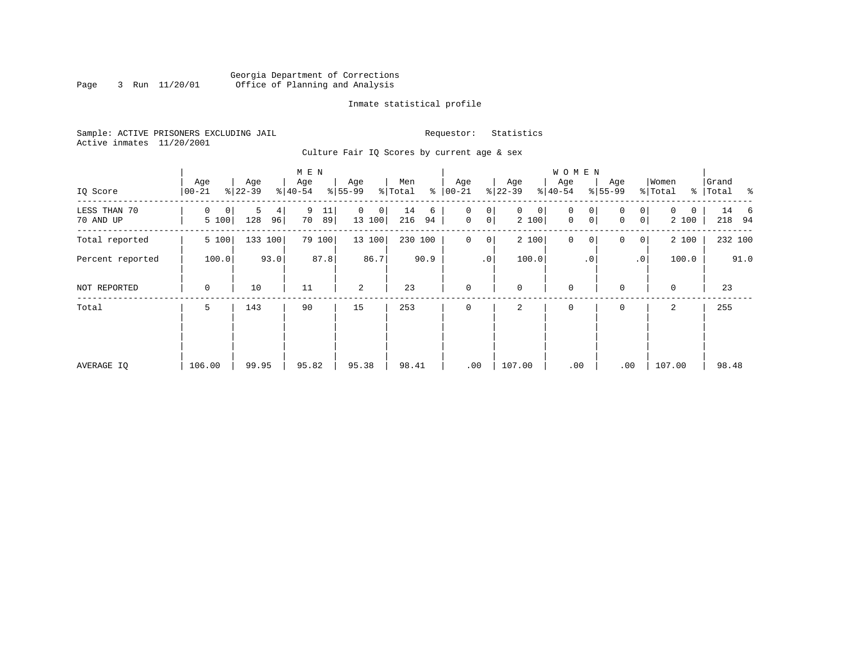# Georgia Department of Corrections<br>3 Run 11/20/01 Office of Planning and Analysis Page 3 Run 11/20/01 Office of Planning and Analysis

# Inmate statistical profile

Sample: ACTIVE PRISONERS EXCLUDING JAIL **Requestor:** Statistics Active inmates 11/20/2001

Culture Fair IQ Scores by current age & sex

|                           |                  |                     | M E N               |                  |                      |                                       |                            | W O M E N                            |                                         |                                   |                                 |
|---------------------------|------------------|---------------------|---------------------|------------------|----------------------|---------------------------------------|----------------------------|--------------------------------------|-----------------------------------------|-----------------------------------|---------------------------------|
| IQ Score                  | Age<br>$00 - 21$ | Age<br>$ 22-39 $    | Age<br>$8 40-54$    | Age<br>$8 55-99$ | Men<br>ి<br>% Total  | Age<br>$ 00 - 21 $                    | Age<br>$ 22-39 $           | Age<br>$ 40-54 $                     | Age<br>$8 55-99$                        | Women<br>% Total<br>$\frac{8}{6}$ | Grand<br>Total<br>$\sim$ $\sim$ |
| LESS THAN 70<br>70 AND UP | 0<br>0<br>5 100  | 5<br>4<br>128<br>96 | 9<br>11<br>70<br>89 | 0<br>0<br>13 100 | 14<br>6<br>216<br>94 | 0<br>0<br>$\mathsf{O}$<br>$\mathbf 0$ | $\mathbf{0}$<br>0<br>2 100 | 0<br>0<br>$\mathbf 0$<br>$\mathbf 0$ | 0<br>0<br>0 <sup>1</sup><br>$\mathbf 0$ | $\Omega$<br>0<br>2 100            | 14<br>- 6<br>218 94             |
| Total reported            | 5 100            | 133 100             | 79 100              | 13 100           | 230 100              | $\mathbf 0$<br>0                      | 2 100                      | $\mathbf 0$<br>0                     | 0<br>0 <sup>1</sup>                     | 2 100                             | 232 100                         |
| Percent reported          | 100.0            | 93.0                | 87.8                | 86.7             | 90.9                 | $\cdot$ 0                             | 100.0                      | $\cdot$ 0                            | $\cdot$ 0                               | 100.0                             | 91.0                            |
| NOT REPORTED              | 0                | 10                  | 11                  | 2                | 23                   | $\mathbf{0}$                          | $\mathbf 0$                | $\mathbf 0$                          | $\mathbf 0$                             | $\mathbf 0$                       | 23                              |
| Total                     | 5                | 143                 | 90                  | 15               | 253                  | $\mathbf 0$                           | 2                          | 0                                    | 0                                       | 2                                 | 255                             |
|                           |                  |                     |                     |                  |                      |                                       |                            |                                      |                                         |                                   |                                 |
|                           |                  |                     |                     |                  |                      |                                       |                            |                                      |                                         |                                   |                                 |
| AVERAGE IQ                | 106.00           | 99.95               | 95.82               | 95.38            | 98.41                | .00                                   | 107.00                     | .00                                  | .00                                     | 107.00                            | 98.48                           |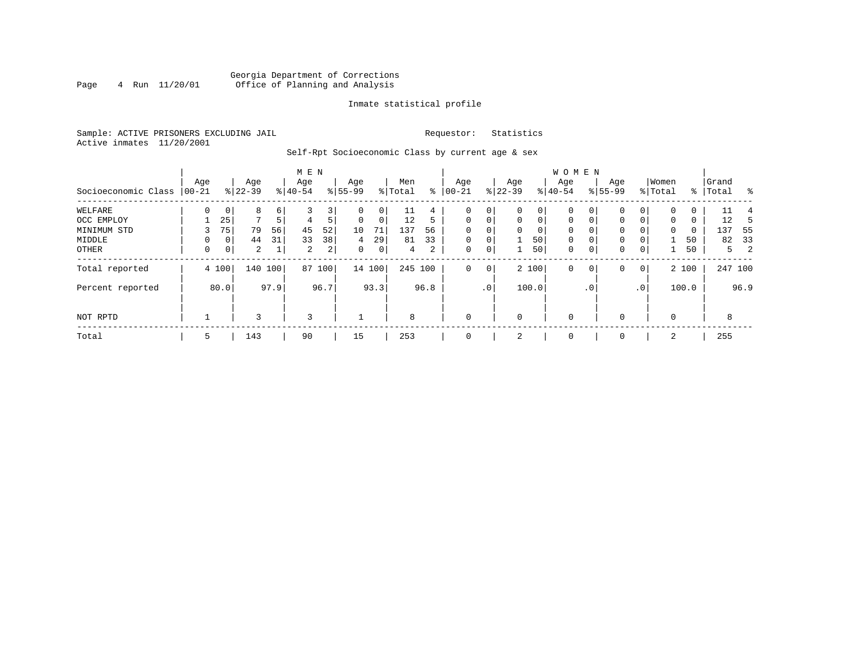# Georgia Department of Corrections<br>4 Run 11/20/01 Office of Planning and Analysis Page 4 Run 11/20/01 Office of Planning and Analysis

# Inmate statistical profile

Sample: ACTIVE PRISONERS EXCLUDING JAIL **Requestor:** Statistics Active inmates 11/20/2001

Self-Rpt Socioeconomic Class by current age & sex

|                     |                  |             |                  |         | M E N            |        |                  |             |                |      |                  |                 |                 |             | W O M E N        |             |                    |                 |                  |       |                    |         |     |
|---------------------|------------------|-------------|------------------|---------|------------------|--------|------------------|-------------|----------------|------|------------------|-----------------|-----------------|-------------|------------------|-------------|--------------------|-----------------|------------------|-------|--------------------|---------|-----|
| Socioeconomic Class | Age<br>$ 00-21 $ |             | Age<br>$8 22-39$ |         | Age<br>$8 40-54$ |        | Age<br>$8 55-99$ |             | Men<br>% Total | နွ   | Age<br>$00 - 21$ |                 | Age<br>$ 22-39$ |             | Age<br>$8 40-54$ |             | Age<br>$8155 - 99$ |                 | Women<br>% Total |       | Grand<br>%   Total |         | ႜ   |
| WELFARE             | 0                | 0           | 8                | 6       |                  | 3      | $\Omega$         | 0           | TТ             | 4    | 0                | 0               |                 | 0           | 0                | 0           | 0                  | 0               |                  | 0     |                    | 11      |     |
| OCC EMPLOY          |                  | 25          | $\mathbf{r}$     | 5       | 4                | 5      | $\mathbf 0$      | $\mathbf 0$ | 12             | 5    | $\mathbf 0$      | $\mathbf 0$     | 0               | $\mathbf 0$ | $\mathbf 0$      | $\Omega$    | $\Omega$           | $\overline{0}$  | 0                | 0     |                    | 12      |     |
| MINIMUM STD         |                  | 75          | 79               | 56      | 45               | 52     | 10               | 71          | 137            | 56   | $\mathbf 0$      | 0               | $\Omega$        | $\mathbf 0$ | $\mathbf 0$      | $\Omega$    | 0                  | 0               | 0                | 0     | 137                |         | -55 |
| MIDDLE              | 0                | 0           | 44               | 31      | 33               | 38     | 4                | 29          | 81             | 33   | $\mathbf 0$      | $\mathbf 0$     |                 | 50          | $\mathbf 0$      | $\mathbf 0$ | $\mathbf 0$        | 0               |                  | 50    |                    | 82      | 33  |
| OTHER               | 0                | $\mathbf 0$ | $\overline{a}$   |         | 2                | 2      | 0                | $\mathbf 0$ | 4              | 2    | $\mathbf 0$      | 0               |                 | 50          | 0                | $\mathbf 0$ | 0                  | $\overline{0}$  |                  | 50    |                    | 5       | -2  |
| Total reported      |                  | 4 100       |                  | 140 100 |                  | 87 100 |                  | 14 100      | 245 100        |      | 0                | $\overline{0}$  |                 | 2 100       | $\mathbf 0$      | 0           | 0                  | 0               |                  | 2 100 |                    | 247 100 |     |
| Percent reported    |                  | 80.0        |                  | 97.9    |                  | 96.7   |                  | 93.3        |                | 96.8 |                  | .0 <sup>1</sup> |                 | 100.0       |                  | $\cdot$ 0   |                    | .0 <sup>1</sup> |                  | 100.0 |                    | 96.9    |     |
| NOT RPTD            |                  |             | 3                |         | 3                |        |                  |             | 8              |      | $\mathbf 0$      |                 | $\mathbf 0$     |             | 0                |             |                    |                 | $\Omega$         |       |                    | 8       |     |
| Total               | 5                |             | 143              |         | 90               |        | 15               |             | 253            |      | $\mathbf 0$      |                 | 2               |             | 0                |             | 0                  |                 | 2                |       | 255                |         |     |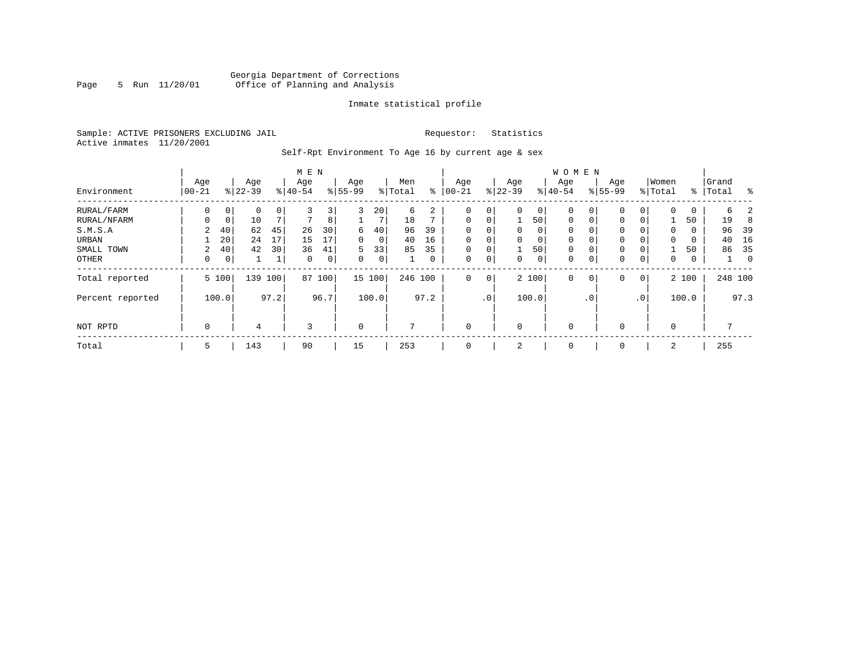# Georgia Department of Corrections<br>5 Run 11/20/01 Office of Planning and Analysis Page 5 Run 11/20/01 Office of Planning and Analysis

# Inmate statistical profile

Sample: ACTIVE PRISONERS EXCLUDING JAIL **Requestor:** Statistics Active inmates 11/20/2001

Self-Rpt Environment To Age 16 by current age & sex

|                  |                   |             |                  |      | M E N            |      |                  |                 |                |      |                  |                 |                  |                | <b>WOMEN</b>     |             |                    |                 |                  |       |                |          |
|------------------|-------------------|-------------|------------------|------|------------------|------|------------------|-----------------|----------------|------|------------------|-----------------|------------------|----------------|------------------|-------------|--------------------|-----------------|------------------|-------|----------------|----------|
| Environment      | Age<br>$ 00 - 21$ |             | Age<br>$8 22-39$ |      | Age<br>$8 40-54$ |      | Age<br>$8 55-99$ |                 | Men<br>% Total | ႜ    | Age<br>$00 - 21$ |                 | Age<br>$8 22-39$ |                | Age<br>$8 40-54$ |             | Age<br>$8155 - 99$ |                 | Women<br>% Total | ႜ     | Grand<br>Total | န္       |
|                  |                   |             |                  |      |                  |      |                  |                 |                |      |                  |                 |                  |                |                  |             |                    |                 |                  |       |                |          |
| RURAL/FARM       | 0                 | $\mathbf 0$ | $\Omega$         | 0    | 3                | 3    | 3                | 20 <sup>1</sup> | 6              | 2    | 0                | $\overline{0}$  |                  | $\circ$        | 0                |             | $\mathbf 0$        | 0               | $\Omega$         | 0     | 6              |          |
| RURAL/NFARM      | $\Omega$          | $\mathbf 0$ | 10               |      | $\mathbf{r}$     | 8    |                  | 7               | 18             |      | $\mathbf 0$      | 0 <sup>1</sup>  |                  | 50             | $\mathbf 0$      | $\mathbf 0$ | $\mathbf{0}$       | 0               |                  | 50    | 19             |          |
| S.M.S.A          | 2                 | 40          | 62               | 45   | 26               | 30   | 6                | 40              | 96             | 39   | $\mathbf 0$      | 0               | 0                | $\overline{0}$ | $\mathbf 0$      |             | $\mathbf 0$        | 0               | 0                | 0     | 96             | 39       |
| URBAN            |                   | 20          | 24               | 17   | 15               | 17   | 0                | 0 <sup>1</sup>  | 40             | 16   | $\mathbf 0$      | 0               |                  | 0 <sup>1</sup> | $\mathbf 0$      |             | 0                  | 0               | $\Omega$         | 0     | 40             | 16       |
| SMALL TOWN       | 2                 | 40          | 42               | 30   | 36               | 41   | 5                | 33              | 85             | 35   | $\mathbf 0$      | 0               |                  | 50             | 0                |             | 0                  | 0               |                  | 50    | 86             | - 35     |
| OTHER            | 0                 | 0           |                  |      | $\Omega$         | 0    | $\Omega$         | $\overline{0}$  |                | 0    | $\mathbf 0$      | 0               |                  | $\circ$        | 0                | $\Omega$    | $\mathbf 0$        | 0               | $\Omega$         | 0     |                | $\Omega$ |
| Total reported   |                   | 5 100       | 139              | 100  | 87               | 100  |                  | 15 100          | 246 100        |      | $\Omega$         | $\overline{0}$  |                  | 2 100          | $\Omega$         | $\mathbf 0$ | $\mathbf 0$        | 0               |                  | 2 100 | 248 100        |          |
| Percent reported |                   | 100.0       |                  | 97.2 |                  | 96.7 |                  | 100.0           |                | 97.2 |                  | .0 <sup>1</sup> |                  | 100.0          |                  | $\cdot$ 0   |                    | .0 <sup>′</sup> |                  | 100.0 |                | 97.3     |
| NOT RPTD         | $\mathbf 0$       |             | 4                |      | 3                |      | $\mathbf 0$      |                 | 7              |      | $\Omega$         |                 | $\Omega$         |                | $\mathbf 0$      |             | $\mathbf 0$        |                 | $\Omega$         |       | 7              |          |
| Total            | 5                 |             | 143              |      | 90               |      | 15               |                 | 253            |      | 0                |                 | 2                |                | 0                |             | 0                  |                 | 2                |       | 255            |          |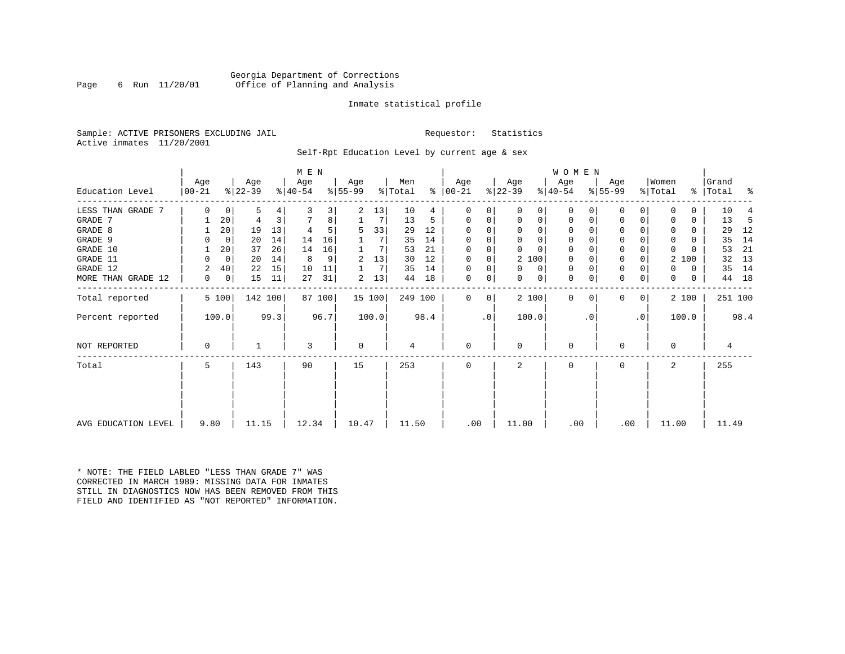# Georgia Department of Corrections<br>6 Run 11/20/01 Office of Planning and Analysis Page 6 Run 11/20/01 Office of Planning and Analysis

## Inmate statistical profile

Sample: ACTIVE PRISONERS EXCLUDING JAIL **Requestor:** Statistics Active inmates 11/20/2001

Self-Rpt Education Level by current age & sex

|                     | M E N            |             |                  |      |                  |        |                 |        |                |      |                 |    |                  |          | WOMEN            |          |                  |           |                  |       |                    |         |
|---------------------|------------------|-------------|------------------|------|------------------|--------|-----------------|--------|----------------|------|-----------------|----|------------------|----------|------------------|----------|------------------|-----------|------------------|-------|--------------------|---------|
| Education Level     | Age<br>$00 - 21$ |             | Age<br>$ 22-39 $ |      | Age<br>$ 40-54 $ |        | Aqe<br>$ 55-99$ |        | Men<br>% Total | ⊱    | Age<br>$ 00-21$ |    | Age<br>$ 22-39 $ |          | Age<br>$ 40-54 $ |          | Age<br>$8 55-99$ |           | Women<br>% Total |       | Grand<br>%   Total | ႜ       |
|                     |                  |             |                  |      |                  |        |                 |        |                |      |                 |    |                  |          |                  |          |                  |           |                  |       |                    |         |
| LESS THAN GRADE 7   | 0                | 0           | 5                | 4    |                  | 3      | 2               | 13     | 10             | 4    | O               | 0  | $\Omega$         | 0        | $\mathbf 0$      | O        | 0                |           |                  | U     | 10                 |         |
| GRADE 7             |                  | 20          | 4                | 3    |                  | 8      |                 | 7      | 13             | 5    | $\Omega$        | 0  | 0                | 0        | 0                | 0        | $\Omega$         |           |                  | 0     | 13                 | -5      |
| GRADE 8             |                  | 20          | 19               | 13   |                  |        | 5               | 33     | 29             | 12   | $\Omega$        |    | $\Omega$         | 0        | $\Omega$         |          | $\Omega$         |           |                  | 0     | 29                 | 12      |
| GRADE 9             |                  | 0           | 20               | 14   | 14               | 16     |                 |        | 35             | 14   |                 |    | $\Omega$         | 0        | 0                | O        | 0                |           | <sup>0</sup>     | U     | 35                 | 14      |
| GRADE 10            |                  | 20          | 37               | 26   | 14               | 16     |                 | 7      | 53             | 21   | $\Omega$        | 0  | $\Omega$         | $\Omega$ | 0                | $\Omega$ | 0                |           | $\Omega$         |       | 53                 | 21      |
| GRADE 11            | 0                | $\mathbf 0$ | 20               | 14   | 8                | 9      | 2               | 13     | 30             | 12   | $\Omega$        |    |                  | 2 100    | 0                |          | $\Omega$         |           | 2                | 100   | 32                 | 13      |
| GRADE 12            | 2                | 40          | 22               | 15   | 10               | 11     |                 | 7      | 35             | 14   | $\Omega$        | 0  | $\Omega$         | 0        | 0                | $\Omega$ | 0                |           | 0                | 0     | 35                 | 14      |
| MORE THAN GRADE 12  | 0                | 0           | 15               | 11   | 27               | 31     | 2               | 13     | 44             | 18   | 0               | 0  | 0                | 0        | 0                | 0        | 0                | 0         | 0                | 0     | 44                 | 18      |
| Total reported      |                  | 5 100       | 142 100          |      |                  | 87 100 |                 | 15 100 | 249 100        |      | $\Omega$        | 0  |                  | 2 100    | $\mathbf 0$      | $\Omega$ | 0                | 0         |                  | 2 100 |                    | 251 100 |
| Percent reported    |                  | 100.0       |                  | 99.3 |                  | 96.7   |                 | 100.0  |                | 98.4 |                 | .0 | 100.0            |          |                  | . 0      |                  | $\cdot$ 0 |                  | 100.0 |                    | 98.4    |
| NOT REPORTED        | $\Omega$         |             |                  |      | ζ                |        | $\Omega$        |        | 4              |      | $\Omega$        |    | $\Omega$         |          | 0                |          | $\Omega$         |           | $\Omega$         |       | 4                  |         |
| Total               | 5                |             | 143              |      | 90               |        | 15              |        | 253            |      | $\Omega$        |    | 2                |          | $\Omega$         |          | $\Omega$         |           | 2                |       | 255                |         |
|                     |                  |             |                  |      |                  |        |                 |        |                |      |                 |    |                  |          |                  |          |                  |           |                  |       |                    |         |
| AVG EDUCATION LEVEL | 9.80             |             | 11.15            |      | 12.34            |        | 10.47           |        | 11.50          |      | .00             |    | 11.00            |          | .00              |          | .00              |           | 11.00            |       | 11.49              |         |
|                     |                  |             |                  |      |                  |        |                 |        |                |      |                 |    |                  |          |                  |          |                  |           |                  |       |                    |         |

\* NOTE: THE FIELD LABLED "LESS THAN GRADE 7" WAS CORRECTED IN MARCH 1989: MISSING DATA FOR INMATES STILL IN DIAGNOSTICS NOW HAS BEEN REMOVED FROM THIS FIELD AND IDENTIFIED AS "NOT REPORTED" INFORMATION.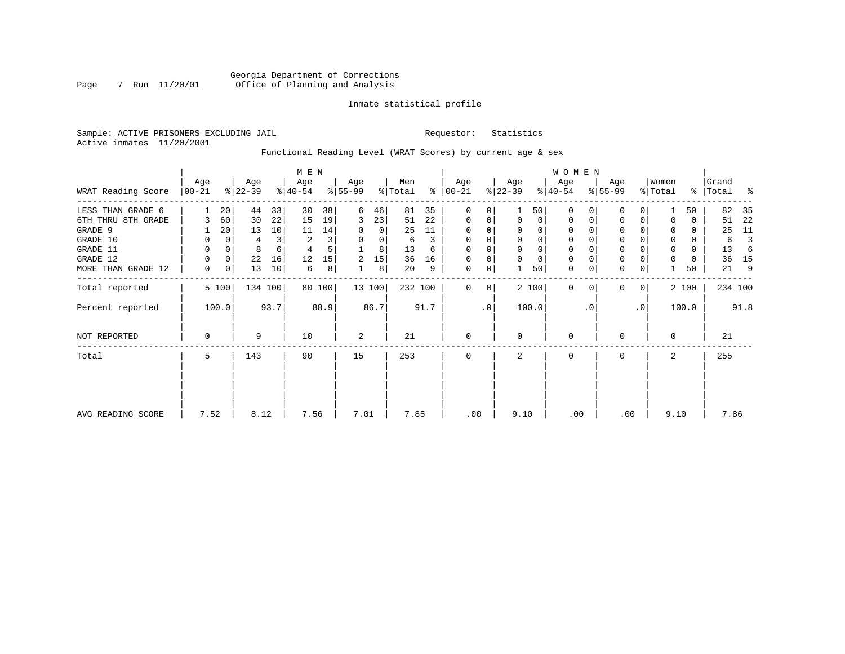# Georgia Department of Corrections<br>7 Run 11/20/01 Office of Planning and Analysis Page 7 Run 11/20/01 Office of Planning and Analysis

# Inmate statistical profile

Sample: ACTIVE PRISONERS EXCLUDING JAIL **Requestor:** Statistics Active inmates 11/20/2001

Functional Reading Level (WRAT Scores) by current age & sex

|                    |                 | M E N    |                  |         |                  |        |                  |        |                |      |                      | <b>WOMEN</b> |                  |                |                  |           |                  |             |                  |       |                |      |
|--------------------|-----------------|----------|------------------|---------|------------------|--------|------------------|--------|----------------|------|----------------------|--------------|------------------|----------------|------------------|-----------|------------------|-------------|------------------|-------|----------------|------|
| WRAT Reading Score | Age<br>$ 00-21$ |          | Age<br>$ 22-39 $ |         | Age<br>$ 40-54 $ |        | Age<br>$8 55-99$ |        | Men<br>% Total |      | Age<br>$8   00 - 21$ |              | Age<br>$ 22-39 $ |                | Age<br>$ 40-54 $ |           | Age<br>$ 55-99 $ |             | Women<br>% Total | ွေ    | Grand<br>Total | ႜ    |
| LESS THAN GRADE 6  |                 | 20       | 44               | 33      | 30               | 38     | 6                | 46     | 81             | 35   | $\mathbf 0$          | 0            |                  | 50             | $\Omega$         |           | $\mathbf 0$      | 0           |                  | 50    | 82             | 35   |
| 6TH THRU 8TH GRADE |                 | 60       | 30               | 22      | 15               | 19     | 3                | 23     | 51             | 22   | 0                    | 0            | $\mathbf 0$      | $\overline{0}$ | 0                |           | 0                | 0           |                  | 0     | 51             | 22   |
| GRADE 9            |                 | 20       | 13               | 10      | 11               | 14     |                  | 0      | 25             | 11   | 0                    |              |                  |                |                  |           | 0                |             |                  | 0     | 25             | 11   |
| GRADE 10           | 0               | 0        | 4                |         | 2                | 3      | 0                | 0      | 6              | 3    | 0                    | 0            |                  | 0              | 0                |           | 0                |             | 0                | 0     | 6              |      |
| GRADE 11           | 0               | $\Omega$ | 8                |         |                  | 5      |                  | 8      | 13             | 6    | $\Omega$             |              |                  |                |                  |           | $\mathbf 0$      |             | 0                | 0     | 13             | 6    |
| GRADE 12           | 0               | 0        | 22               | 16      | 12               | 15     | 2                | 15     | 36             | 16   | 0                    | 0            |                  | $\Omega$       | 0                |           | $\mathbf 0$      |             | 0                | 0     | 36             | 15   |
| MORE THAN GRADE 12 | 0               | 0        | 13               | 10      | 6                | 8      |                  | 8      | 20             | 9    | 0                    | 0            |                  | 50             | 0                | 0         | $\mathbf 0$      | 0           |                  | 50    | 21             | 9    |
| Total reported     |                 | 5 100    |                  | 134 100 |                  | 80 100 |                  | 13 100 | 232 100        |      | $\Omega$             | 0            |                  | 2 100          | $\mathbf 0$      | $\Omega$  | $\mathbf 0$      | $\mathbf 0$ |                  | 2 100 | 234 100        |      |
| Percent reported   |                 | 100.0    |                  | 93.7    |                  | 88.9   |                  | 86.7   |                | 91.7 |                      | $\cdot$ 0    |                  | 100.0          |                  | $\cdot$ 0 |                  | $\cdot$ 0   |                  | 100.0 |                | 91.8 |
| NOT REPORTED       | 0               |          | 9                |         | 10               |        | 2                |        | 21             |      | $\mathbf 0$          |              | $\Omega$         |                | $\mathbf 0$      |           | 0                |             | $\Omega$         |       | 21             |      |
| Total              | 5               |          | 143              |         | 90               |        | 15               |        | 253            |      | $\mathbf 0$          |              | 2                |                | 0                |           | 0                |             | 2                |       | 255            |      |
|                    |                 |          |                  |         |                  |        |                  |        |                |      |                      |              |                  |                |                  |           |                  |             |                  |       |                |      |
| AVG READING SCORE  | 7.52            |          | 8.12             |         | 7.56             |        | 7.01             |        | 7.85           |      | .00                  |              | 9.10             |                | .00              |           |                  | .00         | 9.10             |       | 7.86           |      |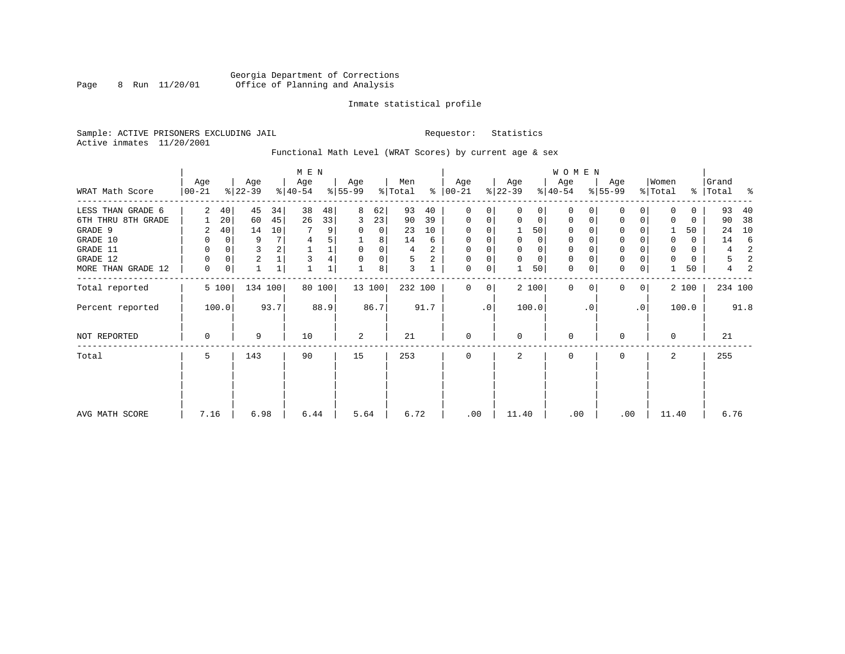# Georgia Department of Corrections Page 8 Run 11/20/01 Office of Planning and Analysis

## Inmate statistical profile

Sample: ACTIVE PRISONERS EXCLUDING JAIL **Requestor:** Statistics Active inmates 11/20/2001

# Functional Math Level (WRAT Scores) by current age & sex

|                                                                                                              | M E N                                    |                                           |                               |                                                         |                    |                                        |                                        |                                             |                                     |                               |                                                                    |                         |                                            |                                            | WOMEN                                            |                                                   |                                                  |                |                  |                                   |                                     |                                    |
|--------------------------------------------------------------------------------------------------------------|------------------------------------------|-------------------------------------------|-------------------------------|---------------------------------------------------------|--------------------|----------------------------------------|----------------------------------------|---------------------------------------------|-------------------------------------|-------------------------------|--------------------------------------------------------------------|-------------------------|--------------------------------------------|--------------------------------------------|--------------------------------------------------|---------------------------------------------------|--------------------------------------------------|----------------|------------------|-----------------------------------|-------------------------------------|------------------------------------|
| WRAT Math Score                                                                                              | Age<br>$ 00-21 $                         |                                           | Age<br>$ 22-39 $              |                                                         | Age<br>$ 40-54 $   |                                        | Age<br>$8 55-99$                       |                                             | Men<br>% Total                      |                               | Age<br>$8   00 - 21$                                               |                         | Age<br>$ 22-39 $                           |                                            | Age<br>$ 40-54 $                                 |                                                   | Age<br>$8 55-99$                                 |                | Women<br>% Total |                                   | Grand<br>%   Total                  | ႜ                                  |
| LESS THAN GRADE 6<br>6TH THRU 8TH GRADE<br>GRADE 9<br>GRADE 10<br>GRADE 11<br>GRADE 12<br>MORE THAN GRADE 12 | 2<br>2<br>0<br>0<br>$\Omega$<br>$\Omega$ | 40<br>20<br>40<br>$\Omega$<br>0<br>0<br>0 | 45<br>60<br>14<br>9<br>3<br>2 | 34<br>45<br>10<br>7 <sup>1</sup><br>$\overline{2}$<br>1 | 38<br>26<br>7<br>4 | 48<br>33<br>9<br>5<br>$\mathbf 1$<br>4 | 8<br>3<br>0<br>$\mathbf 0$<br>$\Omega$ | 62<br>23<br>0<br>8<br>0<br>$\mathbf 0$<br>8 | 93<br>90<br>23<br>14<br>4<br>5<br>3 | 40<br>39<br>10<br>6<br>2<br>2 | 0<br>0<br>$\Omega$<br>$\Omega$<br>$\Omega$<br>$\Omega$<br>$\Omega$ | 0<br>0<br>$\Omega$<br>0 | $\Omega$<br>$\Omega$<br>0<br>0<br>$\Omega$ | $\Omega$<br>50<br>0<br>0<br>$\Omega$<br>50 | $\Omega$<br>0<br>0<br>0<br>0<br>$\mathbf 0$<br>0 | $\Omega$<br>0<br>$\Omega$<br>$\Omega$<br>$\Omega$ | 0<br>0<br>0<br>$\mathbf 0$<br>0<br>0<br>$\Omega$ | 0              | $\Omega$         | 0<br>0<br>50<br>0<br>0<br>0<br>50 | 93<br>90<br>24<br>14<br>4<br>5<br>4 | 40<br>38<br>10<br>6<br>2<br>2<br>2 |
| Total reported<br>Percent reported                                                                           |                                          | 5 100<br>100.0                            | 134 100                       | 93.7                                                    |                    | 80 100<br>88.9                         |                                        | 13 100<br>86.7                              | 232 100                             | 91.7                          | $\Omega$                                                           | 0<br>.0                 |                                            | 2 100<br>100.0                             | $\Omega$                                         | $\Omega$<br>$\cdot$ 0                             | $\Omega$                                         | 0<br>$\cdot$ 0 |                  | 2 100<br>100.0                    | 234 100                             | 91.8                               |
| NOT REPORTED                                                                                                 | 0                                        |                                           | 9                             |                                                         | 10                 |                                        | 2                                      |                                             | 21                                  |                               | 0                                                                  |                         | 0                                          |                                            | 0                                                |                                                   | 0                                                |                | $\Omega$         |                                   | 21                                  |                                    |
| Total                                                                                                        | 5.                                       |                                           | 143                           |                                                         | 90                 |                                        | 15                                     |                                             | 253                                 |                               | $\Omega$                                                           |                         |                                            |                                            | $\Omega$                                         |                                                   | <sup>0</sup>                                     |                | $\mathbf{2}$     |                                   | 255                                 |                                    |
| AVG MATH SCORE                                                                                               | 7.16                                     |                                           | 6.98                          |                                                         | 6.44               |                                        | 5.64                                   |                                             | 6.72                                |                               | .00                                                                |                         | 11.40                                      |                                            | .00                                              |                                                   | .00                                              |                | 11.40            |                                   | 6.76                                |                                    |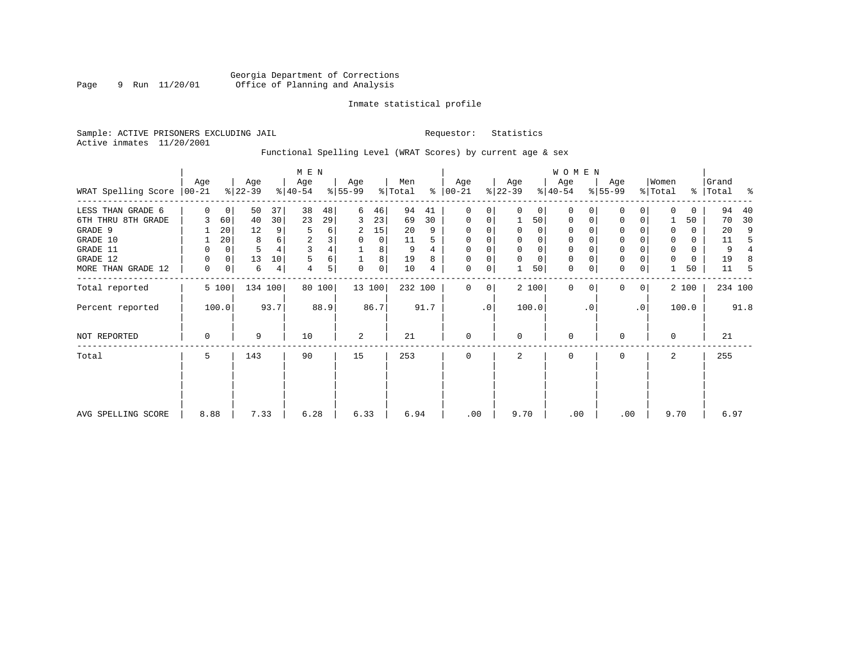# Georgia Department of Corrections<br>9 Run 11/20/01 Office of Planning and Analysis Page 9 Run 11/20/01 Office of Planning and Analysis

## Inmate statistical profile

Sample: ACTIVE PRISONERS EXCLUDING JAIL **Requestor:** Statistics Active inmates 11/20/2001

# Functional Spelling Level (WRAT Scores) by current age & sex

|                             | M E N       |                |                  |         |                  |        |                  |        |                |      |                 |              |                  |             | W O M E N        |             |                  |                |                  |               |                |                |
|-----------------------------|-------------|----------------|------------------|---------|------------------|--------|------------------|--------|----------------|------|-----------------|--------------|------------------|-------------|------------------|-------------|------------------|----------------|------------------|---------------|----------------|----------------|
| WRAT Spelling Score   00-21 | Age         |                | Age<br>$ 22-39 $ |         | Age<br>$ 40-54 $ |        | Age<br>$ 55-99 $ |        | Men<br>% Total | ွေ   | Age<br>$ 00-21$ |              | Age<br>$ 22-39 $ |             | Age<br>$ 40-54 $ |             | Age<br>$8 55-99$ |                | Women<br>% Total | $\frac{8}{6}$ | Grand<br>Total | ႜ              |
| LESS THAN GRADE 6           | $\Omega$    | 0 <sup>1</sup> | 50               | 37      | 38               | 48     | 6                | 46     | 94             | 41   | $\Omega$        | 0            | $\Omega$         | $\Omega$    | $\Omega$         | $\Omega$    | 0                | $\Omega$       | $\Omega$         | 0             | 94             | 40             |
| 6TH THRU 8TH GRADE          |             | 60             | 40               | 30      | 23               | 29     | 3                | 23     | 69             | 30   | 0               | $\mathbf 0$  |                  | 50          | 0                | $\mathbf 0$ | $\mathbf 0$      | 0              |                  | 50            | 70             | 30             |
| GRADE 9                     |             | 20             | 12               | 9       | 5                | 6      | 2                | 15     | 20             | 9    |                 |              | $\mathbf 0$      | 0           | 0                |             | $\Omega$         |                | 0                | 0             | 20             | 9              |
| GRADE 10                    |             | 20             | 8                | 6       | $\overline{2}$   | 3      | 0                | 0      | 11             | 5    | $\Omega$        | 0            | 0                | 0           | 0                |             | 0                |                | 0                | 0             | 11             | -5             |
| GRADE 11                    | 0           | 0              | 5                |         | 3                |        |                  | 8      | 9              |      | $\Omega$        |              | $\mathbf 0$      | 0           | $\mathbf 0$      |             | $\mathbf{0}$     |                | $\Omega$         | 0             | 9              | $\overline{4}$ |
| GRADE 12                    | 0           | $\overline{0}$ | 13               | 10      |                  | 6      |                  | 8      | 19             | 8    | $\Omega$        | 0            | $\mathbf 0$      | $\mathbf 0$ | 0                | $\Omega$    | 0                |                | $\mathbf 0$      | 0             | 19             | 8              |
| MORE THAN GRADE 12          | $\mathbf 0$ | 0              | 6                | 4       | 4                | 5      | 0                | 0      | 10             | 4    | 0               | 0            |                  | 50          | $\mathbf{0}$     | $\mathbf 0$ | $\mathbf 0$      | 0              |                  | 50            | 11             | 5              |
| Total reported              |             | 5 100          |                  | 134 100 |                  | 80 100 |                  | 13 100 | 232 100        |      | $\Omega$        | $\mathbf{0}$ |                  | 2 100       | $\mathbf 0$      | $\Omega$    | 0                | 0 <sup>1</sup> |                  | 2 100         |                | 234 100        |
| Percent reported            |             | 100.0          |                  | 93.7    |                  | 88.9   |                  | 86.7   |                | 91.7 |                 | $\cdot$ 0    |                  | 100.0       |                  | . 0         |                  | $\cdot$ 0      |                  | 100.0         |                | 91.8           |
| <b>NOT REPORTED</b>         | $\mathbf 0$ |                | 9                |         | 10               |        | 2                |        | 21             |      | 0               |              | $\mathbf 0$      |             | 0                |             | 0                |                | $\mathbf 0$      |               | 21             |                |
| Total                       | 5           |                | 143              |         | 90               |        | 15               |        | 253            |      | 0               |              | 2                |             | $\mathbf 0$      |             | 0                |                | 2                |               | 255            |                |
|                             |             |                |                  |         |                  |        |                  |        |                |      |                 |              |                  |             |                  |             |                  |                |                  |               |                |                |
|                             |             |                |                  |         |                  |        |                  |        |                |      |                 |              |                  |             |                  |             |                  |                |                  |               |                |                |
| AVG SPELLING SCORE          | 8.88        |                | 7.33             |         | 6.28             |        | 6.33             |        | 6.94           |      | .00             |              | 9.70             |             | .00              |             | .00              |                | 9.70             |               | 6.97           |                |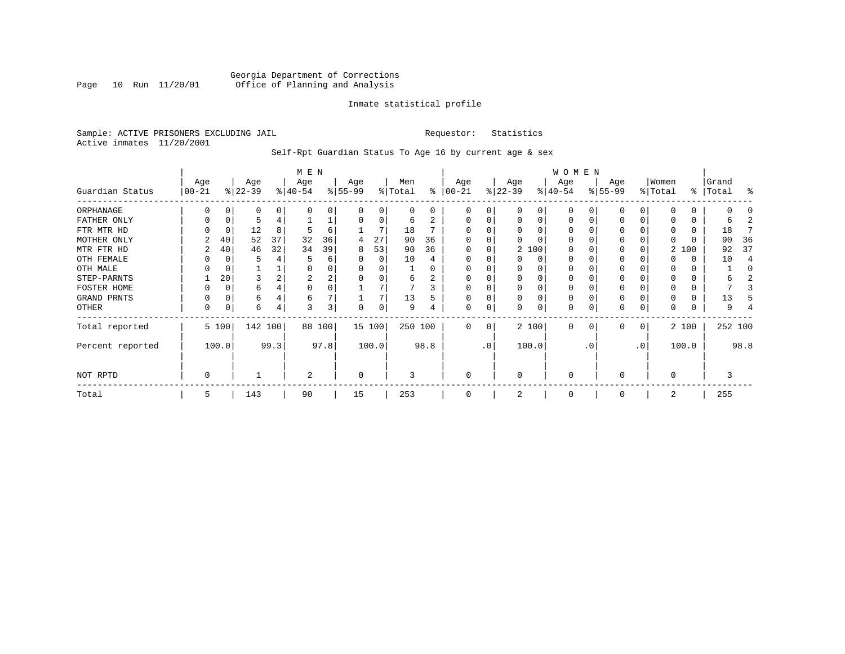# Georgia Department of Corrections Page 10 Run 11/20/01 Office of Planning and Analysis

## Inmate statistical profile

Sample: ACTIVE PRISONERS EXCLUDING JAIL **Requestor:** Statistics Active inmates 11/20/2001

Self-Rpt Guardian Status To Age 16 by current age & sex

|                  | M E N             |       |                  |      |                  |        |                 |          |                |      |                 |           |                  |          | WOMEN            |           |                  |     |                  |       |                |         |
|------------------|-------------------|-------|------------------|------|------------------|--------|-----------------|----------|----------------|------|-----------------|-----------|------------------|----------|------------------|-----------|------------------|-----|------------------|-------|----------------|---------|
| Guardian Status  | Age<br>$ 00 - 21$ |       | Age<br>$ 22-39 $ |      | Age<br>$ 40-54 $ |        | Age<br>$ 55-99$ |          | Men<br>% Total | ႜ    | Age<br>$ 00-21$ |           | Age<br>$ 22-39 $ |          | Age<br>$ 40-54 $ |           | Age<br>$8 55-99$ |     | Women<br>% Total | ွေ    | Grand<br>Total | န္      |
| ORPHANAGE        |                   |       | 0                |      |                  | U      | ∩               | O        | 0              | 0    | $\Omega$        | 0         |                  | 0        | $\Omega$         |           |                  |     | $\Omega$         | 0     |                |         |
| FATHER ONLY      |                   |       |                  |      |                  | ᅩ      | $\Omega$        | $\Omega$ | 6              | 2    | $\Omega$        | 0         |                  | $\Omega$ | $\Omega$         |           |                  | 0   |                  | 0     | ь              |         |
| FTR MTR HD       |                   |       | 12               | 8    | 5                | 6      |                 |          | 18             |      |                 |           |                  |          | O                |           |                  |     | 0                | 0     | 18             |         |
| MOTHER ONLY      |                   | 40    | 52               | 37   | 32               | 36     | 4               | 27       | 90             | 36   |                 |           |                  |          | O                |           |                  |     |                  | O     | 90             | 36      |
| MTR FTR HD       | 2                 | 40    | 46               | 32   | 34               | 39     | 8               | 53       | 90             | 36   | $\Omega$        | 0         |                  | 2 100    | O                |           |                  |     |                  | 2 100 | 92             | 37      |
| OTH FEMALE       |                   |       |                  |      |                  | 6      |                 | $\Omega$ | 10             |      | O               |           |                  | $\Omega$ | 0                |           |                  |     |                  | 0     | 10             |         |
| OTH MALE         |                   |       |                  |      |                  | 0      |                 |          |                |      |                 |           |                  |          | 0                |           |                  |     | 0                | 0     |                |         |
| STEP-PARNTS      |                   | 20    | 3                |      | 2                | 2      |                 |          | 6              | 2    | $\Omega$        | 0         |                  | $\Omega$ | 0                |           | 0                |     | 0                | 0     |                |         |
| FOSTER HOME      |                   |       | 6                |      |                  | 0      |                 |          |                |      | $\Omega$        |           |                  | $\Omega$ | 0                |           |                  |     | 0                | 0     |                |         |
| GRAND PRNTS      |                   |       | 6                |      | 6                |        |                 |          | 13             | 5    | $\Omega$        | 0         | $\Omega$         | $\Omega$ | 0                |           | 0                |     | 0                | 0     | 13             |         |
| OTHER            | 0                 |       | 6                | 4    | 3                | 3      | $\Omega$        | 0        | 9              |      | $\Omega$        | 0         |                  | $\Omega$ | 0                |           | 0                | 0   | 0                | 0     | 9              |         |
| Total reported   |                   | 5 100 | 142 100          |      |                  | 88 100 |                 | 15 100   | 250 100        |      | $\Omega$        | 0         |                  | 2 100    | 0                | $\Omega$  | $\Omega$         | 0   |                  | 2 100 |                | 252 100 |
| Percent reported |                   | 100.0 |                  | 99.3 |                  | 97.8   |                 | 100.0    |                | 98.8 |                 | $\cdot$ 0 |                  | 100.0    |                  | $\cdot$ 0 |                  | .0' |                  | 100.0 |                | 98.8    |
| NOT RPTD         | 0                 |       |                  |      | 2                |        | 0               |          | 3              |      | $\mathbf 0$     |           | $\Omega$         |          | 0                |           | $\Omega$         |     | $\Omega$         |       |                |         |
| Total            | 5                 |       | 143              |      | 90               |        | 15              |          | 253            |      | $\Omega$        |           |                  |          | $\Omega$         |           |                  |     | 2                |       | 255            |         |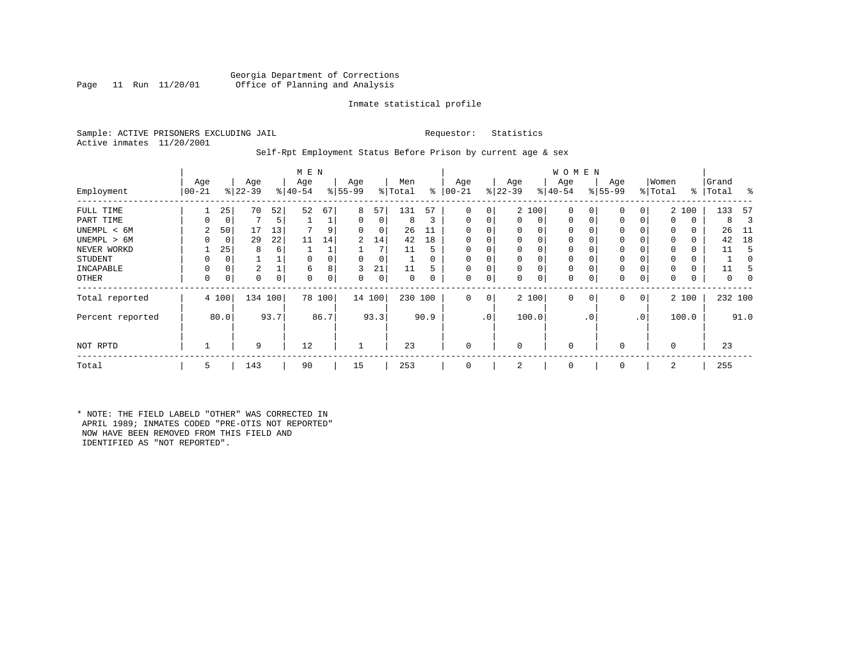# Georgia Department of Corrections<br>Page 11 Run 11/20/01 Office of Planning and Analysis Office of Planning and Analysis

## Inmate statistical profile

Sample: ACTIVE PRISONERS EXCLUDING JAIL **Requestor:** Statistics Active inmates 11/20/2001

## Self-Rpt Employment Status Before Prison by current age & sex

|                  |                | M E N       |                  |      |                 |        |                 |        |                |          |                   |                |                  |          | <b>WOMEN</b>     |             |                 |              |                  |       |                    |      |
|------------------|----------------|-------------|------------------|------|-----------------|--------|-----------------|--------|----------------|----------|-------------------|----------------|------------------|----------|------------------|-------------|-----------------|--------------|------------------|-------|--------------------|------|
| Employment       | Age<br>  00-21 |             | Age<br>$ 22-39 $ |      | Age<br>$ 40-54$ |        | Age<br>$ 55-99$ |        | Men<br>% Total | ွေ       | Age<br>$ 00 - 21$ |                | Age<br>$ 22-39 $ |          | Age<br>$ 40-54 $ |             | Age<br>$ 55-99$ |              | Women<br>% Total |       | Grand<br>%   Total | ႜ    |
|                  |                |             |                  |      |                 |        |                 |        |                |          |                   |                |                  |          |                  |             |                 |              |                  |       |                    |      |
| FULL TIME        |                | 25          | 70               | 52   | 52              | 67     | 8               | 57     | 131            | 57       | 0                 | 0              |                  | 2 100    | $\mathbf 0$      | $\Omega$    | 0               | $\Omega$     |                  | 2 100 | 133                | -57  |
| PART TIME        | 0              | 0           |                  | 5    |                 |        | 0               | 0      | 8              | 3        | $\Omega$          | 0              | 0                | 0        | 0                | $\mathbf 0$ | 0               | $\Omega$     | $\Omega$         | 0     | 8                  | З    |
| UNEMPL < 6M      | 2              | 50          | 17               | 13   |                 |        | 0               | 0      | 26             | 11       |                   |                | 0                | 0        | 0                |             | $\Omega$        |              | $\Omega$         | 0     | 26                 | -11  |
| UNEMPL > 6M      | O              | 0           | 29               | 22   | 11              | 14     | $\overline{2}$  | 14     | 42             | 18       |                   |                | $\Omega$         | $\Omega$ | 0                | $\Omega$    | $\Omega$        |              | $\Omega$         | 0     | 42                 | 18   |
| NEVER WORKD      |                | 25          | 8                | 6    |                 |        |                 | 7      | 11             | 5        |                   |                | $\mathbf 0$      | $\Omega$ | 0                |             | $\Omega$        |              | $\Omega$         | 0     | 11                 | 5    |
| <b>STUDENT</b>   | 0              | $\mathbf 0$ |                  |      |                 |        | 0               | 0      |                | $\Omega$ | $\Omega$          |                | $\mathbf 0$      | $\Omega$ | 0                | $\Omega$    | $\Omega$        |              | $\Omega$         | 0     |                    |      |
| INCAPABLE        | 0              | 0           | 2                |      | 6               |        | 3               | 21     | 11             | 5        |                   |                | $\mathbf 0$      | 0        | $\mathbf 0$      |             | $\Omega$        |              |                  | 0     | 11                 |      |
| <b>OTHER</b>     | 0              | 0           | 0                | 0    | $\Omega$        | 0      | 0               | 0      | 0              | 0        | 0                 | 0              | 0                | 0        | 0                | $\mathbf 0$ | 0               | 0            | $\Omega$         | 0     | 0                  |      |
| Total reported   |                | 4 100       | 134 100          |      |                 | 78 100 |                 | 14 100 | 230 100        |          | 0                 | 0 <sup>1</sup> |                  | 2 100    | $\mathbf 0$      | 0           | 0               | $\mathbf{0}$ |                  | 2 100 | 232 100            |      |
| Percent reported |                | 80.0        |                  | 93.7 |                 | 86.7   |                 | 93.3   |                | 90.9     |                   | .0'            |                  | 100.0    |                  | . 0         |                 | $\cdot$ 0    |                  | 100.0 |                    | 91.0 |
| NOT RPTD         |                |             | 9                |      | 12              |        |                 |        | 23             |          |                   |                | $\Omega$         |          | $\mathbf 0$      |             | $\Omega$        |              | $\Omega$         |       | 23                 |      |
| Total            | 5              |             | 143              |      | 90              |        | 15              |        | 253            |          |                   |                | 2                |          | $\mathbf 0$      |             | $\Omega$        |              | 2                |       | 255                |      |

\* NOTE: THE FIELD LABELD "OTHER" WAS CORRECTED IN APRIL 1989; INMATES CODED "PRE-OTIS NOT REPORTED" NOW HAVE BEEN REMOVED FROM THIS FIELD AND IDENTIFIED AS "NOT REPORTED".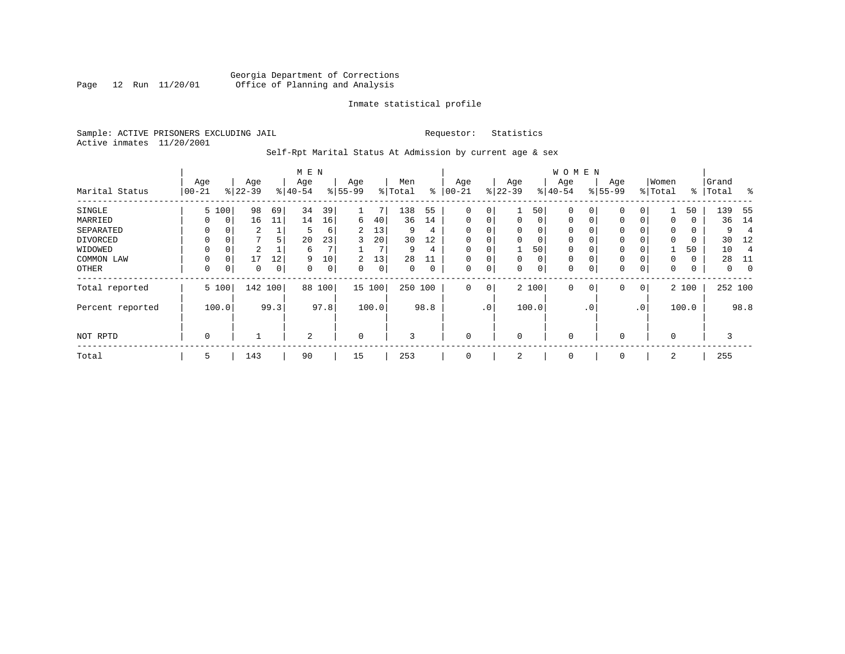# Georgia Department of Corrections<br>Page 12 Run 11/20/01 Office of Planning and Analysis Page 12 Run 11/20/01 Office of Planning and Analysis

## Inmate statistical profile

Sample: ACTIVE PRISONERS EXCLUDING JAIL **Requestor:** Statistics Active inmates 11/20/2001

# Self-Rpt Marital Status At Admission by current age & sex

|                  |             |          |           |      | M E N     |      |                |       |         |             |             |                 |             |       | <b>WOMEN</b> |          |           |              |          |       |           |                |
|------------------|-------------|----------|-----------|------|-----------|------|----------------|-------|---------|-------------|-------------|-----------------|-------------|-------|--------------|----------|-----------|--------------|----------|-------|-----------|----------------|
|                  | Age         |          | Age       |      | Age       |      | Age            |       | Men     |             | Age         |                 | Age         |       | Age          |          | Age       |              | Women    |       | Grand     |                |
| Marital Status   | $00 - 21$   |          | $ 22-39 $ |      | $ 40-54 $ |      | $8 55-99$      |       | % Total | ⊱           | $ 00-21$    | $\frac{1}{6}$   | $22 - 39$   |       | $ 40-54 $    |          | $8 55-99$ |              | % Total  |       | %   Total | $\frac{8}{6}$  |
| SINGLE           |             | 5 100    | 98        | 69   | 34        | 39   |                | 7     | 138     | 55          | 0           | 0               |             | 50    | $\mathbf 0$  | 0        | 0         | 0            |          | 50    | 139       | - 55           |
| MARRIED          | 0           | 0        | 16        | 11   | 14        | 16   | 6              | 40    | 36      | 14          | $\mathbf 0$ | 0               | $\mathbf 0$ | 0     | $\mathbf 0$  | 0        | 0         | $\Omega$     | 0        | 0     | 36        | 14             |
| SEPARATED        | $\Omega$    | 0        | 2         |      | 5         | 6    | $\overline{2}$ | 13    | 9       | 4           | $\Omega$    |                 | 0           | 0     | $\mathbf 0$  | $\Omega$ | $\Omega$  |              | $\Omega$ | 0     | 9         | $\overline{4}$ |
| DIVORCED         |             | 0        |           | 5.   | 20        | 23   | 3              | 20    | 30      | 12          | $\Omega$    | 0               | 0           | 0     | $\mathbf 0$  | $\Omega$ | $\Omega$  |              | $\Omega$ | 0     | 30        | -12            |
| WIDOWED          | $\Omega$    | $\Omega$ | 2         |      | 6         |      |                | 7     | 9       | 4           |             |                 |             | 50    | $\Omega$     | $\Omega$ | $\Omega$  |              |          | 50    | 10        | $\overline{4}$ |
| COMMON LAW       | $\Omega$    | $\Omega$ | 17        | 12   | 9         | 10   | 2              | 13    | 28      | 11          | $\Omega$    |                 | $\mathbf 0$ | 0     | $\mathbf 0$  | $\Omega$ | $\Omega$  |              | $\Omega$ | 0     | 28        | -11            |
| OTHER            | $\mathbf 0$ | 0        | 0         | 0    | 0         | 0    | $\Omega$       | 0     | 0       | $\mathbf 0$ | 0           | 0               | 0           | 0     | $\mathbf 0$  | 0        | 0         | $\mathbf 0$  | 0        | 0     | 0         | $\mathbf 0$    |
| Total reported   |             | 5 100    | 142 100   |      | 88        | 100  | 15 100         |       | 250 100 |             | 0           | 0               |             | 2 100 | $\mathbf 0$  | 0        | 0         | $\mathbf{0}$ |          | 2 100 | 252 100   |                |
| Percent reported |             | 100.0    |           | 99.3 |           | 97.8 |                | 100.0 |         | 98.8        |             | .0 <sup>1</sup> |             | 100.0 |              | . 0      |           | $\cdot$ 0    |          | 100.0 |           | 98.8           |
| NOT RPTD         | $\Omega$    |          |           |      | 2         |      | $\mathbf 0$    |       | 3       |             | $\Omega$    |                 | 0           |       | $\mathbf 0$  |          | $\Omega$  |              | $\Omega$ |       | 3         |                |
| Total            | 5           |          | 143       |      | 90        |      | 15             |       | 253     |             | 0           |                 | 2           |       | 0            |          | 0         |              | 2        |       | 255       |                |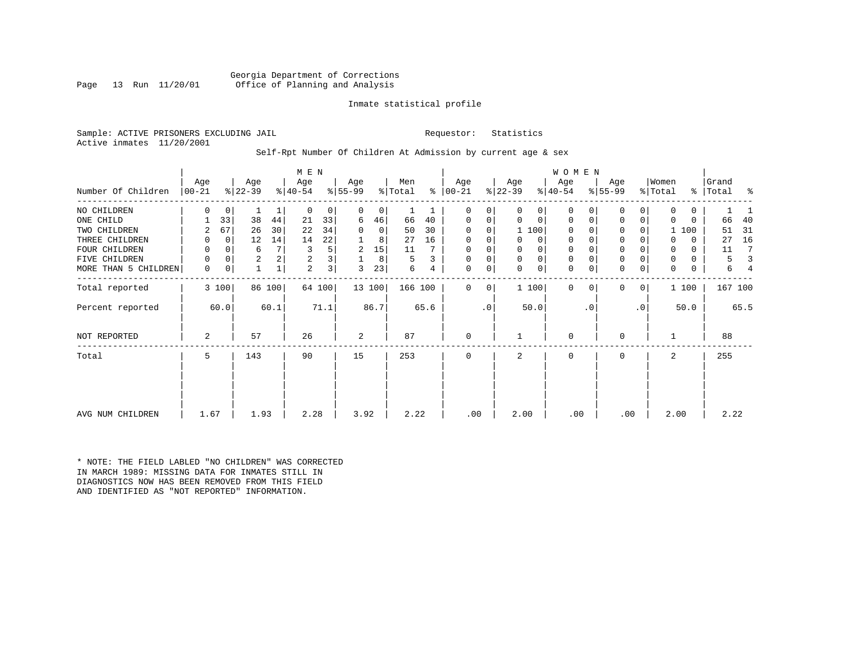Georgia Department of Corrections<br>Page 13 Run 11/20/01 Office of Planning and Analysis Office of Planning and Analysis

# Inmate statistical profile

Sample: ACTIVE PRISONERS EXCLUDING JAIL **Requestor:** Statistics Active inmates 11/20/2001

# Self-Rpt Number Of Children At Admission by current age & sex

|                      |                 |             |                  |        | M E N            |                |                 |                |                |      |                |           |                  |                | <b>WOMEN</b>     |           |                  |           |                  |          |                |      |
|----------------------|-----------------|-------------|------------------|--------|------------------|----------------|-----------------|----------------|----------------|------|----------------|-----------|------------------|----------------|------------------|-----------|------------------|-----------|------------------|----------|----------------|------|
| Number Of Children   | Age<br>$ 00-21$ |             | Age<br>$ 22-39 $ |        | Age<br>$ 40-54 $ |                | Age<br>$ 55-99$ |                | Men<br>% Total | ⊱    | Age<br>  00-21 |           | Age<br>$ 22-39 $ |                | Age<br>$ 40-54 $ |           | Age<br>$8 55-99$ |           | Women<br>% Total | ∻        | Grand<br>Total | ႜ    |
| NO CHILDREN          | 0               | 0           |                  |        | $\Omega$         | 0              | 0               | $\overline{0}$ |                |      | 0              | 0         | $\Omega$         | 0 <sup>1</sup> | 0                |           | 0                | 0         | 0                | 0        |                |      |
| ONE CHILD            |                 | 33          | 38               | 44     | 21               | 33             | 6               | 46             | 66             | 40   | 0              | 0         | 0                | $\mathbf{0}$   | 0                | 0         | 0                | 0         | $\Omega$         | 0        | 66             | 40   |
| TWO CHILDREN         | 2               | 67          | 26               | 30     | 22               | 34             |                 | $\overline{0}$ | 50             | 30   | 0              | 0         |                  | 1 100          | 0                |           | 0                |           |                  | 100      | 51             | 31   |
| THREE CHILDREN       | 0               | $\mathbf 0$ | 12               | 14     | 14               | 22             |                 | 8              | 27             | 16   | 0              | 0         |                  | 0 <sup>1</sup> | 0                |           | $\mathbf 0$      |           | $\Omega$         | 0        | 27             | 16   |
| FOUR CHILDREN        | 0               | 0           | 6                |        | 3                | 5              | 2               | 15             | 11             |      | $\Omega$       |           |                  | 0              | 0                |           | $\mathsf 0$      |           | 0                | $\Omega$ | 11             | 7    |
| FIVE CHILDREN        | 0               | 0           | $\sqrt{2}$       |        | 2                | 3              |                 | 8              | 5              |      | 0              | 0         | $\Omega$         | 0 <sup>1</sup> | 0                |           | $\mathbf 0$      |           | 0                | 0        | 5              |      |
| MORE THAN 5 CHILDREN | $\mathbf 0$     | 0           |                  |        | $\overline{a}$   | 3 <sup>1</sup> | ς               | 23             | 6              | 4    | $\mathbf 0$    | 0         | $\Omega$         | 0              | $\mathbf 0$      | 0         | $\mathbf 0$      | 0         | 0                | 0        | 6              |      |
| Total reported       |                 | 3 100       |                  | 86 100 |                  | 64 100         |                 | 13 100         | 166 100        |      | 0              | 0         |                  | 1 100          | $\Omega$         |           | 0                | 0         |                  | 1 100    | 167 100        |      |
| Percent reported     |                 | 60.0        |                  | 60.1   |                  | 71.1           |                 | 86.7           |                | 65.6 |                | $\cdot$ 0 |                  | 50.0           |                  | $\cdot$ 0 |                  | $\cdot$ 0 |                  | 50.0     |                | 65.5 |
| NOT REPORTED         | 2               |             | 57               |        | 26               |                | 2               |                | 87             |      | 0              |           |                  |                | $\mathbf 0$      |           | 0                |           |                  |          | 88             |      |
| Total                | 5               |             | 143              |        | 90               |                | 15              |                | 253            |      | 0              |           | 2                |                | 0                |           | 0                |           | 2                |          | 255            |      |
|                      |                 |             |                  |        |                  |                |                 |                |                |      |                |           |                  |                |                  |           |                  |           |                  |          |                |      |
|                      |                 |             |                  |        |                  |                |                 |                |                |      |                |           |                  |                |                  |           |                  |           |                  |          |                |      |
| AVG NUM CHILDREN     | 1.67            |             | 1.93             |        | 2.28             |                | 3.92            |                | 2.22           |      | .00            |           | 2.00             |                | .00              |           | .00              |           | 2.00             |          | 2.22           |      |

\* NOTE: THE FIELD LABLED "NO CHILDREN" WAS CORRECTED IN MARCH 1989: MISSING DATA FOR INMATES STILL IN DIAGNOSTICS NOW HAS BEEN REMOVED FROM THIS FIELD AND IDENTIFIED AS "NOT REPORTED" INFORMATION.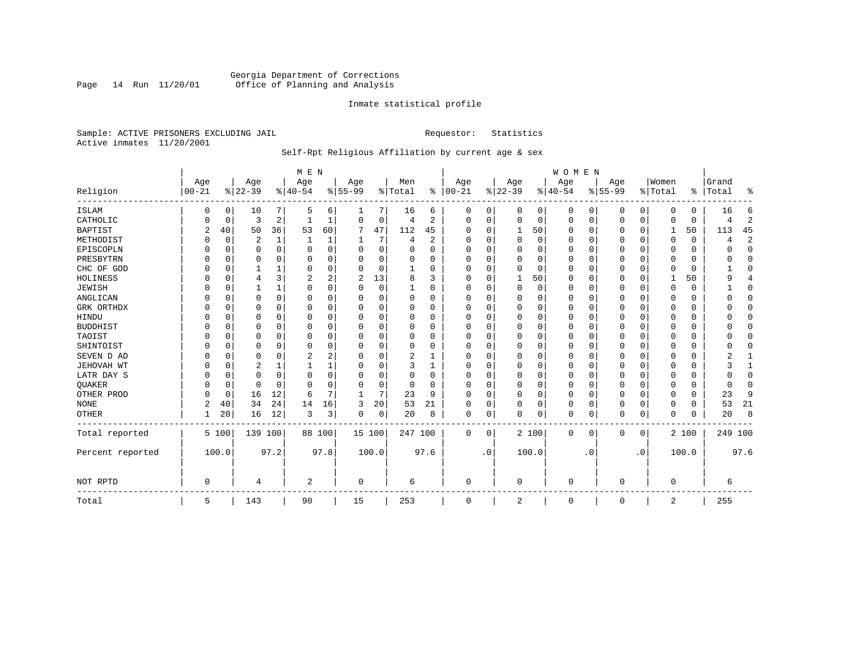# Georgia Department of Corrections<br>Page 14 Run 11/20/01 Office of Planning and Analysis Page 14 Run 11/20/01 Office of Planning and Analysis

## Inmate statistical profile

Sample: ACTIVE PRISONERS EXCLUDING JAIL **Requestor:** Statistics Active inmates 11/20/2001

# Self-Rpt Religious Affiliation by current age & sex

|                  |                  |          |                  |          | M E N           |          |                  |          |                |          |                 |              |                 |       | <b>WOMEN</b>    |           |                  |             |                  |          |                 |              |
|------------------|------------------|----------|------------------|----------|-----------------|----------|------------------|----------|----------------|----------|-----------------|--------------|-----------------|-------|-----------------|-----------|------------------|-------------|------------------|----------|-----------------|--------------|
| Religion         | Age<br>$00 - 21$ |          | Age<br>$8 22-39$ |          | Age<br>$ 40-54$ |          | Age<br>$8 55-99$ |          | Men<br>% Total | %        | Age<br>$ 00-21$ |              | Age<br>$ 22-39$ |       | Age<br>$ 40-54$ |           | Age<br>$8 55-99$ |             | Women<br>% Total | ⊱        | Grand<br> Total | ႜ            |
| <b>ISLAM</b>     | 0                | 0        | 10               | 7        | .5              | 6        |                  | 7        | 16             | 6        | 0               | 0            | 0               | 0     | $\mathbf 0$     | 0         | 0                | 0           | $\Omega$         | $\Omega$ | 16              | 6            |
| CATHOLIC         |                  | 0        | 3                | 2        |                 |          | $\Omega$         | 0        | 4              | 2        | $\Omega$        | $\Omega$     | $\overline{0}$  | 0     | $\Omega$        | 0         | 0                | 0           | $\Omega$         | $\Omega$ | 4               | 2            |
| <b>BAPTIST</b>   | 2                | 40       | 50               | 36       | 53              | 60       | 7                | 47       | 112            | 45       | U               | $\Omega$     | 1               | 50    | 0               | 0         | 0                | $\mathbf 0$ | 1                | 50       | 113             | 45           |
| METHODIST        |                  | 0        | 2                | 1        | 1               |          |                  | 7        | 4              | 2        | 0               | <sup>0</sup> | 0               | 0     | $\Omega$        | 0         | 0                | $\Omega$    | $\Omega$         | $\Omega$ | 4               | $\sqrt{2}$   |
| EPISCOPLN        |                  | 0        | 0                | $\Omega$ | $\Omega$        | 0        | O                | 0        | O              | $\Omega$ | 0               | O            | 0               | 0     | $\Omega$        | 0         | 0                | 0           | $\Omega$         | $\Omega$ | U               | $\mathbf 0$  |
| PRESBYTRN        |                  | 0        | 0                | $\Omega$ | $\Omega$        | $\Omega$ | O                | $\Omega$ | $\Omega$       | O        | U               | $\Omega$     | $\Omega$        | 0     | $\Omega$        | $\Omega$  | 0                | $\Omega$    | $\Omega$         | $\Omega$ | O               | $\Omega$     |
| CHC OF GOD       |                  | $\Omega$ |                  |          | $\Omega$        | $\Omega$ | 0                | $\Omega$ |                | $\Omega$ | $\Omega$        | $\Omega$     | $\Omega$        | 0     | $\Omega$        | $\Omega$  | 0                | $\Omega$    | $\Omega$         | $\Omega$ |                 | $\Omega$     |
| HOLINESS         |                  | $\Omega$ | 4                | 3        | 2               | 2        | 2                | 13       |                | ζ        | $\Omega$        | U            | $\mathbf{1}$    | 50    | $\Omega$        | 0         | 0                | $\Omega$    |                  | 50       | 9               | 4            |
| <b>JEWISH</b>    |                  | $\Omega$ |                  | 1        | $\Omega$        | $\Omega$ | O                | 0        |                | O        | 0               | O            | 0               | 0     | $\Omega$        | 0         | 0                | $\Omega$    | $\Omega$         | $\Omega$ |                 | 0            |
| ANGLICAN         |                  | 0        | 0                | 0        | $\Omega$        | 0        | U                | 0        | 0              | O        | 0               | U            | 0               | 0     | $\Omega$        | 0         | 0                | 0           | $\Omega$         | 0        |                 | $\mathbf 0$  |
| GRK ORTHDX       |                  | 0        | O                | $\Omega$ | $\Omega$        | $\Omega$ | U                | 0        | 0              | $\Omega$ | $\Omega$        | <sup>0</sup> | $\Omega$        | 0     | $\Omega$        | 0         | 0                | 0           | $\Omega$         | 0        |                 | 0            |
| HINDU            |                  | $\Omega$ | 0                | $\Omega$ | ∩               | $\Omega$ |                  | $\Omega$ | $\Omega$       | $\Omega$ | $\Omega$        |              | $\Omega$        | 0     | $\Omega$        | $\Omega$  | 0                | $\Omega$    | $\Omega$         | $\Omega$ |                 | $\Omega$     |
| <b>BUDDHIST</b>  |                  | $\Omega$ | 0                | $\Omega$ | $\Omega$        | $\Omega$ |                  | 0        | 0              | $\Omega$ | 0               | O            | $\Omega$        | 0     | $\Omega$        | $\Omega$  | 0                | $\Omega$    | $\Omega$         | $\Omega$ |                 | $\Omega$     |
| TAOIST           |                  | $\Omega$ | 0                | $\Omega$ |                 | $\Omega$ |                  | $\Omega$ |                | O        | U               | O            | 0               | 0     | 0               | 0         | 0                | $\Omega$    | $\Omega$         | 0        |                 | $\Omega$     |
| SHINTOIST        |                  | $\Omega$ | 0                | $\Omega$ | $\Omega$        | $\Omega$ | O                | $\Omega$ | 0              | O        | U               | $\Omega$     | $\Omega$        | 0     | $\Omega$        | $\Omega$  | 0                | $\Omega$    | $\Omega$         | $\Omega$ |                 | $\Omega$     |
| SEVEN D AD       |                  | $\Omega$ | 0                | $\Omega$ | 2               |          | O                | $\Omega$ | 2              |          | U               |              | $\overline{0}$  | O     | $\Omega$        | $\Omega$  | 0                | $\Omega$    | $\Omega$         | $\Omega$ |                 |              |
| JEHOVAH WT       |                  | $\Omega$ | 2                |          |                 |          | O                | $\Omega$ | 3              | 1        | $\Omega$        | $\Omega$     | $\Omega$        | 0     | $\Omega$        | $\Omega$  | 0                | 0           | $\Omega$         | $\Omega$ |                 | $\mathbf{1}$ |
| LATR DAY S       |                  | $\Omega$ | 0                | $\Omega$ | $\Omega$        | $\Omega$ | U                | $\Omega$ | 0              | O        | 0               |              | 0               | 0     | $\Omega$        | 0         | 0                | 0           | $\Omega$         | $\Omega$ |                 | $\Omega$     |
| QUAKER           |                  | 0        | 0                | $\Omega$ | ∩               | $\Omega$ | U                | 0        | 0              | $\Omega$ | $\Omega$        | <sup>0</sup> | 0               | 0     | 0               | 0         | 0                | 0           | $\Omega$         | 0        | ∩               | 0            |
| OTHER PROD       |                  | 0        | 16               | 12       | 6               | 7        | -1               | 7        | 23             | 9        | $\Omega$        | $\Omega$     | 0               | 0     | $\Omega$        | $\Omega$  | 0                | $\Omega$    | $\Omega$         | $\Omega$ | 23              | 9            |
| <b>NONE</b>      | 2                | 40       | 34               | 24       | 14              | 16       | 3                | 20       | 53             | 21       | $\Omega$        | $\Omega$     | $\Omega$        | 0     | $\Omega$        | 0         | 0                | $\Omega$    | $\Omega$         | $\Omega$ | 53              | 21           |
| <b>OTHER</b>     |                  | 20       | 16               | 12       | 3               | 3        | 0                | 0        | 20             | 8        | 0               | 0            | $\Omega$        | 0     | $\Omega$        | 0         | 0                | 0           | $\Omega$         | $\Omega$ | 20              | 8            |
| Total reported   |                  | 5 100    | 139 100          |          |                 | 88 100   | 15 100           |          | 247 100        |          | 0               | 0            |                 | 2 100 | 0               | 0         | 0                | 0           |                  | 2 100    | 249 100         |              |
| Percent reported |                  | 100.0    |                  | 97.2     |                 | 97.8     |                  | 100.0    |                | 97.6     |                 | $\cdot$ 0    |                 | 100.0 |                 | $\cdot$ 0 |                  | . 0         |                  | 100.0    |                 | 97.6         |
| NOT RPTD         | $\Omega$         |          | 4                |          | 2               |          | $\Omega$         |          | 6              |          | $\Omega$        |              | $\Omega$        |       | $\Omega$        |           | U                |             | $\mathbf 0$      |          | 6               |              |
| Total            | 5                |          | 143              |          | 90              |          | 15               |          | 253            |          | $\Omega$        |              | 2               |       | 0               |           | 0                |             | 2                |          | 255             |              |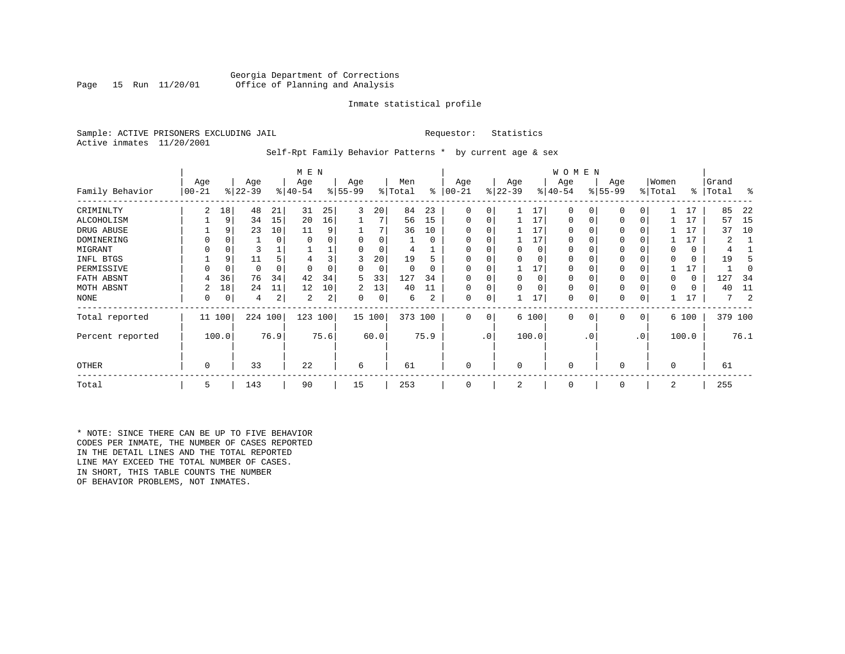# Georgia Department of Corrections<br>Page 15 Run 11/20/01 Office of Planning and Analysis Office of Planning and Analysis

## Inmate statistical profile

Sample: ACTIVE PRISONERS EXCLUDING JAIL **Requestor:** Statistics Active inmates 11/20/2001

Self-Rpt Family Behavior Patterns \* by current age & sex

|                  |                 |          |                  |      | M E N            |      |                 |        |                |          |                  |     |                  |          | W O M E N        |           |                    |           |                  |          |                |      |
|------------------|-----------------|----------|------------------|------|------------------|------|-----------------|--------|----------------|----------|------------------|-----|------------------|----------|------------------|-----------|--------------------|-----------|------------------|----------|----------------|------|
| Family Behavior  | Age<br>$ 00-21$ |          | Age<br>$ 22-39 $ |      | Age<br>$ 40-54 $ |      | Age<br>$ 55-99$ |        | Men<br>% Total | ႜ        | Age<br>$00 - 21$ |     | Age<br>$ 22-39 $ |          | Age<br>$ 40-54 $ |           | Age<br>$8155 - 99$ |           | Women<br>% Total | ∻        | Grand<br>Total | ႜ    |
| CRIMINLTY        | 2               | 18       | 48               | 21   | 31               | 25   | 3               | 20     | 84             | 23       | 0                | 0   |                  | 17       | 0                |           | 0                  |           |                  | 17       | 85             | 22   |
| ALCOHOLISM       |                 | 9        | 34               | 15   | 20               | 16   |                 |        | 56             | 15       | 0                | 0   |                  | 17       | 0                |           | $\mathbf 0$        | 0         |                  | 17       | 57             | -15  |
| DRUG ABUSE       |                 | 9        | 23               | 10   | 11               | 9    |                 |        | 36             | 10       |                  |     |                  | 17       | 0                |           |                    |           |                  | 17       | 37             | 10   |
| DOMINERING       |                 |          |                  | 0    |                  |      |                 |        |                | $\Omega$ |                  |     |                  | 17       | U                |           |                    |           |                  | 17       |                |      |
| MIGRANT          |                 |          |                  |      |                  |      |                 |        | 4              |          |                  |     |                  | $\Omega$ |                  |           |                    |           |                  | 0        |                |      |
| INFL BTGS        |                 | 9        |                  |      |                  |      |                 | 20     | 19             |          |                  |     |                  | $\Omega$ |                  |           |                    |           |                  | 0        | 19             |      |
| PERMISSIVE       |                 | $\Omega$ | 0                |      |                  |      | 0               | 0      | 0              | 0        | $\Omega$         | 0   |                  | 17       | 0                |           | $\Omega$           |           |                  | 17       |                |      |
| FATH ABSNT       | 4               | 36       | 76               | 34   | 42               | 34   | 5               | 33     | 127            | 34       |                  |     | $\Omega$         | $\Omega$ | 0                |           |                    |           |                  | $\Omega$ | 127            | 34   |
| MOTH ABSNT       |                 | 18       | 24               | 11   | 12               | 10   | 2               | 13     | 40             | 11       | 0                | 0   |                  | $\Omega$ | 0                |           |                    |           |                  | 0        | 40             | 11   |
| NONE             | 0               | 0        | 4                | 2    | 2                | 2    | 0               | 0      | 6              | 2        | 0                | 0   |                  | 17       | 0                |           | 0                  |           |                  |          | 7              |      |
| Total reported   | 11 100          |          | 224 100          |      | 123              | 100  |                 | 15 100 | 373 100        |          | $\mathbf 0$      | 0   |                  | 6 100    | $\mathbf 0$      | 0         | $\mathbf 0$        | 0         |                  | 6 100    | 379 100        |      |
| Percent reported |                 | 100.0    |                  | 76.9 |                  | 75.6 |                 | 60.0   |                | 75.9     |                  | .0' |                  | 100.0    |                  | $\cdot$ 0 |                    | $\cdot$ 0 |                  | 100.0    |                | 76.1 |
| <b>OTHER</b>     | 0               |          | 33               |      | 22               |      | 6               |        | 61             |          | 0                |     | $\Omega$         |          | 0                |           | $\Omega$           |           | $\Omega$         |          | 61             |      |
| Total            | 5               |          | 143              |      | 90               |      | 15              |        | 253            |          | 0                |     | 2                |          | 0                |           | 0                  |           | 2                |          | 255            |      |

\* NOTE: SINCE THERE CAN BE UP TO FIVE BEHAVIOR CODES PER INMATE, THE NUMBER OF CASES REPORTED IN THE DETAIL LINES AND THE TOTAL REPORTED LINE MAY EXCEED THE TOTAL NUMBER OF CASES. IN SHORT, THIS TABLE COUNTS THE NUMBER OF BEHAVIOR PROBLEMS, NOT INMATES.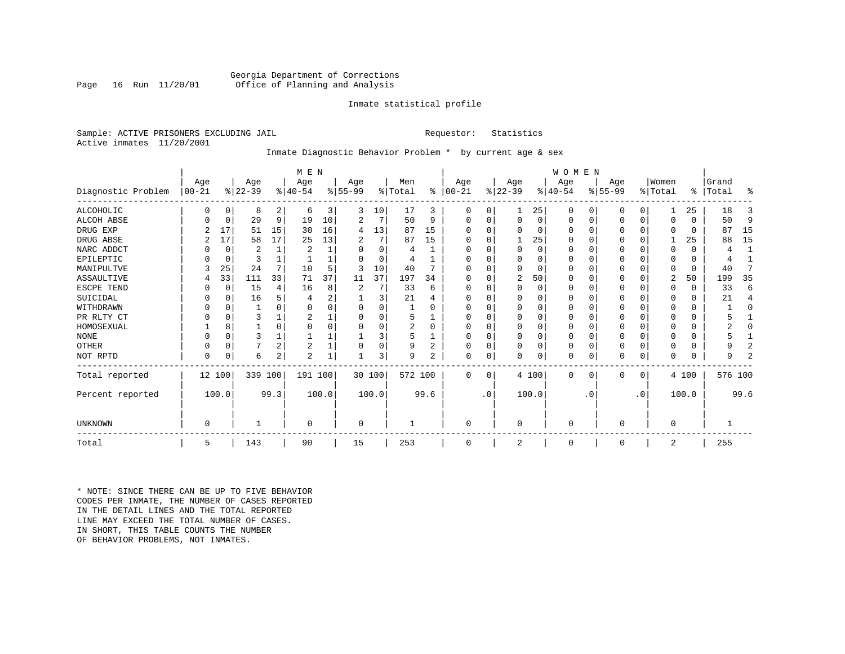# Georgia Department of Corrections<br>Page 16 Run 11/20/01 Office of Planning and Analysis Office of Planning and Analysis

## Inmate statistical profile

Sample: ACTIVE PRISONERS EXCLUDING JAIL **Requestor:** Statistics Active inmates 11/20/2001

# Inmate Diagnostic Behavior Problem \* by current age & sex

|                    |            |          |           |                | M E N          |       |          |          |                |                |          |           |             |          | <b>WOMEN</b> |           |           |             |             |              |           |                |
|--------------------|------------|----------|-----------|----------------|----------------|-------|----------|----------|----------------|----------------|----------|-----------|-------------|----------|--------------|-----------|-----------|-------------|-------------|--------------|-----------|----------------|
|                    | Age        |          | Age       |                | Age            |       | Age      |          | Men            |                | Age      |           | Age         |          | Age          |           | Age       |             | Women       |              | Grand     |                |
| Diagnostic Problem | $ 00 - 21$ |          | $ 22-39 $ |                | $8 40-54$      |       | $ 55-99$ |          | % Total        | ွေ             | $ 00-21$ |           | $ 22-39 $   |          | $ 40-54 $    |           | $ 55-99 $ |             | % Total     |              | %   Total | ႜ              |
| ALCOHOLIC          | 0          | 0        | 8         | 2              | -6             | 3     | 3        | 10       | 17             | 3              | 0        | 0         |             | 25       | 0            | 0         | 0         | $\Omega$    |             | 25           | 18        | 3              |
| <b>ALCOH ABSE</b>  |            | 0        | 29        | 9              | 19             | 10    | 2        | 7        | 50             | 9              | 0        | 0         | $\mathbf 0$ | 0        | 0            | 0         | 0         | $\mathbf 0$ | $\Omega$    | $\Omega$     | 50        | 9              |
| DRUG EXP           |            | 17       | 51        | 15             | 30             | 16    | 4        | 13       | 87             | 15             |          |           | $\Omega$    | 0        | $\Omega$     | 0         | 0         | $\Omega$    | $\Omega$    | $\Omega$     | 87        | 15             |
| DRUG ABSE          |            | 17       | 58        | 17             | 25             | 13    | 2        | 7        | 87             | 15             | U        |           |             | 25       | 0            | 0         | U         | $\Omega$    |             | 25           | 88        | 15             |
| NARC ADDCT         |            | 0        | 2         |                | $\overline{2}$ |       | O        | $\Omega$ | 4              |                | U        |           | $\Omega$    | $\Omega$ | $\Omega$     | $\Omega$  | U         | $\Omega$    | $\Omega$    | $\Omega$     | 4         | 1              |
| EPILEPTIC          |            | 0        | 3         |                |                |       | U        | $\Omega$ | 4              |                | U        |           | $\Omega$    | O        | $\Omega$     | $\Omega$  | U         | $\Omega$    | $\Omega$    | $\Omega$     | 4         |                |
| MANIPULTVE         |            | 25       | 24        | 7              | 10             |       | 3        | 10       | 40             |                |          |           | $\Omega$    | 0        | $\Omega$     | $\Omega$  | 0         | $\Omega$    | $\Omega$    | $\Omega$     | 40        | 7              |
| ASSAULTIVE         |            | 33       | 111       | 33             | 71             | 37    | 11       | 37       | 197            | 34             | U        |           | 2           | 50       | $\Omega$     | 0         | 0         | 0           | 2           | 50           | 199       | 35             |
| ESCPE TEND         |            | 0        | 15        | 4              | 16             | 8     | 2        | 7        | 33             | 6              | U        |           | $\Omega$    | 0        | $\Omega$     | $\Omega$  |           | O           | $\Omega$    | $\Omega$     | 33        | 6              |
| SUICIDAL           |            | 0        | 16        | 5              |                | 2     |          | 3        | 21             |                | ∩        |           | $\Omega$    | O        | $\Omega$     | $\Omega$  |           | O           | ∩           | $\Omega$     | 21        | 4              |
| WITHDRAWN          |            | $\Omega$ |           |                |                |       |          | U        |                |                |          |           | $\Omega$    | O        | 0            | $\Omega$  |           | O           |             | U            |           | $\Omega$       |
| PR RLTY CT         |            | $\Omega$ | 3         |                |                |       |          | U        | 5              |                | $\Omega$ |           | $\Omega$    | O        | $\Omega$     | $\Omega$  |           | $\Omega$    | ∩           | $\Omega$     |           |                |
| HOMOSEXUAL         |            | 8        |           | $\Omega$       |                |       |          | 0        | $\overline{a}$ | $\Omega$       | ∩        |           | $\Omega$    | $\Omega$ | $\Omega$     | $\Omega$  | 0         | $\Omega$    |             | U            |           | O              |
| <b>NONE</b>        |            | $\Omega$ | ζ         |                |                |       |          | 3        | 5              |                | ∩        |           | $\Omega$    | O        | $\Omega$     | $\Omega$  | ი         | $\Omega$    |             | U            |           |                |
| OTHER              |            | $\Omega$ |           | $\overline{2}$ | $\overline{c}$ |       |          | 0        | 9              | $\overline{2}$ | $\Omega$ |           | $\Omega$    | O        | 0            | $\Omega$  | 0         | $\Omega$    | $\Omega$    | 0            |           | 2              |
| NOT RPTD           | $\Omega$   | 0        | 6         | $\overline{a}$ | $\overline{2}$ |       |          | 3        | 9              | 2              | $\Omega$ | 0         | $\mathbf 0$ | 0        | 0            | 0         | U         | 0           | $\Omega$    | <sup>0</sup> | 9         | $\overline{2}$ |
| Total reported     | 12 100     |          | 339       | 100            | 191 100        |       |          | 30 100   | 572 100        |                | $\Omega$ | $\Omega$  |             | 4 100    | $\Omega$     | 0         | 0         | 0           |             | 4 100        | 576 100   |                |
| Percent reported   |            | 100.0    |           | 99.3           |                | 100.0 |          | 100.0    |                | 99.6           |          | $\cdot$ 0 |             | 100.0    |              | $\cdot$ 0 |           | $\cdot$ 0   |             | 100.0        |           | 99.6           |
| <b>UNKNOWN</b>     | $\Omega$   |          |           |                | $\Omega$       |       | $\Omega$ |          |                |                | $\Omega$ |           | $\mathbf 0$ |          | $\Omega$     |           | 0         |             | $\mathbf 0$ |              |           |                |
|                    |            |          |           |                |                |       |          |          |                |                |          |           |             |          |              |           |           |             |             |              |           |                |
| Total              | 5          |          | 143       |                | 90             |       | 15       |          | 253            |                | $\Omega$ |           | 2           |          | 0            |           | 0         |             | 2           |              | 255       |                |

\* NOTE: SINCE THERE CAN BE UP TO FIVE BEHAVIOR CODES PER INMATE, THE NUMBER OF CASES REPORTED IN THE DETAIL LINES AND THE TOTAL REPORTED LINE MAY EXCEED THE TOTAL NUMBER OF CASES.IN SHORT, THIS TABLE COUNTS THE NUMBER OF BEHAVIOR PROBLEMS, NOT INMATES.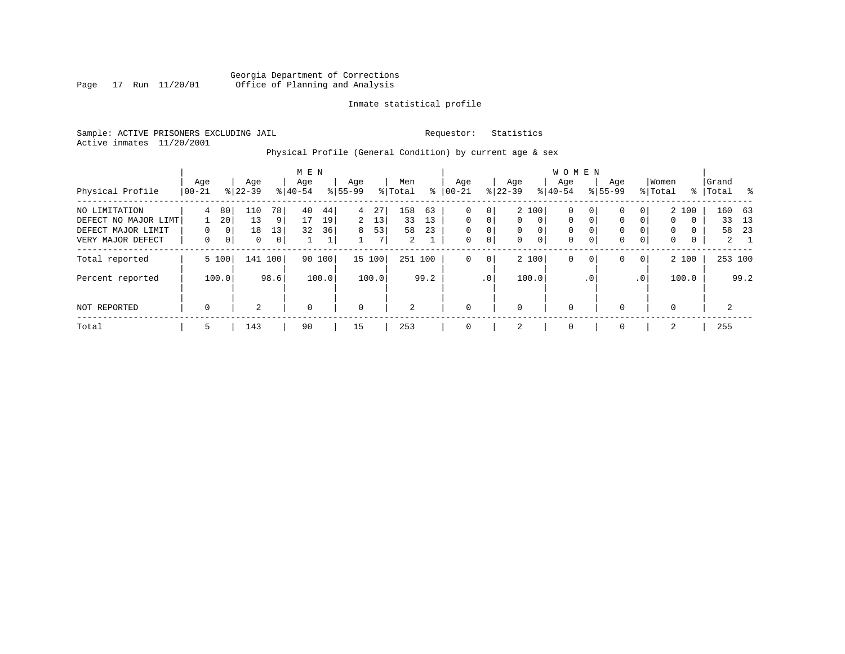# Georgia Department of Corrections Page 17 Run 11/20/01 Office of Planning and Analysis

# Inmate statistical profile

Sample: ACTIVE PRISONERS EXCLUDING JAIL **Requestor:** Statistics Active inmates 11/20/2001

# Physical Profile (General Condition) by current age & sex

|                                                                                  |                           |                               |                             |                                              | M E N            |                      |                    |                     |                      |                                |                                |                                   |                                          |                                | <b>WOMEN</b>                                |                                   |                            |                                |                                                 |             |                                   |                 |
|----------------------------------------------------------------------------------|---------------------------|-------------------------------|-----------------------------|----------------------------------------------|------------------|----------------------|--------------------|---------------------|----------------------|--------------------------------|--------------------------------|-----------------------------------|------------------------------------------|--------------------------------|---------------------------------------------|-----------------------------------|----------------------------|--------------------------------|-------------------------------------------------|-------------|-----------------------------------|-----------------|
| Physical Profile                                                                 | Age<br>$ 00-21$           |                               | Age<br>$8 22-39$            |                                              | Age<br>$8 40-54$ |                      | Age<br>$8155 - 99$ |                     | Men<br>% Total       | ⊱                              | Age<br>$ 00-21$                |                                   | Age<br>$ 22-39 $                         |                                | Aqe<br>$8 40-54$                            |                                   | Age<br>$8155 - 99$         |                                | Women<br>% Total                                |             | Grand<br>%   Total                | $^{\circ}$      |
| NO LIMITATION<br>DEFECT NO MAJOR LIMT<br>DEFECT MAJOR LIMIT<br>VERY MAJOR DEFECT | 4<br>$\Omega$<br>$\Omega$ | 80<br>20<br>0<br>$\mathbf{0}$ | 110<br>13<br>18<br>$\Omega$ | 78<br>$\overline{9}$<br>13<br>0 <sup>1</sup> | 40<br>17<br>32   | 44<br>19<br>36<br>Τ. | 4<br>2<br>8        | 27<br>13<br>53<br>7 | 158<br>33<br>58<br>2 | 63<br>13<br>23<br>$\mathbf{I}$ | 0<br>$\Omega$<br>$\Omega$<br>0 | 0<br>$\Omega$<br>0<br>$\mathbf 0$ | $\mathbf{0}$<br>$\mathbf{0}$<br>$\Omega$ | 2 100<br>$\mathbf 0$<br>0<br>0 | $\mathbf 0$<br>$\mathbf 0$<br>0<br>$\Omega$ | 0<br>0<br>$\Omega$<br>$\mathbf 0$ | 0<br>0<br>0<br>$\mathbf 0$ | $\Omega$<br>$\Omega$<br>0<br>0 | 2 100<br>$\mathbf 0$<br>$\Omega$<br>$\mathbf 0$ | 0<br>0<br>0 | 160<br>33<br>58<br>$\overline{2}$ | 63<br>13<br>-23 |
| Total reported                                                                   |                           | 5 100                         |                             | 141 100                                      |                  | 90 100               |                    | 15 100              | 251 100              |                                | 0                              | 0                                 |                                          | 2 100                          | $\mathbf 0$                                 | $\mathbf 0$                       | 0                          | $\overline{0}$                 | 2 100                                           |             | 253 100                           |                 |
| Percent reported                                                                 |                           | 100.0                         |                             | 98.6                                         |                  | 100.0                |                    | 100.0               |                      | 99.2                           |                                | .0 <sup>1</sup>                   |                                          | 100.0                          |                                             | . 0                               |                            | .0                             | 100.0                                           |             |                                   | 99.2            |
| NOT REPORTED                                                                     | $\mathbf 0$               |                               | 2                           |                                              | $\mathbf 0$      |                      | 0                  |                     | 2                    |                                | 0                              |                                   | 0                                        |                                | $\mathbf 0$                                 |                                   | $\Omega$                   |                                | $\mathbf 0$                                     |             | 2                                 |                 |
| Total                                                                            | 5                         |                               | 143                         |                                              | 90               |                      | 15                 |                     | 253                  |                                | 0                              |                                   | 2                                        |                                | 0                                           |                                   | $\Omega$                   |                                | 2                                               |             | 255                               |                 |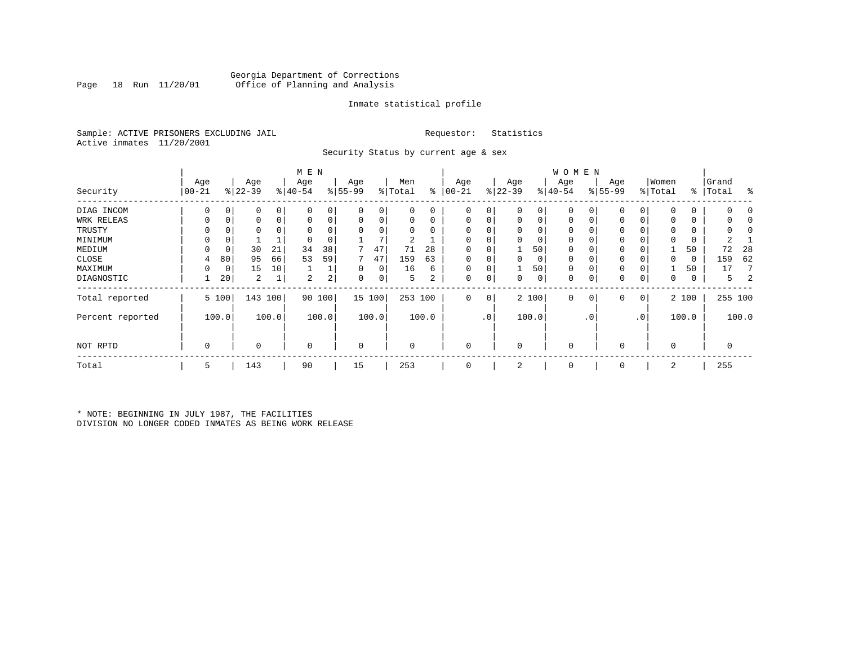# Georgia Department of Corrections Office of Planning and Analysis

# Inmate statistical profile

Sample: ACTIVE PRISONERS EXCLUDING JAIL **Requestor:** Statistics Active inmates 11/20/2001

Security Status by current age & sex

|                  |            |             |           |       | M E N    |       |           |        |          |       |           |             |           |       | <b>WOMEN</b> |           |             |           |             |       |           |         |
|------------------|------------|-------------|-----------|-------|----------|-------|-----------|--------|----------|-------|-----------|-------------|-----------|-------|--------------|-----------|-------------|-----------|-------------|-------|-----------|---------|
|                  | Age        |             | Age       |       | Age      |       | Age       |        | Men      |       | Age       |             | Age       |       | Age          |           | Age         |           | Women       |       | Grand     |         |
| Security         | $ 00 - 21$ |             | $ 22-39 $ |       | $ 40-54$ |       | $8 55-99$ |        | % Total  | ႜ     | $00 - 21$ |             | $ 22-39 $ |       | $ 40-54 $    |           | $8155 - 99$ |           | % Total     |       | %   Total | ႜ       |
| DIAG INCOM       | 0          | 0           | 0         | 0     |          |       | 0         | 0      |          | 0     | $\Omega$  | 0           | 0         | 0     |              |           | 0           | 0         | $\mathbf 0$ | 0     |           |         |
| WRK RELEAS       | 0          | 0           | 0         | 0     |          | 0     | 0         | 0      |          | 0     | 0         |             | 0         | 0     | 0            | 0         | 0           | 0         | $\Omega$    | 0     |           |         |
| TRUSTY           |            |             | 0         |       |          |       |           | 0      |          |       |           |             | $\Omega$  | 0     |              |           |             |           | $\Omega$    | 0     |           |         |
| MINIMUM          |            | 0           |           |       |          |       |           | 7      | 2        |       |           |             | $\Omega$  | 0     | $\Omega$     |           | 0           |           | 0           | 0     |           |         |
| MEDIUM           | $\Omega$   | 0           | 30        | 21    | 34       | 38    |           | 47     | 71       | 28    | $\Omega$  |             |           | 50    | $\mathbf{0}$ |           | 0           |           |             | 50    | 72        | 28      |
| CLOSE            | 4          | 80          | 95        | 66    | 53       | 59    |           | 47     | 159      | 63    | $\Omega$  |             | $\Omega$  | 0     | $\Omega$     |           | 0           |           | 0           | 0     | 159       | 62      |
| MAXIMUM          | $\Omega$   | $\mathbf 0$ | 15        | 10    |          |       | 0         | 0      | 16       | 6     | $\Omega$  |             |           | 50    | $\Omega$     |           | 0           |           |             | 50    | 17        |         |
| DIAGNOSTIC       |            | 20          | 2         |       | 2        | 2     | 0         | 0      | 5        | 2     | 0         | 0           | $\Omega$  | 0     | $\mathbf 0$  | 0         | 0           | 0         | $\mathbf 0$ | 0     | 5.        |         |
| Total reported   |            | 5 100       | 143       | 100   | 90       | 100   |           | 15 100 | 253 100  |       | 0         | $\mathbf 0$ |           | 2 100 | $\mathbf 0$  | $\circ$   | 0           | 0         |             | 2 100 |           | 255 100 |
| Percent reported |            | 100.0       |           | 100.0 |          | 100.0 |           | 100.0  |          | 100.0 |           | $\cdot$ 0   |           | 100.0 |              | $\cdot$ 0 |             | $\cdot$ 0 |             | 100.0 |           | 100.0   |
| NOT RPTD         | 0          |             | 0         |       | $\Omega$ |       | 0         |        | $\Omega$ |       | $\Omega$  |             | 0         |       | $\mathbf 0$  |           | 0           |           | $\mathbf 0$ |       |           |         |
| Total            | 5          |             | 143       |       | 90       |       | 15        |        | 253      |       | $\Omega$  |             | 2         |       | $\mathbf 0$  |           | 0           |           | 2           |       | 255       |         |

\* NOTE: BEGINNING IN JULY 1987, THE FACILITIES DIVISION NO LONGER CODED INMATES AS BEING WORK RELEASE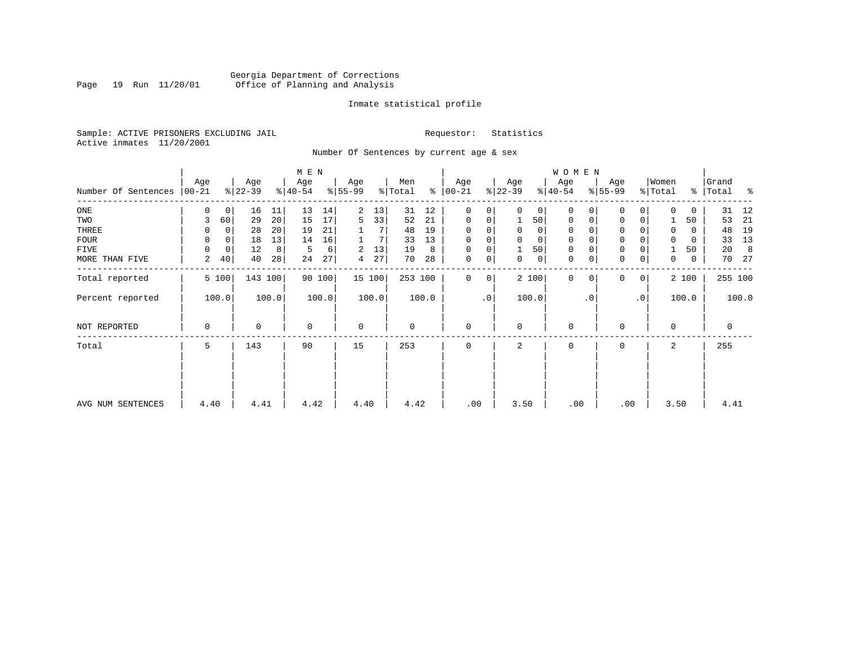# Georgia Department of Corrections<br>Page 19 Run 11/20/01 Office of Planning and Analysis Page 19 Run 11/20/01 Office of Planning and Analysis

## Inmate statistical profile

Sample: ACTIVE PRISONERS EXCLUDING JAIL **Requestor:** Statistics Active inmates 11/20/2001

Number Of Sentences by current age & sex

|                     |                 |             |                  |       | M E N            |        |                 |        |                |       |                      |                |                  |                | W O M E N        |           |                     |                 |                  |          |                |       |
|---------------------|-----------------|-------------|------------------|-------|------------------|--------|-----------------|--------|----------------|-------|----------------------|----------------|------------------|----------------|------------------|-----------|---------------------|-----------------|------------------|----------|----------------|-------|
| Number Of Sentences | Age<br>$ 00-21$ |             | Age<br>$ 22-39 $ |       | Age<br>$ 40-54 $ |        | Age<br>$ 55-99$ |        | Men<br>% Total |       | Age<br>$8   00 - 21$ |                | Age<br>$ 22-39 $ |                | Age<br>$8 40-54$ |           | Age<br>$8 55-99$    |                 | Women<br>% Total | ⊱        | Grand<br>Total | ႜ     |
| $_{\rm ONE}$        | 0               | 0           | 16               | 11    | 13               | 14     | 2               | 13     | 31             | 12    | 0                    | 0              | $\Omega$         | 0 <sup>1</sup> | 0                |           | $\mathbf 0$         | 0               | $\Omega$         | 0        | 31             | 12    |
| TWO                 | 3               | 60          | 29               | 20    | 15               | 17     | 5               | 33     | 52             | 21    | 0                    | 0              |                  | 50             | 0                |           | 0                   | 0               |                  | 50       | 53             | 21    |
| THREE               | 0               | 0           | 28               | 20    | 19               | 21     |                 |        | 48             | 19    | $\Omega$             |                |                  | $\mathbf{0}$   | 0                |           | 0                   |                 | $\Omega$         | 0        | 48             | 19    |
| <b>FOUR</b>         | $\Omega$        | $\Omega$    | 18               | 13    | 14               | 16     |                 |        | 33             | 13    | $\Omega$             | 0              |                  | $\mathbf 0$    | $\Omega$         |           | $\mathsf{O}\xspace$ |                 |                  | $\Omega$ | 33             | 13    |
| FIVE                | $\Omega$        | $\mathbf 0$ | 12               | 8     | 5                | 6      | 2               | 13     | 19             | 8     | 0                    | 0              |                  | 50             | 0                |           | $\mathbf 0$         |                 |                  | 50       | 20             | 8     |
| MORE THAN FIVE      | 2               | 40          | 40               | 28    | 24               | 27     | 4               | 27     | 70             | 28    | $\mathbf 0$          | $\overline{0}$ | 0                | 0              | 0                |           | $\mathsf{O}\xspace$ | 0               | $\mathbf 0$      | 0        | 70             | 27    |
| Total reported      |                 | 5 100       | 143 100          |       |                  | 90 100 |                 | 15 100 | 253 100        |       | $\Omega$             | $\overline{0}$ |                  | 2 100          | $\Omega$         | $\Omega$  | 0                   | 0               |                  | 2 100    | 255 100        |       |
| Percent reported    |                 | 100.0       |                  | 100.0 |                  | 100.0  |                 | 100.0  |                | 100.0 |                      | $\cdot$ 0      |                  | 100.0          |                  | $\cdot$ 0 |                     | .0 <sup>1</sup> |                  | 100.0    |                | 100.0 |
| NOT REPORTED        | 0               |             | 0                |       | $\Omega$         |        | $\mathbf 0$     |        | 0              |       | 0                    |                | $\Omega$         |                | $\mathbf 0$      |           | 0                   |                 | $\Omega$         |          | 0              |       |
| Total               | 5               |             | 143              |       | 90               |        | 15              |        | 253            |       | $\Omega$             |                | 2                |                | 0                |           | 0                   |                 | 2                |          | 255            |       |
|                     |                 |             |                  |       |                  |        |                 |        |                |       |                      |                |                  |                |                  |           |                     |                 |                  |          |                |       |
| AVG NUM SENTENCES   | 4.40            |             | 4.41             |       | 4.42             |        | 4.40            |        | 4.42           |       | .00                  |                | 3.50             |                | .00              |           | .00                 |                 | 3.50             |          | 4.41           |       |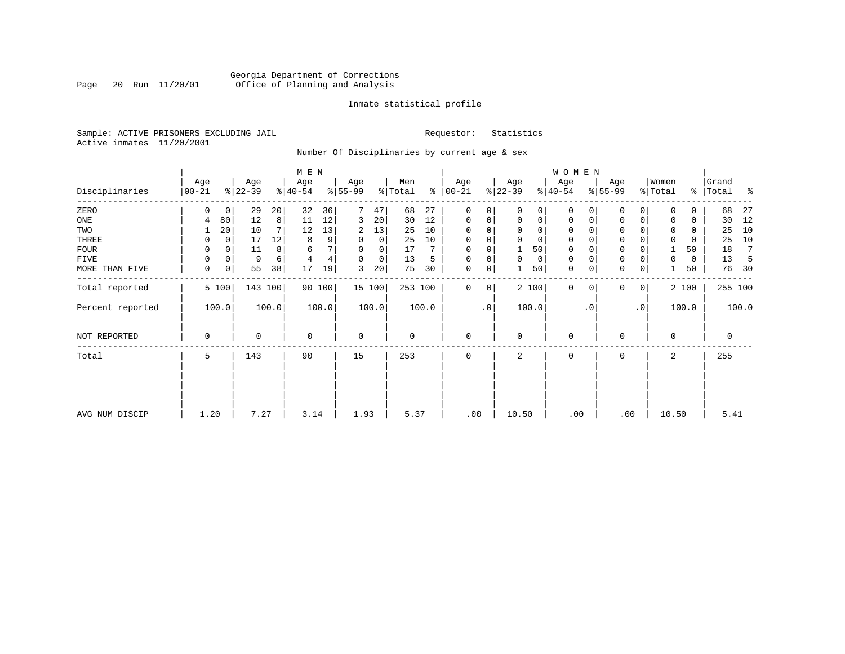# Georgia Department of Corrections Page 20 Run 11/20/01 Office of Planning and Analysis

## Inmate statistical profile

Sample: ACTIVE PRISONERS EXCLUDING JAIL **Requestor:** Statistics Active inmates 11/20/2001

Number Of Disciplinaries by current age & sex

|                  |                   |       |                  |         | M E N            |        |                 |          |                |       |                 |          |                  |                | WOMEN            |           |                 |                 |                  |       |                |       |
|------------------|-------------------|-------|------------------|---------|------------------|--------|-----------------|----------|----------------|-------|-----------------|----------|------------------|----------------|------------------|-----------|-----------------|-----------------|------------------|-------|----------------|-------|
| Disciplinaries   | Age<br>$ 00 - 21$ |       | Age<br>$ 22-39 $ |         | Age<br>$ 40-54 $ |        | Age<br>$ 55-99$ |          | Men<br>% Total | ႜ     | Age<br>$ 00-21$ |          | Age<br>$ 22-39 $ |                | Age<br>$ 40-54 $ |           | Age<br>$ 55-99$ |                 | Women<br>% Total | ွေ    | Grand<br>Total | ႜ     |
| ZERO             | 0                 | 0     | 29               | 20      | 32               | 36     |                 | 47       | 68             | 27    | 0               | 0        |                  | $\Omega$       | 0                |           | 0               | 0               |                  | 0     | 68             | 27    |
| ONE              | 4                 | 80    | 12               | 8       | 11               | 12     | 3               | 20       | 30             | 12    | 0               | 0        | $\Omega$         | $\overline{0}$ | 0                | 0         | 0               | 0               |                  | 0     | 30             | 12    |
| TWO              |                   | 20    | 10               | 7       | 12               | 13     | 2               | 13       | 25             | 10    | $\Omega$        |          |                  | 0              | $\Omega$         |           | $\Omega$        |                 |                  | 0     | 25             | 10    |
| THREE            | 0                 | 0     | 17               | 12      | 8                | 9      |                 | 0        | 25             | 10    | $\Omega$        |          |                  | $\Omega$       | $\Omega$         |           | 0               |                 |                  | 0     | 25             | 10    |
| <b>FOUR</b>      | $\Omega$          |       | 11               | 8       | 6                |        |                 | $\Omega$ | 17             |       | $\Omega$        | $\Omega$ |                  | 50             | $\Omega$         |           | $\mathbf 0$     |                 |                  | 50    | 18             | 7     |
| FIVE             | 0                 | 0     | 9                | 6       | $\overline{4}$   | 4      | $\Omega$        | 0        | 13             | 5     | $\Omega$        | 0        | $\Omega$         | 0              | 0                |           | $\mathbf 0$     |                 | 0                | 0     | 13             |       |
| MORE THAN FIVE   | 0                 | 0     | 55               | 38      | 17               | 19     | 3               | 20       | 75             | 30    | $\mathbf 0$     | 0        |                  | 50             | $\mathbf 0$      |           | $\mathbf{0}$    | 0               |                  | 50    | 76             | 30    |
| Total reported   |                   | 5 100 |                  | 143 100 |                  | 90 100 |                 | 15 100   | 253 100        |       | 0               | 0        |                  | 2 100          | $\mathbf 0$      | $\Omega$  | $\mathbf{0}$    | 0               |                  | 2 100 | 255 100        |       |
| Percent reported |                   | 100.0 |                  | 100.0   |                  | 100.0  |                 | 100.0    |                | 100.0 |                 | .0       |                  | 100.0          |                  | $\cdot$ 0 |                 | .0 <sup>°</sup> |                  | 100.0 |                | 100.0 |
| NOT REPORTED     | $\mathbf 0$       |       | 0                |         | $\mathbf 0$      |        | $\mathbf 0$     |          | 0              |       | $\mathbf 0$     |          | $\Omega$         |                | $\mathbf 0$      |           | 0               |                 | $\mathbf 0$      |       | 0              |       |
| Total            | 5                 |       | 143              |         | 90               |        | 15              |          | 253            |       | $\mathbf 0$     |          | 2                |                | 0                |           | 0               |                 | 2                |       | 255            |       |
|                  |                   |       |                  |         |                  |        |                 |          |                |       |                 |          |                  |                |                  |           |                 |                 |                  |       |                |       |
|                  |                   |       |                  |         |                  |        |                 |          |                |       |                 |          |                  |                |                  |           |                 |                 |                  |       |                |       |
| AVG NUM DISCIP   | 1.20              |       | 7.27             |         | 3.14             |        | 1.93            |          | 5.37           |       | .00             |          | 10.50            |                | .00              |           | .00             |                 | 10.50            |       | 5.41           |       |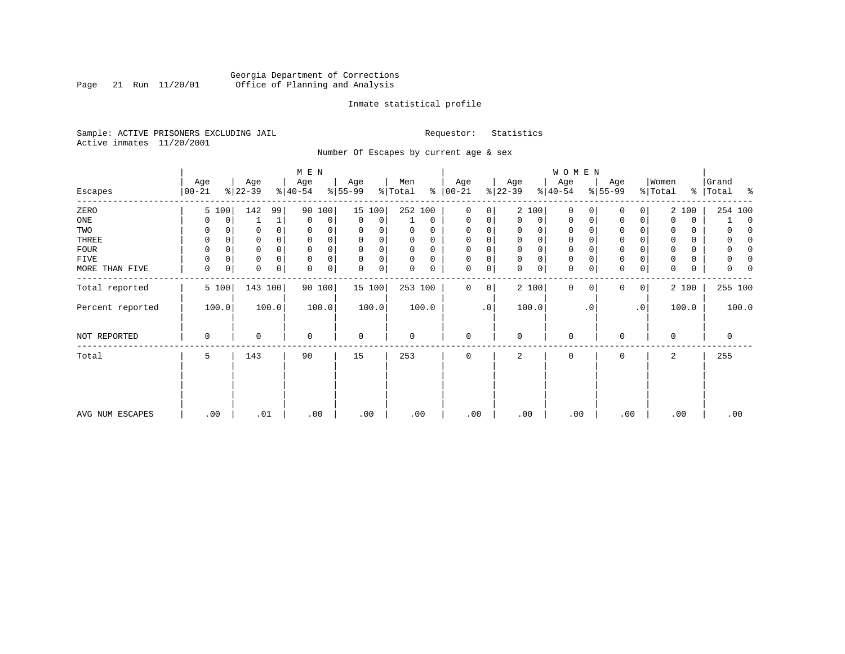# Georgia Department of Corrections<br>Page 21 Run 11/20/01 Office of Planning and Analysis Page 21 Run 11/20/01 Office of Planning and Analysis

# Inmate statistical profile

Sample: ACTIVE PRISONERS EXCLUDING JAIL **Requestor:** Statistics Active inmates 11/20/2001

Number Of Escapes by current age & sex

|                  |                  |       |                  |          | M E N            |        |                 |          |                |          |                   |    |                  |       | W O M E N        |              |                  |           |                  |       |                    |
|------------------|------------------|-------|------------------|----------|------------------|--------|-----------------|----------|----------------|----------|-------------------|----|------------------|-------|------------------|--------------|------------------|-----------|------------------|-------|--------------------|
| Escapes          | Age<br>$00 - 21$ |       | Age<br>$ 22-39 $ |          | Age<br>$ 40-54 $ |        | Age<br>$ 55-99$ |          | Men<br>% Total | ៖        | Age<br>$ 00 - 21$ |    | Age<br>$ 22-39 $ |       | Age<br>$ 40-54 $ |              | Age<br>$ 55-99 $ |           | Women<br>% Total |       | Grand<br>% Total % |
| ZERO             | 5 100            |       | 142              | 99       | 90               | 100    |                 | 15 100   | 252 100        |          | $\mathbf 0$       | 0  |                  | 2 100 | $\mathbf 0$      | $\Omega$     | 0                | 0         |                  | 2 100 | 254 100            |
| ONE              |                  | 0     |                  | 1        | $\mathbf 0$      | 0      | 0               | 0        |                | $\Omega$ | 0                 | 0  | 0                | 0     | 0                | 0            | 0                | 0         |                  | 0     | 0                  |
| TWO              | 0                |       |                  | 0        | $\Omega$         |        | 0               |          |                | 0        | $\Omega$          |    | 0                | 0     | 0                | <sup>0</sup> | $\Omega$         |           | 0                | 0     | n                  |
| THREE            | $\Omega$         |       |                  |          | 0                |        | $\Omega$        |          | O              | 0        | $\Omega$          |    | 0                | 0     | $\mathbf 0$      |              | 0                |           |                  | 0     | $\left($           |
| <b>FOUR</b>      | $\Omega$         |       |                  | $\Omega$ |                  |        | $\Omega$        | $\Omega$ | 0              | $\Omega$ | $\Omega$          |    | $\Omega$         | 0     | $\mathbf 0$      | O            | $\Omega$         |           |                  | 0     | n                  |
| FIVE             |                  | 0     | 0                | $\Omega$ | $\Omega$         |        | $\Omega$        | 0        | 0              | $\Omega$ |                   | 0  | 0                | 0     | 0                | $\Omega$     | 0                |           |                  | 0     |                    |
| MORE THAN FIVE   | 0                | 0     | 0                | 0        | $\Omega$         | 0      | 0               | 0        |                | 0        | $\Omega$          | 0  | 0                | 0     | $\mathbf 0$      | 0            | 0                | 0         | $\Omega$         | 0     |                    |
| Total reported   |                  | 5 100 | 143 100          |          |                  | 90 100 |                 | 15 100   | 253 100        |          | 0                 | 0  |                  | 2 100 | $\mathbf 0$      | $\mathbf 0$  | 0                | 0         |                  | 2 100 | 255 100            |
| Percent reported | 100.0            |       |                  | 100.0    |                  | 100.0  |                 | 100.0    |                | 100.0    |                   | .0 |                  | 100.0 |                  | $\cdot$ 0    |                  | $\cdot$ 0 |                  | 100.0 | 100.0              |
| NOT REPORTED     | $\Omega$         |       | 0                |          | $\mathbf 0$      |        | $\mathbf 0$     |          | 0              |          | $\mathbf 0$       |    | 0                |       | $\mathbf 0$      |              | 0                |           | $\Omega$         |       | $\mathbf 0$        |
| Total            | 5                |       | 143              |          | 90               |        | 15              |          | 253            |          | $\mathbf 0$       |    | 2                |       | 0                |              | $\mathbf 0$      |           | 2                |       | 255                |
|                  |                  |       |                  |          |                  |        |                 |          |                |          |                   |    |                  |       |                  |              |                  |           |                  |       |                    |
| AVG NUM ESCAPES  | .00              |       | .01              |          | .00              |        | .00             |          | .00            |          | .00               |    | .00              |       | .00              |              | .00              |           | .00              |       | .00                |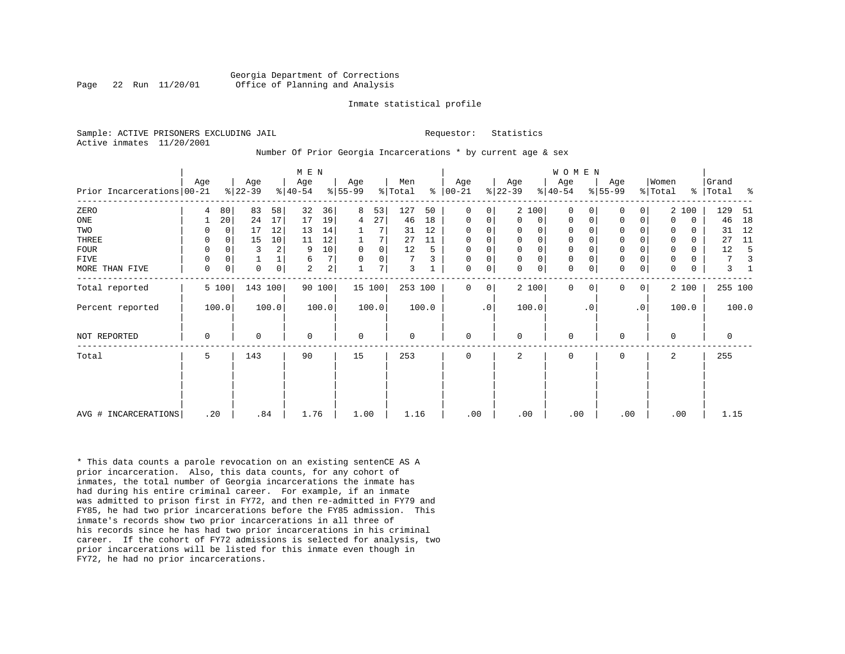#### Georgia Department of Corrections Page 22 Run 11/20/01 Office of Planning and Analysis

#### Inmate statistical profile

Sample: ACTIVE PRISONERS EXCLUDING JAIL **Requestor:** Statistics Active inmates 11/20/2001

#### Number Of Prior Georgia Incarcerations \* by current age & sex

|                            |             |             |                 |             | M E N            |                |                 |                |                |       |                      |                |                  |                | WOMEN            |           |                     |           |                  |             |                |       |
|----------------------------|-------------|-------------|-----------------|-------------|------------------|----------------|-----------------|----------------|----------------|-------|----------------------|----------------|------------------|----------------|------------------|-----------|---------------------|-----------|------------------|-------------|----------------|-------|
| Prior Incarcerations 00-21 | Age         |             | Age<br>$ 22-39$ |             | Age<br>$ 40-54 $ |                | Age<br>$ 55-99$ |                | Men<br>% Total |       | Age<br>$8   00 - 21$ |                | Age<br>$ 22-39 $ |                | Age<br>$8 40-54$ |           | Age<br>$ 55-99 $    |           | Women<br>% Total | ွေ          | Grand<br>Total | ႜ     |
| ZERO                       | 4           | 80          | 83              | 58          | 32               | 36             | 8               | 53             | 127            | 50    | $\Omega$             | $\overline{0}$ |                  | 2 100          | $\Omega$         |           | 0                   | 0         |                  | 2 100       | 129            | 51    |
| ONE                        |             | 20          | 24              | 17          | 17               | 19             | 4               | 27             | 46             | 18    | 0                    | 0              | $\Omega$         | 0 <sup>1</sup> | $\Omega$         | 0         | 0                   | 0         | $\Omega$         | $\mathbf 0$ | 46             | 18    |
| TWO                        | 0           | 0           | 17              | 12          | 13               | 14             |                 |                | 31             | 12    | 0                    | 0              | 0                | 0              | 0                |           | 0                   |           | 0                | 0           | 31             | 12    |
| THREE                      | $\Omega$    | $\mathbf 0$ | 15              | 10          | 11               | 12             |                 | 7              | 27             | 11    | 0                    | 0              | $\mathbf 0$      | 0 <sup>1</sup> | $\mathbf 0$      |           | $\mathbf 0$         | 0         | $\Omega$         | 0           | 27             | 11    |
| <b>FOUR</b>                | 0           | $\Omega$    | 3               |             | 9                | 10             | $\mathbf 0$     | $\overline{0}$ | 12             |       | 0                    | 0              | $\mathbf 0$      | $\mathbf 0$    | 0                |           | $\mathbf 0$         |           | $\mathbf 0$      | 0           | 12             |       |
| <b>FIVE</b>                | 0           | 0           |                 |             | 6                | 7 <sup>1</sup> |                 | 0 <sup>1</sup> | 7              |       | 0                    | 0              | $\Omega$         | 0 <sup>1</sup> | 0                |           | $\mathsf{O}\xspace$ | 0         | $\mathbf 0$      | 0           | 7              |       |
| MORE THAN FIVE             | $\mathbf 0$ | $\mathbf 0$ | $\Omega$        | $\mathbf 0$ | $\overline{a}$   | $\overline{2}$ |                 | 7              | 3              |       | $\mathbf 0$          | 0              | $\Omega$         | 0 <sup>1</sup> | $\mathbf 0$      | 0         | $\mathbf 0$         | 0         | $\Omega$         | $\mathbf 0$ | 3              |       |
| Total reported             |             | 5 100       | 143 100         |             |                  | 90 100         |                 | 15 100         | 253 100        |       | $\Omega$             | $\overline{0}$ |                  | 2 100          | $\Omega$         | $\Omega$  | $\mathbf 0$         | 0         |                  | 2 100       | 255 100        |       |
| Percent reported           |             | 100.0       |                 | 100.0       |                  | 100.0          |                 | 100.0          |                | 100.0 |                      | $\cdot$ 0      |                  | 100.0          |                  | $\cdot$ 0 |                     | $\cdot$ 0 |                  | 100.0       |                | 100.0 |
| NOT REPORTED               | 0           |             | 0               |             | $\mathbf 0$      |                | $\mathbf 0$     |                | $\mathbf 0$    |       | 0                    |                | $\Omega$         |                | $\mathbf 0$      |           | 0                   |           | $\Omega$         |             | 0              |       |
| Total                      | 5           |             | 143             |             | 90               |                | 15              |                | 253            |       | 0                    |                | 2                |                | 0                |           | 0                   |           | 2                |             | 255            |       |
|                            |             |             |                 |             |                  |                |                 |                |                |       |                      |                |                  |                |                  |           |                     |           |                  |             |                |       |
| AVG # INCARCERATIONS       | .20         |             |                 | .84         | 1.76             |                | 1.00            |                | 1.16           |       | .00                  |                | .00              |                | .00              |           | .00                 |           |                  | .00         | 1.15           |       |

\* This data counts a parole revocation on an existing sentenCE AS A prior incarceration. Also, this data counts, for any cohort of inmates, the total number of Georgia incarcerations the inmate has had during his entire criminal career. For example, if an inmate was admitted to prison first in FY72, and then re-admitted in FY79 and FY85, he had two prior incarcerations before the FY85 admission. This inmate's records show two prior incarcerations in all three of his records since he has had two prior incarcerations in his criminal career. If the cohort of FY72 admissions is selected for analysis, two prior incarcerations will be listed for this inmate even though in FY72, he had no prior incarcerations.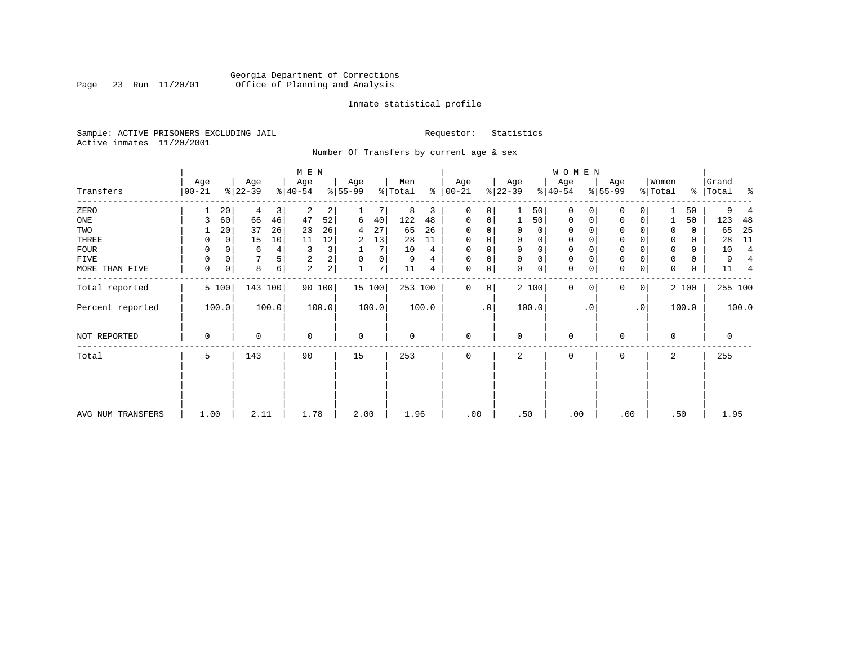# Georgia Department of Corrections<br>Page 23 Run 11/20/01 Office of Planning and Analysis Page 23 Run 11/20/01 Office of Planning and Analysis

## Inmate statistical profile

Sample: ACTIVE PRISONERS EXCLUDING JAIL **Requestor:** Statistics Active inmates 11/20/2001

Number Of Transfers by current age & sex

|                   |                  |          |                  |                | M E N            |                |                 |        |                |       |                 |           |                  |             | W O M E N        |           |                  |             |                  |       |                    |                          |
|-------------------|------------------|----------|------------------|----------------|------------------|----------------|-----------------|--------|----------------|-------|-----------------|-----------|------------------|-------------|------------------|-----------|------------------|-------------|------------------|-------|--------------------|--------------------------|
| Transfers         | Age<br>$00 - 21$ |          | Age<br>$ 22-39 $ |                | Age<br>$ 40-54 $ |                | Age<br>$ 55-99$ |        | Men<br>% Total | ៖     | Age<br>$ 00-21$ |           | Age<br>$ 22-39 $ |             | Age<br>$ 40-54 $ |           | Age<br>$8 55-99$ |             | Women<br>% Total |       | Grand<br>% Total % |                          |
| ZERO              |                  | 20       | 4                | $\overline{3}$ | 2                | 2              |                 |        | 8              | 3     | $\Omega$        | 0         |                  | 50          | $\mathbf 0$      | $\Omega$  | 0                |             |                  | 50    | 9                  |                          |
| ONE               |                  | 60       | 66               | 46             | 47               | 52             | 6               | 40     | 122            | 48    | 0               | 0         |                  | 50          | 0                | 0         | 0                | 0           |                  | 50    | 123                | -48                      |
| TWO               |                  | 20       | 37               | 26             | 23               | 26             | 4               | 27     | 65             | 26    | $\Omega$        |           | 0                | 0           | $\mathbf 0$      | $\Omega$  | $\Omega$         |             | 0                | 0     | 65                 | 25                       |
| THREE             | 0                | 0        | 15               | 10             | 11               | 12             | 2               | 13     | 28             | 11    | $\Omega$        |           | 0                | 0           | $\mathbf 0$      |           | 0                |             |                  | 0     | 28                 | 11                       |
| <b>FOUR</b>       | $\Omega$         | $\Omega$ | 6                | $4\vert$       | 3                | 3              |                 | 7      | 10             | 4     | $\Omega$        |           | $\Omega$         | 0           | $\Omega$         |           | $\Omega$         |             |                  | 0     | 10                 | $\overline{4}$           |
| FIVE              | 0                | 0        |                  | 5              | 2                | 2              | 0               | 0      | 9              | 4     | $\Omega$        | 0         | 0                | 0           | $\mathbf 0$      | $\Omega$  | 0                |             | 0                | 0     | 9                  |                          |
| MORE THAN FIVE    | $\mathbf 0$      | 0        | 8                | $6 \mid$       | $\overline{2}$   | $\overline{2}$ |                 | 7      | 11             | 4     | 0               | 0         | $\mathbf 0$      | $\mathbf 0$ | $\mathbf 0$      | 0         | $\mathbf 0$      | $\mathbf 0$ | 0                | 0     | 11                 | $\overline{\mathcal{L}}$ |
| Total reported    | 5 100            |          | 143 100          |                |                  | 90 100         |                 | 15 100 | 253 100        |       | $\Omega$        | 0         |                  | 2 100       | 0                | 0         | 0                | 0           |                  | 2 100 | 255 100            |                          |
| Percent reported  | 100.0            |          |                  | 100.0          |                  | 100.0          |                 | 100.0  |                | 100.0 |                 | $\cdot$ 0 |                  | 100.0       |                  | $\cdot$ 0 |                  | $\cdot$ 0   |                  | 100.0 |                    | 100.0                    |
| NOT REPORTED      | 0                |          | $\Omega$         |                | $\mathbf 0$      |                | $\mathbf 0$     |        | 0              |       | $\mathbf 0$     |           | $\mathbf 0$      |             | $\mathbf 0$      |           | 0                |             | 0                |       | $\mathbf 0$        |                          |
| Total             | 5                |          | 143              |                | 90               |                | 15              |        | 253            |       | 0               |           | 2                |             | $\mathbf 0$      |           | 0                |             | 2                |       | 255                |                          |
|                   |                  |          |                  |                |                  |                |                 |        |                |       |                 |           |                  |             |                  |           |                  |             |                  |       |                    |                          |
| AVG NUM TRANSFERS | 1.00             |          | 2.11             |                | 1.78             |                | 2.00            |        | 1.96           |       | .00             |           | .50              |             | .00              |           | .00              |             | .50              |       | 1.95               |                          |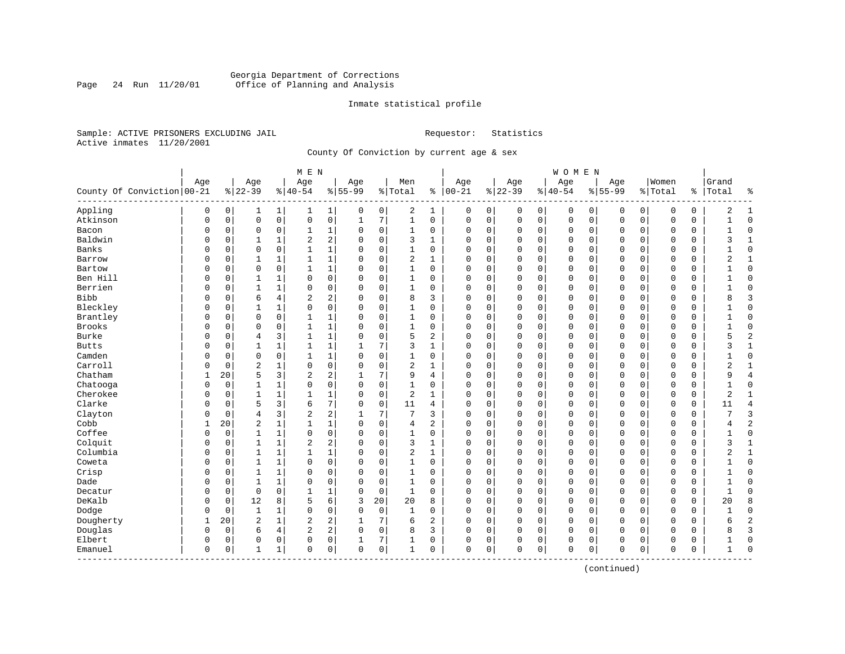# Georgia Department of Corrections Page 24 Run 11/20/01 Office of Planning and Analysis

## Inmate statistical profile

Sample: ACTIVE PRISONERS EXCLUDING JAIL **Requestor:** Statistics Active inmates 11/20/2001

County Of Conviction by current age & sex

| Age<br>Women<br>Age<br>Age<br>Age<br>Men<br>Age<br>Age<br>Age<br>Grand<br>Age<br>County Of Conviction   00-21<br>$ 00-21$<br>$ 22-39$<br>$8 22-39$<br>$8 40-54$<br>$8 55-99$<br>% Total<br>$ 40-54$<br>$8155 - 99$<br>နွ<br>% Total<br>ႜ<br>Total<br>ႜ<br>Appling<br>2<br>$\mathbf 0$<br>0<br>0<br>$\mathbf{1}$<br>1 <br>0<br>0<br>1<br>0<br>0<br>0<br>0<br>2<br>$\mathbf{1}$<br>1<br>0<br>0<br>0<br>0<br>0<br>1<br>$\mathbf 0$<br>$\mathsf{O}\xspace$<br>0<br>7<br>$\mathbf{1}$<br>$\mathbf 0$<br>Atkinson<br>$\mathbf 0$<br>$\mathsf 0$<br>$1\,$<br>$\mathbf 0$<br>0<br>$\mathbf 0$<br>$\Omega$<br>$\mathbf 0$<br>O<br>0<br>$\mathbf{1}$<br>0<br>0<br>0<br>0<br>0<br>1<br>$\mathbf 0$<br>$\mathbf 0$<br>Bacon<br>0<br>$\mathbf 0$<br>0<br>1<br>0<br>1<br>0<br>$\Omega$<br>0<br>0<br>0<br>$\mathbf 0$<br>$\Omega$<br>0<br>$\Omega$<br>0<br>0<br>$\Omega$<br>$\mathbf{1}$<br>2<br>Baldwin<br>2<br>1<br>$\mathbf 0$<br>3<br>0<br>$\Omega$<br>$\Omega$<br>3<br>$\mathbf{1}$<br>0<br>0<br>$\mathbf{1}$<br>$\Omega$<br>$\mathbf{1}$<br>$\Omega$<br>$\Omega$<br>$\Omega$<br>$\mathbf 0$<br>$\Omega$<br>$\mathbf 0$<br>0<br>Banks<br>$\mathbf 1$<br>$\Omega$<br>$\Omega$<br>$\mathbf{1}$<br>$\mathbf 0$<br>$\mathbf{1}$<br>$\Omega$<br>O<br>0<br>$\Omega$<br>$\Omega$<br>$\cap$<br>0<br>$\Omega$<br>$\Omega$<br>$\Omega$<br>$\sqrt{ }$<br>$\Omega$<br>$\Omega$<br>$\Omega$<br>0<br>1<br>$\mathbf 0$<br>$\overline{2}$<br>0<br>$\mathbf 0$<br>2<br>0<br>1<br>1<br>$\mathbf{1}$<br>$\Omega$<br>$\mathbf{1}$<br>$\Omega$<br>$\Omega$<br>$\mathbf 0$<br>$\Omega$<br>0<br>$\Omega$<br>0<br>$\mathbf{1}$<br>Barrow<br>0<br>0<br>$\mathbf 1$<br>$\mathbf 0$<br>$\mathbf 0$<br>$\mathbf{1}$<br>$\mathbf 0$<br>$\mathbf{1}$<br>0<br>$\mathsf 0$<br>$\mathbf 0$<br>$\mathbf 0$<br>Bartow<br>0<br>$\Omega$<br>0<br>$\Omega$<br>0<br>$\Omega$<br>0<br>0<br>0<br>0<br>$\Omega$<br>Ben Hill<br>0<br>$\mathbf 0$<br>$\Omega$<br>0<br>$\mathbf{1}$<br>$\mathbf 0$<br>$\Omega$<br>$\mathbf{1}$<br>$\Omega$<br>$\mathbf 0$<br>$\mathbf 0$<br>$\mathbf 0$<br>$\Omega$<br>$\Omega$<br>0<br>$\mathbf 0$<br>$\mathbf{1}$<br>$\Omega$<br>$\Omega$<br>$\Omega$<br>$\Omega$<br>$\mathbf{1}$<br>Berrien<br>0<br>$\mathbf 0$<br>$\mathbf{1}$<br>$\mathbf{1}$<br>$\Omega$<br>$\Omega$<br>$\mathbf 0$<br>$\mathbf{1}$<br>$\Omega$<br>$\Omega$<br>0<br>$\mathbf 0$<br>$\Omega$<br>$\Omega$<br>$\Omega$<br>O<br>0<br>$\Omega$<br>$\Omega$<br>$\mathbf 0$<br>0<br>1<br>2<br><b>Bibb</b><br>3<br>6<br>4<br>2<br>$\mathbf 0$<br>8<br>3<br>$\mathbf 0$<br>8<br>O<br>0<br>$\Omega$<br>$\Omega$<br>0<br>0<br>$\mathbf 0$<br>$\Omega$<br>$\Omega$<br>$\Omega$<br>0<br>$\Omega$<br>Bleckley<br>0<br>$\mathbf 0$<br>$\mathbf 0$<br>$\mathbf 0$<br>O<br>0<br>$\mathbf{1}$<br>1<br>$\Omega$<br>$\mathbf{1}$<br>0<br>$\Omega$<br>0<br>$\Omega$<br>0<br>$\Omega$<br>$\mathsf{C}$<br>$\Omega$<br>$\Omega$<br>$\mathbf 0$<br>$\Omega$<br>Brantley<br>$\mathbf 0$<br>1<br>$\mathbf 0$<br>$\mathbf 0$<br>0<br>$\mathbf 0$<br>$\mathbf{1}$<br>$\Omega$<br>1<br>0<br>0<br>$\Omega$<br>0<br>$\mathbf 0$<br>$\Omega$<br>0<br>$\Omega$<br>0<br>$\mathbf 0$<br>0<br>$\Omega$<br>1<br>Brooks<br>0<br>1<br>$\mathbf 0$<br>0<br>$\mathbf 0$<br>$\mathbf 0$<br>$\mathbf 0$<br>1<br>0<br>1<br>0<br>$\mathbf 0$<br>0<br>0<br>0<br>C<br>$\Omega$<br>0<br>0<br>0<br>0<br>$\overline{c}$<br>Burke<br>1<br>$\mathbf 0$<br>5<br>3<br>$\mathbf{1}$<br>2<br>0<br>$\Omega$<br>5<br>0<br>0<br>$\overline{4}$<br>$\Omega$<br>$\Omega$<br>$\Omega$<br>$\Omega$<br>$\mathbf 0$<br>$\Omega$<br>$\Omega$<br>$\Omega$<br>0<br>1<br>7<br>3<br>0<br>$\mathbf 0$<br>3<br>$\mathbf{1}$<br><b>Butts</b><br>O<br>0<br>1<br>1<br>$\mathbf{1}$<br>$\mathbf{1}$<br>$\Omega$<br>$\Omega$<br>$\Omega$<br>$\mathbf 0$<br>$\Omega$<br>0<br>$\Omega$<br>0<br>1<br>Camden<br>0<br>1<br>$\mathbf 0$<br>$\mathbf 0$<br>0<br>1<br>$\Omega$<br>1<br>0<br>0<br>0<br>0<br>U<br>0<br>0<br>$\Omega$<br>0<br>0<br>0<br>0<br>0<br>Carroll<br>$\overline{c}$<br>0<br>2<br>O<br>0<br>1<br>0<br>$\Omega$<br>$\mathbf 0$<br>1<br>0<br>0<br>$\Omega$<br>0<br>$\Omega$<br>$\Omega$<br>2<br>$\mathbf{1}$<br>$\Omega$<br>$\Omega$<br>0<br>$\mathsf{C}$<br>Chatham<br>20<br>5<br>3<br>2<br>2<br>7<br>9<br>0<br>$\Omega$<br>$\Omega$<br>$\Omega$<br>$\Omega$<br>9<br>$\overline{4}$<br>1<br>$\Omega$<br>$\Omega$<br>$\Omega$<br>$\Omega$<br>$\Omega$<br>1<br>4<br>0<br>$\mathsf{O}\xspace$<br>0<br>1<br>$\mathbf 0$<br>$\Omega$<br>$\mathbf{1}$<br>0<br>$\mathbf 0$<br>$\Omega$<br>$\mathbf 0$<br>Chatooga<br>O<br>1<br>0<br>0<br>$\mathbf 0$<br>$\Omega$<br>$\Omega$<br>0<br>O<br>$\Omega$<br>Cherokee<br>$\mathsf 0$<br>$\mathbf{1}$<br>$\mathbf{1}$<br>$\mathbf{1}$<br>1<br>$\sqrt{2}$<br>$\mathbf{1}$<br>2<br>$\mathbf{1}$<br>O<br>0<br>$\Omega$<br>$\Omega$<br>0<br>$\Omega$<br>0<br>0<br>$\mathbf 0$<br>$\Omega$<br>0<br>$\Omega$<br>0<br>Clarke<br>7<br>5<br>3<br>$\mathbf 0$<br>11<br>$\overline{4}$<br>O<br>0<br>6<br>$\Omega$<br>$\Omega$<br>0<br>$\Omega$<br>0<br>$\Omega$<br>$\mathbf 0$<br>$\Omega$<br>0<br>$\Omega$<br>0<br>4<br>11<br>3<br>2<br>Clayton<br>7<br>3<br>$\overline{4}$<br>2<br>7<br>3<br>0<br>0<br>$\Omega$<br>O<br>0<br>$\Omega$<br>$\Omega$<br>$\Omega$<br>$\mathbf 0$<br>$\Omega$<br>$\Omega$<br>0<br>1<br>Cobb<br>$\overline{c}$<br>1<br>$\overline{2}$<br>20<br>$\mathbf{1}$<br>$\mathbf{1}$<br>$\Omega$<br>$\mathbf 0$<br>2<br>0<br>$\mathbf 0$<br>$\Omega$<br>$\Omega$<br>4<br>$\Omega$<br>$\Omega$<br>$\Omega$<br>$\mathsf{C}$<br>$\Omega$<br>$\Omega$<br>4<br>Coffee<br>$\mathbf 0$<br>0<br>$\mathbf 0$<br>$\mathbf{1}$<br>0<br>$\mathbf 0$<br>$\Omega$<br>$\Omega$<br>$\mathbf 0$<br>$\mathbf 0$<br>0<br>1<br>1<br>$\Omega$<br>0<br>$\Omega$<br>$\Omega$<br>$\Omega$<br>$\mathbf 0$<br>0<br>$\mathbf{1}$<br>U<br>Colquit<br>2<br>$1\,$<br>$\sqrt{2}$<br>$\mathbf 0$<br>3<br>0<br>$\mathbf 0$<br>$\mathbf 0$<br>$\mathbf{1}$<br>0<br>1<br>$\Omega$<br>1<br>$\mathbf 0$<br>0<br>0<br>0<br>3<br>0<br>O<br>$\Omega$<br>0<br>Columbia<br>$\mathbf{1}$<br>$\mathbf{1}$<br>$\mathbf 1$<br>$\mathbf 0$<br>$\overline{2}$<br>$\mathbf{1}$<br>2<br>$\mathbf{1}$<br>0<br>0<br>1<br>$\Omega$<br>0<br>0<br>0<br>$\Omega$<br>0<br>O<br>0<br>C<br>$\Omega$<br>0<br>Coweta<br>0<br>$\mathbf 0$<br>0<br>1<br>1<br>0<br>$\Omega$<br>0<br>1<br>0<br>$\Omega$<br>0<br>0<br>$\Omega$<br>$\Omega$<br>0<br>$\Omega$<br>0<br>$\Omega$<br>0<br>0<br>1<br>Crisp<br>$\mathbf{1}$<br>0<br>$\mathbf 0$<br>$\mathbf 0$<br>O<br>0<br>$\mathbf{1}$<br>$\Omega$<br>$\Omega$<br>1<br>$\Omega$<br>$\Omega$<br>0<br>$\Omega$<br>0<br>0<br>$\Omega$<br>$\Omega$<br>0<br>$\Omega$<br>0<br>Dade<br>$\mathbf{1}$<br>0<br>$\mathbf 0$<br>$\mathbf{1}$<br>$\mathbf 0$<br>$\mathbf 0$<br>0<br>0<br>$\mathbf{1}$<br>$\Omega$<br>$\Omega$<br>$\Omega$<br>$\Omega$<br>0<br>$\Omega$<br>$\Omega$<br>$\mathbf 0$<br>$\Omega$<br>$\Omega$<br>$\Omega$<br>$\Omega$<br>$\mathbf 0$<br>1<br>$\mathbf{1}$<br>Decatur<br>0<br>0<br>$\mathbf{1}$<br>0<br>0<br>$\Omega$<br>0<br>0<br>$\Omega$<br>$\Omega$<br>$\Omega$<br>0<br>$\Omega$<br>0<br>$\Omega$<br>$\Omega$<br>0<br>0<br>1<br>DeKalb<br>6<br>12<br>8<br>5<br>3<br>20<br>8<br>0<br>20<br>8<br>0<br>0<br>0<br>0<br>20<br>0<br>0<br>$\Omega$<br>0<br>0<br>0<br>0<br>0<br>$\mathbf 0$<br>$\mathbf 0$<br>Dodge<br>0<br>0<br>$\mathbf{1}$<br>$\mathbf{1}$<br>$\mathbf 0$<br>$\Omega$<br>$\mathbf{1}$<br>$\Omega$<br>$\mathbf 0$<br>$\mathbf 0$<br>$\mathbf 0$<br>$\Omega$<br>$\Omega$<br>$\Omega$<br>0<br>$\Omega$<br>$\Omega$<br>$\Omega$<br>$\overline{2}$<br>$\sqrt{2}$<br>2<br>$\overline{7}$<br>$\mathbf{2}$<br>$\overline{c}$<br>Dougherty<br>20<br>$\mathbf{1}$<br>6<br>$\mathbf{1}$<br>1<br>$\Omega$<br>0<br>$\Omega$<br>0<br>$\Omega$<br>$\mathbf 0$<br>$\Omega$<br>$\Omega$<br>$\Omega$<br>0<br>б<br>Douglas<br>2<br>4<br>2<br>$\mathbf 0$<br>8<br>3<br>3<br>0<br>0<br>6<br>$\Omega$<br>$\Omega$<br>0<br>0<br>0<br>0<br>$\Omega$<br>0<br>$\Omega$<br>8<br>$\Omega$<br>0<br>Elbert<br>0<br>7<br>0<br>1<br>0<br>0<br>0<br>0<br>0<br>0<br>0<br>0<br>0<br>0<br>0<br>$\Omega$<br>0<br>0<br>$\Omega$<br>$\Omega$<br>$\mathbf 0$<br>0<br>0<br>$\mathbf 1$<br>0<br>0<br>0<br>1<br>0<br>0<br>0<br>$\Omega$<br>0<br>$\bigcap$<br>Emanuel<br>0<br>1<br>0<br>$\Omega$<br>0<br>$\Omega$<br>0<br>1<br>---------- |  |  | M E N |  |  |  |  | WOMEN |  |  |  |  |
|--------------------------------------------------------------------------------------------------------------------------------------------------------------------------------------------------------------------------------------------------------------------------------------------------------------------------------------------------------------------------------------------------------------------------------------------------------------------------------------------------------------------------------------------------------------------------------------------------------------------------------------------------------------------------------------------------------------------------------------------------------------------------------------------------------------------------------------------------------------------------------------------------------------------------------------------------------------------------------------------------------------------------------------------------------------------------------------------------------------------------------------------------------------------------------------------------------------------------------------------------------------------------------------------------------------------------------------------------------------------------------------------------------------------------------------------------------------------------------------------------------------------------------------------------------------------------------------------------------------------------------------------------------------------------------------------------------------------------------------------------------------------------------------------------------------------------------------------------------------------------------------------------------------------------------------------------------------------------------------------------------------------------------------------------------------------------------------------------------------------------------------------------------------------------------------------------------------------------------------------------------------------------------------------------------------------------------------------------------------------------------------------------------------------------------------------------------------------------------------------------------------------------------------------------------------------------------------------------------------------------------------------------------------------------------------------------------------------------------------------------------------------------------------------------------------------------------------------------------------------------------------------------------------------------------------------------------------------------------------------------------------------------------------------------------------------------------------------------------------------------------------------------------------------------------------------------------------------------------------------------------------------------------------------------------------------------------------------------------------------------------------------------------------------------------------------------------------------------------------------------------------------------------------------------------------------------------------------------------------------------------------------------------------------------------------------------------------------------------------------------------------------------------------------------------------------------------------------------------------------------------------------------------------------------------------------------------------------------------------------------------------------------------------------------------------------------------------------------------------------------------------------------------------------------------------------------------------------------------------------------------------------------------------------------------------------------------------------------------------------------------------------------------------------------------------------------------------------------------------------------------------------------------------------------------------------------------------------------------------------------------------------------------------------------------------------------------------------------------------------------------------------------------------------------------------------------------------------------------------------------------------------------------------------------------------------------------------------------------------------------------------------------------------------------------------------------------------------------------------------------------------------------------------------------------------------------------------------------------------------------------------------------------------------------------------------------------------------------------------------------------------------------------------------------------------------------------------------------------------------------------------------------------------------------------------------------------------------------------------------------------------------------------------------------------------------------------------------------------------------------------------------------------------------------------------------------------------------------------------------------------------------------------------------------------------------------------------------------------------------------------------------------------------------------------------------------------------------------------------------------------------------------------------------------------------------------------------------------------------------------------------------------------------------------------------------------------------------------------------------------------------------------------------------------------------------------------------------------------------------------------------------------------------------------------------------------------------------------------------------------------------------------------------------------------------------------------------------------------------------------------------------------------------------------------------------------------------------------------------------------------------------------------------------------------------------------------------------------------------------------------------------------------------------------------------------------------------------------------------------------------------------------------------------------------------------------------------------------------------------------------------------------------------------------------------------------------------------------------------------------------------------------------------------------------------------------------------------------------------------------------------------------------------------------------------------------------------------------------------------------------------------------------------------------------------------------------------------------------------------------------------------------------------------------------------------------------------------------------------------------------------------------------------------------------------------------------------------------------------------------------------------------------------------------------------------------------------------------------------------------------------------------------------------------------------------------------------------------|--|--|-------|--|--|--|--|-------|--|--|--|--|
|                                                                                                                                                                                                                                                                                                                                                                                                                                                                                                                                                                                                                                                                                                                                                                                                                                                                                                                                                                                                                                                                                                                                                                                                                                                                                                                                                                                                                                                                                                                                                                                                                                                                                                                                                                                                                                                                                                                                                                                                                                                                                                                                                                                                                                                                                                                                                                                                                                                                                                                                                                                                                                                                                                                                                                                                                                                                                                                                                                                                                                                                                                                                                                                                                                                                                                                                                                                                                                                                                                                                                                                                                                                                                                                                                                                                                                                                                                                                                                                                                                                                                                                                                                                                                                                                                                                                                                                                                                                                                                                                                                                                                                                                                                                                                                                                                                                                                                                                                                                                                                                                                                                                                                                                                                                                                                                                                                                                                                                                                                                                                                                                                                                                                                                                                                                                                                                                                                                                                                                                                                                                                                                                                                                                                                                                                                                                                                                                                                                                                                                                                                                                                                                                                                                                                                                                                                                                                                                                                                                                                                                                                                                                                                                                                                                                                                                                                                                                                                                                                                                                                                                                                                                                                                                                                                                                                                                                                                                                                                                                                                                                                                                                                                                                                          |  |  |       |  |  |  |  |       |  |  |  |  |
|                                                                                                                                                                                                                                                                                                                                                                                                                                                                                                                                                                                                                                                                                                                                                                                                                                                                                                                                                                                                                                                                                                                                                                                                                                                                                                                                                                                                                                                                                                                                                                                                                                                                                                                                                                                                                                                                                                                                                                                                                                                                                                                                                                                                                                                                                                                                                                                                                                                                                                                                                                                                                                                                                                                                                                                                                                                                                                                                                                                                                                                                                                                                                                                                                                                                                                                                                                                                                                                                                                                                                                                                                                                                                                                                                                                                                                                                                                                                                                                                                                                                                                                                                                                                                                                                                                                                                                                                                                                                                                                                                                                                                                                                                                                                                                                                                                                                                                                                                                                                                                                                                                                                                                                                                                                                                                                                                                                                                                                                                                                                                                                                                                                                                                                                                                                                                                                                                                                                                                                                                                                                                                                                                                                                                                                                                                                                                                                                                                                                                                                                                                                                                                                                                                                                                                                                                                                                                                                                                                                                                                                                                                                                                                                                                                                                                                                                                                                                                                                                                                                                                                                                                                                                                                                                                                                                                                                                                                                                                                                                                                                                                                                                                                                                                          |  |  |       |  |  |  |  |       |  |  |  |  |
|                                                                                                                                                                                                                                                                                                                                                                                                                                                                                                                                                                                                                                                                                                                                                                                                                                                                                                                                                                                                                                                                                                                                                                                                                                                                                                                                                                                                                                                                                                                                                                                                                                                                                                                                                                                                                                                                                                                                                                                                                                                                                                                                                                                                                                                                                                                                                                                                                                                                                                                                                                                                                                                                                                                                                                                                                                                                                                                                                                                                                                                                                                                                                                                                                                                                                                                                                                                                                                                                                                                                                                                                                                                                                                                                                                                                                                                                                                                                                                                                                                                                                                                                                                                                                                                                                                                                                                                                                                                                                                                                                                                                                                                                                                                                                                                                                                                                                                                                                                                                                                                                                                                                                                                                                                                                                                                                                                                                                                                                                                                                                                                                                                                                                                                                                                                                                                                                                                                                                                                                                                                                                                                                                                                                                                                                                                                                                                                                                                                                                                                                                                                                                                                                                                                                                                                                                                                                                                                                                                                                                                                                                                                                                                                                                                                                                                                                                                                                                                                                                                                                                                                                                                                                                                                                                                                                                                                                                                                                                                                                                                                                                                                                                                                                                          |  |  |       |  |  |  |  |       |  |  |  |  |
|                                                                                                                                                                                                                                                                                                                                                                                                                                                                                                                                                                                                                                                                                                                                                                                                                                                                                                                                                                                                                                                                                                                                                                                                                                                                                                                                                                                                                                                                                                                                                                                                                                                                                                                                                                                                                                                                                                                                                                                                                                                                                                                                                                                                                                                                                                                                                                                                                                                                                                                                                                                                                                                                                                                                                                                                                                                                                                                                                                                                                                                                                                                                                                                                                                                                                                                                                                                                                                                                                                                                                                                                                                                                                                                                                                                                                                                                                                                                                                                                                                                                                                                                                                                                                                                                                                                                                                                                                                                                                                                                                                                                                                                                                                                                                                                                                                                                                                                                                                                                                                                                                                                                                                                                                                                                                                                                                                                                                                                                                                                                                                                                                                                                                                                                                                                                                                                                                                                                                                                                                                                                                                                                                                                                                                                                                                                                                                                                                                                                                                                                                                                                                                                                                                                                                                                                                                                                                                                                                                                                                                                                                                                                                                                                                                                                                                                                                                                                                                                                                                                                                                                                                                                                                                                                                                                                                                                                                                                                                                                                                                                                                                                                                                                                                          |  |  |       |  |  |  |  |       |  |  |  |  |
|                                                                                                                                                                                                                                                                                                                                                                                                                                                                                                                                                                                                                                                                                                                                                                                                                                                                                                                                                                                                                                                                                                                                                                                                                                                                                                                                                                                                                                                                                                                                                                                                                                                                                                                                                                                                                                                                                                                                                                                                                                                                                                                                                                                                                                                                                                                                                                                                                                                                                                                                                                                                                                                                                                                                                                                                                                                                                                                                                                                                                                                                                                                                                                                                                                                                                                                                                                                                                                                                                                                                                                                                                                                                                                                                                                                                                                                                                                                                                                                                                                                                                                                                                                                                                                                                                                                                                                                                                                                                                                                                                                                                                                                                                                                                                                                                                                                                                                                                                                                                                                                                                                                                                                                                                                                                                                                                                                                                                                                                                                                                                                                                                                                                                                                                                                                                                                                                                                                                                                                                                                                                                                                                                                                                                                                                                                                                                                                                                                                                                                                                                                                                                                                                                                                                                                                                                                                                                                                                                                                                                                                                                                                                                                                                                                                                                                                                                                                                                                                                                                                                                                                                                                                                                                                                                                                                                                                                                                                                                                                                                                                                                                                                                                                                                          |  |  |       |  |  |  |  |       |  |  |  |  |
|                                                                                                                                                                                                                                                                                                                                                                                                                                                                                                                                                                                                                                                                                                                                                                                                                                                                                                                                                                                                                                                                                                                                                                                                                                                                                                                                                                                                                                                                                                                                                                                                                                                                                                                                                                                                                                                                                                                                                                                                                                                                                                                                                                                                                                                                                                                                                                                                                                                                                                                                                                                                                                                                                                                                                                                                                                                                                                                                                                                                                                                                                                                                                                                                                                                                                                                                                                                                                                                                                                                                                                                                                                                                                                                                                                                                                                                                                                                                                                                                                                                                                                                                                                                                                                                                                                                                                                                                                                                                                                                                                                                                                                                                                                                                                                                                                                                                                                                                                                                                                                                                                                                                                                                                                                                                                                                                                                                                                                                                                                                                                                                                                                                                                                                                                                                                                                                                                                                                                                                                                                                                                                                                                                                                                                                                                                                                                                                                                                                                                                                                                                                                                                                                                                                                                                                                                                                                                                                                                                                                                                                                                                                                                                                                                                                                                                                                                                                                                                                                                                                                                                                                                                                                                                                                                                                                                                                                                                                                                                                                                                                                                                                                                                                                                          |  |  |       |  |  |  |  |       |  |  |  |  |
|                                                                                                                                                                                                                                                                                                                                                                                                                                                                                                                                                                                                                                                                                                                                                                                                                                                                                                                                                                                                                                                                                                                                                                                                                                                                                                                                                                                                                                                                                                                                                                                                                                                                                                                                                                                                                                                                                                                                                                                                                                                                                                                                                                                                                                                                                                                                                                                                                                                                                                                                                                                                                                                                                                                                                                                                                                                                                                                                                                                                                                                                                                                                                                                                                                                                                                                                                                                                                                                                                                                                                                                                                                                                                                                                                                                                                                                                                                                                                                                                                                                                                                                                                                                                                                                                                                                                                                                                                                                                                                                                                                                                                                                                                                                                                                                                                                                                                                                                                                                                                                                                                                                                                                                                                                                                                                                                                                                                                                                                                                                                                                                                                                                                                                                                                                                                                                                                                                                                                                                                                                                                                                                                                                                                                                                                                                                                                                                                                                                                                                                                                                                                                                                                                                                                                                                                                                                                                                                                                                                                                                                                                                                                                                                                                                                                                                                                                                                                                                                                                                                                                                                                                                                                                                                                                                                                                                                                                                                                                                                                                                                                                                                                                                                                                          |  |  |       |  |  |  |  |       |  |  |  |  |
|                                                                                                                                                                                                                                                                                                                                                                                                                                                                                                                                                                                                                                                                                                                                                                                                                                                                                                                                                                                                                                                                                                                                                                                                                                                                                                                                                                                                                                                                                                                                                                                                                                                                                                                                                                                                                                                                                                                                                                                                                                                                                                                                                                                                                                                                                                                                                                                                                                                                                                                                                                                                                                                                                                                                                                                                                                                                                                                                                                                                                                                                                                                                                                                                                                                                                                                                                                                                                                                                                                                                                                                                                                                                                                                                                                                                                                                                                                                                                                                                                                                                                                                                                                                                                                                                                                                                                                                                                                                                                                                                                                                                                                                                                                                                                                                                                                                                                                                                                                                                                                                                                                                                                                                                                                                                                                                                                                                                                                                                                                                                                                                                                                                                                                                                                                                                                                                                                                                                                                                                                                                                                                                                                                                                                                                                                                                                                                                                                                                                                                                                                                                                                                                                                                                                                                                                                                                                                                                                                                                                                                                                                                                                                                                                                                                                                                                                                                                                                                                                                                                                                                                                                                                                                                                                                                                                                                                                                                                                                                                                                                                                                                                                                                                                                          |  |  |       |  |  |  |  |       |  |  |  |  |
|                                                                                                                                                                                                                                                                                                                                                                                                                                                                                                                                                                                                                                                                                                                                                                                                                                                                                                                                                                                                                                                                                                                                                                                                                                                                                                                                                                                                                                                                                                                                                                                                                                                                                                                                                                                                                                                                                                                                                                                                                                                                                                                                                                                                                                                                                                                                                                                                                                                                                                                                                                                                                                                                                                                                                                                                                                                                                                                                                                                                                                                                                                                                                                                                                                                                                                                                                                                                                                                                                                                                                                                                                                                                                                                                                                                                                                                                                                                                                                                                                                                                                                                                                                                                                                                                                                                                                                                                                                                                                                                                                                                                                                                                                                                                                                                                                                                                                                                                                                                                                                                                                                                                                                                                                                                                                                                                                                                                                                                                                                                                                                                                                                                                                                                                                                                                                                                                                                                                                                                                                                                                                                                                                                                                                                                                                                                                                                                                                                                                                                                                                                                                                                                                                                                                                                                                                                                                                                                                                                                                                                                                                                                                                                                                                                                                                                                                                                                                                                                                                                                                                                                                                                                                                                                                                                                                                                                                                                                                                                                                                                                                                                                                                                                                                          |  |  |       |  |  |  |  |       |  |  |  |  |
|                                                                                                                                                                                                                                                                                                                                                                                                                                                                                                                                                                                                                                                                                                                                                                                                                                                                                                                                                                                                                                                                                                                                                                                                                                                                                                                                                                                                                                                                                                                                                                                                                                                                                                                                                                                                                                                                                                                                                                                                                                                                                                                                                                                                                                                                                                                                                                                                                                                                                                                                                                                                                                                                                                                                                                                                                                                                                                                                                                                                                                                                                                                                                                                                                                                                                                                                                                                                                                                                                                                                                                                                                                                                                                                                                                                                                                                                                                                                                                                                                                                                                                                                                                                                                                                                                                                                                                                                                                                                                                                                                                                                                                                                                                                                                                                                                                                                                                                                                                                                                                                                                                                                                                                                                                                                                                                                                                                                                                                                                                                                                                                                                                                                                                                                                                                                                                                                                                                                                                                                                                                                                                                                                                                                                                                                                                                                                                                                                                                                                                                                                                                                                                                                                                                                                                                                                                                                                                                                                                                                                                                                                                                                                                                                                                                                                                                                                                                                                                                                                                                                                                                                                                                                                                                                                                                                                                                                                                                                                                                                                                                                                                                                                                                                                          |  |  |       |  |  |  |  |       |  |  |  |  |
|                                                                                                                                                                                                                                                                                                                                                                                                                                                                                                                                                                                                                                                                                                                                                                                                                                                                                                                                                                                                                                                                                                                                                                                                                                                                                                                                                                                                                                                                                                                                                                                                                                                                                                                                                                                                                                                                                                                                                                                                                                                                                                                                                                                                                                                                                                                                                                                                                                                                                                                                                                                                                                                                                                                                                                                                                                                                                                                                                                                                                                                                                                                                                                                                                                                                                                                                                                                                                                                                                                                                                                                                                                                                                                                                                                                                                                                                                                                                                                                                                                                                                                                                                                                                                                                                                                                                                                                                                                                                                                                                                                                                                                                                                                                                                                                                                                                                                                                                                                                                                                                                                                                                                                                                                                                                                                                                                                                                                                                                                                                                                                                                                                                                                                                                                                                                                                                                                                                                                                                                                                                                                                                                                                                                                                                                                                                                                                                                                                                                                                                                                                                                                                                                                                                                                                                                                                                                                                                                                                                                                                                                                                                                                                                                                                                                                                                                                                                                                                                                                                                                                                                                                                                                                                                                                                                                                                                                                                                                                                                                                                                                                                                                                                                                                          |  |  |       |  |  |  |  |       |  |  |  |  |
|                                                                                                                                                                                                                                                                                                                                                                                                                                                                                                                                                                                                                                                                                                                                                                                                                                                                                                                                                                                                                                                                                                                                                                                                                                                                                                                                                                                                                                                                                                                                                                                                                                                                                                                                                                                                                                                                                                                                                                                                                                                                                                                                                                                                                                                                                                                                                                                                                                                                                                                                                                                                                                                                                                                                                                                                                                                                                                                                                                                                                                                                                                                                                                                                                                                                                                                                                                                                                                                                                                                                                                                                                                                                                                                                                                                                                                                                                                                                                                                                                                                                                                                                                                                                                                                                                                                                                                                                                                                                                                                                                                                                                                                                                                                                                                                                                                                                                                                                                                                                                                                                                                                                                                                                                                                                                                                                                                                                                                                                                                                                                                                                                                                                                                                                                                                                                                                                                                                                                                                                                                                                                                                                                                                                                                                                                                                                                                                                                                                                                                                                                                                                                                                                                                                                                                                                                                                                                                                                                                                                                                                                                                                                                                                                                                                                                                                                                                                                                                                                                                                                                                                                                                                                                                                                                                                                                                                                                                                                                                                                                                                                                                                                                                                                                          |  |  |       |  |  |  |  |       |  |  |  |  |
|                                                                                                                                                                                                                                                                                                                                                                                                                                                                                                                                                                                                                                                                                                                                                                                                                                                                                                                                                                                                                                                                                                                                                                                                                                                                                                                                                                                                                                                                                                                                                                                                                                                                                                                                                                                                                                                                                                                                                                                                                                                                                                                                                                                                                                                                                                                                                                                                                                                                                                                                                                                                                                                                                                                                                                                                                                                                                                                                                                                                                                                                                                                                                                                                                                                                                                                                                                                                                                                                                                                                                                                                                                                                                                                                                                                                                                                                                                                                                                                                                                                                                                                                                                                                                                                                                                                                                                                                                                                                                                                                                                                                                                                                                                                                                                                                                                                                                                                                                                                                                                                                                                                                                                                                                                                                                                                                                                                                                                                                                                                                                                                                                                                                                                                                                                                                                                                                                                                                                                                                                                                                                                                                                                                                                                                                                                                                                                                                                                                                                                                                                                                                                                                                                                                                                                                                                                                                                                                                                                                                                                                                                                                                                                                                                                                                                                                                                                                                                                                                                                                                                                                                                                                                                                                                                                                                                                                                                                                                                                                                                                                                                                                                                                                                                          |  |  |       |  |  |  |  |       |  |  |  |  |
|                                                                                                                                                                                                                                                                                                                                                                                                                                                                                                                                                                                                                                                                                                                                                                                                                                                                                                                                                                                                                                                                                                                                                                                                                                                                                                                                                                                                                                                                                                                                                                                                                                                                                                                                                                                                                                                                                                                                                                                                                                                                                                                                                                                                                                                                                                                                                                                                                                                                                                                                                                                                                                                                                                                                                                                                                                                                                                                                                                                                                                                                                                                                                                                                                                                                                                                                                                                                                                                                                                                                                                                                                                                                                                                                                                                                                                                                                                                                                                                                                                                                                                                                                                                                                                                                                                                                                                                                                                                                                                                                                                                                                                                                                                                                                                                                                                                                                                                                                                                                                                                                                                                                                                                                                                                                                                                                                                                                                                                                                                                                                                                                                                                                                                                                                                                                                                                                                                                                                                                                                                                                                                                                                                                                                                                                                                                                                                                                                                                                                                                                                                                                                                                                                                                                                                                                                                                                                                                                                                                                                                                                                                                                                                                                                                                                                                                                                                                                                                                                                                                                                                                                                                                                                                                                                                                                                                                                                                                                                                                                                                                                                                                                                                                                                          |  |  |       |  |  |  |  |       |  |  |  |  |
|                                                                                                                                                                                                                                                                                                                                                                                                                                                                                                                                                                                                                                                                                                                                                                                                                                                                                                                                                                                                                                                                                                                                                                                                                                                                                                                                                                                                                                                                                                                                                                                                                                                                                                                                                                                                                                                                                                                                                                                                                                                                                                                                                                                                                                                                                                                                                                                                                                                                                                                                                                                                                                                                                                                                                                                                                                                                                                                                                                                                                                                                                                                                                                                                                                                                                                                                                                                                                                                                                                                                                                                                                                                                                                                                                                                                                                                                                                                                                                                                                                                                                                                                                                                                                                                                                                                                                                                                                                                                                                                                                                                                                                                                                                                                                                                                                                                                                                                                                                                                                                                                                                                                                                                                                                                                                                                                                                                                                                                                                                                                                                                                                                                                                                                                                                                                                                                                                                                                                                                                                                                                                                                                                                                                                                                                                                                                                                                                                                                                                                                                                                                                                                                                                                                                                                                                                                                                                                                                                                                                                                                                                                                                                                                                                                                                                                                                                                                                                                                                                                                                                                                                                                                                                                                                                                                                                                                                                                                                                                                                                                                                                                                                                                                                                          |  |  |       |  |  |  |  |       |  |  |  |  |
|                                                                                                                                                                                                                                                                                                                                                                                                                                                                                                                                                                                                                                                                                                                                                                                                                                                                                                                                                                                                                                                                                                                                                                                                                                                                                                                                                                                                                                                                                                                                                                                                                                                                                                                                                                                                                                                                                                                                                                                                                                                                                                                                                                                                                                                                                                                                                                                                                                                                                                                                                                                                                                                                                                                                                                                                                                                                                                                                                                                                                                                                                                                                                                                                                                                                                                                                                                                                                                                                                                                                                                                                                                                                                                                                                                                                                                                                                                                                                                                                                                                                                                                                                                                                                                                                                                                                                                                                                                                                                                                                                                                                                                                                                                                                                                                                                                                                                                                                                                                                                                                                                                                                                                                                                                                                                                                                                                                                                                                                                                                                                                                                                                                                                                                                                                                                                                                                                                                                                                                                                                                                                                                                                                                                                                                                                                                                                                                                                                                                                                                                                                                                                                                                                                                                                                                                                                                                                                                                                                                                                                                                                                                                                                                                                                                                                                                                                                                                                                                                                                                                                                                                                                                                                                                                                                                                                                                                                                                                                                                                                                                                                                                                                                                                                          |  |  |       |  |  |  |  |       |  |  |  |  |
|                                                                                                                                                                                                                                                                                                                                                                                                                                                                                                                                                                                                                                                                                                                                                                                                                                                                                                                                                                                                                                                                                                                                                                                                                                                                                                                                                                                                                                                                                                                                                                                                                                                                                                                                                                                                                                                                                                                                                                                                                                                                                                                                                                                                                                                                                                                                                                                                                                                                                                                                                                                                                                                                                                                                                                                                                                                                                                                                                                                                                                                                                                                                                                                                                                                                                                                                                                                                                                                                                                                                                                                                                                                                                                                                                                                                                                                                                                                                                                                                                                                                                                                                                                                                                                                                                                                                                                                                                                                                                                                                                                                                                                                                                                                                                                                                                                                                                                                                                                                                                                                                                                                                                                                                                                                                                                                                                                                                                                                                                                                                                                                                                                                                                                                                                                                                                                                                                                                                                                                                                                                                                                                                                                                                                                                                                                                                                                                                                                                                                                                                                                                                                                                                                                                                                                                                                                                                                                                                                                                                                                                                                                                                                                                                                                                                                                                                                                                                                                                                                                                                                                                                                                                                                                                                                                                                                                                                                                                                                                                                                                                                                                                                                                                                                          |  |  |       |  |  |  |  |       |  |  |  |  |
|                                                                                                                                                                                                                                                                                                                                                                                                                                                                                                                                                                                                                                                                                                                                                                                                                                                                                                                                                                                                                                                                                                                                                                                                                                                                                                                                                                                                                                                                                                                                                                                                                                                                                                                                                                                                                                                                                                                                                                                                                                                                                                                                                                                                                                                                                                                                                                                                                                                                                                                                                                                                                                                                                                                                                                                                                                                                                                                                                                                                                                                                                                                                                                                                                                                                                                                                                                                                                                                                                                                                                                                                                                                                                                                                                                                                                                                                                                                                                                                                                                                                                                                                                                                                                                                                                                                                                                                                                                                                                                                                                                                                                                                                                                                                                                                                                                                                                                                                                                                                                                                                                                                                                                                                                                                                                                                                                                                                                                                                                                                                                                                                                                                                                                                                                                                                                                                                                                                                                                                                                                                                                                                                                                                                                                                                                                                                                                                                                                                                                                                                                                                                                                                                                                                                                                                                                                                                                                                                                                                                                                                                                                                                                                                                                                                                                                                                                                                                                                                                                                                                                                                                                                                                                                                                                                                                                                                                                                                                                                                                                                                                                                                                                                                                                          |  |  |       |  |  |  |  |       |  |  |  |  |
|                                                                                                                                                                                                                                                                                                                                                                                                                                                                                                                                                                                                                                                                                                                                                                                                                                                                                                                                                                                                                                                                                                                                                                                                                                                                                                                                                                                                                                                                                                                                                                                                                                                                                                                                                                                                                                                                                                                                                                                                                                                                                                                                                                                                                                                                                                                                                                                                                                                                                                                                                                                                                                                                                                                                                                                                                                                                                                                                                                                                                                                                                                                                                                                                                                                                                                                                                                                                                                                                                                                                                                                                                                                                                                                                                                                                                                                                                                                                                                                                                                                                                                                                                                                                                                                                                                                                                                                                                                                                                                                                                                                                                                                                                                                                                                                                                                                                                                                                                                                                                                                                                                                                                                                                                                                                                                                                                                                                                                                                                                                                                                                                                                                                                                                                                                                                                                                                                                                                                                                                                                                                                                                                                                                                                                                                                                                                                                                                                                                                                                                                                                                                                                                                                                                                                                                                                                                                                                                                                                                                                                                                                                                                                                                                                                                                                                                                                                                                                                                                                                                                                                                                                                                                                                                                                                                                                                                                                                                                                                                                                                                                                                                                                                                                                          |  |  |       |  |  |  |  |       |  |  |  |  |
|                                                                                                                                                                                                                                                                                                                                                                                                                                                                                                                                                                                                                                                                                                                                                                                                                                                                                                                                                                                                                                                                                                                                                                                                                                                                                                                                                                                                                                                                                                                                                                                                                                                                                                                                                                                                                                                                                                                                                                                                                                                                                                                                                                                                                                                                                                                                                                                                                                                                                                                                                                                                                                                                                                                                                                                                                                                                                                                                                                                                                                                                                                                                                                                                                                                                                                                                                                                                                                                                                                                                                                                                                                                                                                                                                                                                                                                                                                                                                                                                                                                                                                                                                                                                                                                                                                                                                                                                                                                                                                                                                                                                                                                                                                                                                                                                                                                                                                                                                                                                                                                                                                                                                                                                                                                                                                                                                                                                                                                                                                                                                                                                                                                                                                                                                                                                                                                                                                                                                                                                                                                                                                                                                                                                                                                                                                                                                                                                                                                                                                                                                                                                                                                                                                                                                                                                                                                                                                                                                                                                                                                                                                                                                                                                                                                                                                                                                                                                                                                                                                                                                                                                                                                                                                                                                                                                                                                                                                                                                                                                                                                                                                                                                                                                                          |  |  |       |  |  |  |  |       |  |  |  |  |
|                                                                                                                                                                                                                                                                                                                                                                                                                                                                                                                                                                                                                                                                                                                                                                                                                                                                                                                                                                                                                                                                                                                                                                                                                                                                                                                                                                                                                                                                                                                                                                                                                                                                                                                                                                                                                                                                                                                                                                                                                                                                                                                                                                                                                                                                                                                                                                                                                                                                                                                                                                                                                                                                                                                                                                                                                                                                                                                                                                                                                                                                                                                                                                                                                                                                                                                                                                                                                                                                                                                                                                                                                                                                                                                                                                                                                                                                                                                                                                                                                                                                                                                                                                                                                                                                                                                                                                                                                                                                                                                                                                                                                                                                                                                                                                                                                                                                                                                                                                                                                                                                                                                                                                                                                                                                                                                                                                                                                                                                                                                                                                                                                                                                                                                                                                                                                                                                                                                                                                                                                                                                                                                                                                                                                                                                                                                                                                                                                                                                                                                                                                                                                                                                                                                                                                                                                                                                                                                                                                                                                                                                                                                                                                                                                                                                                                                                                                                                                                                                                                                                                                                                                                                                                                                                                                                                                                                                                                                                                                                                                                                                                                                                                                                                                          |  |  |       |  |  |  |  |       |  |  |  |  |
|                                                                                                                                                                                                                                                                                                                                                                                                                                                                                                                                                                                                                                                                                                                                                                                                                                                                                                                                                                                                                                                                                                                                                                                                                                                                                                                                                                                                                                                                                                                                                                                                                                                                                                                                                                                                                                                                                                                                                                                                                                                                                                                                                                                                                                                                                                                                                                                                                                                                                                                                                                                                                                                                                                                                                                                                                                                                                                                                                                                                                                                                                                                                                                                                                                                                                                                                                                                                                                                                                                                                                                                                                                                                                                                                                                                                                                                                                                                                                                                                                                                                                                                                                                                                                                                                                                                                                                                                                                                                                                                                                                                                                                                                                                                                                                                                                                                                                                                                                                                                                                                                                                                                                                                                                                                                                                                                                                                                                                                                                                                                                                                                                                                                                                                                                                                                                                                                                                                                                                                                                                                                                                                                                                                                                                                                                                                                                                                                                                                                                                                                                                                                                                                                                                                                                                                                                                                                                                                                                                                                                                                                                                                                                                                                                                                                                                                                                                                                                                                                                                                                                                                                                                                                                                                                                                                                                                                                                                                                                                                                                                                                                                                                                                                                                          |  |  |       |  |  |  |  |       |  |  |  |  |
|                                                                                                                                                                                                                                                                                                                                                                                                                                                                                                                                                                                                                                                                                                                                                                                                                                                                                                                                                                                                                                                                                                                                                                                                                                                                                                                                                                                                                                                                                                                                                                                                                                                                                                                                                                                                                                                                                                                                                                                                                                                                                                                                                                                                                                                                                                                                                                                                                                                                                                                                                                                                                                                                                                                                                                                                                                                                                                                                                                                                                                                                                                                                                                                                                                                                                                                                                                                                                                                                                                                                                                                                                                                                                                                                                                                                                                                                                                                                                                                                                                                                                                                                                                                                                                                                                                                                                                                                                                                                                                                                                                                                                                                                                                                                                                                                                                                                                                                                                                                                                                                                                                                                                                                                                                                                                                                                                                                                                                                                                                                                                                                                                                                                                                                                                                                                                                                                                                                                                                                                                                                                                                                                                                                                                                                                                                                                                                                                                                                                                                                                                                                                                                                                                                                                                                                                                                                                                                                                                                                                                                                                                                                                                                                                                                                                                                                                                                                                                                                                                                                                                                                                                                                                                                                                                                                                                                                                                                                                                                                                                                                                                                                                                                                                                          |  |  |       |  |  |  |  |       |  |  |  |  |
|                                                                                                                                                                                                                                                                                                                                                                                                                                                                                                                                                                                                                                                                                                                                                                                                                                                                                                                                                                                                                                                                                                                                                                                                                                                                                                                                                                                                                                                                                                                                                                                                                                                                                                                                                                                                                                                                                                                                                                                                                                                                                                                                                                                                                                                                                                                                                                                                                                                                                                                                                                                                                                                                                                                                                                                                                                                                                                                                                                                                                                                                                                                                                                                                                                                                                                                                                                                                                                                                                                                                                                                                                                                                                                                                                                                                                                                                                                                                                                                                                                                                                                                                                                                                                                                                                                                                                                                                                                                                                                                                                                                                                                                                                                                                                                                                                                                                                                                                                                                                                                                                                                                                                                                                                                                                                                                                                                                                                                                                                                                                                                                                                                                                                                                                                                                                                                                                                                                                                                                                                                                                                                                                                                                                                                                                                                                                                                                                                                                                                                                                                                                                                                                                                                                                                                                                                                                                                                                                                                                                                                                                                                                                                                                                                                                                                                                                                                                                                                                                                                                                                                                                                                                                                                                                                                                                                                                                                                                                                                                                                                                                                                                                                                                                                          |  |  |       |  |  |  |  |       |  |  |  |  |
|                                                                                                                                                                                                                                                                                                                                                                                                                                                                                                                                                                                                                                                                                                                                                                                                                                                                                                                                                                                                                                                                                                                                                                                                                                                                                                                                                                                                                                                                                                                                                                                                                                                                                                                                                                                                                                                                                                                                                                                                                                                                                                                                                                                                                                                                                                                                                                                                                                                                                                                                                                                                                                                                                                                                                                                                                                                                                                                                                                                                                                                                                                                                                                                                                                                                                                                                                                                                                                                                                                                                                                                                                                                                                                                                                                                                                                                                                                                                                                                                                                                                                                                                                                                                                                                                                                                                                                                                                                                                                                                                                                                                                                                                                                                                                                                                                                                                                                                                                                                                                                                                                                                                                                                                                                                                                                                                                                                                                                                                                                                                                                                                                                                                                                                                                                                                                                                                                                                                                                                                                                                                                                                                                                                                                                                                                                                                                                                                                                                                                                                                                                                                                                                                                                                                                                                                                                                                                                                                                                                                                                                                                                                                                                                                                                                                                                                                                                                                                                                                                                                                                                                                                                                                                                                                                                                                                                                                                                                                                                                                                                                                                                                                                                                                                          |  |  |       |  |  |  |  |       |  |  |  |  |
|                                                                                                                                                                                                                                                                                                                                                                                                                                                                                                                                                                                                                                                                                                                                                                                                                                                                                                                                                                                                                                                                                                                                                                                                                                                                                                                                                                                                                                                                                                                                                                                                                                                                                                                                                                                                                                                                                                                                                                                                                                                                                                                                                                                                                                                                                                                                                                                                                                                                                                                                                                                                                                                                                                                                                                                                                                                                                                                                                                                                                                                                                                                                                                                                                                                                                                                                                                                                                                                                                                                                                                                                                                                                                                                                                                                                                                                                                                                                                                                                                                                                                                                                                                                                                                                                                                                                                                                                                                                                                                                                                                                                                                                                                                                                                                                                                                                                                                                                                                                                                                                                                                                                                                                                                                                                                                                                                                                                                                                                                                                                                                                                                                                                                                                                                                                                                                                                                                                                                                                                                                                                                                                                                                                                                                                                                                                                                                                                                                                                                                                                                                                                                                                                                                                                                                                                                                                                                                                                                                                                                                                                                                                                                                                                                                                                                                                                                                                                                                                                                                                                                                                                                                                                                                                                                                                                                                                                                                                                                                                                                                                                                                                                                                                                                          |  |  |       |  |  |  |  |       |  |  |  |  |
|                                                                                                                                                                                                                                                                                                                                                                                                                                                                                                                                                                                                                                                                                                                                                                                                                                                                                                                                                                                                                                                                                                                                                                                                                                                                                                                                                                                                                                                                                                                                                                                                                                                                                                                                                                                                                                                                                                                                                                                                                                                                                                                                                                                                                                                                                                                                                                                                                                                                                                                                                                                                                                                                                                                                                                                                                                                                                                                                                                                                                                                                                                                                                                                                                                                                                                                                                                                                                                                                                                                                                                                                                                                                                                                                                                                                                                                                                                                                                                                                                                                                                                                                                                                                                                                                                                                                                                                                                                                                                                                                                                                                                                                                                                                                                                                                                                                                                                                                                                                                                                                                                                                                                                                                                                                                                                                                                                                                                                                                                                                                                                                                                                                                                                                                                                                                                                                                                                                                                                                                                                                                                                                                                                                                                                                                                                                                                                                                                                                                                                                                                                                                                                                                                                                                                                                                                                                                                                                                                                                                                                                                                                                                                                                                                                                                                                                                                                                                                                                                                                                                                                                                                                                                                                                                                                                                                                                                                                                                                                                                                                                                                                                                                                                                                          |  |  |       |  |  |  |  |       |  |  |  |  |
|                                                                                                                                                                                                                                                                                                                                                                                                                                                                                                                                                                                                                                                                                                                                                                                                                                                                                                                                                                                                                                                                                                                                                                                                                                                                                                                                                                                                                                                                                                                                                                                                                                                                                                                                                                                                                                                                                                                                                                                                                                                                                                                                                                                                                                                                                                                                                                                                                                                                                                                                                                                                                                                                                                                                                                                                                                                                                                                                                                                                                                                                                                                                                                                                                                                                                                                                                                                                                                                                                                                                                                                                                                                                                                                                                                                                                                                                                                                                                                                                                                                                                                                                                                                                                                                                                                                                                                                                                                                                                                                                                                                                                                                                                                                                                                                                                                                                                                                                                                                                                                                                                                                                                                                                                                                                                                                                                                                                                                                                                                                                                                                                                                                                                                                                                                                                                                                                                                                                                                                                                                                                                                                                                                                                                                                                                                                                                                                                                                                                                                                                                                                                                                                                                                                                                                                                                                                                                                                                                                                                                                                                                                                                                                                                                                                                                                                                                                                                                                                                                                                                                                                                                                                                                                                                                                                                                                                                                                                                                                                                                                                                                                                                                                                                                          |  |  |       |  |  |  |  |       |  |  |  |  |
|                                                                                                                                                                                                                                                                                                                                                                                                                                                                                                                                                                                                                                                                                                                                                                                                                                                                                                                                                                                                                                                                                                                                                                                                                                                                                                                                                                                                                                                                                                                                                                                                                                                                                                                                                                                                                                                                                                                                                                                                                                                                                                                                                                                                                                                                                                                                                                                                                                                                                                                                                                                                                                                                                                                                                                                                                                                                                                                                                                                                                                                                                                                                                                                                                                                                                                                                                                                                                                                                                                                                                                                                                                                                                                                                                                                                                                                                                                                                                                                                                                                                                                                                                                                                                                                                                                                                                                                                                                                                                                                                                                                                                                                                                                                                                                                                                                                                                                                                                                                                                                                                                                                                                                                                                                                                                                                                                                                                                                                                                                                                                                                                                                                                                                                                                                                                                                                                                                                                                                                                                                                                                                                                                                                                                                                                                                                                                                                                                                                                                                                                                                                                                                                                                                                                                                                                                                                                                                                                                                                                                                                                                                                                                                                                                                                                                                                                                                                                                                                                                                                                                                                                                                                                                                                                                                                                                                                                                                                                                                                                                                                                                                                                                                                                                          |  |  |       |  |  |  |  |       |  |  |  |  |
|                                                                                                                                                                                                                                                                                                                                                                                                                                                                                                                                                                                                                                                                                                                                                                                                                                                                                                                                                                                                                                                                                                                                                                                                                                                                                                                                                                                                                                                                                                                                                                                                                                                                                                                                                                                                                                                                                                                                                                                                                                                                                                                                                                                                                                                                                                                                                                                                                                                                                                                                                                                                                                                                                                                                                                                                                                                                                                                                                                                                                                                                                                                                                                                                                                                                                                                                                                                                                                                                                                                                                                                                                                                                                                                                                                                                                                                                                                                                                                                                                                                                                                                                                                                                                                                                                                                                                                                                                                                                                                                                                                                                                                                                                                                                                                                                                                                                                                                                                                                                                                                                                                                                                                                                                                                                                                                                                                                                                                                                                                                                                                                                                                                                                                                                                                                                                                                                                                                                                                                                                                                                                                                                                                                                                                                                                                                                                                                                                                                                                                                                                                                                                                                                                                                                                                                                                                                                                                                                                                                                                                                                                                                                                                                                                                                                                                                                                                                                                                                                                                                                                                                                                                                                                                                                                                                                                                                                                                                                                                                                                                                                                                                                                                                                                          |  |  |       |  |  |  |  |       |  |  |  |  |
|                                                                                                                                                                                                                                                                                                                                                                                                                                                                                                                                                                                                                                                                                                                                                                                                                                                                                                                                                                                                                                                                                                                                                                                                                                                                                                                                                                                                                                                                                                                                                                                                                                                                                                                                                                                                                                                                                                                                                                                                                                                                                                                                                                                                                                                                                                                                                                                                                                                                                                                                                                                                                                                                                                                                                                                                                                                                                                                                                                                                                                                                                                                                                                                                                                                                                                                                                                                                                                                                                                                                                                                                                                                                                                                                                                                                                                                                                                                                                                                                                                                                                                                                                                                                                                                                                                                                                                                                                                                                                                                                                                                                                                                                                                                                                                                                                                                                                                                                                                                                                                                                                                                                                                                                                                                                                                                                                                                                                                                                                                                                                                                                                                                                                                                                                                                                                                                                                                                                                                                                                                                                                                                                                                                                                                                                                                                                                                                                                                                                                                                                                                                                                                                                                                                                                                                                                                                                                                                                                                                                                                                                                                                                                                                                                                                                                                                                                                                                                                                                                                                                                                                                                                                                                                                                                                                                                                                                                                                                                                                                                                                                                                                                                                                                                          |  |  |       |  |  |  |  |       |  |  |  |  |
|                                                                                                                                                                                                                                                                                                                                                                                                                                                                                                                                                                                                                                                                                                                                                                                                                                                                                                                                                                                                                                                                                                                                                                                                                                                                                                                                                                                                                                                                                                                                                                                                                                                                                                                                                                                                                                                                                                                                                                                                                                                                                                                                                                                                                                                                                                                                                                                                                                                                                                                                                                                                                                                                                                                                                                                                                                                                                                                                                                                                                                                                                                                                                                                                                                                                                                                                                                                                                                                                                                                                                                                                                                                                                                                                                                                                                                                                                                                                                                                                                                                                                                                                                                                                                                                                                                                                                                                                                                                                                                                                                                                                                                                                                                                                                                                                                                                                                                                                                                                                                                                                                                                                                                                                                                                                                                                                                                                                                                                                                                                                                                                                                                                                                                                                                                                                                                                                                                                                                                                                                                                                                                                                                                                                                                                                                                                                                                                                                                                                                                                                                                                                                                                                                                                                                                                                                                                                                                                                                                                                                                                                                                                                                                                                                                                                                                                                                                                                                                                                                                                                                                                                                                                                                                                                                                                                                                                                                                                                                                                                                                                                                                                                                                                                                          |  |  |       |  |  |  |  |       |  |  |  |  |
|                                                                                                                                                                                                                                                                                                                                                                                                                                                                                                                                                                                                                                                                                                                                                                                                                                                                                                                                                                                                                                                                                                                                                                                                                                                                                                                                                                                                                                                                                                                                                                                                                                                                                                                                                                                                                                                                                                                                                                                                                                                                                                                                                                                                                                                                                                                                                                                                                                                                                                                                                                                                                                                                                                                                                                                                                                                                                                                                                                                                                                                                                                                                                                                                                                                                                                                                                                                                                                                                                                                                                                                                                                                                                                                                                                                                                                                                                                                                                                                                                                                                                                                                                                                                                                                                                                                                                                                                                                                                                                                                                                                                                                                                                                                                                                                                                                                                                                                                                                                                                                                                                                                                                                                                                                                                                                                                                                                                                                                                                                                                                                                                                                                                                                                                                                                                                                                                                                                                                                                                                                                                                                                                                                                                                                                                                                                                                                                                                                                                                                                                                                                                                                                                                                                                                                                                                                                                                                                                                                                                                                                                                                                                                                                                                                                                                                                                                                                                                                                                                                                                                                                                                                                                                                                                                                                                                                                                                                                                                                                                                                                                                                                                                                                                                          |  |  |       |  |  |  |  |       |  |  |  |  |
|                                                                                                                                                                                                                                                                                                                                                                                                                                                                                                                                                                                                                                                                                                                                                                                                                                                                                                                                                                                                                                                                                                                                                                                                                                                                                                                                                                                                                                                                                                                                                                                                                                                                                                                                                                                                                                                                                                                                                                                                                                                                                                                                                                                                                                                                                                                                                                                                                                                                                                                                                                                                                                                                                                                                                                                                                                                                                                                                                                                                                                                                                                                                                                                                                                                                                                                                                                                                                                                                                                                                                                                                                                                                                                                                                                                                                                                                                                                                                                                                                                                                                                                                                                                                                                                                                                                                                                                                                                                                                                                                                                                                                                                                                                                                                                                                                                                                                                                                                                                                                                                                                                                                                                                                                                                                                                                                                                                                                                                                                                                                                                                                                                                                                                                                                                                                                                                                                                                                                                                                                                                                                                                                                                                                                                                                                                                                                                                                                                                                                                                                                                                                                                                                                                                                                                                                                                                                                                                                                                                                                                                                                                                                                                                                                                                                                                                                                                                                                                                                                                                                                                                                                                                                                                                                                                                                                                                                                                                                                                                                                                                                                                                                                                                                                          |  |  |       |  |  |  |  |       |  |  |  |  |
|                                                                                                                                                                                                                                                                                                                                                                                                                                                                                                                                                                                                                                                                                                                                                                                                                                                                                                                                                                                                                                                                                                                                                                                                                                                                                                                                                                                                                                                                                                                                                                                                                                                                                                                                                                                                                                                                                                                                                                                                                                                                                                                                                                                                                                                                                                                                                                                                                                                                                                                                                                                                                                                                                                                                                                                                                                                                                                                                                                                                                                                                                                                                                                                                                                                                                                                                                                                                                                                                                                                                                                                                                                                                                                                                                                                                                                                                                                                                                                                                                                                                                                                                                                                                                                                                                                                                                                                                                                                                                                                                                                                                                                                                                                                                                                                                                                                                                                                                                                                                                                                                                                                                                                                                                                                                                                                                                                                                                                                                                                                                                                                                                                                                                                                                                                                                                                                                                                                                                                                                                                                                                                                                                                                                                                                                                                                                                                                                                                                                                                                                                                                                                                                                                                                                                                                                                                                                                                                                                                                                                                                                                                                                                                                                                                                                                                                                                                                                                                                                                                                                                                                                                                                                                                                                                                                                                                                                                                                                                                                                                                                                                                                                                                                                                          |  |  |       |  |  |  |  |       |  |  |  |  |
|                                                                                                                                                                                                                                                                                                                                                                                                                                                                                                                                                                                                                                                                                                                                                                                                                                                                                                                                                                                                                                                                                                                                                                                                                                                                                                                                                                                                                                                                                                                                                                                                                                                                                                                                                                                                                                                                                                                                                                                                                                                                                                                                                                                                                                                                                                                                                                                                                                                                                                                                                                                                                                                                                                                                                                                                                                                                                                                                                                                                                                                                                                                                                                                                                                                                                                                                                                                                                                                                                                                                                                                                                                                                                                                                                                                                                                                                                                                                                                                                                                                                                                                                                                                                                                                                                                                                                                                                                                                                                                                                                                                                                                                                                                                                                                                                                                                                                                                                                                                                                                                                                                                                                                                                                                                                                                                                                                                                                                                                                                                                                                                                                                                                                                                                                                                                                                                                                                                                                                                                                                                                                                                                                                                                                                                                                                                                                                                                                                                                                                                                                                                                                                                                                                                                                                                                                                                                                                                                                                                                                                                                                                                                                                                                                                                                                                                                                                                                                                                                                                                                                                                                                                                                                                                                                                                                                                                                                                                                                                                                                                                                                                                                                                                                                          |  |  |       |  |  |  |  |       |  |  |  |  |
|                                                                                                                                                                                                                                                                                                                                                                                                                                                                                                                                                                                                                                                                                                                                                                                                                                                                                                                                                                                                                                                                                                                                                                                                                                                                                                                                                                                                                                                                                                                                                                                                                                                                                                                                                                                                                                                                                                                                                                                                                                                                                                                                                                                                                                                                                                                                                                                                                                                                                                                                                                                                                                                                                                                                                                                                                                                                                                                                                                                                                                                                                                                                                                                                                                                                                                                                                                                                                                                                                                                                                                                                                                                                                                                                                                                                                                                                                                                                                                                                                                                                                                                                                                                                                                                                                                                                                                                                                                                                                                                                                                                                                                                                                                                                                                                                                                                                                                                                                                                                                                                                                                                                                                                                                                                                                                                                                                                                                                                                                                                                                                                                                                                                                                                                                                                                                                                                                                                                                                                                                                                                                                                                                                                                                                                                                                                                                                                                                                                                                                                                                                                                                                                                                                                                                                                                                                                                                                                                                                                                                                                                                                                                                                                                                                                                                                                                                                                                                                                                                                                                                                                                                                                                                                                                                                                                                                                                                                                                                                                                                                                                                                                                                                                                                          |  |  |       |  |  |  |  |       |  |  |  |  |
|                                                                                                                                                                                                                                                                                                                                                                                                                                                                                                                                                                                                                                                                                                                                                                                                                                                                                                                                                                                                                                                                                                                                                                                                                                                                                                                                                                                                                                                                                                                                                                                                                                                                                                                                                                                                                                                                                                                                                                                                                                                                                                                                                                                                                                                                                                                                                                                                                                                                                                                                                                                                                                                                                                                                                                                                                                                                                                                                                                                                                                                                                                                                                                                                                                                                                                                                                                                                                                                                                                                                                                                                                                                                                                                                                                                                                                                                                                                                                                                                                                                                                                                                                                                                                                                                                                                                                                                                                                                                                                                                                                                                                                                                                                                                                                                                                                                                                                                                                                                                                                                                                                                                                                                                                                                                                                                                                                                                                                                                                                                                                                                                                                                                                                                                                                                                                                                                                                                                                                                                                                                                                                                                                                                                                                                                                                                                                                                                                                                                                                                                                                                                                                                                                                                                                                                                                                                                                                                                                                                                                                                                                                                                                                                                                                                                                                                                                                                                                                                                                                                                                                                                                                                                                                                                                                                                                                                                                                                                                                                                                                                                                                                                                                                                                          |  |  |       |  |  |  |  |       |  |  |  |  |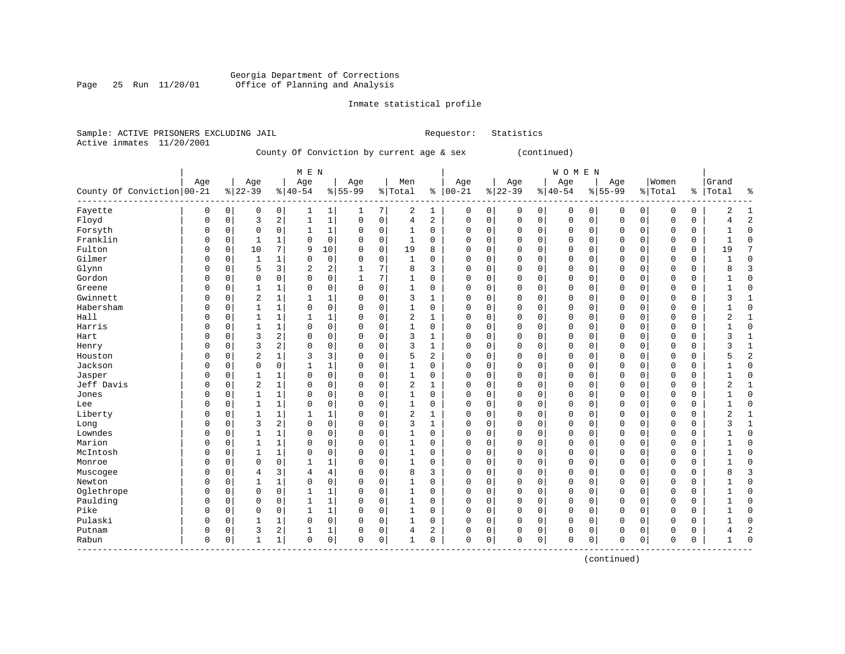# Georgia Department of Corrections Office of Planning and Analysis

# Inmate statistical profile

|                           | Sample: ACTIVE PRISONERS EXCLUDING JAIL | Requestor: Statistics |  |
|---------------------------|-----------------------------------------|-----------------------|--|
| Active inmates 11/20/2001 |                                         |                       |  |

County Of Conviction by current age & sex (continued)

|                              |             |             |                |                | M E N          |                |             |             |                |              |             |   |             |          | WOMEN       |             |             |             |             |          |                |                |
|------------------------------|-------------|-------------|----------------|----------------|----------------|----------------|-------------|-------------|----------------|--------------|-------------|---|-------------|----------|-------------|-------------|-------------|-------------|-------------|----------|----------------|----------------|
|                              | Age         |             | Age            |                | Age            |                | Age         |             | Men            |              | Age         |   | Age         |          | Age         |             | Age         |             | Women       |          | Grand          |                |
| County Of Conviction   00-21 |             |             | $8 22-39$      |                | $ 40-54$       |                | $8 55-99$   |             | % Total        | နွ           | $ 00-21$    |   | $8 22-39$   |          | $ 40-54$    |             | $8 55-99$   |             | % Total     |          | %   Total      | နွ             |
| Fayette                      | 0           | 0           | 0              | 0              | 1              | 1              | 1           | 7           | 2              | 1            | 0           | 0 | $\mathbf 0$ | 0        | 0           | 0           | 0           | 0           | 0           | 0        | 2              | 1              |
| Floyd                        | 0           | 0           | 3              | 2              | $\mathbf{1}$   | $1\,$          | $\mathbf 0$ | $\mathbf 0$ | 4              | 2            | $\Omega$    | 0 | $\Omega$    | 0        | 0           | $\mathbf 0$ | $\Omega$    | $\mathbf 0$ | $\Omega$    | 0        |                | $\overline{2}$ |
| Forsyth                      | $\Omega$    | $\mathbf 0$ | $\mathbf 0$    | $\mathsf 0$    | $\mathbf{1}$   | 1              | 0           | $\mathbf 0$ | $\mathbf{1}$   | 0            | $\Omega$    | 0 | $\Omega$    | 0        | $\mathbf 0$ | 0           | $\Omega$    | 0           | $\mathbf 0$ | 0        |                | $\Omega$       |
| Franklin                     | $\Omega$    | $\Omega$    | $\mathbf{1}$   | $\mathbf{1}$   | $\Omega$       | $\mathbf 0$    | $\Omega$    | $\mathbf 0$ | $\mathbf{1}$   | $\Omega$     | $\Omega$    | 0 | $\Omega$    | 0        | $\Omega$    | $\Omega$    | $\Omega$    | $\Omega$    | $\Omega$    | 0        | $\mathbf{1}$   | $\Omega$       |
| Fulton                       | $\Omega$    | 0           | 10             | 7              | 9              | 10             | $\Omega$    | 0           | 19             | 8            | 0           | 0 | $\Omega$    | 0        | 0           | $\Omega$    | $\Omega$    | $\Omega$    | $\Omega$    | 0        | 19             | 7              |
| Gilmer                       | $\Omega$    | $\mathbf 0$ | 1              | 1              | $\mathbf 0$    | 0              | $\Omega$    | $\mathbf 0$ | $\mathbf{1}$   | 0            | 0           | 0 | $\Omega$    | 0        | 0           | $\Omega$    | $\Omega$    | $\Omega$    | $\mathbf 0$ | 0        |                | $\Omega$       |
| Glynn                        | $\Omega$    | 0           | 5              | 3              | $\overline{a}$ | 2              |             | 7           | 8              | 3            | 0           | 0 | $\Omega$    | 0        | 0           | 0           | $\Omega$    | 0           | $\mathbf 0$ | 0        |                | 3              |
| Gordon                       | $\Omega$    | 0           | $\mathbf 0$    | $\mathsf 0$    | $\mathbf 0$    | 0              | 1           | 7           | $\mathbf{1}$   | 0            | $\Omega$    | 0 | $\Omega$    | 0        | 0           | 0           | $\Omega$    | 0           | $\mathbf 0$ | 0        |                | $\Omega$       |
| Greene                       | $\Omega$    | 0           | $\mathbf{1}$   | 1              | $\mathbf 0$    | 0              | $\mathbf 0$ | $\mathbf 0$ | $\mathbf 1$    | 0            | $\Omega$    | 0 | $\Omega$    | 0        | 0           | $\mathbf 0$ | $\Omega$    | 0           | $\Omega$    | 0        |                | $\Omega$       |
| Gwinnett                     | $\Omega$    | $\mathbf 0$ | $\overline{2}$ | 1              | $\mathbf{1}$   | 1              | $\Omega$    | $\mathbf 0$ | 3              | 1            | $\Omega$    | 0 | $\Omega$    | 0        | 0           | $\mathbf 0$ | $\Omega$    | $\Omega$    | $\Omega$    | 0        | ς              | $\mathbf{1}$   |
| Habersham                    | $\Omega$    | $\Omega$    | $\mathbf{1}$   | $\mathbf{1}$   | $\mathbf 0$    | 0              | $\Omega$    | $\mathbf 0$ | $\mathbf{1}$   | 0            | $\Omega$    | 0 | $\Omega$    | 0        | $\Omega$    | $\Omega$    | $\Omega$    | 0           | $\Omega$    | $\Omega$ |                | $\Omega$       |
| Hall                         | $\Omega$    | $\Omega$    | $\mathbf{1}$   | $\mathbf{1}$   | $\mathbf{1}$   | 1              | $\Omega$    | $\mathbf 0$ | 2              | $\mathbf{1}$ | $\Omega$    | 0 | $\Omega$    | 0        | $\Omega$    | $\Omega$    | $\Omega$    | $\Omega$    | $\Omega$    | 0        | $\overline{2}$ | $\mathbf{1}$   |
| Harris                       | $\Omega$    | $\Omega$    | 1              | 1              | $\Omega$       | $\mathbf 0$    | $\Omega$    | 0           | $\mathbf{1}$   | 0            | $\Omega$    | 0 | $\Omega$    | $\Omega$ | 0           | $\Omega$    | $\Omega$    | $\Omega$    | $\Omega$    | 0        |                | $\Omega$       |
| Hart                         | $\Omega$    | 0           | 3              | 2              | 0              | 0              | $\Omega$    | $\mathbf 0$ | 3              | 1            | $\Omega$    | 0 | $\Omega$    | 0        | 0           | $\mathbf 0$ | $\Omega$    | $\Omega$    | 0           | 0        | 3              |                |
| Henry                        | $\Omega$    | 0           | 3              | 2              | $\Omega$       | 0              | $\Omega$    | $\mathbf 0$ | 3              | $\mathbf{1}$ | 0           | 0 | $\Omega$    | 0        | 0           | $\mathbf 0$ | $\Omega$    | 0           | 0           | 0        | 3              | $\mathbf{1}$   |
| Houston                      | $\Omega$    | $\Omega$    | $\overline{2}$ | $\mathbf{1}$   | 3              | 3              | $\Omega$    | $\mathbf 0$ | 5              | 2            | 0           | 0 | $\Omega$    | 0        | $\Omega$    | $\mathbf 0$ | $\Omega$    | 0           | $\mathbf 0$ | 0        |                | $\overline{c}$ |
| Jackson                      | $\Omega$    | $\mathbf 0$ | $\mathbf 0$    | $\mathbf 0$    | $\mathbf{1}$   | $\mathbf 1$    | $\Omega$    | $\mathbf 0$ | $\mathbf{1}$   | $\Omega$     | $\Omega$    | 0 | $\Omega$    | 0        | $\Omega$    | $\mathbf 0$ | $\Omega$    | 0           | $\mathbf 0$ | 0        |                | $\Omega$       |
| Jasper                       | $\Omega$    | $\mathbf 0$ | $\mathbf{1}$   | $\mathbf{1}$   | $\mathbf 0$    | 0              | $\Omega$    | $\mathbf 0$ | $\mathbf{1}$   | 0            | $\Omega$    | 0 | $\Omega$    | 0        | 0           | $\mathbf 0$ | $\Omega$    | 0           | $\mathbf 0$ | 0        |                | $\Omega$       |
| Jeff Davis                   | $\Omega$    | $\mathbf 0$ | $\overline{2}$ | 1              | $\Omega$       | 0              | $\Omega$    | $\mathbf 0$ | 2              | 1            | $\Omega$    | 0 | $\Omega$    | 0        | 0           | 0           | $\mathbf 0$ | 0           | $\mathbf 0$ | 0        |                | $\mathbf{1}$   |
| Jones                        | $\Omega$    | $\Omega$    | $\mathbf{1}$   | $\mathbf{1}$   | $\mathbf 0$    | $\mathsf 0$    | $\Omega$    | $\mathbf 0$ | $\mathbf{1}$   | 0            | $\Omega$    | 0 | $\Omega$    | 0        | 0           | $\Omega$    | $\Omega$    | $\Omega$    | $\Omega$    | 0        |                | $\Omega$       |
| Lee                          | $\Omega$    | $\Omega$    | 1              | 1              | $\Omega$       | 0              | $\Omega$    | $\mathbf 0$ | 1              | $\Omega$     | $\Omega$    | 0 | $\Omega$    | 0        | 0           | $\Omega$    | $\Omega$    | $\Omega$    | $\Omega$    | 0        |                | $\Omega$       |
| Liberty                      | O           | $\Omega$    | $\mathbf{1}$   | $\mathbf{1}$   | $\mathbf{1}$   | 1              | $\Omega$    | $\mathbf 0$ | $\overline{2}$ | 1            | $\Omega$    | 0 | $\Omega$    | 0        | $\Omega$    | $\Omega$    | $\Omega$    | $\Omega$    | $\Omega$    | 0        | 2              |                |
| Long                         | $\Omega$    | 0           | 3              | $\overline{2}$ | $\mathbf 0$    | 0              | $\mathbf 0$ | $\mathbf 0$ | 3              | $\mathbf{1}$ | 0           | 0 | $\Omega$    | 0        | 0           | $\mathbf 0$ | $\Omega$    | $\Omega$    | $\mathbf 0$ | 0        | 3              |                |
| Lowndes                      | $\Omega$    | $\mathsf 0$ | $\mathbf{1}$   | $\mathbf{1}$   | $\Omega$       | 0              | $\Omega$    | $\mathbf 0$ | $\mathbf{1}$   | 0            | 0           | 0 | $\Omega$    | 0        | 0           | $\mathbf 0$ | $\mathbf 0$ | 0           | $\mathbf 0$ | 0        |                | $\Omega$       |
| Marion                       | $\Omega$    | 0           | $\mathbf{1}$   | $\mathbf{1}$   | $\mathbf 0$    | $\mathsf 0$    | 0           | $\mathbf 0$ | $\mathbf{1}$   | 0            | $\Omega$    | 0 | $\Omega$    | 0        | $\Omega$    | $\circ$     | $\Omega$    | 0           | $\mathbf 0$ | 0        |                | $\Omega$       |
| McIntosh                     | $\Omega$    | 0           | $\mathbf{1}$   | $\mathbf{1}$   | $\mathbf 0$    | 0              | $\Omega$    | $\mathbf 0$ | $\mathbf{1}$   | $\Omega$     | $\Omega$    | 0 | $\Omega$    | 0        | 0           | $\mathbf 0$ | $\Omega$    | 0           | $\Omega$    | 0        |                | $\Omega$       |
| Monroe                       | $\Omega$    | 0           | $\mathbf 0$    | $\mathbf 0$    | $\mathbf{1}$   | 1              | $\Omega$    | $\mathbf 0$ | $\mathbf{1}$   | 0            | $\Omega$    | 0 | $\Omega$    | 0        | 0           | $\mathbf 0$ | $\Omega$    | 0           | $\Omega$    | 0        |                | $\Omega$       |
| Muscogee                     | $\Omega$    | 0           | $\overline{4}$ | 3              | 4              | $\overline{4}$ | 0           | $\mathbf 0$ | 8              | 3            | 0           | 0 | $\Omega$    | 0        | 0           | 0           | 0           | 0           | 0           | 0        |                | 3              |
| Newton                       | $\Omega$    | $\Omega$    | $\mathbf{1}$   | $\mathbf{1}$   | 0              | $\mathsf 0$    | $\Omega$    | $\mathbf 0$ | $\mathbf{1}$   | 0            | $\Omega$    | 0 | $\Omega$    | 0        | 0           | 0           | $\Omega$    | 0           | $\mathbf 0$ | 0        |                | $\Omega$       |
| Oglethrope                   | $\Omega$    | $\Omega$    | $\mathbf 0$    | 0              | $\mathbf{1}$   | 1              | $\Omega$    | $\mathbf 0$ | $\mathbf{1}$   | $\Omega$     | $\Omega$    | 0 | $\Omega$    | 0        | 0           | $\Omega$    | $\Omega$    | $\Omega$    | $\Omega$    | 0        |                | $\Omega$       |
| Paulding                     | 0           | 0           | $\mathbf 0$    | $\mathbf 0$    | $\mathbf{1}$   | $\mathbf 1$    | $\Omega$    | $\mathbf 0$ | $\mathbf{1}$   | 0            | $\mathbf 0$ | 0 | $\Omega$    | 0        | $\Omega$    | $\mathbf 0$ | $\Omega$    | 0           | $\Omega$    | 0        |                | $\Omega$       |
| Pike                         | $\Omega$    | $\mathbf 0$ | $\mathbf 0$    | $\mathbf 0$    | $\mathbf{1}$   | $\mathbf 1$    | $\Omega$    | $\mathbf 0$ | 1              | 0            | $\Omega$    | 0 | $\Omega$    | 0        | 0           | $\mathbf 0$ | $\Omega$    | 0           | $\mathbf 0$ | 0        |                | $\Omega$       |
| Pulaski                      | $\Omega$    | 0           | $\mathbf{1}$   | $\mathbf{1}$   | $\mathbf 0$    | $\mathsf 0$    | $\mathbf 0$ | $\mathsf 0$ | 1              | 0            | 0           | 0 | $\Omega$    | 0        | 0           | $\mathbf 0$ | 0           | 0           | $\mathbf 0$ | 0        |                | $\Omega$       |
| Putnam                       | 0           | 0           | 3              | 2              | $\mathbf{1}$   | 1              | 0           | $\mathbf 0$ | 4              | 2            | 0           | 0 | $\Omega$    | 0        | 0           | $\mathbf 0$ | $\Omega$    | 0           | 0           | 0        |                | $\overline{c}$ |
| Rabun<br>--------            | $\mathbf 0$ | 0           | $\mathbf{1}$   | 1              | $\mathbf 0$    | $\mathbf 0$    | $\Omega$    | $\mathbf 0$ | 1              | 0            | $\Omega$    | 0 | $\Omega$    | 0        | 0           | $\mathbf 0$ | $\Omega$    | 0           | $\Omega$    | 0        | -1             | $\Omega$       |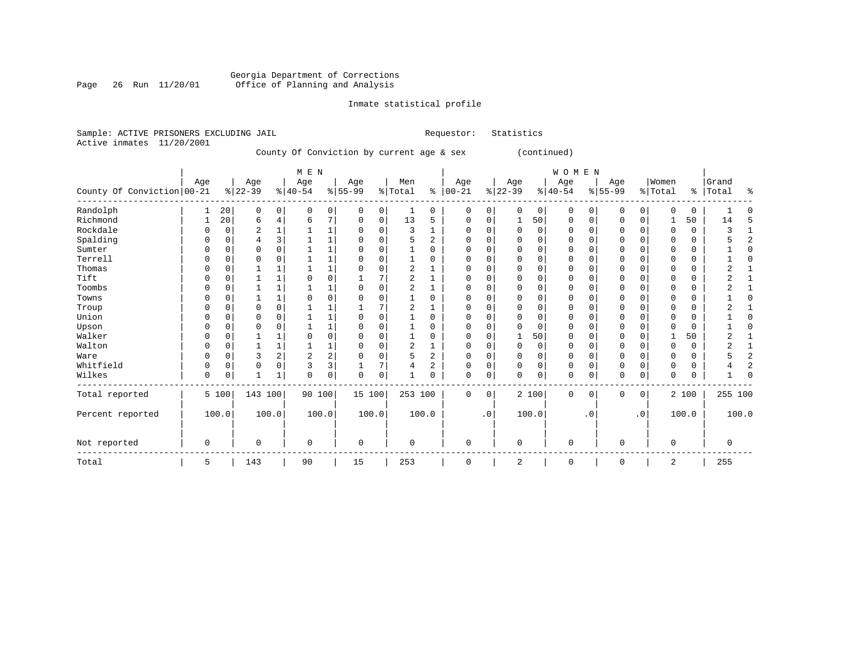# Georgia Department of Corrections<br>Page 26 Run 11/20/01 Office of Planning and Analysis Page 26 Run 11/20/01 Office of Planning and Analysis

# Inmate statistical profile

| Sample: ACTIVE PRISONERS EXCLUDING JAIL<br>Active inmates<br>11/20/2001 |             |             |                |              |                |                                           |             |             |                |                | Requestor:  |             | Statistics  |             |              |             |             |             |              |             |              |                |
|-------------------------------------------------------------------------|-------------|-------------|----------------|--------------|----------------|-------------------------------------------|-------------|-------------|----------------|----------------|-------------|-------------|-------------|-------------|--------------|-------------|-------------|-------------|--------------|-------------|--------------|----------------|
|                                                                         |             |             |                |              |                | County Of Conviction by current age & sex |             |             |                |                |             |             |             | (continued) |              |             |             |             |              |             |              |                |
|                                                                         | Age         |             | Age            |              | M E N<br>Age   |                                           | Age         |             | Men            |                | Age         |             | Age         |             | WOMEN<br>Age |             | Age         |             | Women        |             | Grand        |                |
| County Of Conviction 00-21                                              |             |             | $8 22-39$      |              | $8 40-54$      |                                           | $8 55-99$   |             | %   Total      |                | $% 100-21$  |             | $8 22-39$   |             | $ 40-54$     |             | $8155 - 99$ |             | % Total      | နွ          | Total        | ⊱              |
| Randolph                                                                | 1           | 20          | 0              | 0            | 0              | 0                                         | 0           | 0           | 1              | 0              | 0           | 0           | 0           | 0           | 0            | 0           | 0           | 0           | 0            | 0           |              | U              |
| Richmond                                                                | 1           | 20          | 6              | 4            | 6              | 7                                         | 0           | 0           | 13             | 5              | 0           | 0           | 1           | 50          | 0            | 0           | 0           | 0           |              | 50          | 14           | 5              |
| Rockdale                                                                | O           | $\mathbf 0$ | $\overline{2}$ | $\mathbf{1}$ | 1              | $1\,$                                     | $\mathbf 0$ | $\mathbf 0$ | 3              | 1              | $\mathbf 0$ | $\mathbf 0$ | $\Omega$    | $\mathbf 0$ | 0            | 0           | $\mathbf 0$ | $\mathbf 0$ | 0            | $\mathbf 0$ | 3            | $\mathbf{1}$   |
| Spalding                                                                | 0           | 0           | $\overline{4}$ | 3            | $\mathbf 1$    | $\mathbf 1$                               | $\mathbf 0$ | $\mathbf 0$ | 5              | $\overline{a}$ | $\mathbf 0$ | $\mathbf 0$ | $\Omega$    | 0           | 0            | 0           | $\mathbf 0$ | $\mathbf 0$ | $\Omega$     | $\Omega$    | 5            | $\overline{a}$ |
| Sumter                                                                  | 0           | 0           | $\mathbf 0$    | $\mathbf 0$  | $\mathbf{1}$   | $\mathbf 1$                               | $\Omega$    | $\mathbf 0$ | $\mathbf{1}$   | 0              | $\mathbf 0$ | $\mathbf 0$ | $\Omega$    | $\mathbf 0$ | $\mathbf 0$  | $\mathbf 0$ | $\mathbf 0$ | $\mathbf 0$ | 0            | $\mathbf 0$ |              | 0              |
| Terrell                                                                 | 0           | 0           | 0              | 0            |                | $\mathbf 1$                               | 0           | $\mathbf 0$ | $\mathbf{1}$   | 0              | 0           | $\mathbf 0$ | $\mathbf 0$ | $\mathbf 0$ | $\mathbf 0$  | 0           | 0           | 0           | $\Omega$     | $\mathbf 0$ |              | O              |
| Thomas                                                                  | 0           | 0           | 1              |              |                | $\mathbf 1$                               | $\Omega$    | $\mathbf 0$ | $\overline{2}$ |                | 0           | $\Omega$    | $\Omega$    | $\mathbf 0$ | 0            | $\Omega$    | $\mathbf 0$ | $\Omega$    | $\Omega$     | $\Omega$    | 2            |                |
| Tift                                                                    | U           | $\Omega$    | 1              | $\mathbf{1}$ | $\Omega$       | $\Omega$                                  | 1           | 7           | $\overline{c}$ | 1              | $\Omega$    | $\Omega$    | $\Omega$    | $\Omega$    | $\Omega$     | $\Omega$    | $\mathbf 0$ | $\Omega$    | $\Omega$     | $\Omega$    | 2            | -1             |
| Toombs                                                                  | 0           | $\Omega$    | $\mathbf{1}$   | 1            | $\mathbf{1}$   | $\mathbf 1$                               | $\Omega$    | $\mathbf 0$ | $\overline{c}$ | $\mathbf{1}$   | $\Omega$    | $\mathbf 0$ | $\Omega$    | $\mathbf 0$ | $\Omega$     | $\Omega$    | $\mathbf 0$ | $\Omega$    | $\Omega$     | $\Omega$    | 2            | $\mathbf{1}$   |
| Towns                                                                   | O           | $\Omega$    | $\mathbf{1}$   | $\mathbf{1}$ | $\mathbf 0$    | $\mathbf 0$                               | $\mathbf 0$ | $\mathbf 0$ | $\mathbf{1}$   | 0              | $\Omega$    | $\mathbf 0$ | $\Omega$    | $\mathbf 0$ | $\mathbf 0$  | 0           | $\mathbf 0$ | $\mathbf 0$ | $\Omega$     | $\mathbf 0$ | $\mathbf{1}$ | $\Omega$       |
| Troup                                                                   | 0           | $\Omega$    | $\mathbf 0$    | $\mathbf 0$  | $\mathbf{1}$   | $\mathbf{1}$                              |             | 7           | $\overline{c}$ | 1              | $\Omega$    | $\Omega$    | $\Omega$    | $\mathbf 0$ | $\Omega$     | $\Omega$    | $\mathbf 0$ | $\Omega$    | $\Omega$     | 0           | 2            | -1             |
| Union                                                                   | 0           | 0           | 0              | 0            |                | $\mathbf 1$                               | 0           | 0           | 1              | 0              | $\Omega$    | 0           | $\Omega$    | $\mathbf 0$ | 0            | 0           | 0           | 0           | $\Omega$     | 0           |              | $\Omega$       |
| Upson                                                                   | 0           | $\Omega$    | $\mathbf 0$    | $\mathbf 0$  | $\mathbf{1}$   | 1                                         | $\Omega$    | $\mathbf 0$ | $\mathbf{1}$   | 0              | $\Omega$    | $\mathbf 0$ | $\Omega$    | $\mathbf 0$ | $\mathbf 0$  | 0           | $\mathbf 0$ | 0           | 0            | $\mathbf 0$ |              | $\Omega$       |
| Walker                                                                  | 0           | $\Omega$    | 1              | 1            | 0              | $\mathbf 0$                               | $\mathbf 0$ | $\mathbf 0$ | $\mathbf{1}$   | $\Omega$       | $\Omega$    | $\Omega$    |             | 50          | $\Omega$     | $\Omega$    | $\mathbf 0$ | $\Omega$    | $\mathbf{1}$ | 50          | 2            | $\mathbf{1}$   |
| Walton                                                                  | 0           | 0           | 1              | 1            | 1              | 1                                         | $\Omega$    | 0           | $\overline{2}$ | 1              | 0           | 0           | $\mathbf 0$ | 0           | 0            | 0           | 0           | 0           | 0            | 0           | 2            | $\mathbf{1}$   |
| Ware                                                                    | 0           | $\mathbf 0$ | 3              | 2            | $\overline{2}$ | $\overline{c}$                            | 0           | $\mathbf 0$ | 5              | 2              | 0           | $\mathbf 0$ | $\Omega$    | $\mathbf 0$ | $\mathbf 0$  | $\mathbf 0$ | 0           | $\mathbf 0$ | $\Omega$     | $\mathbf 0$ | 5            | $\overline{a}$ |
| Whitfield                                                               | 0           | 0           | $\mathbf 0$    | $\mathbf 0$  | 3              | 3                                         |             | 7           | $\overline{4}$ | 2              | 0           | $\mathbf 0$ | $\Omega$    | $\mathbf 0$ | 0            | 0           | 0           | $\mathbf 0$ | 0            | 0           | 4            | $\overline{c}$ |
| Wilkes                                                                  | $\Omega$    | 0           | $\mathbf{1}$   | $\mathbf{1}$ | $\Omega$       | $\mathbf 0$                               | 0           | $\mathbf 0$ | 1              | $\Omega$       | $\mathbf 0$ | $\mathbf 0$ | $\Omega$    | $\mathbf 0$ | $\mathbf 0$  | $\Omega$    | $\mathbf 0$ | $\mathbf 0$ | $\mathbf 0$  | $\mathbf 0$ | 1            | $\Omega$       |
| Total reported                                                          |             | 5 100       | 143 100        |              | 90 100         |                                           | 15 100      |             | 253 100        |                | 0           | 0           |             | 2 100       | 0            | 0           | 0           | 0           |              | 2 100       | 255 100      |                |
| Percent reported                                                        |             | 100.0       |                | 100.0        |                | 100.0                                     | 100.0       |             |                | 100.0          |             | $\cdot$ 0   |             | 100.0       |              | $\cdot$ 0   |             | $\cdot$ 0   |              | 100.0       | 100.0        |                |
| Not reported                                                            | $\mathsf 0$ |             | $\mathbf 0$    |              | $\Omega$       |                                           | $\mathbf 0$ |             | $\Omega$       |                | $\mathbf 0$ |             | $\Omega$    |             | $\mathbf 0$  |             | $\Omega$    |             | $\Omega$     |             | 0            |                |
| Total                                                                   | 5           |             | 143            |              | 90             |                                           | 15          |             | 253            |                | 0           |             | 2           |             | 0            |             | $\mathbf 0$ |             | 2            |             | 255          |                |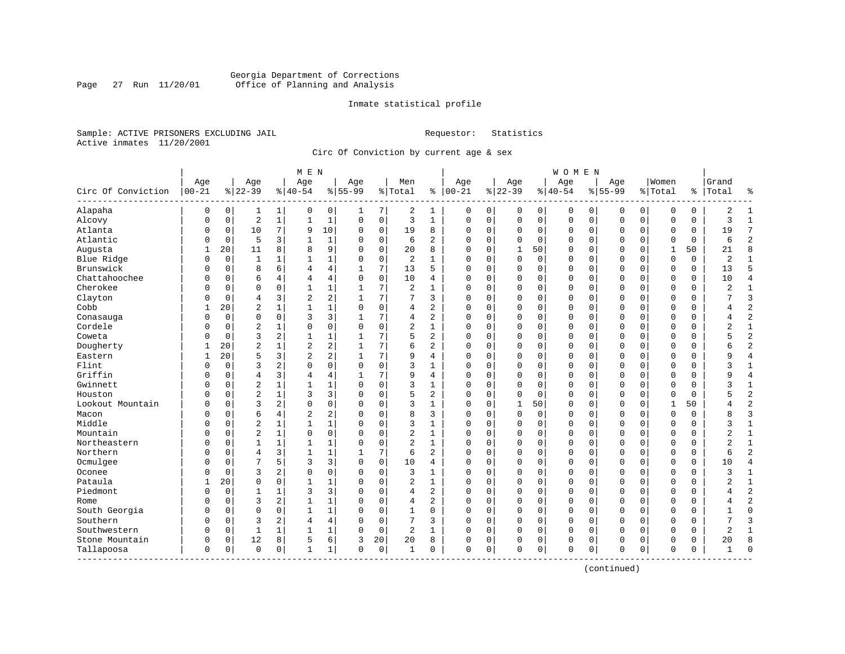# Georgia Department of Corrections Page 27 Run 11/20/01 Office of Planning and Analysis

## Inmate statistical profile

Sample: ACTIVE PRISONERS EXCLUDING JAIL **Requestor:** Statistics Active inmates 11/20/2001

Circ Of Conviction by current age & sex

|                           |                   |             |                  |                | M E N            |                |                  |             |                |                |                      |          |                  |             | <b>WOMEN</b>     |             |                  |             |                  |             |                |                |
|---------------------------|-------------------|-------------|------------------|----------------|------------------|----------------|------------------|-------------|----------------|----------------|----------------------|----------|------------------|-------------|------------------|-------------|------------------|-------------|------------------|-------------|----------------|----------------|
| Circ Of Conviction        | Age<br>$ 00 - 21$ |             | Age<br>$8 22-39$ |                | Age<br>$8 40-54$ |                | Age<br>$8 55-99$ |             | Men<br>% Total |                | Age<br>$8   00 - 21$ |          | Age<br>$8 22-39$ |             | Age<br>$8 40-54$ |             | Age<br>$8 55-99$ |             | Women<br>% Total | ႜ           | Grand<br>Total | ႜ              |
| Alapaha                   | 0                 | $\mathbf 0$ | 1                | 1              | 0                | $\overline{0}$ | 1                | 7           | 2              | 1              | $\Omega$             | 0        | $\Omega$         | 0           | $\Omega$         | 0           | $\Omega$         | $\mathbf 0$ | $\Omega$         | 0           | $\overline{2}$ | $\mathbf{1}$   |
| Alcovy                    | $\Omega$          | $\mathbf 0$ | $\overline{2}$   | $\mathbf{1}$   | $\mathbf{1}$     | $\mathbf{1}$   | $\Omega$         | $\mathbf 0$ | 3              | $\mathbf{1}$   | $\mathbf{0}$         | 0        | $\mathbf 0$      | $\mathbf 0$ | $\mathbf 0$      | $\mathbf 0$ | $\Omega$         | $\mathbf 0$ | $\Omega$         | $\mathbf 0$ | 3              | $\mathbf{1}$   |
| Atlanta                   | 0                 | 0           | 10               | 7              | 9                | 10             | $\Omega$         | 0           | 19             | 8              | $\Omega$             | 0        | $\Omega$         | 0           | 0                | 0           | $\Omega$         | 0           | 0                | 0           | 19             | 7              |
| Atlantic                  | 0                 | 0           | 5                | 3              | $\mathbf{1}$     | $\mathbf{1}$   | n                | $\mathbf 0$ | 6              | $\overline{2}$ | $\Omega$             | 0        | $\Omega$         | $\Omega$    | 0                | $\mathbf 0$ | $\Omega$         | $\mathbf 0$ | $\Omega$         | 0           | 6              | $\overline{c}$ |
| Augusta                   | 1                 | 20          | 11               | 8              | 8                | 9              | $\Omega$         | 0           | 20             | 8              | $\Omega$             | 0        | 1                | 50          | 0                | $\Omega$    | $\Omega$         | $\Omega$    | 1                | 50          | 21             | 8              |
| Blue Ridge                | $\Omega$          | $\mathbf 0$ | 1                | 1              | 1                | $\mathbf{1}$   | $\Omega$         | $\mathbf 0$ | 2              | 1              | 0                    | 0        | $\Omega$         | 0           | 0                | 0           | $\Omega$         | $\mathbf 0$ | O                | 0           | 2              | $\mathbf{1}$   |
| Brunswick                 | 0                 | $\mathbf 0$ | 8                | 6              | 4                | 4              | $\mathbf{1}$     | 7           | 13             | 5              | $\Omega$             | 0        | $\Omega$         | $\mathbf 0$ | $\Omega$         | $\mathbf 0$ | $\Omega$         | $\mathbf 0$ | $\Omega$         | 0           | 13             | 5              |
| Chattahoochee             | N                 | 0           | 6                | 4              | 4                | 4              | $\Omega$         | $\Omega$    | 10             | 4              | $\Omega$             | 0        | $\Omega$         | 0           | 0                | $\mathbf 0$ | $\Omega$         | $\Omega$    | $\Omega$         | 0           | 10             | $\overline{4}$ |
| Cherokee                  | N                 | 0           | $\Omega$         | 0              | 1                | $\mathbf 1$    | -1               | 7           | 2              | 1              | $\Omega$             | 0        | $\Omega$         | 0           | 0                | 0           | $\Omega$         | 0           | $\Omega$         | 0           | 2              | $\mathbf{1}$   |
| Clayton                   | O                 | 0           | $\overline{4}$   | 3              | $\overline{2}$   | $\overline{a}$ | -1               | 7           | 7              | 3              | $\Omega$             | 0        | $\Omega$         | $\mathbf 0$ | 0                | $\mathbf 0$ | $\Omega$         | 0           | $\Omega$         | 0           |                | $\overline{3}$ |
| Cobb                      | 1                 | 20          | $\overline{2}$   | 1              | $\mathbf{1}$     | $\mathbf{1}$   | $\mathbf 0$      | $\mathbf 0$ | 4              | $\overline{a}$ | $\Omega$             | 0        | $\Omega$         | $\mathbf 0$ | 0                | $\Omega$    | $\Omega$         | $\Omega$    | $\mathbf 0$      | 0           | 4              | $\overline{2}$ |
| Conasauga                 | $\Omega$          | $\Omega$    | $\mathbf 0$      | $\Omega$       | 3                | 3              | 1                | 7           | 4              | 2              | $\Omega$             | 0        | $\Omega$         | $\Omega$    | $\Omega$         | $\Omega$    | $\Omega$         | $\Omega$    | $\Omega$         | 0           | 4              | $\overline{2}$ |
| Cordele                   | N                 | $\mathbf 0$ | $\overline{2}$   | $\mathbf{1}$   | $\Omega$         | 0              | $\Omega$         | $\mathbf 0$ | $\overline{c}$ | $\mathbf{1}$   | $\Omega$             | 0        | $\Omega$         | $\mathbf 0$ | $\Omega$         | $\Omega$    | $\Omega$         | $\Omega$    | $\Omega$         | 0           | $\overline{2}$ | $\mathbf{1}$   |
| Coweta                    | N                 | 0           | $\overline{3}$   | $\overline{c}$ | $\mathbf{1}$     | $\mathbf 1$    | -1               | 7           | 5              | $\overline{a}$ | $\Omega$             | 0        | $\Omega$         | $\Omega$    | $\Omega$         | $\Omega$    | $\Omega$         | $\Omega$    | $\Omega$         | 0           | 5              | $\overline{2}$ |
| Dougherty                 |                   | 20          | $\overline{2}$   |                | $\overline{2}$   | 2              |                  | 7           | 6              | 2              | $\Omega$             | 0        | $\Omega$         | $\mathbf 0$ | 0                | $\Omega$    | $\Omega$         | 0           | $\Omega$         | 0           | б              | $\overline{a}$ |
| Eastern                   | 1                 | 20          | 5                | 3              | $\overline{2}$   | $\overline{a}$ | -1               | 7           | 9              | 4              | $\Omega$             | 0        | $\Omega$         | 0           | 0                | $\Omega$    | $\Omega$         | 0           | $\Omega$         | 0           | 9              | $\overline{4}$ |
| Flint                     | $\Omega$          | $\Omega$    | 3                | 2              | $\Omega$         | $\Omega$       | $\Omega$         | $\Omega$    | 3              | $\mathbf{1}$   | $\Omega$             | 0        | $\Omega$         | $\Omega$    | $\Omega$         | $\Omega$    | $\Omega$         | $\Omega$    | $\Omega$         | 0           | 3              | $\mathbf{1}$   |
| Griffin                   | O                 | $\Omega$    | $\overline{4}$   | 3              | 4                | 4              | 1                | 7           | 9              | 4              | $\Omega$             | $\Omega$ | $\Omega$         | $\Omega$    | $\Omega$         | $\Omega$    | $\Omega$         | $\Omega$    | $\Omega$         | 0           | 9              | $\overline{4}$ |
| Gwinnett                  | N                 | 0           | $\overline{2}$   | $\mathbf{1}$   | $\mathbf{1}$     | $\mathbf{1}$   | $\Omega$         | $\mathbf 0$ | 3              | $\mathbf{1}$   | $\Omega$             | 0        | $\Omega$         | $\mathbf 0$ | $\Omega$         | $\mathbf 0$ | $\Omega$         | $\mathbf 0$ | $\Omega$         | 0           | 3              | $\mathbf{1}$   |
| Houston                   | U                 | 0           | $\overline{2}$   | $\mathbf{1}$   | 3                | 3              | $\cap$           | $\mathbf 0$ | 5              | $\overline{a}$ | $\Omega$             | 0        | $\Omega$         | $\mathbf 0$ | $\Omega$         | $\mathbf 0$ | $\Omega$         | $\Omega$    | $\Omega$         | 0           |                | $\overline{2}$ |
| Lookout Mountain          | U                 | 0           | $\overline{3}$   | 2              | $\Omega$         | 0              | n                | 0           | 3              | 1              | $\Omega$             | 0        |                  | 50          | 0                | 0           | $\Omega$         | 0           | 1                | 50          |                | $\overline{2}$ |
| Macon                     | O                 | $\Omega$    | 6                | $\overline{4}$ | $\overline{2}$   | 2              | $\Omega$         | $\Omega$    | 8              | 3              | $\Omega$             | 0        | $\Omega$         | $\Omega$    | $\Omega$         | $\Omega$    | $\Omega$         | $\Omega$    | $\Omega$         | $\Omega$    | 8              | 3              |
| Middle                    | N                 | $\Omega$    | $\overline{2}$   | $\mathbf{1}$   | $\mathbf{1}$     | $\mathbf{1}$   | $\Omega$         | $\Omega$    | 3              | $\mathbf{1}$   | $\Omega$             | 0        | $\Omega$         | $\Omega$    | $\Omega$         | $\Omega$    | $\Omega$         | $\Omega$    | $\Omega$         | 0           | 3              | $\mathbf{1}$   |
| Mountain                  | N                 | $\Omega$    | $\overline{2}$   | $\mathbf{1}$   | $\Omega$         | 0              | $\Omega$         | $\mathbf 0$ | $\overline{c}$ | $\mathbf{1}$   | $\Omega$             | 0        | $\Omega$         | $\Omega$    | 0                | $\Omega$    | $\Omega$         | $\Omega$    | $\Omega$         | 0           | 2              | $\mathbf{1}$   |
| Northeastern              | N                 | $\mathbf 0$ | 1                | $\mathbf{1}$   | $\mathbf{1}$     | $\mathbf 1$    | $\Omega$         | $\mathbf 0$ | $\overline{c}$ | $\mathbf{1}$   | $\Omega$             | 0        | $\Omega$         | $\mathbf 0$ | $\Omega$         | $\Omega$    | $\Omega$         | $\mathbf 0$ | $\Omega$         | 0           | $\overline{c}$ | $\mathbf{1}$   |
| Northern                  | N                 | 0           | $\overline{4}$   | 3              | $\mathbf 1$      | $\mathbf 1$    | 1                | 7           | 6              | $\overline{a}$ | $\Omega$             | 0        | $\Omega$         | 0           | 0                | $\mathbf 0$ | $\Omega$         | $\mathbf 0$ | $\Omega$         | 0           | 6              | $\overline{2}$ |
| Ocmulgee                  | N                 | 0           | 7                | 5              | 3                | 3              | $\Omega$         | $\mathbf 0$ | 10             | 4              | $\Omega$             | 0        | $\Omega$         | 0           | 0                | 0           | $\Omega$         | 0           | $\Omega$         | 0           | 10             | $\overline{4}$ |
| Oconee                    | N                 | $\Omega$    | 3                | $\overline{a}$ | $\Omega$         | 0              | $\Omega$         | $\Omega$    | 3              | $\mathbf{1}$   | $\Omega$             | 0        | $\Omega$         | $\Omega$    | $\Omega$         | $\Omega$    | $\Omega$         | $\Omega$    | $\Omega$         | 0           | 3              | $\mathbf{1}$   |
| Pataula                   | 1                 | 20          | $\Omega$         | $\Omega$       | $\mathbf{1}$     | $\mathbf{1}$   | $\Omega$         | $\Omega$    | $\overline{2}$ | $\mathbf{1}$   | $\Omega$             | 0        | $\Omega$         | $\Omega$    | O                | $\Omega$    | $\Omega$         | $\Omega$    | $\Omega$         | 0           | $\overline{a}$ | $\mathbf{1}$   |
| Piedmont                  | 0                 | $\mathbf 0$ | 1                | 1              | 3                | 3              | O                | $\Omega$    | 4              | $\overline{a}$ | $\Omega$             | 0        | $\Omega$         | $\mathbf 0$ | 0                | $\Omega$    | $\Omega$         | $\Omega$    | $\Omega$         | 0           | 4              | $\overline{2}$ |
| Rome                      | 0                 | 0           | 3                | $\overline{c}$ | $\mathbf{1}$     | $\mathbf 1$    |                  | $\mathbf 0$ | 4              | $\overline{c}$ | $\Omega$             | 0        | $\Omega$         | $\mathbf 0$ | 0                | $\Omega$    | $\Omega$         | $\mathbf 0$ | $\Omega$         | 0           | 4              | $\overline{2}$ |
| South Georgia             | N                 | 0           | $\Omega$         | 0              | $\mathbf{1}$     | $\mathbf 1$    | n                | 0           | $\mathbf 1$    | $\Omega$       | $\Omega$             | 0        | $\Omega$         | 0           | 0                | $\mathbf 0$ | $\Omega$         | $\mathbf 0$ | $\Omega$         | 0           | 1              | $\mathbf 0$    |
| Southern                  | 0                 | 0           | 3                | 2              | 4                | 4              | $\Omega$         | $\mathbf 0$ | 7              | 3              | $\Omega$             | 0        | $\Omega$         | $\Omega$    | 0                | $\mathbf 0$ | $\Omega$         | $\Omega$    | $\Omega$         | 0           | 7              | 3              |
| Southwestern              | O                 | 0           | 1                | 1              | 1                | 1              | $\Omega$         | $\mathbf 0$ | $\overline{c}$ | $\mathbf{1}$   | $\Omega$             | 0        | $\Omega$         | $\mathbf 0$ | $\Omega$         | $\Omega$    | $\Omega$         | $\mathbf 0$ | $\Omega$         | $\Omega$    | $\overline{a}$ | $\mathbf{1}$   |
| Stone Mountain            | 0                 | 0           | 12               | 8              | 5                | 6              | 3                | 20          | 20             | 8              | $\Omega$             | 0        | $\Omega$         | 0           | 0                | $\mathbf 0$ | $\Omega$         | $\Omega$    | $\Omega$         | 0           | 20             | 8              |
| Tallapoosa<br>----------- | 0                 | 0           | $\Omega$         | 0              | $\mathbf{1}$     | $\mathbf{1}$   | $\mathbf 0$      | 0           | $\mathbf{1}$   | 0              | $\mathbf 0$          | 0        | $\Omega$         | $\mathsf 0$ | $\Omega$         | 0           | 0                | $\mathsf 0$ | $\Omega$         | 0           | -1             | $\cap$         |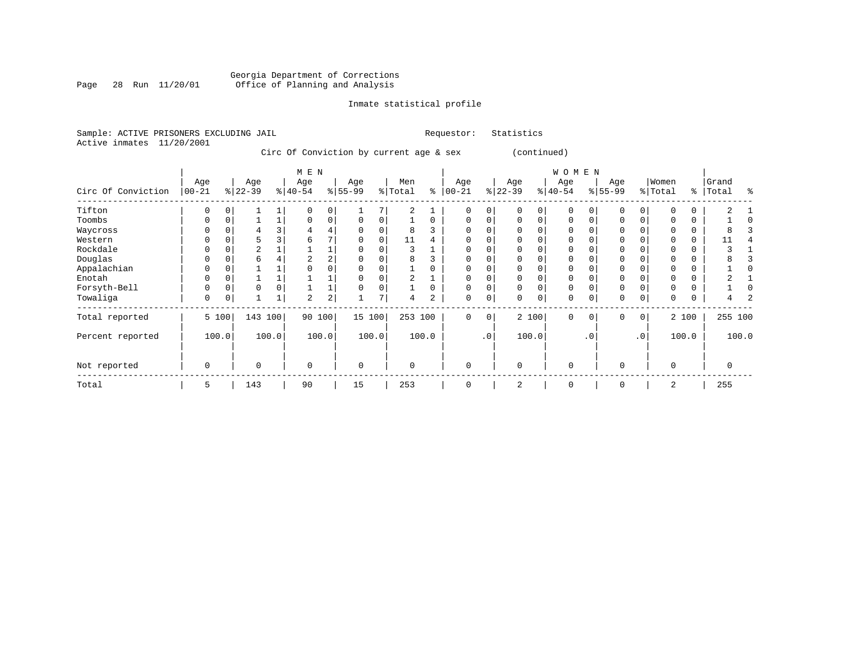#### Georgia Department of Corrections Page 28 Run 11/20/01 Office of Planning and Analysis

# Inmate statistical profile

|  | Sample: ACTIVE PRISONERS EXCLUDING JAIL |  |                                         |  |  | Requestor: | Statistics |
|--|-----------------------------------------|--|-----------------------------------------|--|--|------------|------------|
|  | Active inmates 11/20/2001               |  |                                         |  |  |            |            |
|  |                                         |  | Circ Of Conviction by current age & sex |  |  |            | (conti     |
|  |                                         |  |                                         |  |  |            |            |

|                    |                   |       |                  |       | M E N            |                |                 |          |                |       |                 |           |                  |              | <b>WOMEN</b>    |           |                  |             |                  |          |                       |       |
|--------------------|-------------------|-------|------------------|-------|------------------|----------------|-----------------|----------|----------------|-------|-----------------|-----------|------------------|--------------|-----------------|-----------|------------------|-------------|------------------|----------|-----------------------|-------|
| Circ Of Conviction | Age<br>$ 00 - 21$ |       | Age<br>$ 22-39 $ |       | Age<br>$ 40-54 $ |                | Age<br>$ 55-99$ |          | Men<br>% Total | ႜ     | Age<br>$ 00-21$ |           | Age<br>$ 22-39 $ |              | Age<br>$ 40-54$ |           | Age<br>$ 55-99 $ |             | Women<br>% Total | ႜ        | Grand<br><b>Total</b> | る     |
| Tifton             | $\Omega$          |       |                  |       |                  | 0              |                 |          | $\overline{c}$ |       | $\Omega$        | $\Omega$  |                  | <sup>n</sup> | $\Omega$        |           | $\Omega$         | O           |                  | $\Omega$ |                       |       |
| Toombs             | O                 |       |                  |       |                  | $\Omega$       | 0               |          |                |       | $\Omega$        | 0         |                  | $\Omega$     | $\Omega$        |           | $\Omega$         |             |                  | $\Omega$ |                       |       |
| Waycross           |                   |       |                  |       |                  |                | 0               |          |                |       | 0               |           |                  |              |                 |           | 0                |             |                  | 0        |                       |       |
| Western            |                   |       | 5                |       | h                |                | $\Omega$        | $\Omega$ | 11             |       | $\Omega$        |           |                  |              | $\Omega$        |           | 0                |             |                  | 0        |                       |       |
| Rockdale           |                   |       | 2                |       |                  |                | O               |          |                |       |                 |           |                  |              | $\Omega$        |           | $\Omega$         |             |                  | $\Omega$ |                       |       |
| Douglas            |                   |       | б                |       | 2                |                | 0               |          |                |       | O               |           |                  |              | ∩               |           | $\Omega$         |             |                  | O        |                       |       |
| Appalachian        | $\Omega$          |       |                  |       |                  |                |                 |          |                |       |                 |           |                  |              |                 |           | $\Omega$         |             |                  | 0        |                       |       |
| Enotah             |                   |       |                  |       |                  |                | 0               |          | 2              |       | 0               |           |                  |              | $\Omega$        |           | 0                |             |                  | $\Omega$ |                       |       |
| Forsyth-Bell       | O                 |       | 0                | 0     |                  |                | $\Omega$        |          |                |       | $\Omega$        | 0         | U                |              | $\Omega$        |           | 0                |             |                  | $\Omega$ |                       |       |
| Towaliga           | $\Omega$          |       |                  | 1     | $\overline{a}$   | $\overline{2}$ |                 | 7        | 4              |       | $\Omega$        | 0         | 0                | $\mathbf 0$  | $\Omega$        |           | $\mathbf 0$      | 0           |                  |          |                       |       |
| Total reported     |                   | 5 100 | 143 100          |       |                  | 90 100         | 15 100          |          | 253            | 100   | $\mathbf 0$     | 0         |                  | 2 100        | $\mathbf 0$     | 0         | $\mathbf 0$      | $\mathbf 0$ |                  | 2 100    | 255 100               |       |
| Percent reported   |                   | 100.0 |                  | 100.0 |                  | 100.0          |                 | 100.0    |                | 100.0 |                 | $\cdot$ 0 |                  | 100.0        |                 | $\cdot$ 0 |                  | $\cdot$ 0   |                  | 100.0    |                       | 100.0 |
| Not reported       | $\mathbf 0$       |       | $\mathbf 0$      |       | $\Omega$         |                | $\Omega$        |          | $\Omega$       |       | $\Omega$        |           | $\Omega$         |              | $\mathbf 0$     |           | 0                |             | $\Omega$         |          | 0                     |       |
| Total              | 5                 |       | 143              |       | 90               |                | 15              |          | 253            |       | $\Omega$        |           | 2                |              | $\mathbf 0$     |           | $\mathbf 0$      |             | 2                |          | 255                   |       |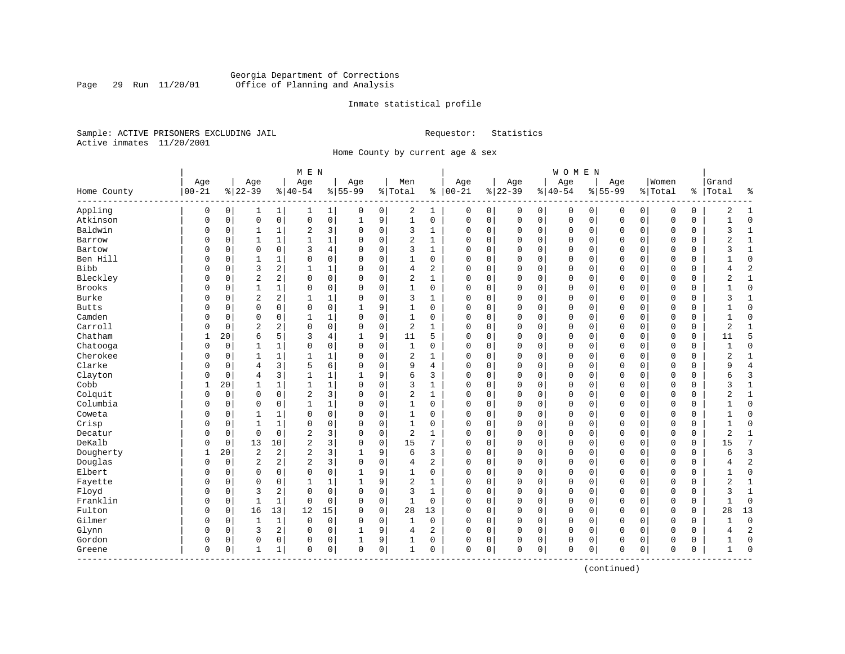# Georgia Department of Corrections Page 29 Run 11/20/01 Office of Planning and Analysis

## Inmate statistical profile

Sample: ACTIVE PRISONERS EXCLUDING JAIL **Requestor:** Statistics Active inmates 11/20/2001

Home County by current age & sex

| Age<br>Women<br>Age<br>Age<br>Age<br>Men<br>Age<br>Age<br>Age<br>Grand<br>Age<br>$00 - 21$<br>$ 22-39$<br>$8 22-39$<br>$ 40-54$<br>$8155 - 99$<br>$ 00-21$<br>$8 40-54$<br>$8155 - 99$<br>% Total<br>% Total<br>ి<br>Total<br>Home County<br><u> န</u><br>နွ<br>Appling<br>2<br>$\mathbf 0$<br>0<br>0<br>1<br>0<br>1<br>0<br>0<br>0<br>0<br>$\mathbf 0$<br>0<br>0<br>0<br>0<br>2<br>1<br>1<br>0<br>1<br>1<br>Atkinson<br>$\mathsf 0$<br>$\mathsf{O}\xspace$<br>9<br>$\mathbf 1$<br>$\mathsf 0$<br>$\mathbf 0$<br>$\mathbf 0$<br>$\mathbf 0$<br>$\mathbf 0$<br>$\mathsf 0$<br>$\mathsf 0$<br>$\mathbf{1}$<br>$\mathbf 0$<br>$\mathbf 0$<br>0<br>$\mathsf 0$<br>$\mathsf 0$<br>$\mathbf 0$<br>0<br>0<br>0<br>$\mathbf{1}$<br>Baldwin<br>2<br>3<br>$\mathbf 0$<br>3<br>$\mathbf 0$<br>$\Omega$<br>$\mathbf 0$<br>0<br>0<br>0<br>0<br>$\mathbf 0$<br>$\mathbf 0$<br>0<br>$\mathbf 0$<br>0<br>3<br>1<br>$\Omega$<br>$\mathbf{1}$<br>1<br>1<br>$\mathbf 1$<br>$\overline{a}$<br>$\mathbf 0$<br>$\mathbf{1}$<br>$\mathbf 0$<br>$\Omega$<br>$\mathbf 0$<br>$\mathbf 0$<br>$\mathbf 0$<br>$\Omega$<br>$\Omega$<br>$\mathbf 0$<br>2<br>$\mathbf{1}$<br>Barrow<br>$\mathbf 0$<br>$\Omega$<br>1<br>$\Omega$<br>$\Omega$<br>0<br>$\Omega$<br>$\Omega$<br>3<br>4<br>$\Omega$<br>3<br>$\mathbf{1}$<br>$\Omega$<br>$\mathbf 0$<br>$\mathbf{0}$<br>$\mathbf 0$<br>$\mathbf 1$<br>Bartow<br>$\Omega$<br>$\Omega$<br>$\Omega$<br>$\Omega$<br>0<br>$\mathbf 0$<br>$\Omega$<br>$\Omega$<br>ζ<br>O<br>Ben Hill<br>0<br>$\mathbf 0$<br>$\mathbf 0$<br>$\mathbf 0$<br>$\mathbf{0}$<br>$\mathbf 0$<br>1<br>0<br>$\Omega$<br>$\mathbf{1}$<br>0<br>$\mathbf 0$<br>0<br>0<br>0<br>$\mathbf 0$<br>$\mathbf 0$<br>$\Omega$<br>0<br>0<br>1<br>$\mathsf 0$<br>$\overline{c}$<br>$\overline{2}$<br>Bibb<br>3<br>2<br>4<br>$\mathbf 0$<br>$\mathbf 0$<br>0<br>$\mathbf 0$<br>$\mathbf 0$<br>$\mathbf 0$<br>$\mathbf 0$<br>$\mathbf 0$<br>$\mathbf{1}$<br>1<br>0<br>0<br>0<br>0<br>$\Omega$<br>4<br>$\overline{2}$<br>Bleckley<br>2<br>$\mathbf 0$<br>2<br>$\mathbf{1}$<br>$\mathbf 0$<br>$\mathbf{1}$<br>$\mathbf 0$<br>$\Omega$<br>$\mathbf 0$<br>$\mathbf 0$<br>$\mathbf 0$<br>$\mathbf 0$<br>$\mathbf 0$<br>$\Omega$<br>$\mathbf 0$<br>$\mathbf{0}$<br>$\Omega$<br>0<br>$\overline{2}$<br>$\Omega$<br>$\Omega$<br>Brooks<br>$\mathbf 0$<br>1<br>$\Omega$<br>0<br>$\mathbf 0$<br>$\mathbf{1}$<br>$\Omega$<br>$\Omega$<br>$\Omega$<br>$\mathbf 0$<br>$\mathbf 0$<br>$\mathbf 0$<br>$\mathbf 0$<br>$\mathbf{0}$<br>$\Omega$<br>$\mathbf 0$<br>$\Omega$<br>$\mathbf 0$<br>1<br>$\Omega$<br>0<br>Burke<br>$\overline{c}$<br>$\sqrt{2}$<br>$\mathbf 0$<br>3<br>0<br>$\mathbf 0$<br>$\mathbf 0$<br>0<br>1<br>1<br>$\Omega$<br>0<br>0<br>0<br>0<br>0<br>0<br>3<br>1<br>0<br>$\Omega$<br>$\Omega$<br>$\Omega$<br>$\mathbf 0$<br>9<br>$\mathbf 0$<br>$\mathbf 0$<br>$\mathsf 0$<br>$\mathbf{0}$<br>$\mathbf 0$<br>$\mathbf{0}$<br><b>Butts</b><br>$\Omega$<br>0<br>1<br>0<br>0<br>0<br>0<br>$\Omega$<br>0<br>0<br>Camden<br>$\mathbf 0$<br>$\mathbf 0$<br>$\mathbf 0$<br>$\mathbf 0$<br>0<br>0<br>1<br>0<br>1<br>0<br>$\mathbf 0$<br>0<br>0<br>0<br>$\mathbf 0$<br>$\mathbf 0$<br>0<br>0<br>$\Omega$<br>-1<br>1<br>0<br>Carroll<br>$\overline{2}$<br>2<br>$\mathbf 0$<br>$\mathbf 0$<br>2<br>$\mathbf 0$<br>$\mathbf 0$<br>$\overline{2}$<br>$\mathbf 0$<br>0<br>1<br>0<br>0<br>0<br>0<br>0<br>0<br>0<br>0<br>1<br>$\Omega$<br>0<br>Chatham<br>5<br>5<br>20<br>6<br>3<br>9<br>11<br>5<br>$\mathbf 0$<br>$\Omega$<br>$\mathbf 0$<br>$\mathbf 0$<br>$\Omega$<br>$\mathbf 0$<br>$\mathbf{0}$<br>$\mathbf 0$<br>$\mathbf 0$<br>11<br>4<br>0<br>Chatooga<br>$\mathbf 0$<br>$\Omega$<br>$\mathbf 0$<br>$\mathbf 0$<br>$\mathbf 0$<br>$\mathbf 0$<br>$\mathbf 0$<br>$\mathbf 0$<br>$\mathbf 0$<br>$\mathbf 0$<br>$\mathbf 0$<br>$\Omega$<br>1<br>$\Omega$<br>1<br>$\Omega$<br>0<br>0<br>0<br>0<br>$\mathbf{1}$<br>1<br>Cherokee<br>1<br>0<br>2<br>0<br>0<br>0<br>0<br>0<br>0<br>0<br>0<br>0<br>2<br>1<br>0<br>0<br>$\Omega$<br>0<br>1<br>Clarke<br>3<br>5<br>6<br>$\overline{4}$<br>$\overline{4}$<br>0<br>9<br>$\mathbf 0$<br>0<br>0<br>0<br>0<br>$\mathbf 0$<br>$\mathbf 0$<br>0<br>$\mathbf 0$<br>0<br>q<br>$\Omega$<br>$\Omega$<br>$\Omega$<br>4<br>Clayton<br>9<br>6<br>3<br>$\Omega$<br>$\overline{4}$<br>3<br>$\mathbf{1}$<br>$\mathbf{1}$<br>3<br>$\mathbf 0$<br>$\Omega$<br>$\mathbf 0$<br>$\mathbf 0$<br>$\mathbf 0$<br>$\mathbf 0$<br>$\Omega$<br>$\mathbf 0$<br>$\Omega$<br>0<br>6<br>0<br>Cobb<br>$\mathbf 0$<br>$\mathbf 0$<br>$1\,$<br>20<br>$\mathbf{1}$<br>$\mathbf 1$<br>3<br>$\mathbf{1}$<br>$\Omega$<br>$\mathbf 0$<br>$\mathbf 0$<br>$\mathbf 0$<br>$\Omega$<br>$\mathbf 0$<br>0<br>0<br>0<br>3<br>1<br>$\Omega$<br>$\overline{c}$<br>3<br>Colquit<br>$\mathbf 0$<br>$\Omega$<br>$\mathbf 0$<br>$\mathbf 0$<br>2<br>$\mathbf{1}$<br>$\Omega$<br>$\mathbf 0$<br>$\mathbf 0$<br>$\mathbf 0$<br>$\mathbf 0$<br>$\mathbf 0$<br>$\mathbf 0$<br>2<br>$\mathbf 1$<br>$\Omega$<br>$\Omega$<br>0<br>$\Omega$<br>0<br>Columbia<br>$\mathbf 0$<br>$\mathbf 1$<br>$\mathbf 0$<br>0<br>$\mathbf 0$<br>$\mathbf 0$<br>$\mathbf 0$<br>0<br>$\mathbf{1}$<br>$\Omega$<br>1<br>0<br>$\mathbf 0$<br>0<br>0<br>0<br>0<br>$\mathbf 0$<br>0<br>0<br>0<br>-1<br>Coweta<br>0<br>0<br>0<br>$\mathbf 0$<br>$\Omega$<br>0<br>0<br>0<br>$\mathbf 0$<br>$\mathbf 0$<br>$\Omega$<br>$\mathbf 0$<br>$\Omega$<br>$\Omega$<br>$\mathbf 0$<br>$\Omega$<br>1<br>$\Omega$<br>0<br>Crisp<br>$\Omega$<br>0<br>$\mathbf 0$<br>$\mathbf 0$<br>$\mathbf 0$<br>$\mathbf 0$<br>$\mathsf 0$<br>$\mathbf 0$<br>$\mathbf{0}$<br>$\mathbf 0$<br>0<br>$\Omega$<br>$\mathbf 0$<br>1<br>$\Omega$<br>1<br>$\Omega$<br>$\Omega$<br>$\Omega$<br>0<br>$\Omega$<br>$\overline{c}$<br>3<br>$\overline{c}$<br>Decatur<br>$\mathbf 0$<br>$\mathbf 0$<br>$\mathbf 0$<br>$\mathbf 0$<br>$\mathbf 0$<br>$\mathbf 0$<br>$\mathbf 0$<br>$\mathbf{0}$<br>$\mathbf 0$<br>$\mathbf 0$<br>$\overline{c}$<br>$\mathbf 0$<br>$\Omega$<br>$\mathbf{1}$<br>$\Omega$<br>$\Omega$<br>$\mathbf{1}$<br>0<br>DeKalb<br>$\overline{2}$<br>3<br>$\mathbf 0$<br>7<br>13<br>10<br>15<br>7<br>0<br>0<br>$\mathbf 0$<br>$\mathbf 0$<br>$\Omega$<br>0<br>0<br>0<br>0<br>0<br>0<br>0<br>15<br>0<br>$\overline{3}$<br>Dougherty<br>20<br>$\overline{2}$<br>2<br>$\overline{a}$<br>3<br>9<br>6<br>3<br>0<br>$\mathbf 0$<br>$\mathbf 0$<br>0<br>0<br>0<br>0<br>0<br>0<br>0<br>6<br>1<br>Douglas<br>$\overline{2}$<br>$\overline{2}$<br>2<br>$\overline{a}$<br>3<br>$\mathbf 0$<br>$\overline{a}$<br>$\mathbf 0$<br>$\Omega$<br>$\mathbf 0$<br>$\Omega$<br>$\mathbf 0$<br>0<br>0<br>0<br>0<br>$\mathbf 0$<br>$\mathbf 0$<br>0<br>0<br>4<br>4<br>$\mathbf 0$<br>Elbert<br>$\mathbf 0$<br>$\mathbf 0$<br>0<br>9<br>$\Omega$<br>$\mathbf 0$<br>$\mathbf 0$<br>$\Omega$<br>$\mathbf 0$<br>$\Omega$<br>$\mathbf{1}$<br>0<br>0<br>0<br>0<br>0<br>0<br>0<br>0<br>Fayette<br>$\Omega$<br>9<br>$\overline{2}$<br>$\mathbf 0$<br>$\mathbf{0}$<br>$\mathbf 0$<br>$\overline{2}$<br>$\mathbf{1}$<br>$\mathbf 0$<br>$\Omega$<br>$\mathbf{1}$<br>1<br>$\mathbf{1}$<br>$\Omega$<br>$\Omega$<br>0<br>0<br>0<br>0<br>0<br>0<br>Floyd<br>3<br>2<br>$\Omega$<br>$\mathbf 0$<br>$\mathbf 0$<br>3<br>$\mathbf 0$<br>$\mathbf 0$<br>$\mathbf{0}$<br>$\mathbf 0$<br>$\mathbf 0$<br>$\Omega$<br>1<br>$\mathbf 0$<br>$\Omega$<br>0<br>$\mathbf 0$<br>$\Omega$<br>0<br>3<br>1<br>0<br>Franklin<br>$\mathbf 0$<br>$\mathbf 0$<br>$\Omega$<br>0<br>1<br>1<br>0<br>0<br>1<br>0<br>$\mathbf 0$<br>0<br>0<br>0<br>$\mathbf 0$<br>$\mathbf 0$<br>0<br>$\mathbf 0$<br>0<br>0<br>$\Omega$<br>Fulton<br>13<br>$\mathbf 0$<br>$\mathbf 0$<br>13<br>$\mathbf 0$<br>16<br>12<br>15<br>28<br>13<br>$\mathbf 0$<br>$\mathbf 0$<br>$\mathbf 0$<br>$\mathbf 0$<br>$\mathbf 0$<br>$\mathbf 0$<br>$\mathbf{0}$<br>$\mathbf 0$<br>0<br>28<br>$\Omega$<br>$\Omega$<br>Gilmer<br>$\mathbf{1}$<br>$\mathbf 0$<br>$\mathbf{1}$<br>0<br>$\mathbf 0$<br>$\mathbf{1}$<br>$\mathbf 0$<br>$\mathbf 0$<br>$\mathbf 0$<br>$\mathbf{0}$<br>$\mathbf 0$<br>$\mathbf 0$<br>$\Omega$<br>0<br>0<br>$\Omega$<br>$\mathbf 0$<br>0<br>0<br>0<br>0<br>$\overline{2}$<br>Glynn<br>3<br>2<br>9<br>0<br>0<br>0<br>0<br>0<br>2<br>$\mathbf 0$<br>0<br>0<br>0<br>0<br>0<br>0<br>0<br>0<br>4<br>4<br>Gordon<br>9<br>$\mathbf 0$<br>0<br>0<br>0<br>0<br>0<br>0<br>0<br>0<br>0<br>0<br>0<br>0<br>0<br>0<br>0<br>0<br>0<br>1<br>$\mathbf 0$<br>0<br>$\mathbf 0$<br>0<br>0<br>$\Omega$<br>1<br>0<br>$\mathbf 0$<br>0<br>$\Omega$<br>$\mathbf 0$<br>$\mathbf 0$<br>0<br>$\mathbf 0$<br>0<br>$\Omega$<br>Greene<br>0<br>$\mathbf{1}$<br>1<br>0<br>1<br>---------- |  |  | M E N |  |  |  |  | WOMEN |  |  |  |  |
|-------------------------------------------------------------------------------------------------------------------------------------------------------------------------------------------------------------------------------------------------------------------------------------------------------------------------------------------------------------------------------------------------------------------------------------------------------------------------------------------------------------------------------------------------------------------------------------------------------------------------------------------------------------------------------------------------------------------------------------------------------------------------------------------------------------------------------------------------------------------------------------------------------------------------------------------------------------------------------------------------------------------------------------------------------------------------------------------------------------------------------------------------------------------------------------------------------------------------------------------------------------------------------------------------------------------------------------------------------------------------------------------------------------------------------------------------------------------------------------------------------------------------------------------------------------------------------------------------------------------------------------------------------------------------------------------------------------------------------------------------------------------------------------------------------------------------------------------------------------------------------------------------------------------------------------------------------------------------------------------------------------------------------------------------------------------------------------------------------------------------------------------------------------------------------------------------------------------------------------------------------------------------------------------------------------------------------------------------------------------------------------------------------------------------------------------------------------------------------------------------------------------------------------------------------------------------------------------------------------------------------------------------------------------------------------------------------------------------------------------------------------------------------------------------------------------------------------------------------------------------------------------------------------------------------------------------------------------------------------------------------------------------------------------------------------------------------------------------------------------------------------------------------------------------------------------------------------------------------------------------------------------------------------------------------------------------------------------------------------------------------------------------------------------------------------------------------------------------------------------------------------------------------------------------------------------------------------------------------------------------------------------------------------------------------------------------------------------------------------------------------------------------------------------------------------------------------------------------------------------------------------------------------------------------------------------------------------------------------------------------------------------------------------------------------------------------------------------------------------------------------------------------------------------------------------------------------------------------------------------------------------------------------------------------------------------------------------------------------------------------------------------------------------------------------------------------------------------------------------------------------------------------------------------------------------------------------------------------------------------------------------------------------------------------------------------------------------------------------------------------------------------------------------------------------------------------------------------------------------------------------------------------------------------------------------------------------------------------------------------------------------------------------------------------------------------------------------------------------------------------------------------------------------------------------------------------------------------------------------------------------------------------------------------------------------------------------------------------------------------------------------------------------------------------------------------------------------------------------------------------------------------------------------------------------------------------------------------------------------------------------------------------------------------------------------------------------------------------------------------------------------------------------------------------------------------------------------------------------------------------------------------------------------------------------------------------------------------------------------------------------------------------------------------------------------------------------------------------------------------------------------------------------------------------------------------------------------------------------------------------------------------------------------------------------------------------------------------------------------------------------------------------------------------------------------------------------------------------------------------------------------------------------------------------------------------------------------------------------------------------------------------------------------------------------------------------------------------------------------------------------------------------------------------------------------------------------------------------------------------------------------------------------------------------------------------------------------------------------------------------------------------------------------------------------------------------------------------------------------------------------------------------------------------------------------------------------------------------------------------------------------------------------------------------------------------------------------------------------------------------------------------------------------------------------------------------------------------------------------------------------------------------------------------------------------------------------------------------------------------------------------------------------------------------------------------------------------------------------------------------------------------------------------------------------------------------------------------------------------------------------------------------------------------------------------------------------------------------------------------------------------------------------------------------------------------------------------------------------------------------------------------------------------------------------------------------------------------------------------------------------------------------------------------------------------------------------------------------------------------------------------------------------------------------------------------------------------------------------------------------------------------------------------------------------------------|--|--|-------|--|--|--|--|-------|--|--|--|--|
|                                                                                                                                                                                                                                                                                                                                                                                                                                                                                                                                                                                                                                                                                                                                                                                                                                                                                                                                                                                                                                                                                                                                                                                                                                                                                                                                                                                                                                                                                                                                                                                                                                                                                                                                                                                                                                                                                                                                                                                                                                                                                                                                                                                                                                                                                                                                                                                                                                                                                                                                                                                                                                                                                                                                                                                                                                                                                                                                                                                                                                                                                                                                                                                                                                                                                                                                                                                                                                                                                                                                                                                                                                                                                                                                                                                                                                                                                                                                                                                                                                                                                                                                                                                                                                                                                                                                                                                                                                                                                                                                                                                                                                                                                                                                                                                                                                                                                                                                                                                                                                                                                                                                                                                                                                                                                                                                                                                                                                                                                                                                                                                                                                                                                                                                                                                                                                                                                                                                                                                                                                                                                                                                                                                                                                                                                                                                                                                                                                                                                                                                                                                                                                                                                                                                                                                                                                                                                                                                                                                                                                                                                                                                                                                                                                                                                                                                                                                                                                                                                                                                                                                                                                                                                                                                                                                                                                                                                                                                                                                                                                                                                                                                                                                                                                                                                                                                                                                                                                                                                                                                                                   |  |  |       |  |  |  |  |       |  |  |  |  |
|                                                                                                                                                                                                                                                                                                                                                                                                                                                                                                                                                                                                                                                                                                                                                                                                                                                                                                                                                                                                                                                                                                                                                                                                                                                                                                                                                                                                                                                                                                                                                                                                                                                                                                                                                                                                                                                                                                                                                                                                                                                                                                                                                                                                                                                                                                                                                                                                                                                                                                                                                                                                                                                                                                                                                                                                                                                                                                                                                                                                                                                                                                                                                                                                                                                                                                                                                                                                                                                                                                                                                                                                                                                                                                                                                                                                                                                                                                                                                                                                                                                                                                                                                                                                                                                                                                                                                                                                                                                                                                                                                                                                                                                                                                                                                                                                                                                                                                                                                                                                                                                                                                                                                                                                                                                                                                                                                                                                                                                                                                                                                                                                                                                                                                                                                                                                                                                                                                                                                                                                                                                                                                                                                                                                                                                                                                                                                                                                                                                                                                                                                                                                                                                                                                                                                                                                                                                                                                                                                                                                                                                                                                                                                                                                                                                                                                                                                                                                                                                                                                                                                                                                                                                                                                                                                                                                                                                                                                                                                                                                                                                                                                                                                                                                                                                                                                                                                                                                                                                                                                                                                                   |  |  |       |  |  |  |  |       |  |  |  |  |
|                                                                                                                                                                                                                                                                                                                                                                                                                                                                                                                                                                                                                                                                                                                                                                                                                                                                                                                                                                                                                                                                                                                                                                                                                                                                                                                                                                                                                                                                                                                                                                                                                                                                                                                                                                                                                                                                                                                                                                                                                                                                                                                                                                                                                                                                                                                                                                                                                                                                                                                                                                                                                                                                                                                                                                                                                                                                                                                                                                                                                                                                                                                                                                                                                                                                                                                                                                                                                                                                                                                                                                                                                                                                                                                                                                                                                                                                                                                                                                                                                                                                                                                                                                                                                                                                                                                                                                                                                                                                                                                                                                                                                                                                                                                                                                                                                                                                                                                                                                                                                                                                                                                                                                                                                                                                                                                                                                                                                                                                                                                                                                                                                                                                                                                                                                                                                                                                                                                                                                                                                                                                                                                                                                                                                                                                                                                                                                                                                                                                                                                                                                                                                                                                                                                                                                                                                                                                                                                                                                                                                                                                                                                                                                                                                                                                                                                                                                                                                                                                                                                                                                                                                                                                                                                                                                                                                                                                                                                                                                                                                                                                                                                                                                                                                                                                                                                                                                                                                                                                                                                                                                   |  |  |       |  |  |  |  |       |  |  |  |  |
|                                                                                                                                                                                                                                                                                                                                                                                                                                                                                                                                                                                                                                                                                                                                                                                                                                                                                                                                                                                                                                                                                                                                                                                                                                                                                                                                                                                                                                                                                                                                                                                                                                                                                                                                                                                                                                                                                                                                                                                                                                                                                                                                                                                                                                                                                                                                                                                                                                                                                                                                                                                                                                                                                                                                                                                                                                                                                                                                                                                                                                                                                                                                                                                                                                                                                                                                                                                                                                                                                                                                                                                                                                                                                                                                                                                                                                                                                                                                                                                                                                                                                                                                                                                                                                                                                                                                                                                                                                                                                                                                                                                                                                                                                                                                                                                                                                                                                                                                                                                                                                                                                                                                                                                                                                                                                                                                                                                                                                                                                                                                                                                                                                                                                                                                                                                                                                                                                                                                                                                                                                                                                                                                                                                                                                                                                                                                                                                                                                                                                                                                                                                                                                                                                                                                                                                                                                                                                                                                                                                                                                                                                                                                                                                                                                                                                                                                                                                                                                                                                                                                                                                                                                                                                                                                                                                                                                                                                                                                                                                                                                                                                                                                                                                                                                                                                                                                                                                                                                                                                                                                                                   |  |  |       |  |  |  |  |       |  |  |  |  |
|                                                                                                                                                                                                                                                                                                                                                                                                                                                                                                                                                                                                                                                                                                                                                                                                                                                                                                                                                                                                                                                                                                                                                                                                                                                                                                                                                                                                                                                                                                                                                                                                                                                                                                                                                                                                                                                                                                                                                                                                                                                                                                                                                                                                                                                                                                                                                                                                                                                                                                                                                                                                                                                                                                                                                                                                                                                                                                                                                                                                                                                                                                                                                                                                                                                                                                                                                                                                                                                                                                                                                                                                                                                                                                                                                                                                                                                                                                                                                                                                                                                                                                                                                                                                                                                                                                                                                                                                                                                                                                                                                                                                                                                                                                                                                                                                                                                                                                                                                                                                                                                                                                                                                                                                                                                                                                                                                                                                                                                                                                                                                                                                                                                                                                                                                                                                                                                                                                                                                                                                                                                                                                                                                                                                                                                                                                                                                                                                                                                                                                                                                                                                                                                                                                                                                                                                                                                                                                                                                                                                                                                                                                                                                                                                                                                                                                                                                                                                                                                                                                                                                                                                                                                                                                                                                                                                                                                                                                                                                                                                                                                                                                                                                                                                                                                                                                                                                                                                                                                                                                                                                                   |  |  |       |  |  |  |  |       |  |  |  |  |
|                                                                                                                                                                                                                                                                                                                                                                                                                                                                                                                                                                                                                                                                                                                                                                                                                                                                                                                                                                                                                                                                                                                                                                                                                                                                                                                                                                                                                                                                                                                                                                                                                                                                                                                                                                                                                                                                                                                                                                                                                                                                                                                                                                                                                                                                                                                                                                                                                                                                                                                                                                                                                                                                                                                                                                                                                                                                                                                                                                                                                                                                                                                                                                                                                                                                                                                                                                                                                                                                                                                                                                                                                                                                                                                                                                                                                                                                                                                                                                                                                                                                                                                                                                                                                                                                                                                                                                                                                                                                                                                                                                                                                                                                                                                                                                                                                                                                                                                                                                                                                                                                                                                                                                                                                                                                                                                                                                                                                                                                                                                                                                                                                                                                                                                                                                                                                                                                                                                                                                                                                                                                                                                                                                                                                                                                                                                                                                                                                                                                                                                                                                                                                                                                                                                                                                                                                                                                                                                                                                                                                                                                                                                                                                                                                                                                                                                                                                                                                                                                                                                                                                                                                                                                                                                                                                                                                                                                                                                                                                                                                                                                                                                                                                                                                                                                                                                                                                                                                                                                                                                                                                   |  |  |       |  |  |  |  |       |  |  |  |  |
|                                                                                                                                                                                                                                                                                                                                                                                                                                                                                                                                                                                                                                                                                                                                                                                                                                                                                                                                                                                                                                                                                                                                                                                                                                                                                                                                                                                                                                                                                                                                                                                                                                                                                                                                                                                                                                                                                                                                                                                                                                                                                                                                                                                                                                                                                                                                                                                                                                                                                                                                                                                                                                                                                                                                                                                                                                                                                                                                                                                                                                                                                                                                                                                                                                                                                                                                                                                                                                                                                                                                                                                                                                                                                                                                                                                                                                                                                                                                                                                                                                                                                                                                                                                                                                                                                                                                                                                                                                                                                                                                                                                                                                                                                                                                                                                                                                                                                                                                                                                                                                                                                                                                                                                                                                                                                                                                                                                                                                                                                                                                                                                                                                                                                                                                                                                                                                                                                                                                                                                                                                                                                                                                                                                                                                                                                                                                                                                                                                                                                                                                                                                                                                                                                                                                                                                                                                                                                                                                                                                                                                                                                                                                                                                                                                                                                                                                                                                                                                                                                                                                                                                                                                                                                                                                                                                                                                                                                                                                                                                                                                                                                                                                                                                                                                                                                                                                                                                                                                                                                                                                                                   |  |  |       |  |  |  |  |       |  |  |  |  |
|                                                                                                                                                                                                                                                                                                                                                                                                                                                                                                                                                                                                                                                                                                                                                                                                                                                                                                                                                                                                                                                                                                                                                                                                                                                                                                                                                                                                                                                                                                                                                                                                                                                                                                                                                                                                                                                                                                                                                                                                                                                                                                                                                                                                                                                                                                                                                                                                                                                                                                                                                                                                                                                                                                                                                                                                                                                                                                                                                                                                                                                                                                                                                                                                                                                                                                                                                                                                                                                                                                                                                                                                                                                                                                                                                                                                                                                                                                                                                                                                                                                                                                                                                                                                                                                                                                                                                                                                                                                                                                                                                                                                                                                                                                                                                                                                                                                                                                                                                                                                                                                                                                                                                                                                                                                                                                                                                                                                                                                                                                                                                                                                                                                                                                                                                                                                                                                                                                                                                                                                                                                                                                                                                                                                                                                                                                                                                                                                                                                                                                                                                                                                                                                                                                                                                                                                                                                                                                                                                                                                                                                                                                                                                                                                                                                                                                                                                                                                                                                                                                                                                                                                                                                                                                                                                                                                                                                                                                                                                                                                                                                                                                                                                                                                                                                                                                                                                                                                                                                                                                                                                                   |  |  |       |  |  |  |  |       |  |  |  |  |
|                                                                                                                                                                                                                                                                                                                                                                                                                                                                                                                                                                                                                                                                                                                                                                                                                                                                                                                                                                                                                                                                                                                                                                                                                                                                                                                                                                                                                                                                                                                                                                                                                                                                                                                                                                                                                                                                                                                                                                                                                                                                                                                                                                                                                                                                                                                                                                                                                                                                                                                                                                                                                                                                                                                                                                                                                                                                                                                                                                                                                                                                                                                                                                                                                                                                                                                                                                                                                                                                                                                                                                                                                                                                                                                                                                                                                                                                                                                                                                                                                                                                                                                                                                                                                                                                                                                                                                                                                                                                                                                                                                                                                                                                                                                                                                                                                                                                                                                                                                                                                                                                                                                                                                                                                                                                                                                                                                                                                                                                                                                                                                                                                                                                                                                                                                                                                                                                                                                                                                                                                                                                                                                                                                                                                                                                                                                                                                                                                                                                                                                                                                                                                                                                                                                                                                                                                                                                                                                                                                                                                                                                                                                                                                                                                                                                                                                                                                                                                                                                                                                                                                                                                                                                                                                                                                                                                                                                                                                                                                                                                                                                                                                                                                                                                                                                                                                                                                                                                                                                                                                                                                   |  |  |       |  |  |  |  |       |  |  |  |  |
|                                                                                                                                                                                                                                                                                                                                                                                                                                                                                                                                                                                                                                                                                                                                                                                                                                                                                                                                                                                                                                                                                                                                                                                                                                                                                                                                                                                                                                                                                                                                                                                                                                                                                                                                                                                                                                                                                                                                                                                                                                                                                                                                                                                                                                                                                                                                                                                                                                                                                                                                                                                                                                                                                                                                                                                                                                                                                                                                                                                                                                                                                                                                                                                                                                                                                                                                                                                                                                                                                                                                                                                                                                                                                                                                                                                                                                                                                                                                                                                                                                                                                                                                                                                                                                                                                                                                                                                                                                                                                                                                                                                                                                                                                                                                                                                                                                                                                                                                                                                                                                                                                                                                                                                                                                                                                                                                                                                                                                                                                                                                                                                                                                                                                                                                                                                                                                                                                                                                                                                                                                                                                                                                                                                                                                                                                                                                                                                                                                                                                                                                                                                                                                                                                                                                                                                                                                                                                                                                                                                                                                                                                                                                                                                                                                                                                                                                                                                                                                                                                                                                                                                                                                                                                                                                                                                                                                                                                                                                                                                                                                                                                                                                                                                                                                                                                                                                                                                                                                                                                                                                                                   |  |  |       |  |  |  |  |       |  |  |  |  |
|                                                                                                                                                                                                                                                                                                                                                                                                                                                                                                                                                                                                                                                                                                                                                                                                                                                                                                                                                                                                                                                                                                                                                                                                                                                                                                                                                                                                                                                                                                                                                                                                                                                                                                                                                                                                                                                                                                                                                                                                                                                                                                                                                                                                                                                                                                                                                                                                                                                                                                                                                                                                                                                                                                                                                                                                                                                                                                                                                                                                                                                                                                                                                                                                                                                                                                                                                                                                                                                                                                                                                                                                                                                                                                                                                                                                                                                                                                                                                                                                                                                                                                                                                                                                                                                                                                                                                                                                                                                                                                                                                                                                                                                                                                                                                                                                                                                                                                                                                                                                                                                                                                                                                                                                                                                                                                                                                                                                                                                                                                                                                                                                                                                                                                                                                                                                                                                                                                                                                                                                                                                                                                                                                                                                                                                                                                                                                                                                                                                                                                                                                                                                                                                                                                                                                                                                                                                                                                                                                                                                                                                                                                                                                                                                                                                                                                                                                                                                                                                                                                                                                                                                                                                                                                                                                                                                                                                                                                                                                                                                                                                                                                                                                                                                                                                                                                                                                                                                                                                                                                                                                                   |  |  |       |  |  |  |  |       |  |  |  |  |
|                                                                                                                                                                                                                                                                                                                                                                                                                                                                                                                                                                                                                                                                                                                                                                                                                                                                                                                                                                                                                                                                                                                                                                                                                                                                                                                                                                                                                                                                                                                                                                                                                                                                                                                                                                                                                                                                                                                                                                                                                                                                                                                                                                                                                                                                                                                                                                                                                                                                                                                                                                                                                                                                                                                                                                                                                                                                                                                                                                                                                                                                                                                                                                                                                                                                                                                                                                                                                                                                                                                                                                                                                                                                                                                                                                                                                                                                                                                                                                                                                                                                                                                                                                                                                                                                                                                                                                                                                                                                                                                                                                                                                                                                                                                                                                                                                                                                                                                                                                                                                                                                                                                                                                                                                                                                                                                                                                                                                                                                                                                                                                                                                                                                                                                                                                                                                                                                                                                                                                                                                                                                                                                                                                                                                                                                                                                                                                                                                                                                                                                                                                                                                                                                                                                                                                                                                                                                                                                                                                                                                                                                                                                                                                                                                                                                                                                                                                                                                                                                                                                                                                                                                                                                                                                                                                                                                                                                                                                                                                                                                                                                                                                                                                                                                                                                                                                                                                                                                                                                                                                                                                   |  |  |       |  |  |  |  |       |  |  |  |  |
|                                                                                                                                                                                                                                                                                                                                                                                                                                                                                                                                                                                                                                                                                                                                                                                                                                                                                                                                                                                                                                                                                                                                                                                                                                                                                                                                                                                                                                                                                                                                                                                                                                                                                                                                                                                                                                                                                                                                                                                                                                                                                                                                                                                                                                                                                                                                                                                                                                                                                                                                                                                                                                                                                                                                                                                                                                                                                                                                                                                                                                                                                                                                                                                                                                                                                                                                                                                                                                                                                                                                                                                                                                                                                                                                                                                                                                                                                                                                                                                                                                                                                                                                                                                                                                                                                                                                                                                                                                                                                                                                                                                                                                                                                                                                                                                                                                                                                                                                                                                                                                                                                                                                                                                                                                                                                                                                                                                                                                                                                                                                                                                                                                                                                                                                                                                                                                                                                                                                                                                                                                                                                                                                                                                                                                                                                                                                                                                                                                                                                                                                                                                                                                                                                                                                                                                                                                                                                                                                                                                                                                                                                                                                                                                                                                                                                                                                                                                                                                                                                                                                                                                                                                                                                                                                                                                                                                                                                                                                                                                                                                                                                                                                                                                                                                                                                                                                                                                                                                                                                                                                                                   |  |  |       |  |  |  |  |       |  |  |  |  |
|                                                                                                                                                                                                                                                                                                                                                                                                                                                                                                                                                                                                                                                                                                                                                                                                                                                                                                                                                                                                                                                                                                                                                                                                                                                                                                                                                                                                                                                                                                                                                                                                                                                                                                                                                                                                                                                                                                                                                                                                                                                                                                                                                                                                                                                                                                                                                                                                                                                                                                                                                                                                                                                                                                                                                                                                                                                                                                                                                                                                                                                                                                                                                                                                                                                                                                                                                                                                                                                                                                                                                                                                                                                                                                                                                                                                                                                                                                                                                                                                                                                                                                                                                                                                                                                                                                                                                                                                                                                                                                                                                                                                                                                                                                                                                                                                                                                                                                                                                                                                                                                                                                                                                                                                                                                                                                                                                                                                                                                                                                                                                                                                                                                                                                                                                                                                                                                                                                                                                                                                                                                                                                                                                                                                                                                                                                                                                                                                                                                                                                                                                                                                                                                                                                                                                                                                                                                                                                                                                                                                                                                                                                                                                                                                                                                                                                                                                                                                                                                                                                                                                                                                                                                                                                                                                                                                                                                                                                                                                                                                                                                                                                                                                                                                                                                                                                                                                                                                                                                                                                                                                                   |  |  |       |  |  |  |  |       |  |  |  |  |
|                                                                                                                                                                                                                                                                                                                                                                                                                                                                                                                                                                                                                                                                                                                                                                                                                                                                                                                                                                                                                                                                                                                                                                                                                                                                                                                                                                                                                                                                                                                                                                                                                                                                                                                                                                                                                                                                                                                                                                                                                                                                                                                                                                                                                                                                                                                                                                                                                                                                                                                                                                                                                                                                                                                                                                                                                                                                                                                                                                                                                                                                                                                                                                                                                                                                                                                                                                                                                                                                                                                                                                                                                                                                                                                                                                                                                                                                                                                                                                                                                                                                                                                                                                                                                                                                                                                                                                                                                                                                                                                                                                                                                                                                                                                                                                                                                                                                                                                                                                                                                                                                                                                                                                                                                                                                                                                                                                                                                                                                                                                                                                                                                                                                                                                                                                                                                                                                                                                                                                                                                                                                                                                                                                                                                                                                                                                                                                                                                                                                                                                                                                                                                                                                                                                                                                                                                                                                                                                                                                                                                                                                                                                                                                                                                                                                                                                                                                                                                                                                                                                                                                                                                                                                                                                                                                                                                                                                                                                                                                                                                                                                                                                                                                                                                                                                                                                                                                                                                                                                                                                                                                   |  |  |       |  |  |  |  |       |  |  |  |  |
|                                                                                                                                                                                                                                                                                                                                                                                                                                                                                                                                                                                                                                                                                                                                                                                                                                                                                                                                                                                                                                                                                                                                                                                                                                                                                                                                                                                                                                                                                                                                                                                                                                                                                                                                                                                                                                                                                                                                                                                                                                                                                                                                                                                                                                                                                                                                                                                                                                                                                                                                                                                                                                                                                                                                                                                                                                                                                                                                                                                                                                                                                                                                                                                                                                                                                                                                                                                                                                                                                                                                                                                                                                                                                                                                                                                                                                                                                                                                                                                                                                                                                                                                                                                                                                                                                                                                                                                                                                                                                                                                                                                                                                                                                                                                                                                                                                                                                                                                                                                                                                                                                                                                                                                                                                                                                                                                                                                                                                                                                                                                                                                                                                                                                                                                                                                                                                                                                                                                                                                                                                                                                                                                                                                                                                                                                                                                                                                                                                                                                                                                                                                                                                                                                                                                                                                                                                                                                                                                                                                                                                                                                                                                                                                                                                                                                                                                                                                                                                                                                                                                                                                                                                                                                                                                                                                                                                                                                                                                                                                                                                                                                                                                                                                                                                                                                                                                                                                                                                                                                                                                                                   |  |  |       |  |  |  |  |       |  |  |  |  |
|                                                                                                                                                                                                                                                                                                                                                                                                                                                                                                                                                                                                                                                                                                                                                                                                                                                                                                                                                                                                                                                                                                                                                                                                                                                                                                                                                                                                                                                                                                                                                                                                                                                                                                                                                                                                                                                                                                                                                                                                                                                                                                                                                                                                                                                                                                                                                                                                                                                                                                                                                                                                                                                                                                                                                                                                                                                                                                                                                                                                                                                                                                                                                                                                                                                                                                                                                                                                                                                                                                                                                                                                                                                                                                                                                                                                                                                                                                                                                                                                                                                                                                                                                                                                                                                                                                                                                                                                                                                                                                                                                                                                                                                                                                                                                                                                                                                                                                                                                                                                                                                                                                                                                                                                                                                                                                                                                                                                                                                                                                                                                                                                                                                                                                                                                                                                                                                                                                                                                                                                                                                                                                                                                                                                                                                                                                                                                                                                                                                                                                                                                                                                                                                                                                                                                                                                                                                                                                                                                                                                                                                                                                                                                                                                                                                                                                                                                                                                                                                                                                                                                                                                                                                                                                                                                                                                                                                                                                                                                                                                                                                                                                                                                                                                                                                                                                                                                                                                                                                                                                                                                                   |  |  |       |  |  |  |  |       |  |  |  |  |
|                                                                                                                                                                                                                                                                                                                                                                                                                                                                                                                                                                                                                                                                                                                                                                                                                                                                                                                                                                                                                                                                                                                                                                                                                                                                                                                                                                                                                                                                                                                                                                                                                                                                                                                                                                                                                                                                                                                                                                                                                                                                                                                                                                                                                                                                                                                                                                                                                                                                                                                                                                                                                                                                                                                                                                                                                                                                                                                                                                                                                                                                                                                                                                                                                                                                                                                                                                                                                                                                                                                                                                                                                                                                                                                                                                                                                                                                                                                                                                                                                                                                                                                                                                                                                                                                                                                                                                                                                                                                                                                                                                                                                                                                                                                                                                                                                                                                                                                                                                                                                                                                                                                                                                                                                                                                                                                                                                                                                                                                                                                                                                                                                                                                                                                                                                                                                                                                                                                                                                                                                                                                                                                                                                                                                                                                                                                                                                                                                                                                                                                                                                                                                                                                                                                                                                                                                                                                                                                                                                                                                                                                                                                                                                                                                                                                                                                                                                                                                                                                                                                                                                                                                                                                                                                                                                                                                                                                                                                                                                                                                                                                                                                                                                                                                                                                                                                                                                                                                                                                                                                                                                   |  |  |       |  |  |  |  |       |  |  |  |  |
|                                                                                                                                                                                                                                                                                                                                                                                                                                                                                                                                                                                                                                                                                                                                                                                                                                                                                                                                                                                                                                                                                                                                                                                                                                                                                                                                                                                                                                                                                                                                                                                                                                                                                                                                                                                                                                                                                                                                                                                                                                                                                                                                                                                                                                                                                                                                                                                                                                                                                                                                                                                                                                                                                                                                                                                                                                                                                                                                                                                                                                                                                                                                                                                                                                                                                                                                                                                                                                                                                                                                                                                                                                                                                                                                                                                                                                                                                                                                                                                                                                                                                                                                                                                                                                                                                                                                                                                                                                                                                                                                                                                                                                                                                                                                                                                                                                                                                                                                                                                                                                                                                                                                                                                                                                                                                                                                                                                                                                                                                                                                                                                                                                                                                                                                                                                                                                                                                                                                                                                                                                                                                                                                                                                                                                                                                                                                                                                                                                                                                                                                                                                                                                                                                                                                                                                                                                                                                                                                                                                                                                                                                                                                                                                                                                                                                                                                                                                                                                                                                                                                                                                                                                                                                                                                                                                                                                                                                                                                                                                                                                                                                                                                                                                                                                                                                                                                                                                                                                                                                                                                                                   |  |  |       |  |  |  |  |       |  |  |  |  |
|                                                                                                                                                                                                                                                                                                                                                                                                                                                                                                                                                                                                                                                                                                                                                                                                                                                                                                                                                                                                                                                                                                                                                                                                                                                                                                                                                                                                                                                                                                                                                                                                                                                                                                                                                                                                                                                                                                                                                                                                                                                                                                                                                                                                                                                                                                                                                                                                                                                                                                                                                                                                                                                                                                                                                                                                                                                                                                                                                                                                                                                                                                                                                                                                                                                                                                                                                                                                                                                                                                                                                                                                                                                                                                                                                                                                                                                                                                                                                                                                                                                                                                                                                                                                                                                                                                                                                                                                                                                                                                                                                                                                                                                                                                                                                                                                                                                                                                                                                                                                                                                                                                                                                                                                                                                                                                                                                                                                                                                                                                                                                                                                                                                                                                                                                                                                                                                                                                                                                                                                                                                                                                                                                                                                                                                                                                                                                                                                                                                                                                                                                                                                                                                                                                                                                                                                                                                                                                                                                                                                                                                                                                                                                                                                                                                                                                                                                                                                                                                                                                                                                                                                                                                                                                                                                                                                                                                                                                                                                                                                                                                                                                                                                                                                                                                                                                                                                                                                                                                                                                                                                                   |  |  |       |  |  |  |  |       |  |  |  |  |
|                                                                                                                                                                                                                                                                                                                                                                                                                                                                                                                                                                                                                                                                                                                                                                                                                                                                                                                                                                                                                                                                                                                                                                                                                                                                                                                                                                                                                                                                                                                                                                                                                                                                                                                                                                                                                                                                                                                                                                                                                                                                                                                                                                                                                                                                                                                                                                                                                                                                                                                                                                                                                                                                                                                                                                                                                                                                                                                                                                                                                                                                                                                                                                                                                                                                                                                                                                                                                                                                                                                                                                                                                                                                                                                                                                                                                                                                                                                                                                                                                                                                                                                                                                                                                                                                                                                                                                                                                                                                                                                                                                                                                                                                                                                                                                                                                                                                                                                                                                                                                                                                                                                                                                                                                                                                                                                                                                                                                                                                                                                                                                                                                                                                                                                                                                                                                                                                                                                                                                                                                                                                                                                                                                                                                                                                                                                                                                                                                                                                                                                                                                                                                                                                                                                                                                                                                                                                                                                                                                                                                                                                                                                                                                                                                                                                                                                                                                                                                                                                                                                                                                                                                                                                                                                                                                                                                                                                                                                                                                                                                                                                                                                                                                                                                                                                                                                                                                                                                                                                                                                                                                   |  |  |       |  |  |  |  |       |  |  |  |  |
|                                                                                                                                                                                                                                                                                                                                                                                                                                                                                                                                                                                                                                                                                                                                                                                                                                                                                                                                                                                                                                                                                                                                                                                                                                                                                                                                                                                                                                                                                                                                                                                                                                                                                                                                                                                                                                                                                                                                                                                                                                                                                                                                                                                                                                                                                                                                                                                                                                                                                                                                                                                                                                                                                                                                                                                                                                                                                                                                                                                                                                                                                                                                                                                                                                                                                                                                                                                                                                                                                                                                                                                                                                                                                                                                                                                                                                                                                                                                                                                                                                                                                                                                                                                                                                                                                                                                                                                                                                                                                                                                                                                                                                                                                                                                                                                                                                                                                                                                                                                                                                                                                                                                                                                                                                                                                                                                                                                                                                                                                                                                                                                                                                                                                                                                                                                                                                                                                                                                                                                                                                                                                                                                                                                                                                                                                                                                                                                                                                                                                                                                                                                                                                                                                                                                                                                                                                                                                                                                                                                                                                                                                                                                                                                                                                                                                                                                                                                                                                                                                                                                                                                                                                                                                                                                                                                                                                                                                                                                                                                                                                                                                                                                                                                                                                                                                                                                                                                                                                                                                                                                                                   |  |  |       |  |  |  |  |       |  |  |  |  |
|                                                                                                                                                                                                                                                                                                                                                                                                                                                                                                                                                                                                                                                                                                                                                                                                                                                                                                                                                                                                                                                                                                                                                                                                                                                                                                                                                                                                                                                                                                                                                                                                                                                                                                                                                                                                                                                                                                                                                                                                                                                                                                                                                                                                                                                                                                                                                                                                                                                                                                                                                                                                                                                                                                                                                                                                                                                                                                                                                                                                                                                                                                                                                                                                                                                                                                                                                                                                                                                                                                                                                                                                                                                                                                                                                                                                                                                                                                                                                                                                                                                                                                                                                                                                                                                                                                                                                                                                                                                                                                                                                                                                                                                                                                                                                                                                                                                                                                                                                                                                                                                                                                                                                                                                                                                                                                                                                                                                                                                                                                                                                                                                                                                                                                                                                                                                                                                                                                                                                                                                                                                                                                                                                                                                                                                                                                                                                                                                                                                                                                                                                                                                                                                                                                                                                                                                                                                                                                                                                                                                                                                                                                                                                                                                                                                                                                                                                                                                                                                                                                                                                                                                                                                                                                                                                                                                                                                                                                                                                                                                                                                                                                                                                                                                                                                                                                                                                                                                                                                                                                                                                                   |  |  |       |  |  |  |  |       |  |  |  |  |
|                                                                                                                                                                                                                                                                                                                                                                                                                                                                                                                                                                                                                                                                                                                                                                                                                                                                                                                                                                                                                                                                                                                                                                                                                                                                                                                                                                                                                                                                                                                                                                                                                                                                                                                                                                                                                                                                                                                                                                                                                                                                                                                                                                                                                                                                                                                                                                                                                                                                                                                                                                                                                                                                                                                                                                                                                                                                                                                                                                                                                                                                                                                                                                                                                                                                                                                                                                                                                                                                                                                                                                                                                                                                                                                                                                                                                                                                                                                                                                                                                                                                                                                                                                                                                                                                                                                                                                                                                                                                                                                                                                                                                                                                                                                                                                                                                                                                                                                                                                                                                                                                                                                                                                                                                                                                                                                                                                                                                                                                                                                                                                                                                                                                                                                                                                                                                                                                                                                                                                                                                                                                                                                                                                                                                                                                                                                                                                                                                                                                                                                                                                                                                                                                                                                                                                                                                                                                                                                                                                                                                                                                                                                                                                                                                                                                                                                                                                                                                                                                                                                                                                                                                                                                                                                                                                                                                                                                                                                                                                                                                                                                                                                                                                                                                                                                                                                                                                                                                                                                                                                                                                   |  |  |       |  |  |  |  |       |  |  |  |  |
|                                                                                                                                                                                                                                                                                                                                                                                                                                                                                                                                                                                                                                                                                                                                                                                                                                                                                                                                                                                                                                                                                                                                                                                                                                                                                                                                                                                                                                                                                                                                                                                                                                                                                                                                                                                                                                                                                                                                                                                                                                                                                                                                                                                                                                                                                                                                                                                                                                                                                                                                                                                                                                                                                                                                                                                                                                                                                                                                                                                                                                                                                                                                                                                                                                                                                                                                                                                                                                                                                                                                                                                                                                                                                                                                                                                                                                                                                                                                                                                                                                                                                                                                                                                                                                                                                                                                                                                                                                                                                                                                                                                                                                                                                                                                                                                                                                                                                                                                                                                                                                                                                                                                                                                                                                                                                                                                                                                                                                                                                                                                                                                                                                                                                                                                                                                                                                                                                                                                                                                                                                                                                                                                                                                                                                                                                                                                                                                                                                                                                                                                                                                                                                                                                                                                                                                                                                                                                                                                                                                                                                                                                                                                                                                                                                                                                                                                                                                                                                                                                                                                                                                                                                                                                                                                                                                                                                                                                                                                                                                                                                                                                                                                                                                                                                                                                                                                                                                                                                                                                                                                                                   |  |  |       |  |  |  |  |       |  |  |  |  |
|                                                                                                                                                                                                                                                                                                                                                                                                                                                                                                                                                                                                                                                                                                                                                                                                                                                                                                                                                                                                                                                                                                                                                                                                                                                                                                                                                                                                                                                                                                                                                                                                                                                                                                                                                                                                                                                                                                                                                                                                                                                                                                                                                                                                                                                                                                                                                                                                                                                                                                                                                                                                                                                                                                                                                                                                                                                                                                                                                                                                                                                                                                                                                                                                                                                                                                                                                                                                                                                                                                                                                                                                                                                                                                                                                                                                                                                                                                                                                                                                                                                                                                                                                                                                                                                                                                                                                                                                                                                                                                                                                                                                                                                                                                                                                                                                                                                                                                                                                                                                                                                                                                                                                                                                                                                                                                                                                                                                                                                                                                                                                                                                                                                                                                                                                                                                                                                                                                                                                                                                                                                                                                                                                                                                                                                                                                                                                                                                                                                                                                                                                                                                                                                                                                                                                                                                                                                                                                                                                                                                                                                                                                                                                                                                                                                                                                                                                                                                                                                                                                                                                                                                                                                                                                                                                                                                                                                                                                                                                                                                                                                                                                                                                                                                                                                                                                                                                                                                                                                                                                                                                                   |  |  |       |  |  |  |  |       |  |  |  |  |
|                                                                                                                                                                                                                                                                                                                                                                                                                                                                                                                                                                                                                                                                                                                                                                                                                                                                                                                                                                                                                                                                                                                                                                                                                                                                                                                                                                                                                                                                                                                                                                                                                                                                                                                                                                                                                                                                                                                                                                                                                                                                                                                                                                                                                                                                                                                                                                                                                                                                                                                                                                                                                                                                                                                                                                                                                                                                                                                                                                                                                                                                                                                                                                                                                                                                                                                                                                                                                                                                                                                                                                                                                                                                                                                                                                                                                                                                                                                                                                                                                                                                                                                                                                                                                                                                                                                                                                                                                                                                                                                                                                                                                                                                                                                                                                                                                                                                                                                                                                                                                                                                                                                                                                                                                                                                                                                                                                                                                                                                                                                                                                                                                                                                                                                                                                                                                                                                                                                                                                                                                                                                                                                                                                                                                                                                                                                                                                                                                                                                                                                                                                                                                                                                                                                                                                                                                                                                                                                                                                                                                                                                                                                                                                                                                                                                                                                                                                                                                                                                                                                                                                                                                                                                                                                                                                                                                                                                                                                                                                                                                                                                                                                                                                                                                                                                                                                                                                                                                                                                                                                                                                   |  |  |       |  |  |  |  |       |  |  |  |  |
|                                                                                                                                                                                                                                                                                                                                                                                                                                                                                                                                                                                                                                                                                                                                                                                                                                                                                                                                                                                                                                                                                                                                                                                                                                                                                                                                                                                                                                                                                                                                                                                                                                                                                                                                                                                                                                                                                                                                                                                                                                                                                                                                                                                                                                                                                                                                                                                                                                                                                                                                                                                                                                                                                                                                                                                                                                                                                                                                                                                                                                                                                                                                                                                                                                                                                                                                                                                                                                                                                                                                                                                                                                                                                                                                                                                                                                                                                                                                                                                                                                                                                                                                                                                                                                                                                                                                                                                                                                                                                                                                                                                                                                                                                                                                                                                                                                                                                                                                                                                                                                                                                                                                                                                                                                                                                                                                                                                                                                                                                                                                                                                                                                                                                                                                                                                                                                                                                                                                                                                                                                                                                                                                                                                                                                                                                                                                                                                                                                                                                                                                                                                                                                                                                                                                                                                                                                                                                                                                                                                                                                                                                                                                                                                                                                                                                                                                                                                                                                                                                                                                                                                                                                                                                                                                                                                                                                                                                                                                                                                                                                                                                                                                                                                                                                                                                                                                                                                                                                                                                                                                                                   |  |  |       |  |  |  |  |       |  |  |  |  |
|                                                                                                                                                                                                                                                                                                                                                                                                                                                                                                                                                                                                                                                                                                                                                                                                                                                                                                                                                                                                                                                                                                                                                                                                                                                                                                                                                                                                                                                                                                                                                                                                                                                                                                                                                                                                                                                                                                                                                                                                                                                                                                                                                                                                                                                                                                                                                                                                                                                                                                                                                                                                                                                                                                                                                                                                                                                                                                                                                                                                                                                                                                                                                                                                                                                                                                                                                                                                                                                                                                                                                                                                                                                                                                                                                                                                                                                                                                                                                                                                                                                                                                                                                                                                                                                                                                                                                                                                                                                                                                                                                                                                                                                                                                                                                                                                                                                                                                                                                                                                                                                                                                                                                                                                                                                                                                                                                                                                                                                                                                                                                                                                                                                                                                                                                                                                                                                                                                                                                                                                                                                                                                                                                                                                                                                                                                                                                                                                                                                                                                                                                                                                                                                                                                                                                                                                                                                                                                                                                                                                                                                                                                                                                                                                                                                                                                                                                                                                                                                                                                                                                                                                                                                                                                                                                                                                                                                                                                                                                                                                                                                                                                                                                                                                                                                                                                                                                                                                                                                                                                                                                                   |  |  |       |  |  |  |  |       |  |  |  |  |
|                                                                                                                                                                                                                                                                                                                                                                                                                                                                                                                                                                                                                                                                                                                                                                                                                                                                                                                                                                                                                                                                                                                                                                                                                                                                                                                                                                                                                                                                                                                                                                                                                                                                                                                                                                                                                                                                                                                                                                                                                                                                                                                                                                                                                                                                                                                                                                                                                                                                                                                                                                                                                                                                                                                                                                                                                                                                                                                                                                                                                                                                                                                                                                                                                                                                                                                                                                                                                                                                                                                                                                                                                                                                                                                                                                                                                                                                                                                                                                                                                                                                                                                                                                                                                                                                                                                                                                                                                                                                                                                                                                                                                                                                                                                                                                                                                                                                                                                                                                                                                                                                                                                                                                                                                                                                                                                                                                                                                                                                                                                                                                                                                                                                                                                                                                                                                                                                                                                                                                                                                                                                                                                                                                                                                                                                                                                                                                                                                                                                                                                                                                                                                                                                                                                                                                                                                                                                                                                                                                                                                                                                                                                                                                                                                                                                                                                                                                                                                                                                                                                                                                                                                                                                                                                                                                                                                                                                                                                                                                                                                                                                                                                                                                                                                                                                                                                                                                                                                                                                                                                                                                   |  |  |       |  |  |  |  |       |  |  |  |  |
|                                                                                                                                                                                                                                                                                                                                                                                                                                                                                                                                                                                                                                                                                                                                                                                                                                                                                                                                                                                                                                                                                                                                                                                                                                                                                                                                                                                                                                                                                                                                                                                                                                                                                                                                                                                                                                                                                                                                                                                                                                                                                                                                                                                                                                                                                                                                                                                                                                                                                                                                                                                                                                                                                                                                                                                                                                                                                                                                                                                                                                                                                                                                                                                                                                                                                                                                                                                                                                                                                                                                                                                                                                                                                                                                                                                                                                                                                                                                                                                                                                                                                                                                                                                                                                                                                                                                                                                                                                                                                                                                                                                                                                                                                                                                                                                                                                                                                                                                                                                                                                                                                                                                                                                                                                                                                                                                                                                                                                                                                                                                                                                                                                                                                                                                                                                                                                                                                                                                                                                                                                                                                                                                                                                                                                                                                                                                                                                                                                                                                                                                                                                                                                                                                                                                                                                                                                                                                                                                                                                                                                                                                                                                                                                                                                                                                                                                                                                                                                                                                                                                                                                                                                                                                                                                                                                                                                                                                                                                                                                                                                                                                                                                                                                                                                                                                                                                                                                                                                                                                                                                                                   |  |  |       |  |  |  |  |       |  |  |  |  |
|                                                                                                                                                                                                                                                                                                                                                                                                                                                                                                                                                                                                                                                                                                                                                                                                                                                                                                                                                                                                                                                                                                                                                                                                                                                                                                                                                                                                                                                                                                                                                                                                                                                                                                                                                                                                                                                                                                                                                                                                                                                                                                                                                                                                                                                                                                                                                                                                                                                                                                                                                                                                                                                                                                                                                                                                                                                                                                                                                                                                                                                                                                                                                                                                                                                                                                                                                                                                                                                                                                                                                                                                                                                                                                                                                                                                                                                                                                                                                                                                                                                                                                                                                                                                                                                                                                                                                                                                                                                                                                                                                                                                                                                                                                                                                                                                                                                                                                                                                                                                                                                                                                                                                                                                                                                                                                                                                                                                                                                                                                                                                                                                                                                                                                                                                                                                                                                                                                                                                                                                                                                                                                                                                                                                                                                                                                                                                                                                                                                                                                                                                                                                                                                                                                                                                                                                                                                                                                                                                                                                                                                                                                                                                                                                                                                                                                                                                                                                                                                                                                                                                                                                                                                                                                                                                                                                                                                                                                                                                                                                                                                                                                                                                                                                                                                                                                                                                                                                                                                                                                                                                                   |  |  |       |  |  |  |  |       |  |  |  |  |
|                                                                                                                                                                                                                                                                                                                                                                                                                                                                                                                                                                                                                                                                                                                                                                                                                                                                                                                                                                                                                                                                                                                                                                                                                                                                                                                                                                                                                                                                                                                                                                                                                                                                                                                                                                                                                                                                                                                                                                                                                                                                                                                                                                                                                                                                                                                                                                                                                                                                                                                                                                                                                                                                                                                                                                                                                                                                                                                                                                                                                                                                                                                                                                                                                                                                                                                                                                                                                                                                                                                                                                                                                                                                                                                                                                                                                                                                                                                                                                                                                                                                                                                                                                                                                                                                                                                                                                                                                                                                                                                                                                                                                                                                                                                                                                                                                                                                                                                                                                                                                                                                                                                                                                                                                                                                                                                                                                                                                                                                                                                                                                                                                                                                                                                                                                                                                                                                                                                                                                                                                                                                                                                                                                                                                                                                                                                                                                                                                                                                                                                                                                                                                                                                                                                                                                                                                                                                                                                                                                                                                                                                                                                                                                                                                                                                                                                                                                                                                                                                                                                                                                                                                                                                                                                                                                                                                                                                                                                                                                                                                                                                                                                                                                                                                                                                                                                                                                                                                                                                                                                                                                   |  |  |       |  |  |  |  |       |  |  |  |  |
|                                                                                                                                                                                                                                                                                                                                                                                                                                                                                                                                                                                                                                                                                                                                                                                                                                                                                                                                                                                                                                                                                                                                                                                                                                                                                                                                                                                                                                                                                                                                                                                                                                                                                                                                                                                                                                                                                                                                                                                                                                                                                                                                                                                                                                                                                                                                                                                                                                                                                                                                                                                                                                                                                                                                                                                                                                                                                                                                                                                                                                                                                                                                                                                                                                                                                                                                                                                                                                                                                                                                                                                                                                                                                                                                                                                                                                                                                                                                                                                                                                                                                                                                                                                                                                                                                                                                                                                                                                                                                                                                                                                                                                                                                                                                                                                                                                                                                                                                                                                                                                                                                                                                                                                                                                                                                                                                                                                                                                                                                                                                                                                                                                                                                                                                                                                                                                                                                                                                                                                                                                                                                                                                                                                                                                                                                                                                                                                                                                                                                                                                                                                                                                                                                                                                                                                                                                                                                                                                                                                                                                                                                                                                                                                                                                                                                                                                                                                                                                                                                                                                                                                                                                                                                                                                                                                                                                                                                                                                                                                                                                                                                                                                                                                                                                                                                                                                                                                                                                                                                                                                                                   |  |  |       |  |  |  |  |       |  |  |  |  |
|                                                                                                                                                                                                                                                                                                                                                                                                                                                                                                                                                                                                                                                                                                                                                                                                                                                                                                                                                                                                                                                                                                                                                                                                                                                                                                                                                                                                                                                                                                                                                                                                                                                                                                                                                                                                                                                                                                                                                                                                                                                                                                                                                                                                                                                                                                                                                                                                                                                                                                                                                                                                                                                                                                                                                                                                                                                                                                                                                                                                                                                                                                                                                                                                                                                                                                                                                                                                                                                                                                                                                                                                                                                                                                                                                                                                                                                                                                                                                                                                                                                                                                                                                                                                                                                                                                                                                                                                                                                                                                                                                                                                                                                                                                                                                                                                                                                                                                                                                                                                                                                                                                                                                                                                                                                                                                                                                                                                                                                                                                                                                                                                                                                                                                                                                                                                                                                                                                                                                                                                                                                                                                                                                                                                                                                                                                                                                                                                                                                                                                                                                                                                                                                                                                                                                                                                                                                                                                                                                                                                                                                                                                                                                                                                                                                                                                                                                                                                                                                                                                                                                                                                                                                                                                                                                                                                                                                                                                                                                                                                                                                                                                                                                                                                                                                                                                                                                                                                                                                                                                                                                                   |  |  |       |  |  |  |  |       |  |  |  |  |
|                                                                                                                                                                                                                                                                                                                                                                                                                                                                                                                                                                                                                                                                                                                                                                                                                                                                                                                                                                                                                                                                                                                                                                                                                                                                                                                                                                                                                                                                                                                                                                                                                                                                                                                                                                                                                                                                                                                                                                                                                                                                                                                                                                                                                                                                                                                                                                                                                                                                                                                                                                                                                                                                                                                                                                                                                                                                                                                                                                                                                                                                                                                                                                                                                                                                                                                                                                                                                                                                                                                                                                                                                                                                                                                                                                                                                                                                                                                                                                                                                                                                                                                                                                                                                                                                                                                                                                                                                                                                                                                                                                                                                                                                                                                                                                                                                                                                                                                                                                                                                                                                                                                                                                                                                                                                                                                                                                                                                                                                                                                                                                                                                                                                                                                                                                                                                                                                                                                                                                                                                                                                                                                                                                                                                                                                                                                                                                                                                                                                                                                                                                                                                                                                                                                                                                                                                                                                                                                                                                                                                                                                                                                                                                                                                                                                                                                                                                                                                                                                                                                                                                                                                                                                                                                                                                                                                                                                                                                                                                                                                                                                                                                                                                                                                                                                                                                                                                                                                                                                                                                                                                   |  |  |       |  |  |  |  |       |  |  |  |  |
|                                                                                                                                                                                                                                                                                                                                                                                                                                                                                                                                                                                                                                                                                                                                                                                                                                                                                                                                                                                                                                                                                                                                                                                                                                                                                                                                                                                                                                                                                                                                                                                                                                                                                                                                                                                                                                                                                                                                                                                                                                                                                                                                                                                                                                                                                                                                                                                                                                                                                                                                                                                                                                                                                                                                                                                                                                                                                                                                                                                                                                                                                                                                                                                                                                                                                                                                                                                                                                                                                                                                                                                                                                                                                                                                                                                                                                                                                                                                                                                                                                                                                                                                                                                                                                                                                                                                                                                                                                                                                                                                                                                                                                                                                                                                                                                                                                                                                                                                                                                                                                                                                                                                                                                                                                                                                                                                                                                                                                                                                                                                                                                                                                                                                                                                                                                                                                                                                                                                                                                                                                                                                                                                                                                                                                                                                                                                                                                                                                                                                                                                                                                                                                                                                                                                                                                                                                                                                                                                                                                                                                                                                                                                                                                                                                                                                                                                                                                                                                                                                                                                                                                                                                                                                                                                                                                                                                                                                                                                                                                                                                                                                                                                                                                                                                                                                                                                                                                                                                                                                                                                                                   |  |  |       |  |  |  |  |       |  |  |  |  |
|                                                                                                                                                                                                                                                                                                                                                                                                                                                                                                                                                                                                                                                                                                                                                                                                                                                                                                                                                                                                                                                                                                                                                                                                                                                                                                                                                                                                                                                                                                                                                                                                                                                                                                                                                                                                                                                                                                                                                                                                                                                                                                                                                                                                                                                                                                                                                                                                                                                                                                                                                                                                                                                                                                                                                                                                                                                                                                                                                                                                                                                                                                                                                                                                                                                                                                                                                                                                                                                                                                                                                                                                                                                                                                                                                                                                                                                                                                                                                                                                                                                                                                                                                                                                                                                                                                                                                                                                                                                                                                                                                                                                                                                                                                                                                                                                                                                                                                                                                                                                                                                                                                                                                                                                                                                                                                                                                                                                                                                                                                                                                                                                                                                                                                                                                                                                                                                                                                                                                                                                                                                                                                                                                                                                                                                                                                                                                                                                                                                                                                                                                                                                                                                                                                                                                                                                                                                                                                                                                                                                                                                                                                                                                                                                                                                                                                                                                                                                                                                                                                                                                                                                                                                                                                                                                                                                                                                                                                                                                                                                                                                                                                                                                                                                                                                                                                                                                                                                                                                                                                                                                                   |  |  |       |  |  |  |  |       |  |  |  |  |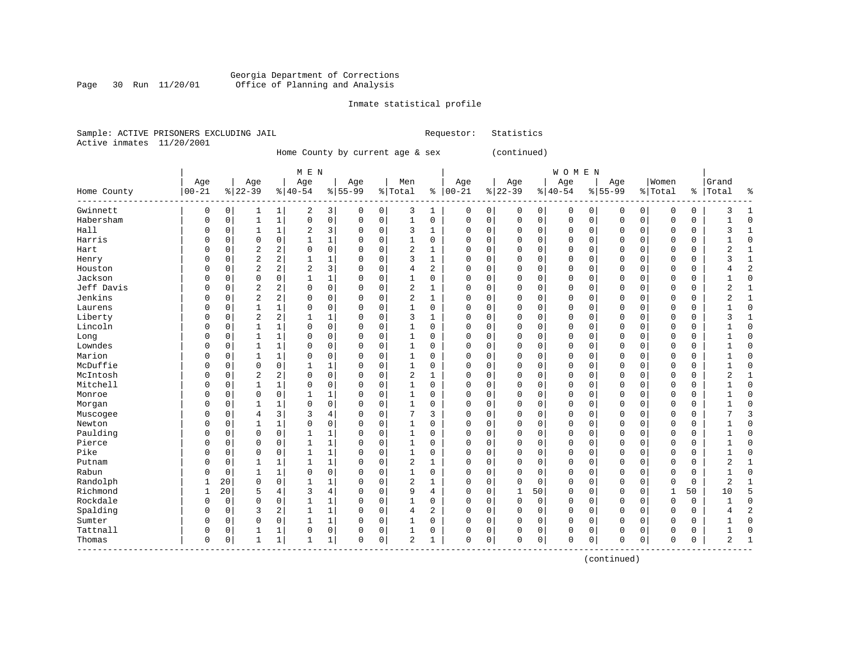# Georgia Department of Corrections Page 30 Run 11/20/01 Office of Planning and Analysis

# Inmate statistical profile

|  | Sample: ACTIVE PRISONERS EXCLUDING JAIL | Requestor: Statistics |  |
|--|-----------------------------------------|-----------------------|--|
|  | Active inmates 11/20/2001               |                       |  |

Home County by current age & sex (continued)

|                                |           |          |                |              | M E N          |                         |           |             |                |                |              |          |             |             | WOMEN    |             |              |             |             |          |                |                |
|--------------------------------|-----------|----------|----------------|--------------|----------------|-------------------------|-----------|-------------|----------------|----------------|--------------|----------|-------------|-------------|----------|-------------|--------------|-------------|-------------|----------|----------------|----------------|
|                                | Age       |          | Age            |              | Age            |                         | Age       |             | Men            |                | Age          |          | Age         |             | Age      |             | Age          |             | Women       |          | Grand          |                |
| Home County                    | $00 - 21$ |          | $8 22-39$      |              | $8 40-54$      |                         | $8 55-99$ |             | % Total        | နွ             | $ 00-21$     |          | $ 22-39$    |             | $ 40-54$ |             | $8 55-99$    |             | % Total     |          | %   Total      | နွ             |
| Gwinnett                       | 0         | 0        | 1              | $\mathbf 1$  | 2              | $\overline{\mathbf{3}}$ | 0         | 0           | 3              | 1              | 0            | 0        | 0           | 0           | 0        | 0           | $\mathbf 0$  | 0           | 0           | 0        | 3              | 1              |
| Habersham                      | $\Omega$  | $\Omega$ | $\mathbf{1}$   | $\mathbf{1}$ | $\Omega$       | 0                       | $\Omega$  | $\mathbf 0$ | $\mathbf{1}$   | $\Omega$       | $\Omega$     | 0        | $\mathbf 0$ | $\mathbf 0$ | $\Omega$ | $\mathbf 0$ | $\Omega$     | $\mathbf 0$ | $\mathbf 0$ | 0        |                | $\Omega$       |
| Hall                           | 0         | 0        | $\mathbf{1}$   | 1            | 2              | 3                       | $\Omega$  | 0           | 3              | 1              | $\Omega$     | 0        | $\mathbf 0$ | 0           | $\Omega$ | $\mathbf 0$ | $\Omega$     | $\mathbf 0$ | 0           | 0        | 3              | $\mathbf{1}$   |
| Harris                         |           | 0        | $\mathbf 0$    | $\Omega$     | 1              | $\mathbf 1$             |           | $\mathbf 0$ | 1              | 0              | 0            | 0        | $\mathbf 0$ | $\mathbf 0$ | 0        | 0           | 0            | $\Omega$    | 0           | 0        |                | $\Omega$       |
| Hart                           |           | 0        | $\overline{a}$ | 2            | $\mathbf 0$    | 0                       |           | 0           | 2              | $\mathbf{1}$   | $\Omega$     | 0        | $\Omega$    | 0           | 0        | $\circ$     | 0            | 0           | $\mathbf 0$ | 0        | 2              | $\mathbf{1}$   |
| Henry                          |           | 0        | $\overline{2}$ | 2            | $\mathbf{1}$   | 1                       | O         | $\mathbf 0$ | 3              | $\mathbf{1}$   | $\mathbf 0$  | 0        | $\Omega$    | 0           | 0        | 0           | 0            | 0           | $\mathbf 0$ | 0        | ζ              | $\mathbf{1}$   |
| Houston                        | U         | 0        | $\overline{2}$ | 2            | $\overline{2}$ | 3                       | $\Omega$  | $\mathbf 0$ | 4              | $\overline{a}$ | $\Omega$     | 0        | $\mathbf 0$ | 0           | 0        | $\mathbf 0$ | $\mathbf 0$  | 0           | $\mathbf 0$ | 0        |                | $\overline{2}$ |
| Jackson                        | 0         | $\Omega$ | $\mathbf 0$    | 0            | 1              | 1                       | 0         | 0           | 1              | 0              | $\Omega$     | 0        | $\Omega$    | 0           | $\Omega$ | $\mathbf 0$ | $\mathbf 0$  | $\Omega$    | $\Omega$    | 0        |                | $\Omega$       |
| Jeff Davis                     | U         | 0        | $\overline{2}$ | 2            | $\Omega$       | 0                       | 0         | 0           | 2              | 1              | $\Omega$     | 0        | 0           | 0           | 0        | 0           | $\Omega$     | 0           | 0           | 0        | $\overline{2}$ | $\mathbf{1}$   |
| Jenkins                        | U         | 0        | $\overline{2}$ | 2            | $\Omega$       | 0                       | O         | 0           | 2              | $\mathbf{1}$   | $\Omega$     | O        | $\mathbf 0$ | $\Omega$    | $\Omega$ | $\mathbf 0$ | $\Omega$     | 0           | $\Omega$    | $\Omega$ |                | $\mathbf{1}$   |
| Laurens                        | U         | $\Omega$ | $\mathbf{1}$   | 1            | $\Omega$       | 0                       | $\Omega$  | $\Omega$    | 1              | $\Omega$       | $\Omega$     | O        | $\Omega$    | 0           | $\Omega$ | $\mathbf 0$ | $\Omega$     | $\Omega$    | $\mathbf 0$ | 0        |                | $\Omega$       |
| Liberty                        | U         | $\Omega$ | $\overline{2}$ | 2            | 1              | 1                       | U         | $\Omega$    | 3              | 1              | $\Omega$     | 0        | $\mathbf 0$ | 0           | 0        | $\Omega$    | $\Omega$     | $\Omega$    | $\Omega$    | 0        | ς              |                |
| Lincoln                        |           | 0        | 1              | $\mathbf 1$  | $\Omega$       | 0                       |           | $\mathbf 0$ | 1              | 0              | 0            | 0        | $\mathbf 0$ | $\mathbf 0$ | 0        | $\mathbf 0$ | $\Omega$     | $\Omega$    | $\mathbf 0$ | 0        |                | $\Omega$       |
| Long                           |           | 0        | $\mathbf{1}$   | $\mathbf 1$  | $\Omega$       | 0                       |           | 0           | $\mathbf{1}$   | 0              | $\Omega$     | 0        | $\Omega$    | 0           | 0        | $\mathbf 0$ | $\Omega$     | 0           | $\mathbf 0$ | 0        |                | $\Omega$       |
| Lowndes                        | U         | 0        | 1              | $\mathbf{1}$ | $\Omega$       | 0                       | O         | $\mathbf 0$ | $\mathbf{1}$   | 0              | $\mathbf 0$  | 0        | $\mathbf 0$ | 0           | 0        | $\mathbf 0$ | $\Omega$     | 0           | $\mathbf 0$ | 0        |                | $\Omega$       |
| Marion                         | U         | 0        | 1              | 1            | $\Omega$       | 0                       | n         | 0           | 1              | $\Omega$       | $\Omega$     | 0        | $\mathbf 0$ | 0           | $\Omega$ | $\mathbf 0$ | $\Omega$     | $\Omega$    | $\Omega$    | 0        |                | $\Omega$       |
| McDuffie                       | U         | 0        | $\mathbf 0$    | 0            |                | 1                       | U         | 0           | 1              | 0              | $\Omega$     | 0        | $\mathbf 0$ | 0           | $\Omega$ | $\mathbf 0$ | $\mathbf 0$  | $\Omega$    | $\Omega$    | 0        |                | $\Omega$       |
| McIntosh                       | O         | 0        | $\overline{2}$ | 2            | $\Omega$       | 0                       | $\Omega$  | 0           | 2              | 1              | $\Omega$     | 0        | $\mathbf 0$ | 0           | 0        | 0           | $\Omega$     | $\Omega$    | 0           | 0        | 2              | $\mathbf{1}$   |
| Mitchell                       | U         | 0        | -1             | 1            | $\Omega$       | 0                       | $\Omega$  | 0           | 1              | 0              | $\Omega$     | O        | $\Omega$    | $\Omega$    | $\Omega$ | $\mathbf 0$ | $\Omega$     | $\Omega$    | $\Omega$    | $\Omega$ |                | $\Omega$       |
| Monroe                         | U         | $\Omega$ | $\Omega$       | 0            | $\mathbf{1}$   | 1                       | O         | $\Omega$    | 1              | $\Omega$       | $\Omega$     | O        | $\Omega$    | 0           | $\Omega$ | $\mathbf 0$ | $\Omega$     | $\Omega$    | $\mathbf 0$ | 0        |                | $\Omega$       |
| Morgan                         | U         | 0        | 1              | 1            | 0              | 0                       | $\Omega$  | $\Omega$    | $\mathbf{1}$   | 0              | $\Omega$     | 0        | $\Omega$    | 0           | 0        | $\Omega$    | $\Omega$     | $\Omega$    | $\Omega$    | 0        |                | $\Omega$       |
| Muscogee                       | 0         | 0        | 4              | 3            | 3              | 4                       | 0         | $\mathbf 0$ | 7              | 3              | 0            | 0        | 0           | 0           | 0        | $\mathbf 0$ | 0            | $\Omega$    | 0           | 0        |                | 3              |
| Newton                         |           | $\Omega$ |                | 1            | $\Omega$       | 0                       |           | $\mathbf 0$ | 1              | $\Omega$       | 0            | 0        | 0           | 0           | 0        | $\mathbf 0$ | $\Omega$     | $\Omega$    | $\mathbf 0$ | 0        |                | $\Omega$       |
| Paulding                       |           | 0        | $\mathbf 0$    | $\Omega$     | 1              | 1                       |           | $\mathbf 0$ | 1              | 0              | $\Omega$     | 0        | $\Omega$    | $\Omega$    | 0        | $\mathbf 0$ | $\Omega$     | $\Omega$    | $\Omega$    | 0        |                | $\Omega$       |
| Pierce                         |           | 0        | $\Omega$       | $\Omega$     | 1              | 1                       | U         | $\Omega$    | 1              | $\Omega$       | $\Omega$     | 0        | $\Omega$    | $\Omega$    | 0        | $\mathbf 0$ | $\Omega$     | $\Omega$    | $\Omega$    | 0        |                | $\Omega$       |
| Pike                           | O         | 0        | $\mathbf 0$    | $\mathbf 0$  | $\mathbf{1}$   | 1                       | $\Omega$  | 0           | $\mathbf{1}$   | 0              | $\Omega$     | 0        | $\Omega$    | 0           | $\Omega$ | $\mathbf 0$ | $\mathbf 0$  | $\Omega$    | $\Omega$    | 0        |                | $\Omega$       |
| Putnam                         | O         | $\Omega$ |                | 1            | 1              | 1                       | $\Omega$  | 0           | 2              | 1              | $\Omega$     | 0        | $\mathbf 0$ | 0           | 0        | 0           | $\Omega$     | 0           | $\Omega$    | 0        | $\overline{2}$ | $\mathbf{1}$   |
| Rabun                          | U         | 0        |                | 1            | $\Omega$       | 0                       | $\Omega$  | $\mathbf 0$ | 1              | 0              | 0            | 0        | $\Omega$    | 0           | 0        | 0           | 0            | 0           | 0           | 0        |                | $\Omega$       |
| Randolph                       |           | 20       | $\mathbf 0$    | $\mathbf 0$  | $\mathbf{1}$   | $\mathbf 1$             | $\Omega$  | $\mathbf 0$ | 2              | 1              | $\Omega$     | 0        | $\mathbf 0$ | $\mathbf 0$ | 0        | $\mathbf 0$ | $\Omega$     | $\Omega$    | $\mathbf 0$ | 0        | $\overline{2}$ | -1             |
| Richmond                       | 1         | 20       | 5              | 4            | 3              | 4                       | O         | $\Omega$    | 9              | 4              | $\Omega$     | 0        | 1           | 50          | $\Omega$ | $\mathbf 0$ | $\Omega$     | $\Omega$    | 1           | 50       | 10             | 5              |
| Rockdale                       | 0         | $\Omega$ | $\Omega$       | $\Omega$     | $\mathbf{1}$   | 1                       | 0         | $\Omega$    | 1              | 0              | $\Omega$     | 0        | $\Omega$    | $\mathbf 0$ | $\Omega$ | $\Omega$    | $\Omega$     | $\Omega$    | $\mathbf 0$ | 0        |                | $\Omega$       |
| Spalding                       | 0         | 0        | 3              | 2            | $\mathbf{1}$   | $\mathbf 1$             | 0         | $\mathbf 0$ | 4              | 2              | 0            | $\Omega$ | $\mathbf 0$ | $\mathbf 0$ | $\Omega$ | $\mathbf 0$ | $\Omega$     | $\Omega$    | $\mathbf 0$ | 0        |                | $\overline{2}$ |
| Sumter                         | U         | 0        | 0              | 0            | 1              | 1                       |           | 0           | 1              | 0              | $\Omega$     | 0        | $\Omega$    | 0           | $\Omega$ | 0           | $\Omega$     | 0           | 0           | 0        |                | $\Omega$       |
| Tattnall                       | 0         | 0        |                | 1            | $\mathbf 0$    | 0                       | O         | 0           | 1              | 0              | 0            | 0        | $\Omega$    | $\mathbf 0$ | 0        | 0           | $\Omega$     | 0           | 0           | 0        |                | $\Omega$       |
| Thomas<br>$- - - -$<br>------- | 0         | 0        | $\mathbf{1}$   | 1            | $\mathbf{1}$   | $\mathbf 1$             | $\Omega$  | 0           | $\overline{2}$ | 1              | $\mathbf{0}$ | 0        | $\Omega$    | $\mathbf 0$ | 0        | $\mathbf 0$ | $\mathbf{0}$ | 0           | $\mathbf 0$ | 0        | 2              | $\mathbf{1}$   |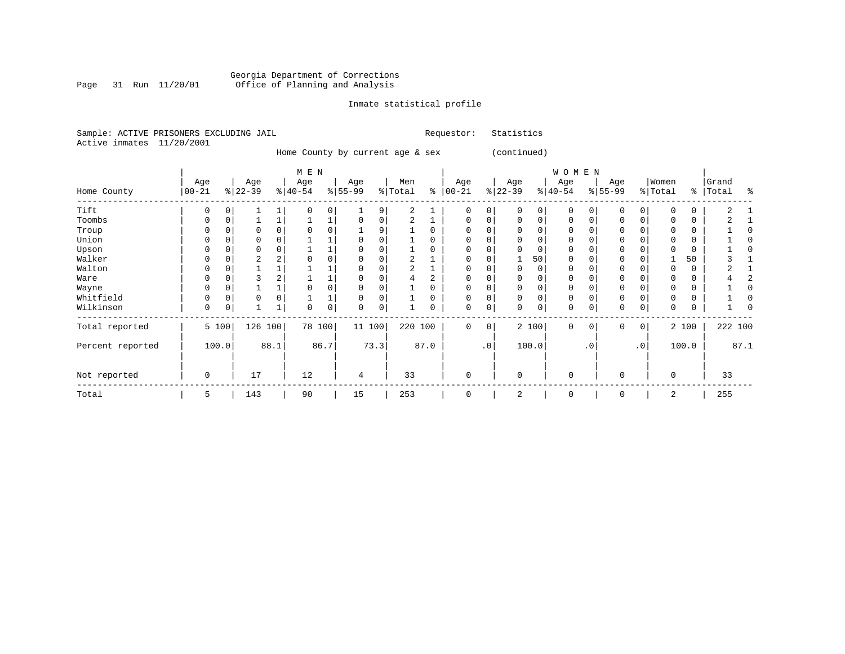#### Georgia Department of Corrections Page 31 Run 11/20/01 Office of Planning and Analysis

# Inmate statistical profile

|  |                           | Sample: ACTIVE PRISONERS EXCLUDING JAIL | Requestor: Statistics |  |
|--|---------------------------|-----------------------------------------|-----------------------|--|
|  | Active inmates 11/20/2001 |                                         |                       |  |

Home County by current age & sex (continued)

|                  |                  |          |                 |      | M E N            |      |                  |          |                |          |                    |           |                 |          | WOMEN           |             |                  |                 |                  |          |                |         |
|------------------|------------------|----------|-----------------|------|------------------|------|------------------|----------|----------------|----------|--------------------|-----------|-----------------|----------|-----------------|-------------|------------------|-----------------|------------------|----------|----------------|---------|
| Home County      | Age<br>$00 - 21$ |          | Age<br>$ 22-39$ |      | Age<br>$ 40-54 $ |      | Age<br>$8 55-99$ |          | Men<br>% Total | နွ       | Age<br>$ 00 - 21 $ |           | Age<br>$ 22-39$ |          | Age<br>$ 40-54$ |             | Age<br>$ 55-99 $ |                 | Women<br>% Total | ៖        | Grand<br>Total | န္      |
| Tift             | U                |          |                 |      |                  |      |                  | 9        | 2              |          | <sup>0</sup>       |           |                 | 0        | O               |             | 0                |                 |                  | $\Omega$ |                |         |
| Toombs           | U                |          |                 |      |                  |      |                  | 0        |                |          |                    |           |                 | 0        | $\Omega$        |             | $\mathbf 0$      | 0               |                  | 0        |                |         |
| Troup            | O                |          |                 |      |                  |      |                  | 9        |                | 0        |                    |           |                 | 0        | 0               |             | $\Omega$         |                 |                  | 0        |                |         |
| Union            | 0                |          |                 |      |                  |      |                  |          |                | 0        |                    |           |                 | 0        | 0               |             | 0                |                 |                  | 0        |                |         |
| Upson            |                  |          |                 |      |                  |      |                  |          |                | 0        |                    |           |                 | 0        | 0               |             | $\mathbf 0$      |                 |                  | 0        |                |         |
| Walker           | 0                | $\Omega$ | 2               | z.   |                  |      |                  | $\Omega$ |                |          |                    |           |                 | 50       | 0               |             | $\mathbf 0$      |                 |                  | 50       |                |         |
| Walton           |                  |          |                 |      |                  |      |                  | $\Omega$ |                |          |                    |           |                 | 0        | 0               |             | $\mathbf 0$      |                 |                  | $\Omega$ |                |         |
| Ware             | O                |          |                 |      |                  |      | 0                |          | 4              |          | $\Omega$           |           |                 | $\Omega$ | $\Omega$        |             | 0                |                 |                  | $\Omega$ |                |         |
| Wayne            | O                |          |                 |      |                  |      |                  |          |                | 0        |                    |           |                 | $\Omega$ | O               |             | $\mathbf 0$      |                 |                  | $\Omega$ |                |         |
| Whitfield        | 0                |          | 0               |      |                  |      |                  |          |                | $\Omega$ | 0                  |           |                 | $\Omega$ | 0               |             | $\mathbf 0$      |                 |                  | 0        |                |         |
| Wilkinson        | 0                | 0        |                 |      | 0                | 0    | 0                | 0        |                | 0        | 0                  | 0         |                 | 0        | 0               |             | $\mathbf 0$      | 0               | $\Omega$         | 0        |                |         |
| Total reported   |                  | 5 100    | 126             | 100  | 78 100           |      | 11 100           |          | 220 100        |          | 0                  | 0         |                 | 2 100    | 0               | $\mathbf 0$ | $\mathbf 0$      | 0               |                  | 2 100    |                | 222 100 |
| Percent reported |                  | 100.0    |                 | 88.1 |                  | 86.7 |                  | 73.3     |                | 87.0     |                    | $\cdot$ 0 |                 | 100.0    |                 | $\cdot$ 0   |                  | .0 <sup>1</sup> |                  | 100.0    |                | 87.1    |
| Not reported     | 0                |          | 17              |      | 12               |      | $\overline{4}$   |          | 33             |          | $\Omega$           |           | $\Omega$        |          | $\mathbf 0$     |             | $\mathbf 0$      |                 | $\Omega$         |          | 33             |         |
| Total            | 5                |          | 143             |      | 90               |      | 15               |          | 253            |          | 0                  |           | 2               |          | 0               |             | 0                |                 | 2                |          | 255            |         |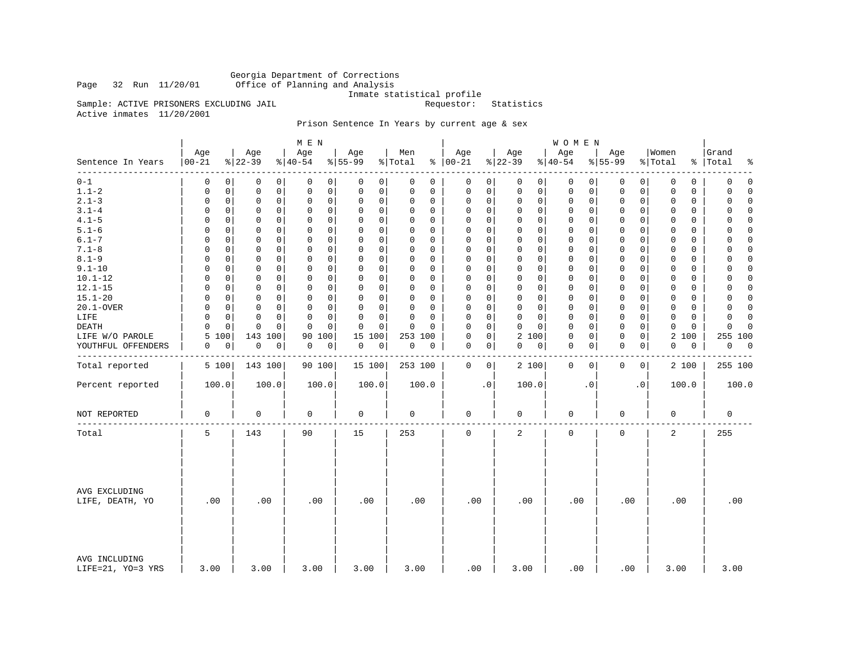Georgia Department of Corrections Office of Planning and Analysis

Inmate statistical profile<br>Requestor: Statistics

Active inmates 11/20/2001

Sample: ACTIVE PRISONERS EXCLUDING JAIL

# Prison Sentence In Years by current age & sex

|                                    |                   |                 | M E N                        |                  |                |                            |                 | WOMEN            |                             |                  |                         |
|------------------------------------|-------------------|-----------------|------------------------------|------------------|----------------|----------------------------|-----------------|------------------|-----------------------------|------------------|-------------------------|
| Sentence In Years<br>--------      | Age<br>$ 00 - 21$ | Age<br>$ 22-39$ | Age<br>$\frac{1}{6}$   40-54 | Age<br>$8 55-99$ | Men<br>% Total | Age<br>$% 100-21$          | Age<br>$ 22-39$ | Age<br>$ 40-54$  | Age<br>$8 55-99$            | Women<br>% Total | Grand<br>%   Total<br>ႜ |
| $0 - 1$                            | 0                 | $\mathbf 0$     | 0                            | 0                | 0              | 0                          | $\mathbf 0$     | $\mathbf 0$      | 0                           | 0                | $\mathbf 0$             |
|                                    | $\Omega$          | 0               | 0                            | 0                | 0              | 0                          | 0               | 0                | 0                           | $\mathbf 0$      | 0                       |
| $1.1 - 2$                          | 0                 | $\mathbf 0$     | $\mathbf 0$                  | $\mathbf 0$      | 0              | $\mathsf 0$                | $\mathbf 0$     | $\mathbf 0$      | $\mathsf{O}$                | $\Omega$         | 0                       |
|                                    | 0                 | 0               | 0                            | 0                | 0              | 0                          | $\mathbf 0$     | 0                | 0                           | 0                | $\Omega$                |
| $2.1 - 3$                          | $\mathsf 0$       | $\mathsf 0$     | $\mathbf 0$                  | 0                | $\Omega$       | $\mathbf 0$                | $\mathbf 0$     | 0                | $\mathbf 0$                 | 0                | 0                       |
|                                    | $\mathbf 0$       | $\mathbf 0$     | $\mathbf 0$                  | $\mathbf 0$      | 0              | 0                          | $\mathbf 0$     | 0                | 0                           | $\mathbf 0$      | $\Omega$                |
| $3.1 - 4$                          | $\Omega$          | 0               | $\mathbf 0$                  | 0                | $\Omega$       | $\mathbf 0$                | 0               | 0                | 0                           | $\mathbf 0$      | $\Omega$                |
|                                    | 0                 | 0               | 0                            | 0                | 0              | 0                          | $\mathbf 0$     | 0                | 0                           | 0                | $\Omega$                |
| $4.1 - 5$                          | $\Omega$          | $\mathbf 0$     | $\mathbf 0$                  | 0                | $\Omega$       | $\mathsf 0$                | $\mathbf 0$     | 0                | 0                           | $\mathbf 0$      | $\Omega$                |
|                                    | 0                 | 0               | 0                            | $\mathbf 0$      | 0              | 0                          | $\mathbf 0$     | 0                | 0                           | 0                | 0                       |
| $5.1 - 6$                          | $\Omega$          | $\Omega$        | $\mathbf 0$                  | 0                | $\Omega$       | $\mathbf 0$                | $\mathbf 0$     | 0                | $\mathbf 0$                 | $\mathbf 0$      | $\mathbf 0$             |
|                                    | 0                 | 0               | $\Omega$                     | 0                | $\Omega$       | 0                          | $\mathbf 0$     | 0                | $\mathbf 0$                 | 0                | 0                       |
| $6.1 - 7$                          | $\Omega$          | $\Omega$        | $\Omega$                     | 0                | $\Omega$       | $\Omega$                   | $\Omega$        | $\mathbf 0$      | $\mathbf 0$                 | $\Omega$         | $\Omega$                |
|                                    | $\Omega$          | 0               | $\Omega$                     | $\mathbf 0$      | $\Omega$       | $\Omega$                   | $\Omega$        | $\Omega$         | $\Omega$                    | $\Omega$         | $\Omega$                |
| $7.1 - 8$                          | 0                 | 0               | $\mathsf 0$                  | 0                | $\Omega$       | $\mathsf 0$                | $\mathsf{O}$    | 0                | $\mathsf{O}$                | $\mathbf 0$      | $\Omega$                |
|                                    | 0                 | 0               | $\mathsf 0$                  | $\mathsf 0$      | 0              | $\mathbf 0$                | $\mathbf 0$     | 0                | $\mathbf 0$                 | $\mathbf 0$      | 0                       |
| $8.1 - 9$                          | 0                 | 0               | $\Omega$                     | 0                | 0              | $\Omega$                   | $\mathbf 0$     | $\mathbf 0$      | $\mathbf 0$                 | $\Omega$         | 0                       |
|                                    | $\Omega$          | 0               | 0                            | 0                | $\Omega$       | $\mathbf 0$                | $\mathbf 0$     | 0                | $\mathbf 0$                 | 0                | $\Omega$                |
| $9.1 - 10$                         | $\Omega$          | 0               | $\Omega$                     | $\mathbf 0$      | $\Omega$       | $\mathbf 0$                | $\mathbf 0$     | $\mathbf 0$      | $\mathbf 0$                 | $\mathbf 0$      | $\Omega$                |
|                                    | $\Omega$          | 0               | $\mathbf 0$                  | 0                | 0              | $\mathbf 0$                | $\mathbf 0$     | 0                | $\mathbf 0$                 | $\mathbf 0$      | 0                       |
| $10.1 - 12$                        | 0                 | $\mathbf 0$     | $\mathbf 0$                  | 0                | $\Omega$       | $\mathbf 0$                | $\mathbf 0$     | $\mathbf 0$      | $\mathbf 0$                 | $\mathbf 0$      | $\mathbf 0$             |
|                                    | 0                 | 0               | $\mathbf 0$                  | $\mathbf 0$      | 0              | 0                          | $\mathbf 0$     | 0                | 0                           | 0                | 0                       |
| $12.1 - 15$                        | $\Omega$          | 0               | 0                            | 0                | $\Omega$       | $\Omega$                   | $\mathbf 0$     | 0                | $\mathbf 0$                 | 0                | $\mathbf 0$             |
|                                    | $\Omega$          | 0               | 0                            | 0                | $\Omega$       | 0                          | 0               | 0                | 0                           | 0                | 0                       |
| $15.1 - 20$                        | $\Omega$          | 0               | $\mathbf 0$                  | 0                | $\Omega$       | $\mathbf 0$                | $\mathbf 0$     | $\mathbf 0$      | $\mathbf 0$                 | $\mathbf 0$      | $\Omega$                |
|                                    | $\Omega$          | 0               | $\Omega$                     | $\mathbf 0$      | 0              | 0                          | $\mathbf 0$     | 0                | $\mathbf 0$                 | 0                | $\Omega$                |
| 20.1-OVER                          | $\Omega$          | $\mathbf 0$     | $\mathbf 0$                  | 0                | 0              | 0                          | $\mathbf 0$     | 0                | 0                           | $\mathbf 0$      | 0                       |
|                                    | 0                 | 0               | 0                            | 0                | $\Omega$       | 0                          | $\mathbf 0$     | 0                | 0                           | 0                | $\Omega$                |
| LIFE                               | 0                 | $\mathbf 0$     | $\mathbf 0$                  | 0                | $\mathbf 0$    | $\Omega$                   | $\mathbf 0$     | 0                | $\mathbf 0$                 | $\mathbf 0$      | 0                       |
|                                    | 0                 | 0               | 0                            | 0                | $\Omega$       | 0                          | $\mathbf 0$     | 0                | 0                           | $\mathbf 0$      | $\mathbf 0$             |
| <b>DEATH</b>                       | $\Omega$          | 0               | $\Omega$                     | 0                | $\Omega$       | $\mathbf 0$                | $\Omega$        | 0                | $\mathbf 0$                 | $\mathbf 0$      | 0                       |
|                                    | $\Omega$          | $\Omega$        | $\Omega$                     | $\Omega$         | $\Omega$       | $\Omega$                   | $\mathbf 0$     | 0                | 0                           | 0                | $\Omega$                |
| LIFE W/O PAROLE                    | 5<br>100          | 143 100         | 100<br>90                    | 15<br>100        | 253 100        | $\mathsf 0$<br>$\mathbf 0$ | 2 100           | $\mathsf 0$<br>0 | $\mathsf{O}$<br>$\mathbf 0$ | 2 100            | 255 100                 |
| YOUTHFUL OFFENDERS                 | 0                 | 0               | 0                            | 0                | 0              | 0                          | 0               | 0                | $\mathbf 0$                 | 0                | 0                       |
|                                    | 0                 | 0               | 0                            | 0                | 0              | 0                          | 0               | 0                | 0                           | 0                | $\overline{0}$          |
|                                    |                   |                 |                              |                  |                |                            |                 |                  |                             |                  |                         |
| Total reported                     | 5 100             | 143 100         | 90 100                       | 15 100           | 253 100        | 0<br>$\mathbf{0}$          | 2 100           | $\mathbf 0$<br>0 | 0<br>0                      | 2 100            | 255 100                 |
| Percent reported                   | 100.0             | 100.0           | 100.0                        | 100.0            | 100.0          | $\cdot$ 0                  | 100.0           | $\cdot$ 0        | $\cdot$ 0                   | 100.0            | 100.0                   |
| NOT REPORTED                       | 0                 | $\mathbf 0$     | 0                            | 0                | 0              | 0                          | 0               | 0                | 0                           | 0                | $\mathbf 0$             |
| Total                              | 5                 | 143             | 90                           | 15               | 253            | $\mathbf 0$                | 2               | $\mathbf 0$      | $\mathbf 0$                 | 2                | 255                     |
| AVG EXCLUDING<br>LIFE, DEATH, YO   | .00               | .00             | .00                          | .00              | .00            | .00                        | .00             | .00              | .00                         | .00              | .00                     |
| AVG INCLUDING<br>LIFE=21, YO=3 YRS | 3.00              | 3.00            | 3.00                         | 3.00             | 3.00           | .00                        | 3.00            | .00              | .00                         | 3.00             | 3.00                    |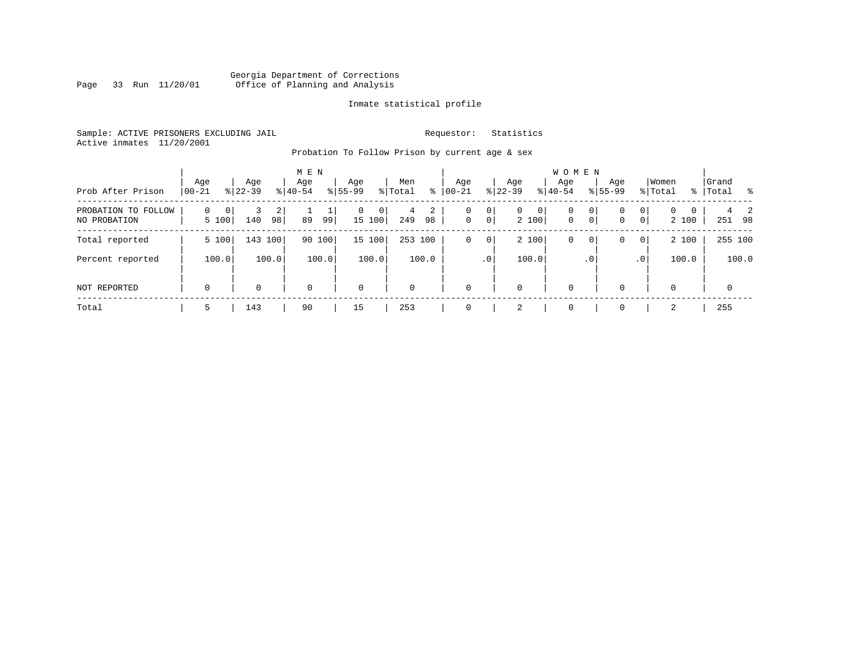# Georgia Department of Corrections<br>Page 33 Run 11/20/01 Office of Planning and Analysis Page 33 Run 11/20/01 Office of Planning and Analysis

## Inmate statistical profile

Sample: ACTIVE PRISONERS EXCLUDING JAIL **Requestor:** Statistics Active inmates 11/20/2001

Probation To Follow Prison by current age & sex

| Prob After Prison                   | Age<br>$00 - 21$     | Age<br>$8122 - 39$  |                      | M E N<br>Age<br>$8 40-54$ |        | Age<br>$8155 - 99$ |             | Men<br>% Total | ⊱       | Age<br>$00 - 21$ |                     | Age<br>$ 22-39 $ |            | <b>WOMEN</b><br>Aqe<br>$8 40-54$ |              | Age<br>$8155 - 99$ |                     | Women<br>% Total  |             | Grand<br>%   Total |             | း |
|-------------------------------------|----------------------|---------------------|----------------------|---------------------------|--------|--------------------|-------------|----------------|---------|------------------|---------------------|------------------|------------|----------------------------------|--------------|--------------------|---------------------|-------------------|-------------|--------------------|-------------|---|
| PROBATION TO FOLLOW<br>NO PROBATION | $\mathbf 0$<br>5 100 | $\mathbf{0}$<br>140 | $\overline{2}$<br>98 | 89                        | 99     | $\mathbf{0}$       | 0<br>15 100 | 4<br>249       | 2<br>98 | 0<br>$\mathbf 0$ | 0<br>0 <sup>1</sup> | $\mathbf{0}$     | 0<br>2 100 | 0<br>$\mathbf{0}$                | 0<br>$\circ$ | 0<br>0             | 0<br>$\overline{0}$ | $\Omega$<br>2 100 | $\mathbf 0$ |                    | 251 98      | 2 |
| Total reported                      | 5 100                |                     | 143 100              |                           | 90 100 |                    | 15 100      | 253            | 100     | 0                | 0                   |                  | 2 100      | 0                                | 0            | 0                  | $\overline{0}$      | 2 100             |             |                    | 255 100     |   |
| Percent reported                    | 100.0                |                     | 100.0                |                           | 100.0  |                    | 100.0       |                | 100.0   |                  | .0 <sup>1</sup>     |                  | 100.0      |                                  | $\cdot$ 0    |                    | .0'                 |                   | 100.0       |                    | 100.0       |   |
| NOT REPORTED                        | $\mathbf 0$          | 0                   |                      | $\mathbf 0$               |        | $\mathbf 0$        |             | $\mathbf 0$    |         | $\mathbf 0$      |                     | 0                |            | $\mathbf 0$                      |              | $\Omega$           |                     | $\Omega$          |             |                    | $\mathbf 0$ |   |
| Total                               | ь                    | 143                 |                      | 90                        |        | 15                 |             | 253            |         | 0                |                     | 2                |            | $\mathbf 0$                      |              |                    |                     | 2                 |             |                    | 255         |   |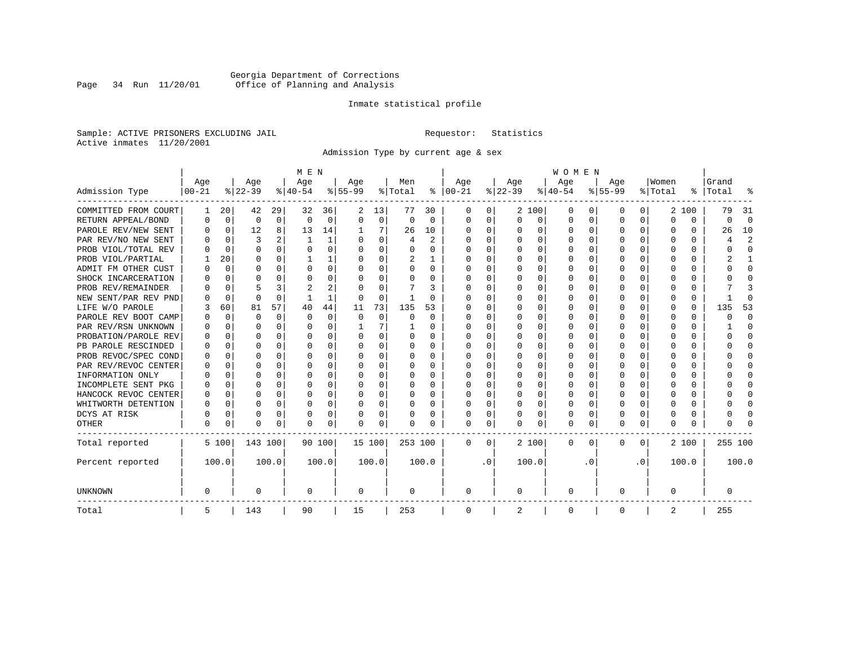# Georgia Department of Corrections<br>Page 34 Run 11/20/01 Office of Planning and Analysis Page 34 Run 11/20/01 Office of Planning and Analysis

## Inmate statistical profile

Sample: ACTIVE PRISONERS EXCLUDING JAIL **Requestor:** Statistics Active inmates 11/20/2001

Admission Type by current age & sex

|                      |           |             |          |              | M E N        |       |           |             |          |                |          |           |          |          | <b>WOMEN</b> |                  |              |              |         |          |         |                |
|----------------------|-----------|-------------|----------|--------------|--------------|-------|-----------|-------------|----------|----------------|----------|-----------|----------|----------|--------------|------------------|--------------|--------------|---------|----------|---------|----------------|
|                      | Age       |             | Age      |              | Age          |       | Age       |             | Men      |                | Age      |           | Age      |          | Age          |                  | Age          |              | Women   |          | Grand   |                |
| Admission Type       | $00 - 21$ |             | $ 22-39$ |              | $ 40-54 $    |       | $8 55-99$ |             | % Total  | ႜ              | $ 00-21$ |           | $ 22-39$ |          | $ 40-54$     |                  | $8 55-99$    |              | % Total | ွေ       | Total   |                |
| COMMITTED FROM COURT | 1         | 20          | 42       | 29           | 32           | 36    | 2         | 13          | 77       | 30             | 0        | 0         |          | 2 100    | 0            | $\left( \right)$ | 0            | 0            |         | 2 100    | 79      | -31            |
| RETURN APPEAL/BOND   | 0         | 0           | 0        | 0            | $\Omega$     | 0     | $\Omega$  | 0           | $\Omega$ | $\Omega$       | $\Omega$ | 0         | $\Omega$ | 0        | 0            | $\Omega$         | $\Omega$     | $\Omega$     | U       | $\Omega$ | O       | $\Omega$       |
| PAROLE REV/NEW SENT  | 0         | 0           | 12       | 8            | 13           | 14    |           | 7           | 26       | 10             | $\Omega$ | 0         | $\Omega$ | $\Omega$ | 0            | C                | $\Omega$     | $\Omega$     | O       | $\Omega$ | 26      | 10             |
| PAR REV/NO NEW SENT  |           | $\Omega$    | 3        |              | $\mathbf{1}$ | 1     |           | $\Omega$    | 4        | $\mathfrak{D}$ | n        | 0         | $\Omega$ | $\Omega$ | U            | C                | <sup>0</sup> | 0            | Ω       | O        |         | $\overline{c}$ |
| PROB VIOL/TOTAL REV  |           | $\Omega$    | $\Omega$ | 0            | $\Omega$     | 0     |           | $\Omega$    | 0        | O              | n        | 0         | O        | $\Omega$ | 0            | C                |              |              |         | 0        |         | $\Omega$       |
| PROB VIOL/PARTIAL    |           | 20          | O        | 0            |              |       |           | $\Omega$    | 2        |                | $\Omega$ | 0         | O        | $\Omega$ | O            | O                | O            |              | O       | U        |         |                |
| ADMIT FM OTHER CUST  | O         | 0           | O        | 0            | O            | 0     | O         | $\Omega$    | O        | 0              | $\Omega$ | 0         | O        | $\Omega$ | O            | O                | O            | 0            | O       | U        |         | $\Omega$       |
| SHOCK INCARCERATION  |           | $\Omega$    | U        | <sup>n</sup> | O            | 0     |           | $\Omega$    | 0        | 0              | $\Omega$ | 0         | $\Omega$ | $\Omega$ | 0            | $\Omega$         | ∩            | 0            | U       | 0        |         | ∩              |
| PROB REV/REMAINDER   |           | 0           |          | 3            |              | 2     |           | $\Omega$    |          | 3              | $\Omega$ | 0         | $\Omega$ | $\Omega$ | 0            | C                | ∩            | <sup>n</sup> |         | 0        |         |                |
| NEW SENT/PAR REV PND |           | 0           | $\Omega$ | $\Omega$     |              | 1     |           | 0           | -1       | U              |          | 0         |          | 0        | U            | $\Omega$         |              | 0            | Ω       | 0        |         | ſ              |
| LIFE W/O PAROLE      |           | 60          | 81       | 57           | 40           | 44    | 11        | 73          | 135      | 53             |          | O         |          | 0        | O            | $\Omega$         |              | $\Omega$     |         | 0        | 135     | 53             |
| PAROLE REV BOOT CAMP |           | $\mathbf 0$ | O        | $\Omega$     | $\Omega$     | 0     | $\Omega$  | $\mathbf 0$ | 0        | $\Omega$       | O        | O         |          | $\Omega$ | 0            | $\Omega$         |              | $\Omega$     | O       | 0        | ი       | $\Omega$       |
| PAR REV/RSN UNKNOWN  |           | 0           | U        | $\Omega$     | O            | 0     |           | 7           |          | 0              | O        | 0         | ∩        | $\Omega$ | O            | ∩                |              | $\cap$       | O       | 0        |         | ∩              |
| PROBATION/PAROLE REV |           | $\Omega$    | U        | $\Omega$     | O            | 0     | $\Omega$  | $\Omega$    | 0        | 0              | O        | 0         | O        | $\Omega$ | O            | ∩                | n            | <sup>n</sup> | U       | U        |         | ∩              |
| PB PAROLE RESCINDED  |           | $\Omega$    | U        | $\cap$       | O            | 0     | ∩         | $\Omega$    | 0        | 0              | n        | 0         | ∩        | $\Omega$ | O            | C                | ∩            | $\Omega$     | n       | U        |         | n              |
| PROB REVOC/SPEC COND | O         | 0           | U        | 0            | O            | U     |           | $\Omega$    | O        | O              | n        | U         | O        | $\Omega$ | O            | C                | n            | 0            | O       | U        |         | n              |
| PAR REV/REVOC CENTER |           | 0           | U        | 0            | O            | 0     |           | $\Omega$    | U        | O              | n        | U         |          | $\Omega$ | O            | C                |              | 0            |         | U        |         | n              |
| INFORMATION ONLY     |           | 0           | O        | 0            | O            | 0     |           | $\Omega$    | 0        | U              | n        | U         |          | $\Omega$ | O            | O                |              |              |         | 0        |         | O              |
| INCOMPLETE SENT PKG  | O         | 0           | O        | 0            | O            | 0     |           | $\Omega$    | 0        | 0              | n        | 0         | O        | $\Omega$ | 0            | O                | O            |              |         | 0        |         | O              |
| HANCOCK REVOC CENTER | 0         | 0           | U        | $\Omega$     | O            | 0     |           | $\Omega$    | 0        | 0              | $\Omega$ | 0         | $\Omega$ | $\Omega$ | O            | $\Omega$         | <sup>0</sup> | 0            | O       | 0        |         | ∩              |
| WHITWORTH DETENTION  | O         | 0           | O        | $\Omega$     | O            | 0     |           | $\Omega$    | O        | 0              | $\Omega$ | 0         | $\Omega$ | $\Omega$ | O            | $\Omega$         | <sup>0</sup> | $\Omega$     | O       | 0        |         | ∩              |
| DCYS AT RISK         | O         | $\mathbf 0$ | $\Omega$ | $\Omega$     | O            | 0     |           | 0           | 0        | 0              | $\Omega$ | 0         | $\Omega$ | 0        | 0            | 0                | $\Omega$     | $\Omega$     |         | 0        |         | ſ              |
| OTHER                | 0         | 0           | $\Omega$ | 0            | O            | 0     | ∩         | 0           | N        | O              | $\Omega$ | 0         | $\Omega$ | 0        | $\Omega$     | 0                | $\Omega$     | 0            | O       | 0        |         |                |
| Total reported       |           | 5 100       | 143 100  |              | 90 100       |       | 15 100    |             | 253 100  |                | $\Omega$ | 0         |          | 2 100    | 0            | $\Omega$         | $\Omega$     | $\Omega$     |         | 2 100    | 255 100 |                |
| Percent reported     |           | 100.0       |          | 100.0        |              | 100.0 |           | 100.0       |          | 100.0          |          | $\cdot$ 0 |          | 100.0    |              | . 0              |              | $\cdot$ 0    |         | 100.0    |         | 100.0          |
| <b>UNKNOWN</b>       | 0         |             | 0        |              | 0            |       | 0         |             | 0        |                | 0        |           | 0        |          | 0            |                  | 0            |              | O       |          | 0       |                |
| Total                | 5         |             | 143      |              | 90           |       | 15        |             | 253      |                | 0        |           | 2        |          | 0            |                  | 0            |              | 2       |          | 255     |                |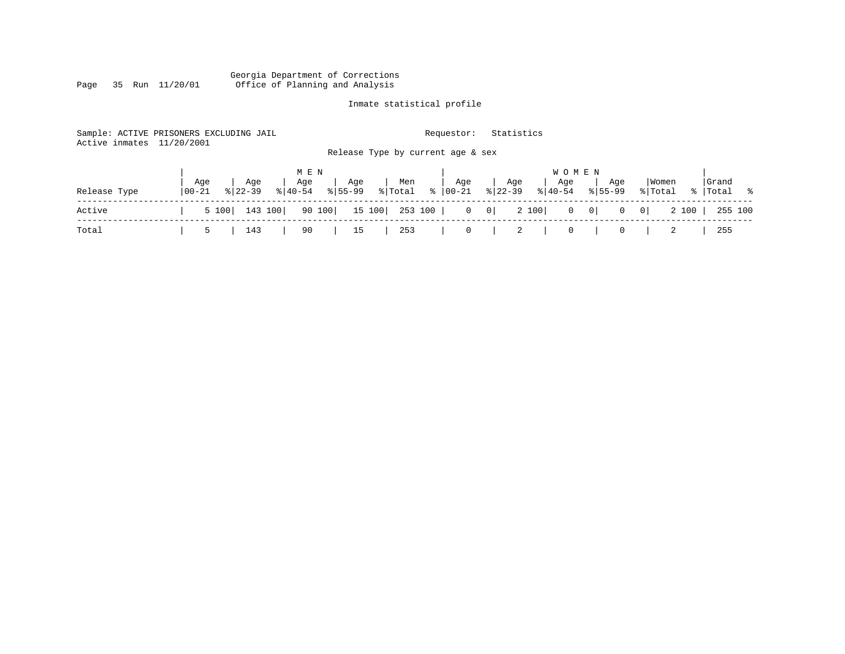#### Georgia Department of Corrections Page 35 Run 11/20/01 Office of Planning and Analysis

# Inmate statistical profile

| Active inmates | Sample: ACTIVE PRISONERS EXCLUDING JAIL<br>11/20/2001 |                                             | Requestor:           | Statistics                                       |                                                                                                   |                      |
|----------------|-------------------------------------------------------|---------------------------------------------|----------------------|--------------------------------------------------|---------------------------------------------------------------------------------------------------|----------------------|
|                |                                                       | Release Type by current age & sex           |                      |                                                  |                                                                                                   |                      |
|                |                                                       | M E N                                       |                      | W O M E N                                        |                                                                                                   |                      |
| Release Type   | Aqe<br>Age<br>  00-21<br>$8 22-39$<br>$8140 - 54$     | Age<br>Men<br>Age<br>$8155 - 99$<br>% Total | Age<br>$8   00 - 21$ | Age<br>Aqe<br>$ 22-39 $<br>$\frac{1}{6}$   40-54 | Women<br>Aqe<br>$8155 - 99$<br>% Total                                                            | Grand<br>%   Total % |
| Active         | 143 100<br>5 100                                      | 90 100<br>253 100  <br>15 100               |                      | 2 100<br>$0 \qquad 0$                            | $\begin{array}{ccc} 0 & 0 \end{array}$<br>2 100<br>$\overline{\phantom{0}}$ 0  <br>$\overline{0}$ | 255 100              |
| Total          | 143<br>ь                                              | 90<br>253<br>15                             | $\circ$              | 2<br>$\overline{0}$                              | 0                                                                                                 | 255                  |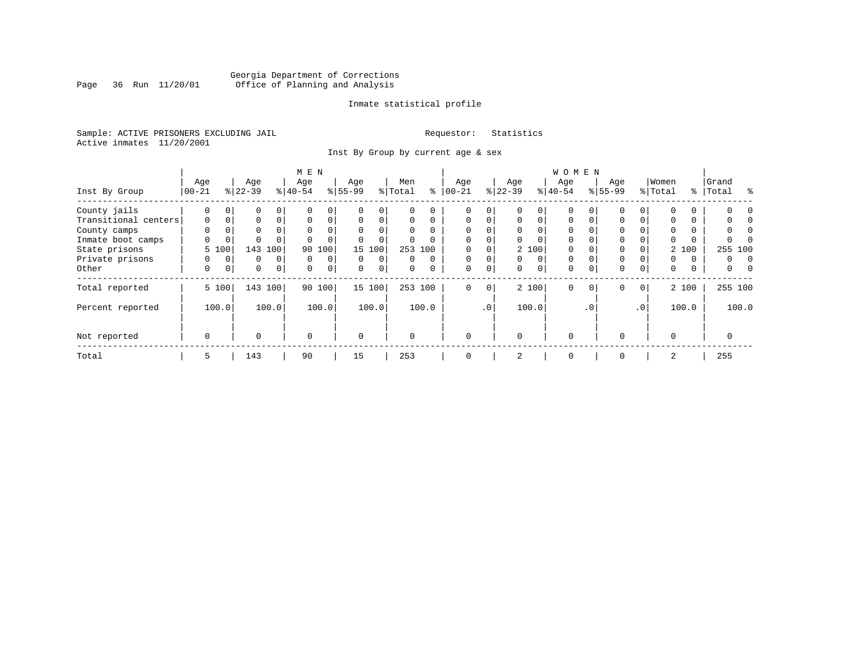# Georgia Department of Corrections<br>Page 36 Run 11/20/01 Office of Planning and Analysis Page 36 Run 11/20/01 Office of Planning and Analysis

## Inmate statistical profile

Sample: ACTIVE PRISONERS EXCLUDING JAIL **Requestor:** Statistics Active inmates 11/20/2001

Inst By Group by current age & sex

|                      |             |             |           |          | M E N       |             |           |          |         |          |          |             |           |          | W O M E N |           |             |                 |          |          |         |       |
|----------------------|-------------|-------------|-----------|----------|-------------|-------------|-----------|----------|---------|----------|----------|-------------|-----------|----------|-----------|-----------|-------------|-----------------|----------|----------|---------|-------|
|                      | Age         |             | Age       |          | Age         |             | Age       |          | Men     |          | Age      |             | Age       |          | Age       |           | Age         |                 | Women    |          | Grand   |       |
| Inst By Group        | $ 00-21 $   |             | $ 22-39 $ |          | $8 40-54$   |             | $8 55-99$ |          | % Total | နွ       | $ 00-21$ |             | $ 22-39 $ |          | $8 40-54$ |           | $8155 - 99$ |                 | % Total  | နွ       | Total   | ু     |
| County jails         | 0           | $\Omega$    | 0         | 0        |             | 0           |           | $\Omega$ |         | U        | $\Omega$ | 0           |           | 0        | $\Omega$  |           |             | 0               | $\Omega$ | 0        |         |       |
| Transitional centers | $\mathbf 0$ | $\mathbf 0$ | 0         | $\Omega$ | $\Omega$    | 0           | $\Omega$  | 0        | 0       | $\Omega$ | $\Omega$ | $\Omega$    | $\Omega$  | $\Omega$ | $\Omega$  | 0         | 0           | 0               | 0        | $\Omega$ |         |       |
| County camps         | 0           |             | 0         |          | $\Omega$    | $\Omega$    | $\Omega$  |          | 0       |          | $\Omega$ | 0           | $\Omega$  |          | $\Omega$  |           |             |                 | $\Omega$ | $\Omega$ |         |       |
| Inmate boot camps    | 0           | 0           | $\Omega$  |          |             | 0           |           | $\Omega$ | 0       |          | $\Omega$ | 0           | $\Omega$  |          | $\Omega$  |           |             |                 | $\Omega$ | 0        |         |       |
| State prisons        |             | 5 100       | 143       | 100      | 90          | 100         | 15        | 100      |         | 253 100  | $\Omega$ |             |           | 2 100    | $\Omega$  |           |             |                 |          | 2 100    | 255 100 |       |
| Private prisons      | 0           | 0           | 0         | $\Omega$ | $\Omega$    | $\mathbf 0$ | $\Omega$  | $\Omega$ | 0       | $\Omega$ | $\Omega$ | $\Omega$    | $\Omega$  | $\Omega$ | $\Omega$  |           | 0           |                 | $\Omega$ | $\Omega$ | 0       |       |
| Other                | 0           | 0           | 0         | 0        | $\Omega$    | $\mathbf 0$ | $\Omega$  | 0        | 0       |          | 0        | $\mathbf 0$ | $\Omega$  | $\Omega$ | 0         | 0         | 0           | 0               | 0        | 0        | 0       |       |
| Total reported       |             | 5 100       | 143 100   |          |             | 90 100      |           | 15 100   |         | 253 100  | $\Omega$ | 0           |           | 2 100    | 0         | $\Omega$  | $\mathbf 0$ | $\mathbf{0}$    |          | 2 100    | 255 100 |       |
| Percent reported     |             | 100.0       |           | 100.0    |             | 100.0       |           | 100.0    |         | 100.0    |          | $\cdot$ 0   |           | 100.0    |           | $\cdot$ 0 |             | .0 <sup>1</sup> |          | 100.0    |         | 100.0 |
| Not reported         | $\mathbf 0$ |             | $\Omega$  |          | $\mathbf 0$ |             | $\Omega$  |          | O       |          | $\Omega$ |             | $\Omega$  |          | $\Omega$  |           | $\Omega$    |                 | $\Omega$ |          |         |       |
| Total                | 5           |             | 143       |          | 90          |             | 15        |          | 253     |          | 0        |             | 2         |          | 0         |           | 0           |                 | 2        |          | 255     |       |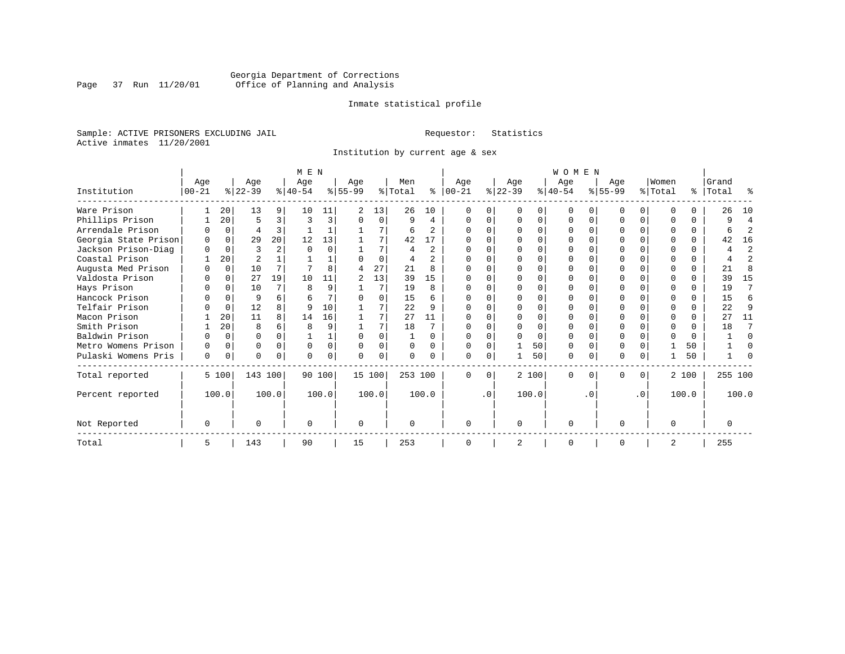# Georgia Department of Corrections<br>Page 37 Run 11/20/01 Office of Planning and Analysis Page 37 Run 11/20/01 Office of Planning and Analysis

## Inmate statistical profile

Sample: ACTIVE PRISONERS EXCLUDING JAIL **Requestor:** Statistics Active inmates 11/20/2001

Institution by current age & sex

|                      |           |          |           |                | M E N    |          |              |          |         |                |              |           |                |          | <b>WOMEN</b> |              |           |           |                |          |           |                |
|----------------------|-----------|----------|-----------|----------------|----------|----------|--------------|----------|---------|----------------|--------------|-----------|----------------|----------|--------------|--------------|-----------|-----------|----------------|----------|-----------|----------------|
|                      | Age       |          | Age       |                | Age      |          | Age          |          | Men     |                | Age          |           | Age            |          | Age          |              | Age       |           | Women          |          | Grand     |                |
| Institution          | $00 - 21$ |          | $ 22-39 $ |                | $ 40-54$ |          | $ 55-99$     |          | % Total | ႜ              | $ 00-21$     |           | $ 22-39 $      |          | $ 40-54 $    |              | $ 55-99 $ |           | % Total        |          | %   Total | ႜ              |
| Ware Prison          |           | 20       | 13        | 9              | 10       | 11       | 2            | 13       | 26      | 10             |              |           |                |          | O            |              |           | 0         |                |          | 26        | 10             |
| Phillips Prison      |           | 20       | 5         | 3              | 3        | 3        |              | $\Omega$ | 9       | 4              | U            |           | $\Omega$       | O        | 0            | 0            |           | 0         | ∩              | $\Omega$ | 9         | 4              |
| Arrendale Prison     |           | $\Omega$ | 4         | 3              |          |          |              |          | 6       | 2              |              |           | $\Omega$       | O        | $\Omega$     |              |           | $\Omega$  |                | $\Omega$ | 6         | $\overline{2}$ |
| Georgia State Prison | $\Omega$  | $\Omega$ | 29        | 20             | 12       | 13       |              |          | 42      | 17             |              |           | ∩              | O        | $\Omega$     | O            |           | O         |                | $\Omega$ | 42        | 16             |
| Jackson Prison-Diag  | $\cap$    | $\Omega$ |           | $\overline{a}$ |          |          |              |          |         | $\overline{c}$ |              |           | $\Omega$       | O        | $\Omega$     |              |           | $\Omega$  |                | $\Omega$ | 4         | $\overline{2}$ |
| Coastal Prison       |           | 20       | 2         |                |          |          |              | $\Omega$ |         | $\mathfrak{D}$ | U            |           | $\Omega$       | U        | $\Omega$     | $\Omega$     |           | $\Omega$  | ∩              | $\Omega$ | 4         | $\overline{2}$ |
| Augusta Med Prison   |           | $\Omega$ | 10        |                |          |          | 4            | 27       | 21      | 8              |              |           | $\Omega$       | O        | $\Omega$     |              |           | O         | $\Omega$       | $\Omega$ | 21        | 8              |
| Valdosta Prison      |           | $\Omega$ | 27        | 19             | 10       | 11       | $\mathbf{2}$ | 13       | 39      | 15             | U            |           | $\Omega$       | O        | $\Omega$     | <sup>0</sup> | U         | $\Omega$  | ∩              | $\Omega$ | 39        | 15             |
| Hays Prison          |           | $\Omega$ | 10        | 7              |          | 9        |              | 7        | 19      | $\mathsf{R}$   |              |           | $\Omega$       | $\Omega$ | $\Omega$     | $\Omega$     |           | $\Omega$  | ∩              | $\Omega$ | 19        | 7              |
| Hancock Prison       |           | $\Omega$ | 9         | 6              |          |          |              | $\Omega$ | 15      |                |              |           | $\Omega$       | $\cap$   | $\Omega$     | $\Omega$     |           | $\Omega$  |                | $\Omega$ | 1.5       | 6              |
| Telfair Prison       |           | $\Omega$ | 12        |                |          | 10       |              |          | 22      |                |              |           |                | O        |              |              |           | O         |                |          | 22        | 9              |
| Macon Prison         |           | 20       | 11        | 8              | 14       | 16       |              |          | 27      | 11             | U            |           | $\Omega$       | $\Omega$ | $\Omega$     | U            |           | $\Omega$  | ∩              | $\Omega$ | 27        | 11             |
| Smith Prison         |           | 20       | 8         | 6              |          |          |              |          | 18      |                |              |           | $\Omega$       | $\Omega$ | $\Omega$     | $\Omega$     |           | O         | $\Omega$       | $\Omega$ | 18        | 7              |
| Baldwin Prison       |           | $\Omega$ | O         | $\Omega$       |          |          | U            |          |         |                | $\cap$       |           | ∩              | O        | $\Omega$     | $\Omega$     |           | U         | $\Omega$       | $\Omega$ |           | $\Omega$       |
| Metro Womens Prison  |           | $\Omega$ | 0         | $\Omega$       | $\Omega$ | $\Omega$ |              | $\Omega$ |         |                | U            |           |                | 50       | $\Omega$     | $\Omega$     |           | O         |                | 50       |           | O              |
| Pulaski Womens Pris  | 0         | 0        | U         | $\Omega$       |          |          |              | 0        |         |                | U            | 0         |                | 50       | 0            | 0            | U         | 0         |                | 50       |           |                |
| Total reported       |           | 5 100    | 143 100   |                |          | 90 100   |              | 15 100   | 253 100 |                | $\Omega$     | $\Omega$  |                | 2 100    | $\Omega$     | 0            | 0         | $\Omega$  |                | 2 100    | 255 100   |                |
| Percent reported     |           | 100.0    |           | 100.0          |          | 100.0    |              | 100.0    |         | 100.0          |              | $\cdot$ 0 |                | 100.0    |              | . 0          |           | $\cdot$ 0 |                | 100.0    |           | 100.0          |
| Not Reported         | $\Omega$  |          | U         |                | ∩        |          | 0            |          |         |                | <sup>0</sup> |           | $\mathbf 0$    |          | 0            |              | U         |           | $\Omega$       |          | O         |                |
| Total                | 5         |          | 143       |                | 90       |          | 15           |          | 253     |                | $\Omega$     |           | $\overline{2}$ |          | $\Omega$     |              | O         |           | $\overline{2}$ |          | 255       |                |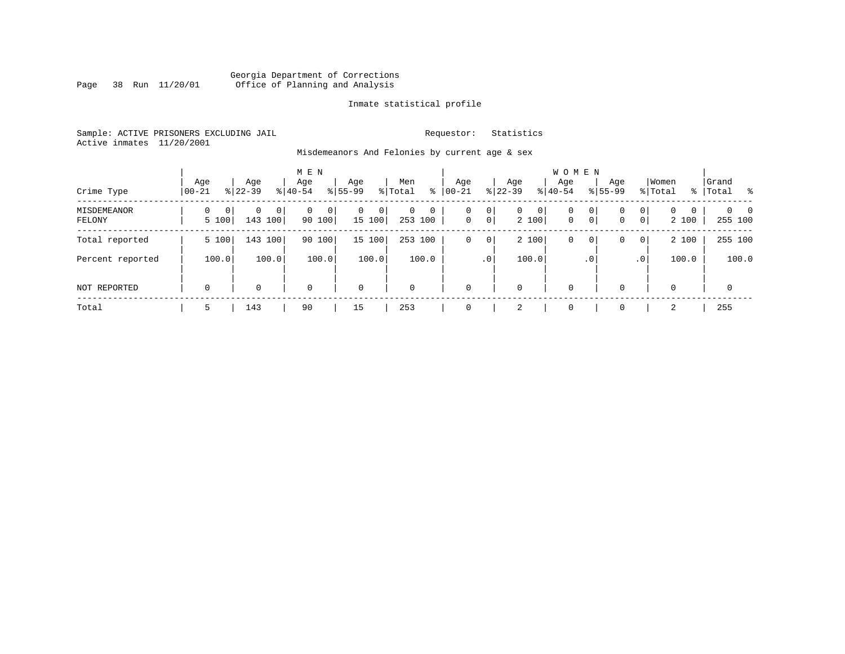# Georgia Department of Corrections Page 38 Run 11/20/01 Office of Planning and Analysis

# Inmate statistical profile

Sample: ACTIVE PRISONERS EXCLUDING JAIL **Requestor:** Statistics Active inmates 11/20/2001

Misdemeanors And Felonies by current age & sex

| Crime Type                   | Age<br>$00 - 21$                  | Age<br>$8122 - 39$         | M E N<br>Age<br>$8 40-54$ | Age<br>$8155 - 99$          | Men<br>⊱<br>% Total                   | Age<br>$ 00-21$                         | Age<br>$ 22-39 $           | <b>WOMEN</b><br>Aqe<br>$8 40-54$ | Age<br>$8155 - 99$ | Women<br>% Total                                                   | Grand<br>% Total %         |
|------------------------------|-----------------------------------|----------------------------|---------------------------|-----------------------------|---------------------------------------|-----------------------------------------|----------------------------|----------------------------------|--------------------|--------------------------------------------------------------------|----------------------------|
| <b>MISDEMEANOR</b><br>FELONY | $\Omega$<br>$\mathbf{0}$<br>5 100 | $\Omega$<br> 0 <br>143 100 | $\Omega$<br>0<br>90 100   | $\mathbf{0}$<br>0<br>15 100 | $\mathbf 0$<br>$\mathbf 0$<br>253 100 | 0<br>0<br>$\overline{0}$<br>$\mathbf 0$ | 0<br>$\mathbf{0}$<br>2 100 | $\mathbf 0$<br>$\mathbf{0}$      | 0<br>0<br> 0 <br>0 | $\mathbf{0}$<br>$\Omega$<br>$\mathbf 0$<br>$\overline{0}$<br>2 100 | $\Omega$<br>- 0<br>255 100 |
| Total reported               | 5 100                             | 143 100                    | 90 100                    | 15 100                      | 253 100                               | $\mathsf{O}$<br>0                       | 2 100                      | $\mathbf 0$                      | 0<br>0             | 2 100<br>$\overline{0}$                                            | 255 100                    |
| Percent reported             | 100.0                             | 100.0                      | 100.0                     | 100.0                       | 100.0                                 | .0 <sup>1</sup>                         | 100.0                      |                                  | $\cdot$ 0          | 100.0<br>.0 <sup>1</sup>                                           | 100.0                      |
| NOT REPORTED                 | $\mathbf 0$                       | 0                          | $\mathbf 0$               | $\mathbf 0$                 | $\mathbf 0$                           | $\mathbf 0$                             | 0                          | $\mathbf 0$                      | $\Omega$           | $\Omega$                                                           | 0                          |
| Total                        | 5                                 | 143                        | 90                        | 15                          | 253                                   | $\Omega$                                | 2                          | $\mathbf 0$                      | $\Omega$           | 2                                                                  | 255                        |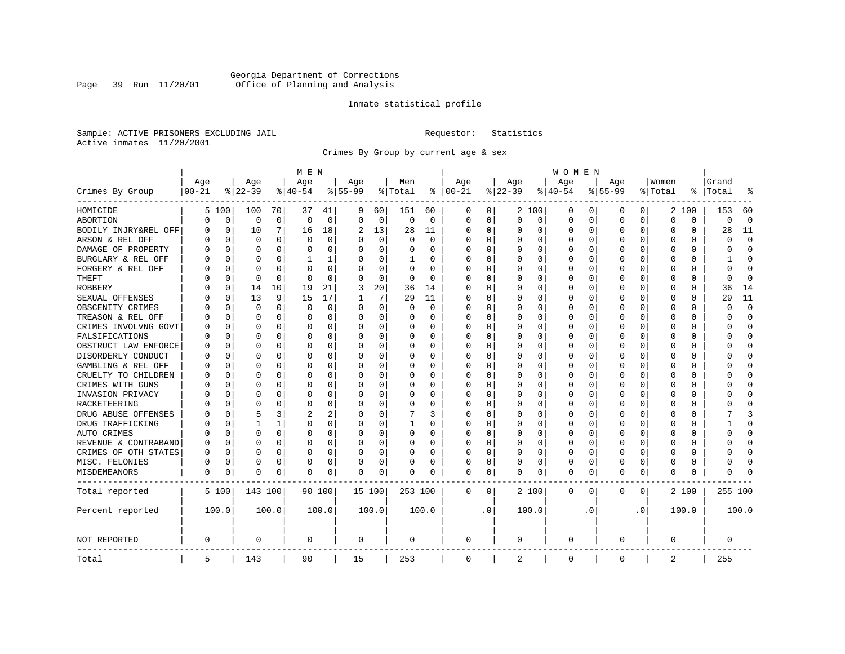# Georgia Department of Corrections<br>Page 39 Run 11/20/01 Office of Planning and Analysis Page 39 Run 11/20/01 Office of Planning and Analysis

## Inmate statistical profile

Sample: ACTIVE PRISONERS EXCLUDING JAIL **Requestor:** Statistics Active inmates 11/20/2001

Crimes By Group by current age & sex

|                      |            |             |          |              | M E N    |          |           |             |          |          |             |           |             |          | W O M E N   |             |           |           |             |          |              |             |
|----------------------|------------|-------------|----------|--------------|----------|----------|-----------|-------------|----------|----------|-------------|-----------|-------------|----------|-------------|-------------|-----------|-----------|-------------|----------|--------------|-------------|
|                      | Age        |             | Age      |              | Age      |          | Age       |             | Men      |          | Age         |           | Age         |          | Age         |             | Age       |           | Women       |          | Grand        |             |
| Crimes By Group      | $ 00 - 21$ |             | $ 22-39$ |              | $ 40-54$ |          | $8 55-99$ |             | % Total  | ႜ        | $ 00-21$    |           | $ 22-39$    |          | $ 40-54$    |             | $8 55-99$ |           | % Total     | ႜ        | Total        | 읏           |
| HOMICIDE             |            | 5 100       | 100      | 70           | 37       | 41       | 9         | 60          | 151      | 60       | 0           | 0         |             | 2 100    | 0           | 0           | 0         | 0         |             | 2 100    | 153          | 60          |
| ABORTION             | 0          | 0           | 0        | $\mathbf 0$  | $\Omega$ | 0        | $\Omega$  | $\mathbf 0$ | 0        | 0        | 0           | 0         | $\mathbf 0$ | 0        | 0           | 0           | $\Omega$  | 0         | $\Omega$    | 0        | $\Omega$     | $\mathbf 0$ |
| BODILY INJRY&REL OFF | 0          | $\mathbf 0$ | 10       | 7            | 16       | 18       | 2         | 13          | 28       | 11       | 0           | 0         | 0           | 0        | 0           | $\mathbf 0$ | $\Omega$  | 0         | O           | 0        | 28           | 11          |
| ARSON & REL OFF      | O          | $\Omega$    | $\Omega$ | 0            | $\Omega$ | $\Omega$ |           | $\Omega$    | $\Omega$ | $\Omega$ | $\Omega$    | $\Omega$  | 0           | 0        | $\Omega$    | $\Omega$    | $\Omega$  | $\Omega$  | O           | 0        | $\cap$       | $\Omega$    |
| DAMAGE OF PROPERTY   | U          | $\Omega$    | $\Omega$ | 0            | $\Omega$ | 0        | O         | $\Omega$    | 0        | 0        | $\Omega$    | 0         | $\Omega$    | 0        | $\Omega$    | $\Omega$    | $\Omega$  | $\Omega$  | C           | 0        | O            | $\Omega$    |
| BURGLARY & REL OFF   |            | $\Omega$    | $\Omega$ | $\Omega$     | 1        | 1        |           | $\Omega$    | 1        | 0        | $\Omega$    | $\Omega$  | 0           | $\Omega$ | 0           | $\Omega$    | $\Omega$  | $\Omega$  | O           | $\Omega$ |              | $\Omega$    |
| FORGERY & REL OFF    |            | $\Omega$    | $\Omega$ | $\Omega$     | $\Omega$ | 0        |           | $\Omega$    | $\Omega$ | $\Omega$ | O           | $\Omega$  | 0           | $\Omega$ | 0           | $\Omega$    | $\Omega$  | $\Omega$  | C           | 0        | U            | $\bigcap$   |
| THEFT                |            | 0           | $\Omega$ | $\Omega$     | $\Omega$ | $\Omega$ |           | 0           | 0        | $\Omega$ | $\Omega$    | 0         | U           | O        | U           | 0           | $\Omega$  | $\Omega$  | O           | 0        | <sup>0</sup> | $\Omega$    |
| <b>ROBBERY</b>       | U          | 0           | 14       | 10           | 19       | 21       | 3         | 20          | 36       | 14       | $\Omega$    | 0         | 0           | O        | 0           | 0           | $\Omega$  | $\Omega$  | C           | 0        | 36           | 14          |
| SEXUAL OFFENSES      | U          | $\Omega$    | 13       | 9            | 15       | 17       |           | 7           | 29       | 11       | $\Omega$    | 0         | U           | O        | $\Omega$    | $\Omega$    | $\Omega$  | $\Omega$  | C           | U        | 29           | 11          |
| OBSCENITY CRIMES     |            | $\Omega$    | $\Omega$ | 0            | 0        | 0        | $\Omega$  | 0           | 0        | 0        | $\Omega$    | 0         | U           | O        | 0           | $\Omega$    | $\Omega$  | $\Omega$  | O           | 0        | ∩            | $\mathbf 0$ |
| TREASON & REL OFF    |            | 0           | $\Omega$ | 0            | 0        | 0        | $\Omega$  | 0           | 0        | 0        | $\Omega$    | 0         | 0           | 0        | 0           | 0           | $\Omega$  | 0         | O           | 0        | O            | $\mathbf 0$ |
| CRIMES INVOLVNG GOVT |            | $\Omega$    | $\Omega$ | $\Omega$     | 0        | 0        |           | 0           | 0        | $\Omega$ | $\Omega$    | $\Omega$  | $\Omega$    | $\Omega$ | 0           | $\Omega$    | $\Omega$  | $\Omega$  | $\Omega$    | 0        | U            | $\Omega$    |
| FALSIFICATIONS       | O          | $\Omega$    | $\Omega$ | $\Omega$     | $\Omega$ | 0        | ∩         | 0           | 0        | 0        | $\Omega$    | 0         | 0           | $\Omega$ | 0           | 0           | $\Omega$  | $\Omega$  | O           | 0        | U            | $\mathbf 0$ |
| OBSTRUCT LAW ENFORCE | O          | $\Omega$    | $\Omega$ | 0            | 0        | 0        |           | 0           | 0        | 0        | $\Omega$    | 0         | 0           | $\Omega$ | 0           | 0           | $\Omega$  | 0         | C           | 0        |              | $\mathbf 0$ |
| DISORDERLY CONDUCT   | O          | $\Omega$    | $\Omega$ | <sup>0</sup> | $\Omega$ | 0        |           | $\Omega$    | 0        | O        | $\Omega$    | $\Omega$  | U           | $\Omega$ | $\Omega$    | $\Omega$    | $\Omega$  | $\Omega$  | C           | 0        |              | $\cap$      |
| GAMBLING & REL OFF   | U          | $\Omega$    | O        | 0            | $\Omega$ | 0        |           | $\Omega$    | 0        | 0        | $\Omega$    | $\Omega$  | O           | 0        | U           | O           | O         | $\Omega$  | O           | 0        |              | $\Omega$    |
| CRUELTY TO CHILDREN  | 0          | 0           | $\Omega$ | $\Omega$     | $\Omega$ | 0        |           | $\mathbf 0$ | 0        | 0        | $\Omega$    | $\Omega$  | 0           | 0        | 0           | 0           | $\Omega$  | $\Omega$  | C           | 0        |              | $\Omega$    |
| CRIMES WITH GUNS     | Ω          | $\Omega$    | $\Omega$ | 0            | $\Omega$ | 0        |           | $\Omega$    | 0        | O        | $\Omega$    | $\Omega$  | U           | O        | U           | $\Omega$    | $\Omega$  | $\Omega$  | C           | 0        |              | $\Omega$    |
| INVASION PRIVACY     | U          | 0           | ∩        | <sup>0</sup> | $\Omega$ | 0        |           | 0           | 0        | 0        | $\Omega$    | $\Omega$  | $\Omega$    | O        | 0           | 0           | O         | $\Omega$  | O           | 0        |              | $\Omega$    |
| RACKETEERING         |            | $\Omega$    | ∩        | 0            | n        | 0        |           | 0           | 0        | O        | $\Omega$    | 0         | O           | O        | 0           | $\Omega$    | $\Omega$  | $\Omega$  | O           | 0        |              | $\bigcap$   |
| DRUG ABUSE OFFENSES  | n          | $\Omega$    | 5        | 3            | 2        | 2        |           | $\Omega$    |          | 3        | $\Omega$    | $\Omega$  | $\Omega$    | $\Omega$ | 0           | $\Omega$    | $\Omega$  | $\Omega$  | $\cap$      | 0        |              | 3           |
| DRUG TRAFFICKING     | Ω          | $\Omega$    |          | 1            | 0        | 0        | $\Omega$  | 0           | 1        | 0        | $\Omega$    | $\Omega$  | 0           | 0        | 0           | $\Omega$    | $\Omega$  | $\Omega$  | O           | 0        |              | $\Omega$    |
| AUTO CRIMES          |            | $\Omega$    | $\Omega$ | 0            | $\Omega$ | 0        |           | 0           | $\Omega$ | 0        | 0           | 0         | 0           | 0        | 0           | 0           | $\Omega$  | 0         | O           | 0        |              | $\mathbf 0$ |
| REVENUE & CONTRABAND | 0          | $\Omega$    | $\Omega$ | $\Omega$     | 0        | 0        | $\Omega$  | 0           | 0        | $\Omega$ | $\Omega$    | 0         | 0           | $\Omega$ | 0           | $\Omega$    | $\Omega$  | 0         | O           | 0        | U            | $\Omega$    |
| CRIMES OF OTH STATES | 0          | $\Omega$    | $\Omega$ | $\Omega$     | $\Omega$ | 0        | $\Omega$  | $\Omega$    | 0        | 0        | $\Omega$    | $\Omega$  | $\Omega$    | $\Omega$ | 0           | $\Omega$    | $\Omega$  | $\Omega$  | $\Omega$    | 0        | U            | $\Omega$    |
| MISC. FELONIES       | 0          | $\Omega$    | $\Omega$ | 0            | 0        | 0        |           | 0           | 0        | 0        | $\Omega$    | 0         | 0           | $\Omega$ | 0           | $\Omega$    | $\Omega$  | $\Omega$  | O           | 0        |              | $\bigcap$   |
| MISDEMEANORS         | 0          | 0           | $\Omega$ | 0            | $\Omega$ | 0        | $\Omega$  | 0           | 0        | O        | 0           | 0         | U           | 0        | $\Omega$    | 0           | $\Omega$  | 0         | C           | 0        | Λ            |             |
| Total reported       |            | 5 100       | 143 100  |              |          | 90 100   | 15 100    |             | 253 100  |          | 0           | 0         |             | 2 100    | $\mathbf 0$ | 0           | 0         | 0         |             | 2 100    | 255 100      |             |
| Percent reported     |            | 100.0       |          | 100.0        |          | 100.0    |           | 100.0       |          | 100.0    |             | $\cdot$ 0 |             | 100.0    |             | . 0         |           | $\cdot$ 0 |             | 100.0    |              | 100.0       |
| NOT REPORTED         | 0          |             | 0        |              | 0        |          | 0         |             | 0        |          | 0           |           | $\mathbf 0$ |          | $\mathbf 0$ |             | 0         |           | $\mathbf 0$ |          | 0            |             |
| Total                | 5          |             | 143      |              | 90       |          | 15        |             | 253      |          | $\mathbf 0$ |           | 2           |          | $\mathbf 0$ |             | 0         |           | 2           |          | 255          |             |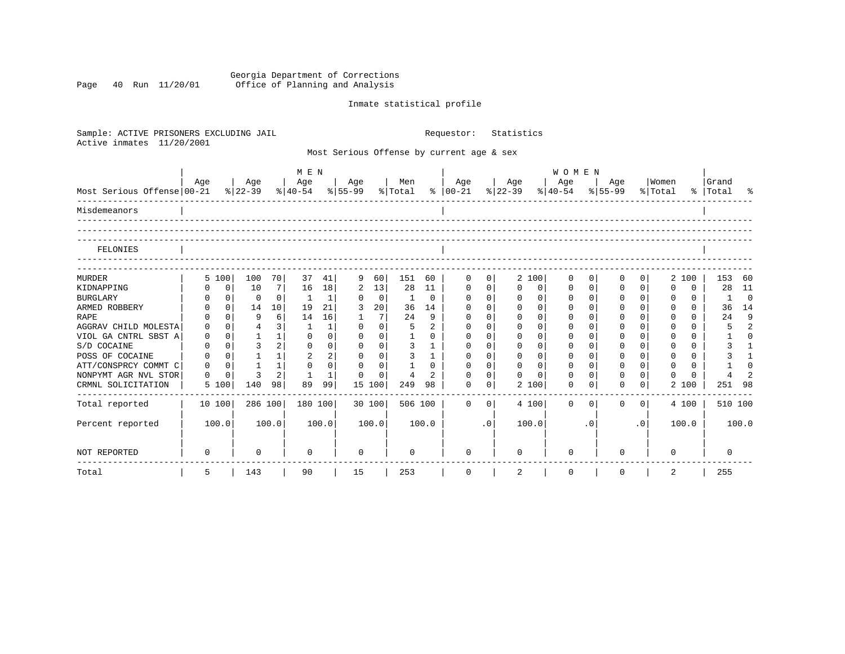Georgia Department of Corrections Page 40 Run 11/20/01 Office of Planning and Analysis

# Inmate statistical profile

| Sample: ACTIVE PRISONERS EXCLUDING JAIL<br>Active inmates<br>11/20/2001 |          |                            |                 |              |                |                                           |             |                |                | Requestor:           |             | Statistics           |                                                    |              |          |           |                      |                    |                |
|-------------------------------------------------------------------------|----------|----------------------------|-----------------|--------------|----------------|-------------------------------------------|-------------|----------------|----------------|----------------------|-------------|----------------------|----------------------------------------------------|--------------|----------|-----------|----------------------|--------------------|----------------|
|                                                                         |          |                            |                 |              |                | Most Serious Offense by current age & sex |             |                |                |                      |             |                      |                                                    |              |          |           |                      |                    |                |
|                                                                         |          |                            |                 | M E N        |                |                                           |             |                |                |                      |             |                      | WOMEN                                              |              |          |           |                      |                    |                |
| Most Serious Offense 00-21                                              | Age      | Age<br>% 22-39             |                 | Age          |                | Age<br>$ 40-54 \t  55-99 \t  Total$       |             | Men            |                | Age<br>$8   00 - 21$ |             | Age<br>$ 22-39 $     | Age<br>$ \frac{1}{6} $ 40-54 $ \frac{1}{6} $ 55-99 |              | Age      |           | Women<br>% Total     | Grand<br>%   Total |                |
| Misdemeanors                                                            |          |                            |                 |              |                |                                           |             |                |                |                      |             |                      |                                                    |              |          |           |                      |                    |                |
| FELONIES                                                                |          |                            |                 |              |                |                                           |             |                |                |                      |             |                      |                                                    |              |          |           |                      |                    |                |
| <b>MURDER</b>                                                           | 5 100    | 100                        | 70              | 37           | 41             | 9                                         | 60          | 151            | 60             | $\mathbf 0$          | 0           | 2 100                | 0                                                  | 0            | 0        | 0         | 2 100                | 153                | 60             |
| KIDNAPPING                                                              |          | $\mathbf 0$<br>10          | 7               | 16           | 18             | 2                                         | 13          | 28             | 11             | $\mathbf 0$          | $\mathbf 0$ | $\Omega$<br>0        | 0                                                  | $\mathbf{0}$ | 0        | $\Omega$  | $\Omega$<br>$\Omega$ | 28                 | -11            |
| <b>BURGLARY</b>                                                         |          | $\mathbf{0}$<br>$\Omega$   | $\overline{0}$  | -1           | 1              | $\Omega$                                  | $\mathbf 0$ | 1              | 0              | $\mathbf 0$          | $\mathbf 0$ | $\mathbf 0$<br>0     | $\mathbf 0$                                        | $\mathbf 0$  | 0        | $\Omega$  | $\Omega$<br>$\Omega$ | 1                  | $\mathbf 0$    |
| ARMED ROBBERY                                                           |          | $\Omega$<br>14             | 10 <sup>1</sup> | 19           | 21             | 3                                         | 20          | 36             | 14             | $\Omega$             | $\Omega$    | $\Omega$<br>$\Omega$ | 0                                                  | $\Omega$     | $\Omega$ | $\Omega$  | $\Omega$<br>$\Omega$ | 36                 | 14             |
| <b>RAPE</b>                                                             |          | $\Omega$<br>9              | 6               | 14           | 16             | -1                                        | 7           | 24             | 9              | $\Omega$             | $\Omega$    | $\Omega$<br>$\Omega$ | $\Omega$                                           | $\Omega$     | $\Omega$ | $\Omega$  | $\Omega$<br>$\Omega$ | 24                 | 9              |
| AGGRAV CHILD MOLESTA                                                    | $\Omega$ | $\overline{4}$<br>$\Omega$ | 3               | $\mathbf{1}$ | 1              | $\Omega$                                  | $\Omega$    | 5              | $\overline{2}$ | $\Omega$             | $\Omega$    | $\Omega$<br>$\Omega$ | $\Omega$                                           | $\Omega$     | $\Omega$ | $\Omega$  | $\cap$<br>$\Omega$   | 5                  | $\mathfrak{D}$ |
| VIOL GA CNTRL SBST A                                                    | 0        | $\mathbf{1}$<br>$\Omega$   | 1               | $\Omega$     | 0              | $\Omega$                                  | $\Omega$    | $\mathbf{1}$   | $\Omega$       | $\Omega$             | $\Omega$    | $\Omega$<br>$\Omega$ | $\Omega$                                           | $\Omega$     | $\Omega$ | $\Omega$  | $\Omega$<br>$\Omega$ |                    | $\cap$         |
| S/D COCAINE                                                             | $\Omega$ | 3<br>$\Omega$              | 2 <sup>1</sup>  | $\Omega$     | $\Omega$       | $\Omega$                                  | $\Omega$    | 3              | $\mathbf{1}$   | $\Omega$             | $\Omega$    | $\Omega$<br>$\Omega$ | $\Omega$                                           | $\Omega$     | $\Omega$ | $\Omega$  | $\cap$<br>$\Omega$   | 3                  |                |
| POSS OF COCAINE                                                         | $\Omega$ | $\Omega$                   | $1\vert$        | 2            | $\overline{a}$ | $\Omega$                                  | $\Omega$    | 3              | $\mathbf{1}$   | $\Omega$             | $\Omega$    | $\Omega$<br>$\Omega$ | $\Omega$                                           | $\Omega$     | $\Omega$ | $\Omega$  | $\Omega$<br>$\Omega$ | 3                  |                |
| ATT/CONSPRCY COMMT C                                                    | $\Omega$ | $\mathbf{1}$<br>$\Omega$   | 1               | $\Omega$     | $\Omega$       | $\Omega$                                  | $\Omega$    |                | $\Omega$       | $\Omega$             | $\Omega$    | $\Omega$<br>$\Omega$ | $\Omega$                                           | $\Omega$     | $\Omega$ | $\Omega$  | $\Omega$<br>$\Omega$ |                    | ∩              |
| NONPYMT AGR NVL STOR                                                    | $\Omega$ | 3<br>0                     | 2 <sup>1</sup>  |              | 1              | $\Omega$                                  | 0           | $\overline{4}$ | $\overline{2}$ | $\Omega$             | 0           | $\Omega$<br>$\Omega$ | $\mathbf 0$                                        | $\Omega$     | $\Omega$ | $\Omega$  | $\Omega$             |                    |                |
| CRMNL SOLICITATION                                                      | 5 100    | 140                        | 98              | 89           | 99             | 15 100                                    |             | 249            | 98             | $\Omega$             | 0           | 2 100                | 0                                                  | $\Omega$     | $\Omega$ | 0         | 2 100                | 251                | -98            |
| Total reported                                                          | 10 100   | 286 100                    |                 | 180 100      |                | 30 100                                    |             | 506 100        |                | $\Omega$             | $\Omega$    | 4 100                | $\Omega$                                           | $\Omega$     | $\Omega$ | $\Omega$  | 4 100                |                    | 510 100        |
| Percent reported                                                        | 100.0    | 100.0                      |                 |              | 100.0          | 100.0                                     |             |                | 100.0          |                      | $\cdot$ 0   | 100.0                |                                                    | $\cdot$ 0    |          | $\cdot$ 0 | 100.0                |                    | 100.0          |
| NOT REPORTED                                                            | $\Omega$ | 0                          |                 | $\Omega$     |                | $\Omega$                                  |             | 0              |                | <sup>n</sup>         |             |                      | ∩                                                  |              | $\Omega$ |           | 0                    | $\Omega$           |                |
| Total                                                                   | 5        | 143                        |                 | 90           |                | 15                                        |             | 253            |                | $\mathbf 0$          |             | 2                    | $\mathbf 0$                                        |              | 0        |           | 2                    | 255                |                |